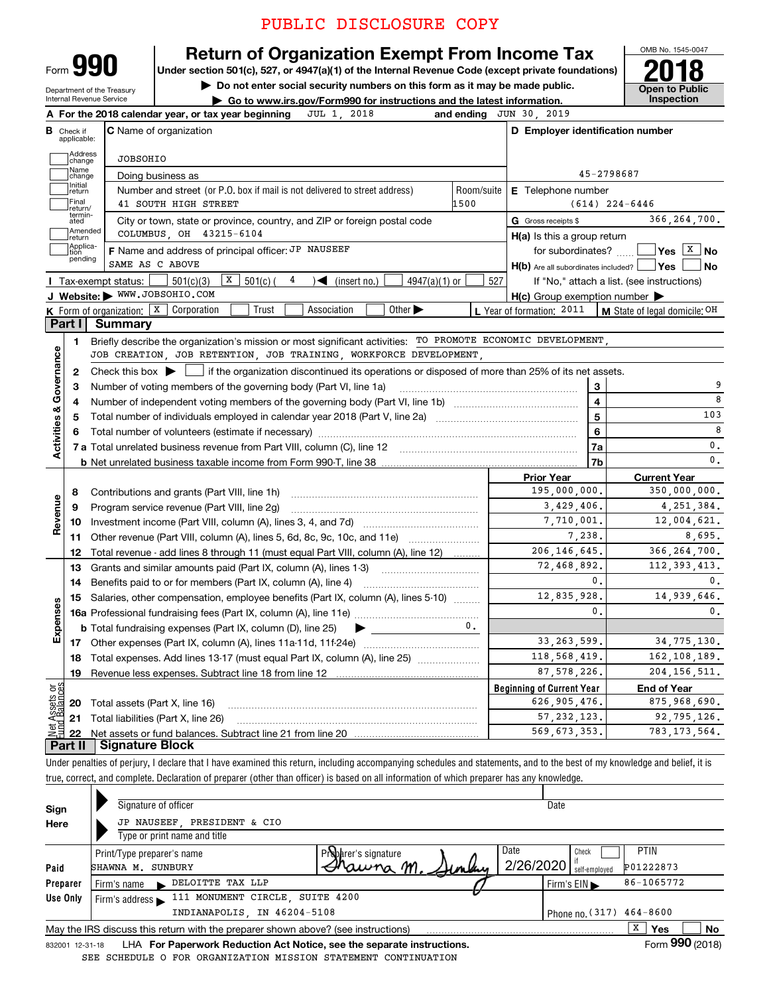## PUBLIC DISCLOSURE COPY



### **Return of Organization Exempt From Income Tax**

Under section 501(c), 527, or 4947(a)(1) of the Internal Revenue Code (except private foundations)

Department of the Treasury Internal Revenue Service

Do not enter social security numbers on this form as it may be made public.



Go to www.irs.gov/Form990 for instructions and the latest information. JUL 1, 2018 and ending JUN 30, 2019 A For the 2018 calendar year, or tax year beginning

|                         | <b>B</b> Check if<br>applicable: | <b>C</b> Name of organization                                                                                                           |                   | D Employer identification number                    |                                            |
|-------------------------|----------------------------------|-----------------------------------------------------------------------------------------------------------------------------------------|-------------------|-----------------------------------------------------|--------------------------------------------|
|                         | Address<br>change                | JOBSOHIO                                                                                                                                |                   |                                                     |                                            |
|                         | Name<br>change                   | Doing business as                                                                                                                       |                   |                                                     | 45-2798687                                 |
|                         | Initial<br>return                | Number and street (or P.O. box if mail is not delivered to street address)                                                              | Room/suite        | <b>E</b> Telephone number                           |                                            |
|                         | Final<br>return/                 | 41 SOUTH HIGH STREET                                                                                                                    | 1500              |                                                     | $(614)$ 224-6446                           |
|                         | termin-<br>ated                  | City or town, state or province, country, and ZIP or foreign postal code                                                                |                   | G Gross receipts \$                                 | 366,264,700.                               |
|                         | Amended<br>return                | COLUMBUS, OH 43215-6104                                                                                                                 |                   | $H(a)$ is this a group return                       |                                            |
|                         | Applica-<br>tion                 | F Name and address of principal officer: JP NAUSEEF                                                                                     |                   | for subordinates?                                   | $\sqrt{}$ Yes $\sqrt{X}$ No                |
|                         | pending                          | SAME AS C ABOVE                                                                                                                         |                   | $H(b)$ Are all subordinates included? $\Box$ Yes    | <b>No</b>                                  |
|                         |                                  | X<br>4<br>501(c)(3)<br>$501(c)$ (<br>$4947(a)(1)$ or<br>Tax-exempt status:<br>$\sqrt{\bullet}$ (insert no.)                             | 527               |                                                     | If "No," attach a list. (see instructions) |
|                         |                                  | J Website: WWW.JOBSOHIO.COM                                                                                                             |                   | $H(c)$ Group exemption number $\blacktriangleright$ |                                            |
|                         |                                  | Other $\blacktriangleright$<br><b>K</b> Form of organization: $\boxed{\mathbf{x}}$ Corporation<br>Trust<br>Association                  |                   | L Year of formation: 2011                           | M State of legal domicile: OH              |
|                         | Part I                           | <b>Summary</b>                                                                                                                          |                   |                                                     |                                            |
|                         | 1                                | Briefly describe the organization's mission or most significant activities: TO PROMOTE ECONOMIC DEVELOPMENT,                            |                   |                                                     |                                            |
| Governance              |                                  | JOB CREATION, JOB RETENTION, JOB TRAINING, WORKFORCE DEVELOPMENT,                                                                       |                   |                                                     |                                            |
|                         | 2                                | Check this box $\blacktriangleright$<br>If the organization discontinued its operations or disposed of more than 25% of its net assets. |                   |                                                     |                                            |
|                         | 3                                | Number of voting members of the governing body (Part VI, line 1a)                                                                       |                   | 3                                                   |                                            |
|                         | 4                                |                                                                                                                                         |                   | $\overline{\mathbf{4}}$                             | 8                                          |
|                         | 5                                | Total number of individuals employed in calendar year 2018 (Part V, line 2a) <i>mummumumumumumum</i>                                    | 5                 | 103                                                 |                                            |
|                         | 6                                |                                                                                                                                         |                   | 6                                                   | 8                                          |
| <b>Activities &amp;</b> |                                  |                                                                                                                                         |                   | 7a                                                  | $\mathbf{0}$ .                             |
|                         |                                  |                                                                                                                                         |                   | 7b                                                  | $\mathbf{0}$ .                             |
|                         |                                  |                                                                                                                                         | <b>Prior Year</b> | <b>Current Year</b>                                 |                                            |
|                         | 8                                | Contributions and grants (Part VIII, line 1h)                                                                                           |                   | 195,000,000.                                        | 350,000,000.                               |
| Revenue                 | 9                                | Program service revenue (Part VIII, line 2g)                                                                                            |                   | 3,429,406.                                          | 4, 251, 384.                               |
|                         | 10                               |                                                                                                                                         |                   | 7,710,001.                                          | 12,004,621.                                |
|                         | 11                               | Other revenue (Part VIII, column (A), lines 5, 6d, 8c, 9c, 10c, and 11e)                                                                |                   | 7,238.                                              | 8,695.                                     |
|                         | 12                               | Total revenue - add lines 8 through 11 (must equal Part VIII, column (A), line 12)                                                      |                   | 206, 146, 645.                                      | 366, 264, 700.                             |
|                         | 13                               | Grants and similar amounts paid (Part IX, column (A), lines 1-3)                                                                        |                   | 72,468,892,                                         | 112, 393, 413.                             |
|                         | 14                               | Benefits paid to or for members (Part IX, column (A), line 4)                                                                           |                   | $\mathbf{0}$ .                                      | $\mathbf{0}$ .                             |
|                         | 15                               | Salaries, other compensation, employee benefits (Part IX, column (A), lines 5-10)                                                       |                   | 12,835,928.<br>$\mathbf{0}$ .                       | 14,939,646.                                |
| Expenses                |                                  |                                                                                                                                         |                   |                                                     | 0.                                         |
|                         |                                  | <b>b</b> Total fundraising expenses (Part IX, column (D), line 25)                                                                      | 0.                | 33, 263, 599.                                       |                                            |
|                         |                                  |                                                                                                                                         |                   | 118,568,419.                                        | 34, 775, 130.                              |
|                         | 18                               | Total expenses. Add lines 13-17 (must equal Part IX, column (A), line 25) <i></i>                                                       |                   |                                                     | 162,108,189.                               |
|                         | 19                               |                                                                                                                                         |                   | 87, 578, 226.                                       | 204, 156, 511.                             |
| äğ                      |                                  |                                                                                                                                         |                   | <b>Beginning of Current Year</b><br>626,905,476.    | <b>End of Year</b><br>875,968,690.         |
| Assets<br>1 Balanc      | 20                               | Total assets (Part X, line 16)                                                                                                          |                   | 57, 232, 123.                                       | 92,795,126.                                |
| bet                     | 21                               | Total liabilities (Part X, line 26)                                                                                                     |                   | 569,673,353.                                        | 783, 173, 564.                             |
|                         | 22<br>Part II                    | Signature Block                                                                                                                         |                   |                                                     |                                            |
|                         |                                  |                                                                                                                                         |                   |                                                     |                                            |

Under penalties of perjury, I declare that I have examined this return, including accompanying schedules and statements, and to the best of my knowledge and belief, it is true, correct, and complete. Declaration of preparer (other than officer) is based on all information of which preparer has any knowledge.

| Sign                                                                                                | Signature of officer                                                    |                                   |  | Date                             |                                   |  |  |  |  |  |
|-----------------------------------------------------------------------------------------------------|-------------------------------------------------------------------------|-----------------------------------|--|----------------------------------|-----------------------------------|--|--|--|--|--|
| Here                                                                                                | JP NAUSEEF, PRESIDENT & CIO                                             |                                   |  |                                  |                                   |  |  |  |  |  |
|                                                                                                     | Type or print name and title                                            |                                   |  |                                  |                                   |  |  |  |  |  |
| Paid                                                                                                | Print/Type preparer's name<br>SHAWNA M. SUNBURY                         | Probarer's signature<br>Phawna M. |  | Date<br>2/26/2020                | <b>PTIN</b><br>Check<br>P01222873 |  |  |  |  |  |
|                                                                                                     |                                                                         |                                   |  |                                  | self-employed                     |  |  |  |  |  |
| Preparer                                                                                            | DELOITTE TAX LLP<br>Firm's name                                         |                                   |  | Firm's $EIN \blacktriangleright$ | 86-1065772                        |  |  |  |  |  |
| Use Only                                                                                            | 111 MONUMENT CIRCLE, SUITE 4200<br>Firm's address $\blacktriangleright$ |                                   |  |                                  |                                   |  |  |  |  |  |
|                                                                                                     | INDIANAPOLIS, IN 46204-5108                                             |                                   |  |                                  | Phone no. $(317)$ 464-8600        |  |  |  |  |  |
| X<br>Yes<br>No<br>May the IRS discuss this return with the preparer shown above? (see instructions) |                                                                         |                                   |  |                                  |                                   |  |  |  |  |  |
| 832001 12-31-18                                                                                     | LHA For Paperwork Reduction Act Notice, see the separate instructions.  |                                   |  |                                  | Form 990 (2018)                   |  |  |  |  |  |

LHA For Paperwork Reduction Act Notice, see the separate instructions. 832001 12-31-18 SEE SCHEDULE O FOR ORGANIZATION MISSION STATEMENT CONTINUATION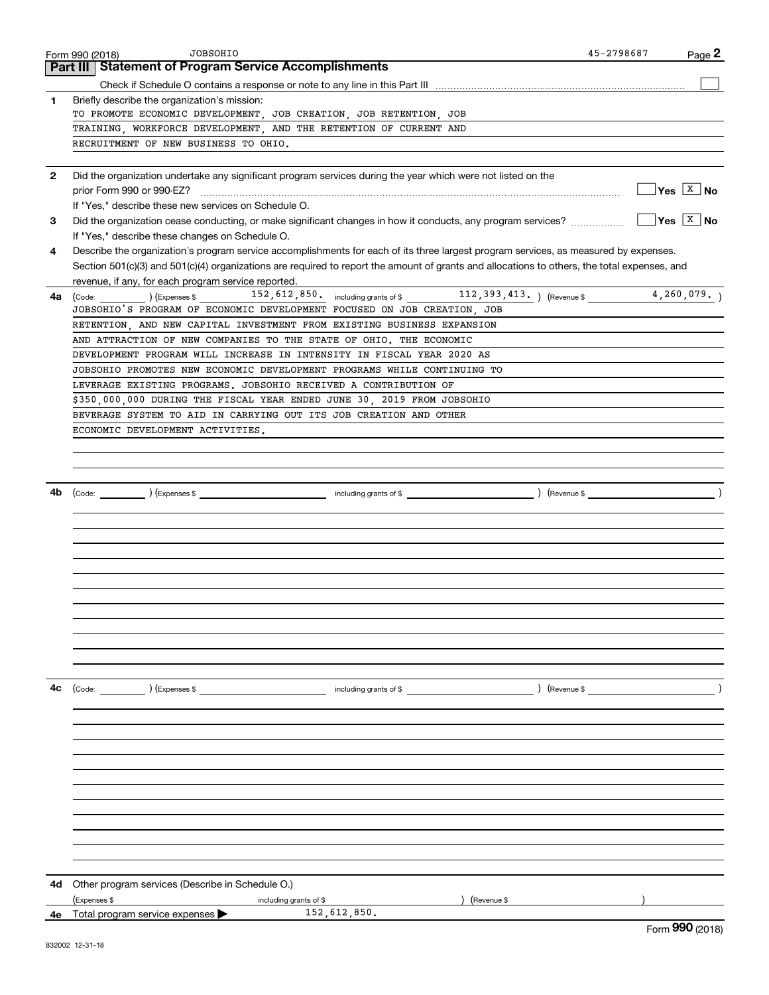|              | <b>JOBSOHIO</b><br>Form 990 (2018)                                                                                                           | 45-2798687 | Page 2                   |
|--------------|----------------------------------------------------------------------------------------------------------------------------------------------|------------|--------------------------|
|              | <b>Part III   Statement of Program Service Accomplishments</b>                                                                               |            |                          |
|              |                                                                                                                                              |            |                          |
| 1            | Briefly describe the organization's mission:                                                                                                 |            |                          |
|              | TO PROMOTE ECONOMIC DEVELOPMENT, JOB CREATION, JOB RETENTION, JOB                                                                            |            |                          |
|              | TRAINING, WORKFORCE DEVELOPMENT, AND THE RETENTION OF CURRENT AND                                                                            |            |                          |
|              | RECRUITMENT OF NEW BUSINESS TO OHIO.                                                                                                         |            |                          |
|              |                                                                                                                                              |            |                          |
| $\mathbf{2}$ | Did the organization undertake any significant program services during the year which were not listed on the                                 |            | $Yes \quad X \quad No$   |
|              | If "Yes," describe these new services on Schedule O.                                                                                         |            |                          |
| 3            | Did the organization cease conducting, or make significant changes in how it conducts, any program services?                                 |            | $Yes \quad \boxed{X}$ No |
|              | If "Yes," describe these changes on Schedule O.                                                                                              |            |                          |
| 4            | Describe the organization's program service accomplishments for each of its three largest program services, as measured by expenses.         |            |                          |
|              | Section 501(c)(3) and 501(c)(4) organizations are required to report the amount of grants and allocations to others, the total expenses, and |            |                          |
|              | revenue, if any, for each program service reported.                                                                                          |            |                          |
| 4a           | (Code: ) (Expenses \$ 152, 612, 850. including grants of \$ 112, 393, 413. ) (Revenue \$ 4, 260, 079. )                                      |            |                          |
|              | JOBSOHIO'S PROGRAM OF ECONOMIC DEVELOPMENT FOCUSED ON JOB CREATION, JOB                                                                      |            |                          |
|              | RETENTION, AND NEW CAPITAL INVESTMENT FROM EXISTING BUSINESS EXPANSION                                                                       |            |                          |
|              | AND ATTRACTION OF NEW COMPANIES TO THE STATE OF OHIO. THE ECONOMIC                                                                           |            |                          |
|              | DEVELOPMENT PROGRAM WILL INCREASE IN INTENSITY IN FISCAL YEAR 2020 AS                                                                        |            |                          |
|              | JOBSOHIO PROMOTES NEW ECONOMIC DEVELOPMENT PROGRAMS WHILE CONTINUING TO                                                                      |            |                          |
|              | LEVERAGE EXISTING PROGRAMS. JOBSOHIO RECEIVED A CONTRIBUTION OF                                                                              |            |                          |
|              | \$350,000,000 DURING THE FISCAL YEAR ENDED JUNE 30, 2019 FROM JOBSOHIO                                                                       |            |                          |
|              | BEVERAGE SYSTEM TO AID IN CARRYING OUT ITS JOB CREATION AND OTHER                                                                            |            |                          |
|              | ECONOMIC DEVELOPMENT ACTIVITIES.                                                                                                             |            |                          |
|              |                                                                                                                                              |            |                          |
|              |                                                                                                                                              |            |                          |
|              |                                                                                                                                              |            |                          |
| 4b           |                                                                                                                                              |            |                          |
|              |                                                                                                                                              |            |                          |
|              |                                                                                                                                              |            |                          |
|              |                                                                                                                                              |            |                          |
|              |                                                                                                                                              |            |                          |
|              |                                                                                                                                              |            |                          |
|              |                                                                                                                                              |            |                          |
|              |                                                                                                                                              |            |                          |
|              |                                                                                                                                              |            |                          |
|              |                                                                                                                                              |            |                          |
|              |                                                                                                                                              |            |                          |
|              |                                                                                                                                              |            |                          |
|              |                                                                                                                                              |            |                          |
| 4с           | $\frac{1}{2}$ including grants of \$<br>(Code: ) (Expenses \$                                                                                |            |                          |
|              |                                                                                                                                              |            |                          |
|              |                                                                                                                                              |            |                          |
|              |                                                                                                                                              |            |                          |
|              |                                                                                                                                              |            |                          |
|              |                                                                                                                                              |            |                          |
|              |                                                                                                                                              |            |                          |
|              |                                                                                                                                              |            |                          |
|              |                                                                                                                                              |            |                          |
|              |                                                                                                                                              |            |                          |
|              |                                                                                                                                              |            |                          |
|              |                                                                                                                                              |            |                          |
|              |                                                                                                                                              |            |                          |
| 4d           | Other program services (Describe in Schedule O.)                                                                                             |            |                          |
|              | (Expenses \$<br>including grants of \$<br>) (Revenue \$                                                                                      |            |                          |
|              | 152,612,850.<br>4e Total program service expenses                                                                                            |            | nnn.                     |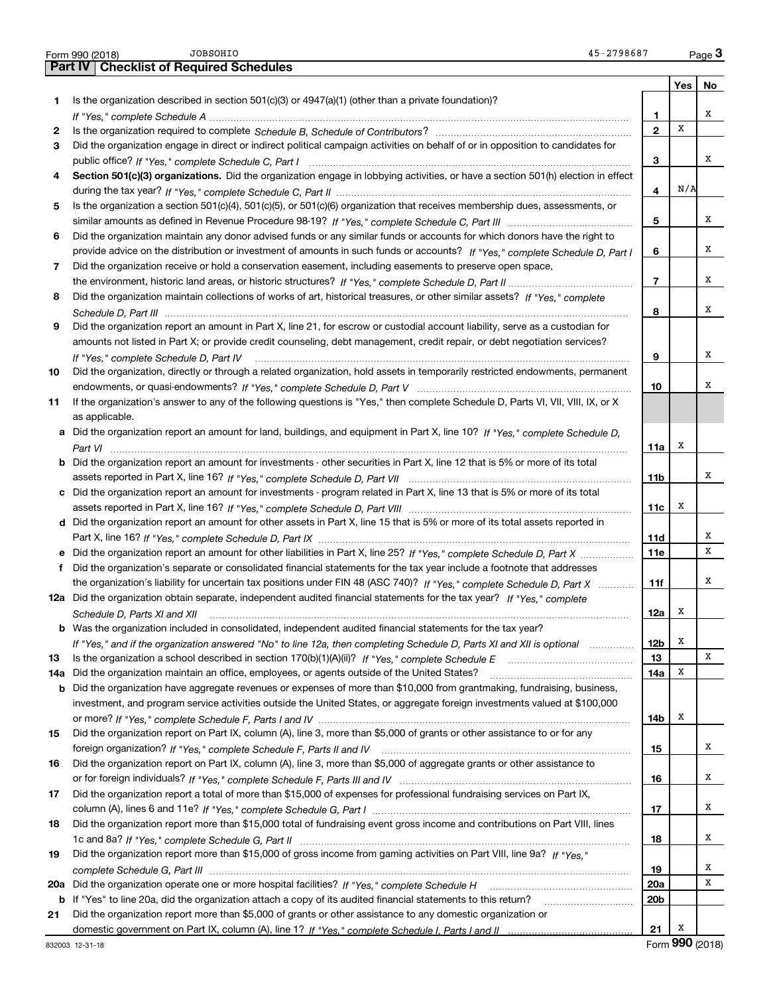|     | <b>JOBSOHIO</b><br>45-2798687<br>Form 990 (2018)                                                                                     |                |          | Page $3$    |
|-----|--------------------------------------------------------------------------------------------------------------------------------------|----------------|----------|-------------|
|     | <b>Checklist of Required Schedules</b><br>Part IV                                                                                    |                |          |             |
|     |                                                                                                                                      |                | Yes   No |             |
| 1   | Is the organization described in section $501(c)(3)$ or $4947(a)(1)$ (other than a private foundation)?                              |                |          |             |
|     |                                                                                                                                      | 1              |          | х           |
| 2   |                                                                                                                                      | $\mathbf{2}$   | X        |             |
| З   | Did the organization engage in direct or indirect political campaign activities on behalf of or in opposition to candidates for      |                |          |             |
|     |                                                                                                                                      | 3              |          | x           |
| 4   | Section 501(c)(3) organizations. Did the organization engage in lobbying activities, or have a section 501(h) election in effect     |                |          |             |
|     |                                                                                                                                      | 4              | N/A      |             |
| 5   | Is the organization a section 501(c)(4), 501(c)(5), or 501(c)(6) organization that receives membership dues, assessments, or         |                |          |             |
|     |                                                                                                                                      | 5              |          | х           |
| 6   | Did the organization maintain any donor advised funds or any similar funds or accounts for which donors have the right to            |                |          |             |
|     | provide advice on the distribution or investment of amounts in such funds or accounts? If "Yes," complete Schedule D, Part I         | 6              |          | х           |
| 7   | Did the organization receive or hold a conservation easement, including easements to preserve open space,                            |                |          |             |
|     |                                                                                                                                      | $\overline{7}$ |          | х           |
| 8   | Did the organization maintain collections of works of art, historical treasures, or other similar assets? If "Yes," complete         |                |          |             |
|     |                                                                                                                                      | 8              |          | х           |
| 9   | Did the organization report an amount in Part X, line 21, for escrow or custodial account liability, serve as a custodian for        |                |          |             |
|     | amounts not listed in Part X; or provide credit counseling, debt management, credit repair, or debt negotiation services?            |                |          |             |
|     | If "Yes," complete Schedule D, Part IV                                                                                               | 9              |          | х           |
| 10  | Did the organization, directly or through a related organization, hold assets in temporarily restricted endowments, permanent        |                |          |             |
|     |                                                                                                                                      | 10             |          | х           |
| 11  | If the organization's answer to any of the following questions is "Yes," then complete Schedule D, Parts VI, VIII, VIII, IX, or X    |                |          |             |
|     | as applicable.                                                                                                                       |                |          |             |
|     | a Did the organization report an amount for land, buildings, and equipment in Part X, line 10? If "Yes," complete Schedule D,        |                |          |             |
|     |                                                                                                                                      | 11a            | X        |             |
|     | <b>b</b> Did the organization report an amount for investments - other securities in Part X, line 12 that is 5% or more of its total |                |          |             |
|     |                                                                                                                                      | 11b            |          | х           |
| c   | Did the organization report an amount for investments - program related in Part X, line 13 that is 5% or more of its total           |                |          |             |
|     |                                                                                                                                      | 11c            | X        |             |
|     | d Did the organization report an amount for other assets in Part X, line 15 that is 5% or more of its total assets reported in       |                |          |             |
|     |                                                                                                                                      | 11d            |          | х           |
|     | e Did the organization report an amount for other liabilities in Part X, line 25? If "Yes," complete Schedule D, Part X              | 11e            |          | $\mathbf x$ |
| f   | Did the organization's separate or consolidated financial statements for the tax year include a footnote that addresses              |                |          |             |
|     | the organization's liability for uncertain tax positions under FIN 48 (ASC 740)? If "Yes," complete Schedule D, Part X               | 11f            |          | х           |
|     | 12a Did the organization obtain separate, independent audited financial statements for the tax year? If "Yes," complete              |                |          |             |
|     | Schedule D, Parts XI and XII                                                                                                         | 12a            | x        |             |
|     | <b>b</b> Was the organization included in consolidated, independent audited financial statements for the tax year?                   |                |          |             |
|     | If "Yes," and if the organization answered "No" to line 12a, then completing Schedule D, Parts XI and XII is optional                | 12b            | х        |             |
| 13  |                                                                                                                                      | 13             |          | х           |
| 14a | Did the organization maintain an office, employees, or agents outside of the United States?                                          | 14a            | х        |             |
| b   | Did the organization have aggregate revenues or expenses of more than \$10,000 from grantmaking, fundraising, business,              |                |          |             |
|     | investment, and program service activities outside the United States, or aggregate foreign investments valued at \$100,000           |                |          |             |
|     |                                                                                                                                      | 14b            | X        |             |
| 15  | Did the organization report on Part IX, column (A), line 3, more than \$5,000 of grants or other assistance to or for any            |                |          |             |
|     |                                                                                                                                      | 15             |          | x           |
| 16  | Did the organization report on Part IX, column (A), line 3, more than \$5,000 of aggregate grants or other assistance to             |                |          |             |
|     |                                                                                                                                      | 16             |          | x           |
| 17  | Did the organization report a total of more than \$15,000 of expenses for professional fundraising services on Part IX,              |                |          |             |
|     |                                                                                                                                      | 17             |          | х           |
| 18  | Did the organization report more than \$15,000 total of fundraising event gross income and contributions on Part VIII, lines         |                |          |             |
|     |                                                                                                                                      | 18             |          | х           |
| 19  | Did the organization report more than \$15,000 of gross income from gaming activities on Part VIII, line 9a? If "Yes."               |                |          |             |
|     |                                                                                                                                      | 19             |          | х           |
| 20a |                                                                                                                                      | 20a            |          | X           |
| b   | If "Yes" to line 20a, did the organization attach a copy of its audited financial statements to this return?                         | 20b            |          |             |
| 21  | Did the organization report more than \$5,000 of grants or other assistance to any domestic organization or                          |                |          |             |
|     |                                                                                                                                      | 21             | X        |             |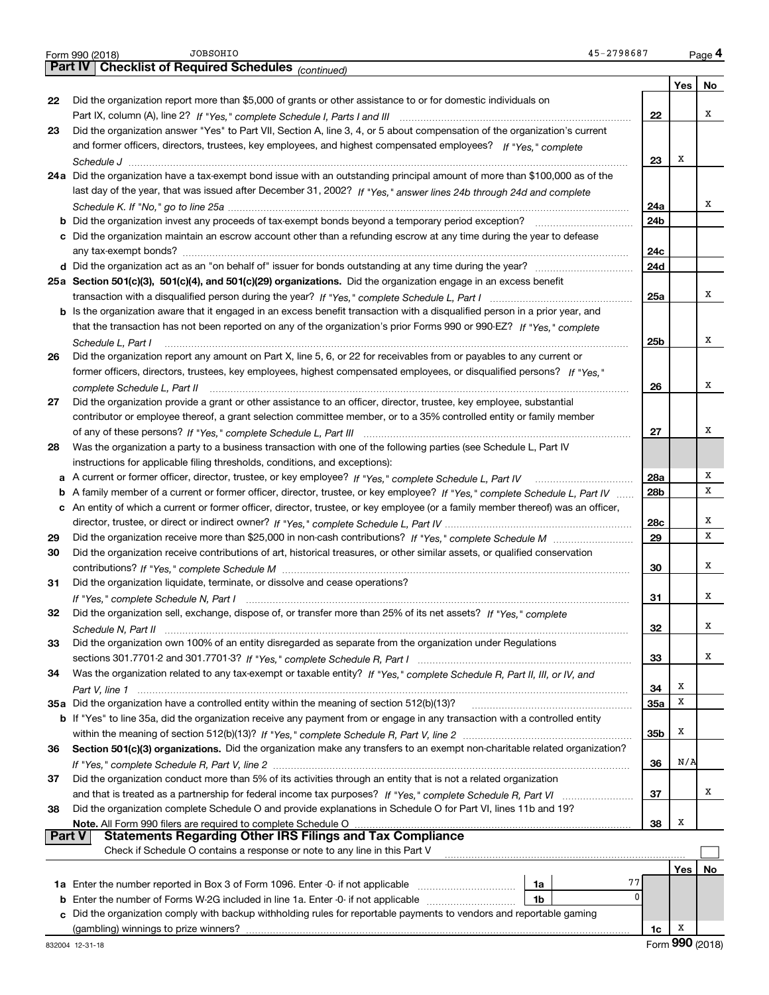|               | 45-2798687<br>JOBSOHIO<br>Form 990 (2018)                                                                                         |                 |          | Page 4 |
|---------------|-----------------------------------------------------------------------------------------------------------------------------------|-----------------|----------|--------|
|               | <b>Checklist of Required Schedules (continued)</b><br><b>Part IV</b>                                                              |                 |          |        |
|               |                                                                                                                                   |                 | Yes      | No     |
| 22            | Did the organization report more than \$5,000 of grants or other assistance to or for domestic individuals on                     |                 |          |        |
|               |                                                                                                                                   | 22              |          | x      |
| 23            | Did the organization answer "Yes" to Part VII, Section A, line 3, 4, or 5 about compensation of the organization's current        |                 |          |        |
|               | and former officers, directors, trustees, key employees, and highest compensated employees? If "Yes," complete                    |                 | x        |        |
|               |                                                                                                                                   | 23              |          |        |
|               | 24a Did the organization have a tax-exempt bond issue with an outstanding principal amount of more than \$100,000 as of the       |                 |          |        |
|               | last day of the year, that was issued after December 31, 2002? If "Yes," answer lines 24b through 24d and complete                | 24a             |          | x      |
|               |                                                                                                                                   | 24b             |          |        |
|               | c Did the organization maintain an escrow account other than a refunding escrow at any time during the year to defease            |                 |          |        |
|               |                                                                                                                                   | 24c             |          |        |
|               |                                                                                                                                   | 24d             |          |        |
|               | 25a Section 501(c)(3), 501(c)(4), and 501(c)(29) organizations. Did the organization engage in an excess benefit                  |                 |          |        |
|               |                                                                                                                                   | 25a             |          | x      |
|               | b Is the organization aware that it engaged in an excess benefit transaction with a disqualified person in a prior year, and      |                 |          |        |
|               | that the transaction has not been reported on any of the organization's prior Forms 990 or 990-EZ? If "Yes," complete             |                 |          |        |
|               | Schedule L, Part I                                                                                                                | 25 <sub>b</sub> |          | x      |
| 26            | Did the organization report any amount on Part X, line 5, 6, or 22 for receivables from or payables to any current or             |                 |          |        |
|               | former officers, directors, trustees, key employees, highest compensated employees, or disqualified persons? If "Yes."            |                 |          |        |
|               | complete Schedule L, Part II                                                                                                      | 26              |          | x      |
| 27            | Did the organization provide a grant or other assistance to an officer, director, trustee, key employee, substantial              |                 |          |        |
|               | contributor or employee thereof, a grant selection committee member, or to a 35% controlled entity or family member               |                 |          |        |
|               |                                                                                                                                   | 27              |          | х      |
| 28            | Was the organization a party to a business transaction with one of the following parties (see Schedule L, Part IV                 |                 |          |        |
|               | instructions for applicable filing thresholds, conditions, and exceptions):                                                       |                 |          |        |
|               |                                                                                                                                   | 28a             |          | х      |
|               | b A family member of a current or former officer, director, trustee, or key employee? If "Yes," complete Schedule L, Part IV      | 28 <sub>b</sub> |          | X      |
|               | c An entity of which a current or former officer, director, trustee, or key employee (or a family member thereof) was an officer, |                 |          |        |
|               |                                                                                                                                   | 28c             |          | х      |
| 29            |                                                                                                                                   | 29              |          | X      |
| 30            | Did the organization receive contributions of art, historical treasures, or other similar assets, or qualified conservation       |                 |          |        |
|               |                                                                                                                                   | 30              |          | x      |
| 31            | Did the organization liquidate, terminate, or dissolve and cease operations?                                                      |                 |          |        |
|               |                                                                                                                                   | 31              |          | x      |
| 32            | Did the organization sell, exchange, dispose of, or transfer more than 25% of its net assets? If "Yes," complete                  |                 |          |        |
|               | Schedule N, Part II                                                                                                               | 32              |          | х      |
| 33            | Did the organization own 100% of an entity disregarded as separate from the organization under Regulations                        |                 |          | x      |
|               |                                                                                                                                   | 33              |          |        |
| 34            | Was the organization related to any tax-exempt or taxable entity? If "Yes," complete Schedule R, Part II, III, or IV, and         | 34              | x        |        |
|               | 35a Did the organization have a controlled entity within the meaning of section 512(b)(13)?                                       | 35a             | X        |        |
|               | b If "Yes" to line 35a, did the organization receive any payment from or engage in any transaction with a controlled entity       |                 |          |        |
|               |                                                                                                                                   | 35 <sub>b</sub> | x        |        |
| 36            | Section 501(c)(3) organizations. Did the organization make any transfers to an exempt non-charitable related organization?        |                 |          |        |
|               |                                                                                                                                   | 36              | N/A      |        |
| 37            | Did the organization conduct more than 5% of its activities through an entity that is not a related organization                  |                 |          |        |
|               |                                                                                                                                   | 37              |          | х      |
| 38            | Did the organization complete Schedule O and provide explanations in Schedule O for Part VI, lines 11b and 19?                    |                 |          |        |
|               |                                                                                                                                   | 38              | Х        |        |
| <b>Part V</b> |                                                                                                                                   |                 |          |        |
|               | Check if Schedule O contains a response or note to any line in this Part V                                                        |                 |          |        |
|               |                                                                                                                                   |                 | Yes      | No     |
|               | 77<br>1a                                                                                                                          |                 |          |        |
| b             | $\Omega$<br>Enter the number of Forms W-2G included in line 1a. Enter -0- if not applicable<br>1b                                 |                 |          |        |
|               | Did the organization comply with backup withholding rules for reportable payments to vendors and reportable gaming                |                 |          |        |
|               |                                                                                                                                   | 1c              | х<br>∩∩ח |        |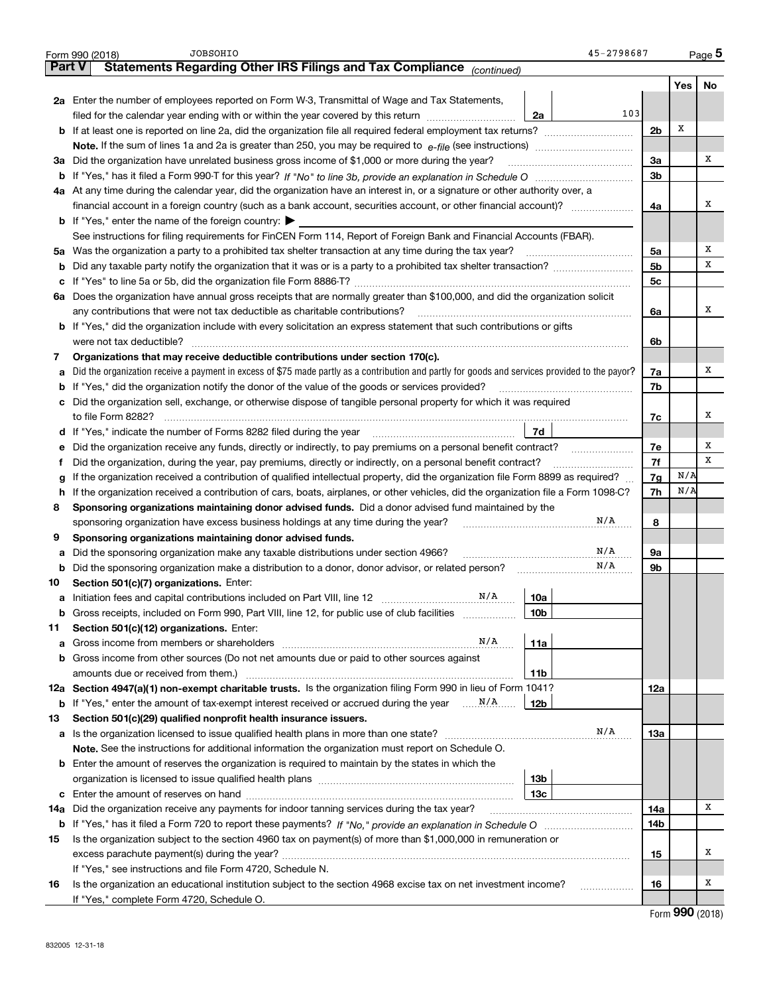|     | <b>JOBSOHIO</b><br>Form 990 (2018)                                                                                                                                                                                                  | 45-2798687     |     | Page 5 |
|-----|-------------------------------------------------------------------------------------------------------------------------------------------------------------------------------------------------------------------------------------|----------------|-----|--------|
|     | Statements Regarding Other IRS Filings and Tax Compliance (continued)<br><b>Part V</b>                                                                                                                                              |                |     |        |
|     |                                                                                                                                                                                                                                     |                | Yes | No     |
|     | 2a Enter the number of employees reported on Form W-3, Transmittal of Wage and Tax Statements,                                                                                                                                      |                |     |        |
|     | filed for the calendar year ending with or within the year covered by this return<br>2a                                                                                                                                             | 103            |     |        |
|     |                                                                                                                                                                                                                                     | 2 <sub>b</sub> | Х   |        |
|     |                                                                                                                                                                                                                                     |                |     |        |
|     | 3a Did the organization have unrelated business gross income of \$1,000 or more during the year?                                                                                                                                    | 3a             |     | х      |
|     |                                                                                                                                                                                                                                     | 3 <sub>b</sub> |     |        |
|     | 4a At any time during the calendar year, did the organization have an interest in, or a signature or other authority over, a                                                                                                        |                |     |        |
|     | financial account in a foreign country (such as a bank account, securities account, or other financial account)?                                                                                                                    | 4a             |     | х      |
|     | <b>b</b> If "Yes," enter the name of the foreign country: $\blacktriangleright$                                                                                                                                                     |                |     |        |
|     | See instructions for filing requirements for FinCEN Form 114, Report of Foreign Bank and Financial Accounts (FBAR).                                                                                                                 |                |     |        |
| 5а  | Was the organization a party to a prohibited tax shelter transaction at any time during the tax year?                                                                                                                               | 5a             |     | х      |
| b   |                                                                                                                                                                                                                                     | 5 <sub>b</sub> |     | x      |
| c   |                                                                                                                                                                                                                                     | 5c             |     |        |
|     | 6a Does the organization have annual gross receipts that are normally greater than \$100,000, and did the organization solicit                                                                                                      |                |     |        |
|     | any contributions that were not tax deductible as charitable contributions?                                                                                                                                                         | 6a             |     | х      |
|     | <b>b</b> If "Yes," did the organization include with every solicitation an express statement that such contributions or gifts                                                                                                       |                |     |        |
|     | were not tax deductible?                                                                                                                                                                                                            | 6b             |     |        |
| 7   | Organizations that may receive deductible contributions under section 170(c).                                                                                                                                                       |                |     |        |
| а   | Did the organization receive a payment in excess of \$75 made partly as a contribution and partly for goods and services provided to the payor?                                                                                     | 7a             |     | х      |
| b   | If "Yes," did the organization notify the donor of the value of the goods or services provided?                                                                                                                                     | 7b             |     |        |
| c   | Did the organization sell, exchange, or otherwise dispose of tangible personal property for which it was required                                                                                                                   |                |     |        |
|     |                                                                                                                                                                                                                                     | 7c             |     | х      |
|     | 7d<br>d If "Yes," indicate the number of Forms 8282 filed during the year manufactured in the set of the set of the summan summan summan summan summan summan summan summan summan summan summan summan summan summan summan summan |                |     |        |
| е   | Did the organization receive any funds, directly or indirectly, to pay premiums on a personal benefit contract?                                                                                                                     | 7e             |     | х      |
| f   | Did the organization, during the year, pay premiums, directly or indirectly, on a personal benefit contract?                                                                                                                        | 7f             |     | x      |
| a   | If the organization received a contribution of qualified intellectual property, did the organization file Form 8899 as required?                                                                                                    | 7g             | N/A |        |
| h   | If the organization received a contribution of cars, boats, airplanes, or other vehicles, did the organization file a Form 1098-C?                                                                                                  | 7h             | N/A |        |
| 8   | Sponsoring organizations maintaining donor advised funds. Did a donor advised fund maintained by the                                                                                                                                |                |     |        |
|     | sponsoring organization have excess business holdings at any time during the year?                                                                                                                                                  | N/A<br>8       |     |        |
| 9   | Sponsoring organizations maintaining donor advised funds.                                                                                                                                                                           |                |     |        |
| а   | Did the sponsoring organization make any taxable distributions under section 4966?                                                                                                                                                  | N/A<br>9а      |     |        |
| b   | Did the sponsoring organization make a distribution to a donor, donor advisor, or related person?                                                                                                                                   | N/A<br>9b      |     |        |
| 10  | Section 501(c)(7) organizations. Enter:                                                                                                                                                                                             |                |     |        |
|     | $\rm N/A$<br>10a<br>a Initiation fees and capital contributions included on Part VIII, line 12 [111] [12] [11] [12] [12] [12] [12]                                                                                                  |                |     |        |
|     | Gross receipts, included on Form 990, Part VIII, line 12, for public use of club facilities<br>10 <sub>b</sub>                                                                                                                      |                |     |        |
| 11  | Section 501(c)(12) organizations. Enter:                                                                                                                                                                                            |                |     |        |
| а   | N/A<br>11a                                                                                                                                                                                                                          |                |     |        |
| b   | Gross income from other sources (Do not net amounts due or paid to other sources against                                                                                                                                            |                |     |        |
|     | 11b                                                                                                                                                                                                                                 |                |     |        |
|     | 12a Section 4947(a)(1) non-exempt charitable trusts. Is the organization filing Form 990 in lieu of Form 1041?                                                                                                                      | 12a            |     |        |
|     | 12b                                                                                                                                                                                                                                 |                |     |        |
| 13  | Section 501(c)(29) qualified nonprofit health insurance issuers.                                                                                                                                                                    |                |     |        |
| а   |                                                                                                                                                                                                                                     | N/A<br>13a     |     |        |
|     | Note. See the instructions for additional information the organization must report on Schedule O.                                                                                                                                   |                |     |        |
| b   | Enter the amount of reserves the organization is required to maintain by the states in which the                                                                                                                                    |                |     |        |
|     | 13b                                                                                                                                                                                                                                 |                |     |        |
|     | 13с                                                                                                                                                                                                                                 |                |     |        |
| 14a | Did the organization receive any payments for indoor tanning services during the tax year?                                                                                                                                          | 14a            |     | х      |
|     |                                                                                                                                                                                                                                     | 14b            |     |        |
| 15  | Is the organization subject to the section 4960 tax on payment(s) of more than \$1,000,000 in remuneration or                                                                                                                       |                |     |        |
|     |                                                                                                                                                                                                                                     | 15             |     | x      |
|     | If "Yes," see instructions and file Form 4720, Schedule N.                                                                                                                                                                          |                |     |        |
| 16  | Is the organization an educational institution subject to the section 4968 excise tax on net investment income?                                                                                                                     | 16             |     | x      |
|     | If "Yes," complete Form 4720, Schedule O.                                                                                                                                                                                           |                |     |        |
|     |                                                                                                                                                                                                                                     |                |     |        |

Form  $990$  (2018)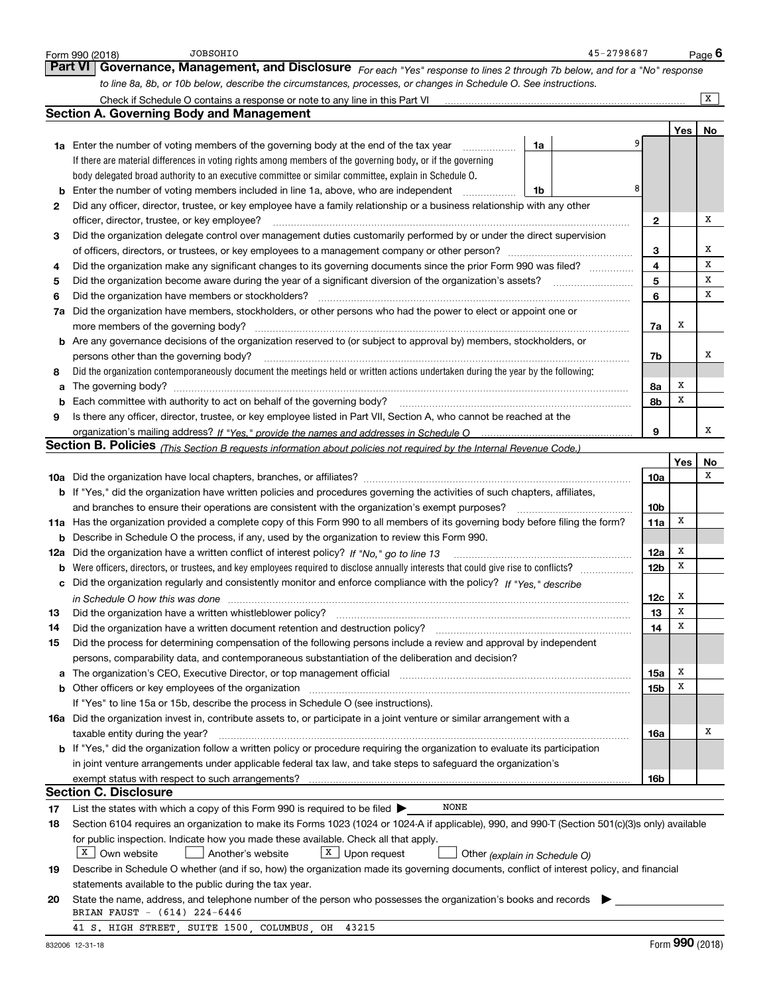|    | JOBSOHIO<br>Form 990 (2018)                                                                                                                                                                                                    |    | 45-2798687 |                 |     | Page $6$ |
|----|--------------------------------------------------------------------------------------------------------------------------------------------------------------------------------------------------------------------------------|----|------------|-----------------|-----|----------|
|    | <b>Part VI</b><br>Governance, Management, and Disclosure For each "Yes" response to lines 2 through 7b below, and for a "No" response                                                                                          |    |            |                 |     |          |
|    | to line 8a, 8b, or 10b below, describe the circumstances, processes, or changes in Schedule O. See instructions.                                                                                                               |    |            |                 |     |          |
|    |                                                                                                                                                                                                                                |    |            |                 |     | X        |
|    | <b>Section A. Governing Body and Management</b>                                                                                                                                                                                |    |            |                 |     |          |
|    |                                                                                                                                                                                                                                |    |            |                 | Yes | No       |
|    | <b>1a</b> Enter the number of voting members of the governing body at the end of the tax year                                                                                                                                  | 1a |            |                 |     |          |
|    | If there are material differences in voting rights among members of the governing body, or if the governing                                                                                                                    |    |            |                 |     |          |
|    | body delegated broad authority to an executive committee or similar committee, explain in Schedule O.                                                                                                                          |    |            |                 |     |          |
| b  | Enter the number of voting members included in line 1a, above, who are independent                                                                                                                                             | 1b | 8          |                 |     |          |
| 2  | Did any officer, director, trustee, or key employee have a family relationship or a business relationship with any other                                                                                                       |    |            |                 |     |          |
|    | officer, director, trustee, or key employee?                                                                                                                                                                                   |    |            | $\mathbf{2}$    |     | х        |
| 3  | Did the organization delegate control over management duties customarily performed by or under the direct supervision                                                                                                          |    |            |                 |     |          |
|    |                                                                                                                                                                                                                                |    |            | 3               |     | x        |
| 4  | Did the organization make any significant changes to its governing documents since the prior Form 990 was filed?                                                                                                               |    |            | 4               |     | x        |
| 5  | Did the organization become aware during the year of a significant diversion of the organization's assets? __________________                                                                                                  |    |            | 5               |     | х        |
|    |                                                                                                                                                                                                                                |    |            | 6               |     | X        |
| 6  | Did the organization have members or stockholders?                                                                                                                                                                             |    |            |                 |     |          |
| 7a | Did the organization have members, stockholders, or other persons who had the power to elect or appoint one or                                                                                                                 |    |            |                 | х   |          |
|    | more members of the governing body?                                                                                                                                                                                            |    |            | 7a              |     |          |
|    | <b>b</b> Are any governance decisions of the organization reserved to (or subject to approval by) members, stockholders, or                                                                                                    |    |            |                 |     | х        |
|    | persons other than the governing body?                                                                                                                                                                                         |    |            | 7b              |     |          |
| 8  | Did the organization contemporaneously document the meetings held or written actions undertaken during the year by the following:                                                                                              |    |            |                 |     |          |
| a  | The governing body?                                                                                                                                                                                                            |    |            | 8a              | X   |          |
| b  | Each committee with authority to act on behalf of the governing body?                                                                                                                                                          |    |            | 8b              | x   |          |
| 9  | Is there any officer, director, trustee, or key employee listed in Part VII, Section A, who cannot be reached at the                                                                                                           |    |            |                 |     |          |
|    |                                                                                                                                                                                                                                |    |            | 9               |     | x        |
|    | <b>Section B. Policies</b> (This Section B requests information about policies not required by the Internal Revenue Code.)                                                                                                     |    |            |                 |     |          |
|    |                                                                                                                                                                                                                                |    |            |                 | Yes | No       |
|    |                                                                                                                                                                                                                                |    |            | 10a             |     | х        |
|    | <b>b</b> If "Yes," did the organization have written policies and procedures governing the activities of such chapters, affiliates,                                                                                            |    |            |                 |     |          |
|    | and branches to ensure their operations are consistent with the organization's exempt purposes?                                                                                                                                |    |            | 10 <sub>b</sub> |     |          |
|    | 11a Has the organization provided a complete copy of this Form 990 to all members of its governing body before filing the form?                                                                                                |    |            | 11a             | X   |          |
|    | <b>b</b> Describe in Schedule O the process, if any, used by the organization to review this Form 990.                                                                                                                         |    |            |                 |     |          |
|    | 12a Did the organization have a written conflict of interest policy? If "No," go to line 13                                                                                                                                    |    |            | 12a             | X   |          |
|    | <b>b</b> Were officers, directors, or trustees, and key employees required to disclose annually interests that could give rise to conflicts?                                                                                   |    |            | 12 <sub>b</sub> | x   |          |
| с  | Did the organization regularly and consistently monitor and enforce compliance with the policy? If "Yes," describe                                                                                                             |    |            |                 |     |          |
|    |                                                                                                                                                                                                                                |    |            | 12c             | х   |          |
| 13 | Did the organization have a written whistleblower policy?                                                                                                                                                                      |    |            | 13              | x   |          |
| 14 | Did the organization have a written document retention and destruction policy?                                                                                                                                                 |    |            | 14              | Х   |          |
| 15 | Did the process for determining compensation of the following persons include a review and approval by independent                                                                                                             |    |            |                 |     |          |
|    | persons, comparability data, and contemporaneous substantiation of the deliberation and decision?                                                                                                                              |    |            |                 |     |          |
| а  | The organization's CEO, Executive Director, or top management official manufactured contains and contained a manufactured with the organization's CEO, Executive Director, or top management official manufactured with the st |    |            | 15a             | x   |          |
| b  | Other officers or key employees of the organization                                                                                                                                                                            |    |            | 15 <sub>b</sub> | х   |          |
|    | If "Yes" to line 15a or 15b, describe the process in Schedule O (see instructions).                                                                                                                                            |    |            |                 |     |          |
|    | 16a Did the organization invest in, contribute assets to, or participate in a joint venture or similar arrangement with a                                                                                                      |    |            |                 |     |          |
|    | taxable entity during the year?                                                                                                                                                                                                |    |            | 16a             |     | х        |
|    | <b>b</b> If "Yes," did the organization follow a written policy or procedure requiring the organization to evaluate its participation                                                                                          |    |            |                 |     |          |
|    | in joint venture arrangements under applicable federal tax law, and take steps to safeguard the organization's                                                                                                                 |    |            |                 |     |          |
|    |                                                                                                                                                                                                                                |    |            | 16b             |     |          |
|    | <b>Section C. Disclosure</b>                                                                                                                                                                                                   |    |            |                 |     |          |
| 17 | NONE<br>List the states with which a copy of this Form 990 is required to be filed $\blacktriangleright$                                                                                                                       |    |            |                 |     |          |
| 18 | Section 6104 requires an organization to make its Forms 1023 (1024 or 1024 A if applicable), 990, and 990 T (Section 501(c)(3)s only) available                                                                                |    |            |                 |     |          |
|    | for public inspection. Indicate how you made these available. Check all that apply.                                                                                                                                            |    |            |                 |     |          |
|    | X  <br>$X$ Own website<br>Upon request<br>Another's website<br>Other (explain in Schedule O)                                                                                                                                   |    |            |                 |     |          |
| 19 | Describe in Schedule O whether (and if so, how) the organization made its governing documents, conflict of interest policy, and financial                                                                                      |    |            |                 |     |          |
|    | statements available to the public during the tax year.                                                                                                                                                                        |    |            |                 |     |          |
| 20 | State the name, address, and telephone number of the person who possesses the organization's books and records                                                                                                                 |    |            |                 |     |          |
|    | BRIAN FAUST - (614) 224-6446                                                                                                                                                                                                   |    |            |                 |     |          |
|    | 41 S. HIGH STREET, SUITE 1500, COLUMBUS, OH<br>43215                                                                                                                                                                           |    |            |                 |     |          |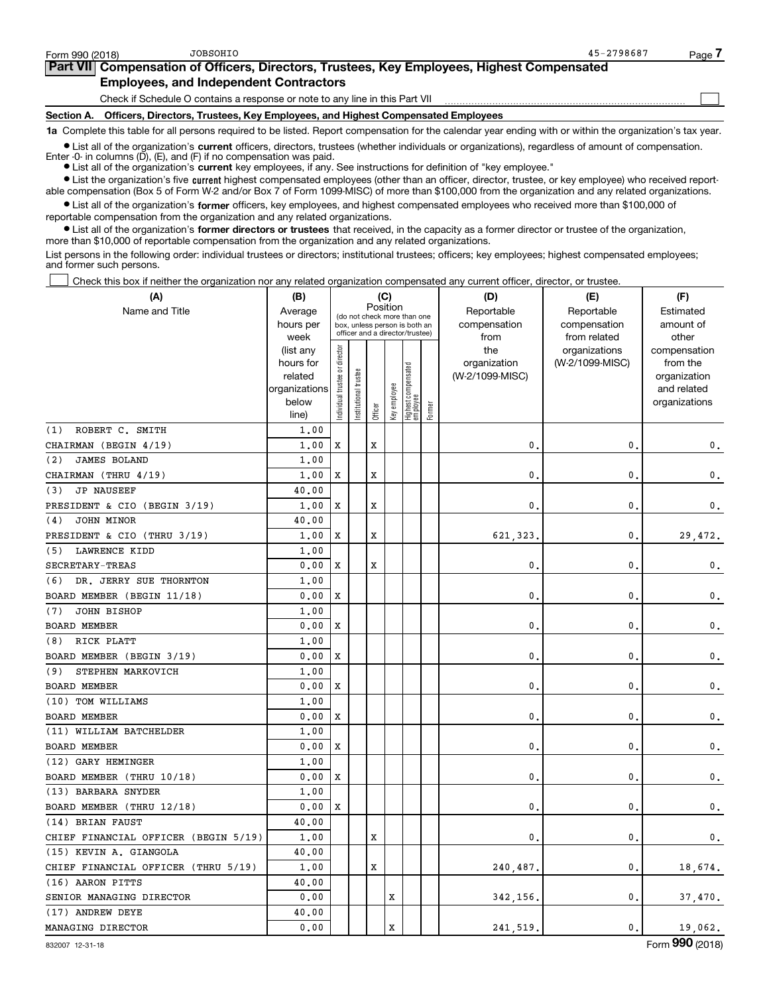$\begin{array}{c} \hline \end{array}$ 

### Part VII Compensation of Officers, Directors, Trustees, Key Employees, Highest Compensated Employees, and Independent Contractors

Check if Schedule O contains a response or note to any line in this Part VII

Section A. Officers, Directors, Trustees, Key Employees, and Highest Compensated Employees

1a Complete this table for all persons required to be listed. Report compensation for the calendar year ending with or within the organization's tax year.

Ist all of the organization's current officers, directors, trustees (whether individuals or organizations), regardless of amount of compensation.

• List all of the organization's current key employees, if any. See instructions for definition of "key employee." Enter -0- in columns ( $\overline{D}$ ), (E), and (F) if no compensation was paid.

• List the organization's five current highest compensated employees (other than an officer, director, trustee, or key employee) who received report-

 $\bullet$  List all of the organization's former officers, key employees, and highest compensated employees who received more than \$100,000 of able compensation (Box 5 of Form W-2 and/or Box 7 of Form 1099-MISC) of more than \$100,000 from the organization and any related organizations.

reportable compensation from the organization and any related organizations.

• List all of the organization's former directors or trustees that received, in the capacity as a former director or trustee of the organization, more than \$10,000 of reportable compensation from the organization and any related organizations.

List persons in the following order: individual trustees or directors; institutional trustees; officers; key employees; highest compensated employees; and former such persons.

Check this box if neither the organization nor any related organization compensated any current officer, director, or trustee.  $\Box$ 

| (A)                                  | (B)                    |                               |                       |         | (C)          |                                                                  |        | (D)                 | (E)                              | (F)                      |
|--------------------------------------|------------------------|-------------------------------|-----------------------|---------|--------------|------------------------------------------------------------------|--------|---------------------|----------------------------------|--------------------------|
| Name and Title                       | Average                |                               |                       |         | Position     | (do not check more than one                                      |        | Reportable          | Reportable                       | Estimated                |
|                                      | hours per              |                               |                       |         |              | box, unless person is both an<br>officer and a director/trustee) |        | compensation        | compensation                     | amount of                |
|                                      | week                   |                               |                       |         |              |                                                                  |        | from                | from related                     | other                    |
|                                      | (list any<br>hours for |                               |                       |         |              |                                                                  |        | the<br>organization | organizations<br>(W-2/1099-MISC) | compensation<br>from the |
|                                      | related                |                               |                       |         |              |                                                                  |        | (W-2/1099-MISC)     |                                  | organization             |
|                                      | organizations          |                               |                       |         |              |                                                                  |        |                     |                                  | and related              |
|                                      | below                  | ndividual trustee or director | Institutional trustee |         | Key employee | Highest compensated<br>employee                                  |        |                     |                                  | organizations            |
|                                      | line)                  |                               |                       | Officer |              |                                                                  | Former |                     |                                  |                          |
| ROBERT C. SMITH<br>(1)               | 1.00                   |                               |                       |         |              |                                                                  |        |                     |                                  |                          |
| CHAIRMAN (BEGIN 4/19)                | 1.00                   | x                             |                       | х       |              |                                                                  |        | 0                   | 0                                | 0.                       |
| JAMES BOLAND<br>(2)                  | 1.00                   |                               |                       |         |              |                                                                  |        |                     |                                  |                          |
| CHAIRMAN (THRU 4/19)                 | 1,00                   | х                             |                       | x       |              |                                                                  |        | 0                   | 0                                | 0.                       |
| <b>JP NAUSEEF</b><br>(3)             | 40.00                  |                               |                       |         |              |                                                                  |        |                     |                                  |                          |
| PRESIDENT & CIO (BEGIN 3/19)         | 1.00                   | х                             |                       | x       |              |                                                                  |        | 0                   | 0                                | 0.                       |
| JOHN MINOR<br>(4)                    | 40.00                  |                               |                       |         |              |                                                                  |        |                     |                                  |                          |
| PRESIDENT & CIO (THRU 3/19)          | 1.00                   | X                             |                       | X       |              |                                                                  |        | 621,323             | $\mathbf{0}$                     | 29,472.                  |
| LAWRENCE KIDD<br>(5)                 | 1.00                   |                               |                       |         |              |                                                                  |        |                     |                                  |                          |
| SECRETARY-TREAS                      | 0.00                   | x                             |                       | X       |              |                                                                  |        | $\mathbf{0}$        | $\mathbf{0}$                     | 0.                       |
| DR. JERRY SUE THORNTON<br>(6)        | 1.00                   |                               |                       |         |              |                                                                  |        |                     |                                  |                          |
| BOARD MEMBER (BEGIN 11/18)           | 0.00                   | х                             |                       |         |              |                                                                  |        | $\mathbf{0}$        | $\mathbf{0}$                     | 0.                       |
| JOHN BISHOP<br>(7)                   | 1.00                   |                               |                       |         |              |                                                                  |        |                     |                                  |                          |
| <b>BOARD MEMBER</b>                  | 0.00                   | x                             |                       |         |              |                                                                  |        | 0.                  | 0                                | 0.                       |
| RICK PLATT<br>(8)                    | 1,00                   |                               |                       |         |              |                                                                  |        |                     |                                  |                          |
| BOARD MEMBER (BEGIN 3/19)            | 0.00                   | X                             |                       |         |              |                                                                  |        | $\mathbf{0}$ .      | 0                                | 0.                       |
| STEPHEN MARKOVICH<br>(9)             | 1.00                   |                               |                       |         |              |                                                                  |        |                     |                                  |                          |
| <b>BOARD MEMBER</b>                  | 0.00                   | x                             |                       |         |              |                                                                  |        | 0.                  | $\mathbf{0}$                     | 0.                       |
| (10) TOM WILLIAMS                    | 1.00                   |                               |                       |         |              |                                                                  |        |                     |                                  |                          |
| <b>BOARD MEMBER</b>                  | 0.00                   | х                             |                       |         |              |                                                                  |        | $\mathbf{0}$        | $\mathbf{0}$                     | 0.                       |
| (11) WILLIAM BATCHELDER              | 1,00                   |                               |                       |         |              |                                                                  |        |                     |                                  |                          |
| <b>BOARD MEMBER</b>                  | 0.00                   | х                             |                       |         |              |                                                                  |        | 0.                  | $\mathbf{0}$                     | 0.                       |
| (12) GARY HEMINGER                   | 1,00                   |                               |                       |         |              |                                                                  |        |                     |                                  |                          |
| BOARD MEMBER (THRU 10/18)            | 0.00                   | х                             |                       |         |              |                                                                  |        | $\mathbf{0}$        | 0                                | 0.                       |
| (13) BARBARA SNYDER                  | 1.00                   |                               |                       |         |              |                                                                  |        |                     |                                  |                          |
| BOARD MEMBER (THRU 12/18)            | 0.00                   | x                             |                       |         |              |                                                                  |        | 0.                  | 0                                | 0.                       |
| (14) BRIAN FAUST                     | 40.00                  |                               |                       |         |              |                                                                  |        |                     |                                  |                          |
| CHIEF FINANCIAL OFFICER (BEGIN 5/19) | 1.00                   |                               |                       | X       |              |                                                                  |        | $\mathbf{0}$        | $\mathbf 0$                      | 0.                       |
| (15) KEVIN A. GIANGOLA               | 40.00                  |                               |                       |         |              |                                                                  |        |                     |                                  |                          |
| CHIEF FINANCIAL OFFICER (THRU 5/19)  | 1,00                   |                               |                       | X       |              |                                                                  |        | 240,487.            | 0                                | 18,674.                  |
| (16) AARON PITTS                     | 40.00                  |                               |                       |         |              |                                                                  |        |                     |                                  |                          |
| SENIOR MANAGING DIRECTOR             | 0.00                   |                               |                       |         | x            |                                                                  |        | 342,156,            | $\mathbf 0$                      | 37,470.                  |
| (17) ANDREW DEYE                     | 40.00                  |                               |                       |         |              |                                                                  |        |                     |                                  |                          |
| MANAGING DIRECTOR                    | 0.00                   |                               |                       |         | X            |                                                                  |        | 241,519             | $\mathbf{0}$                     | 19,062.                  |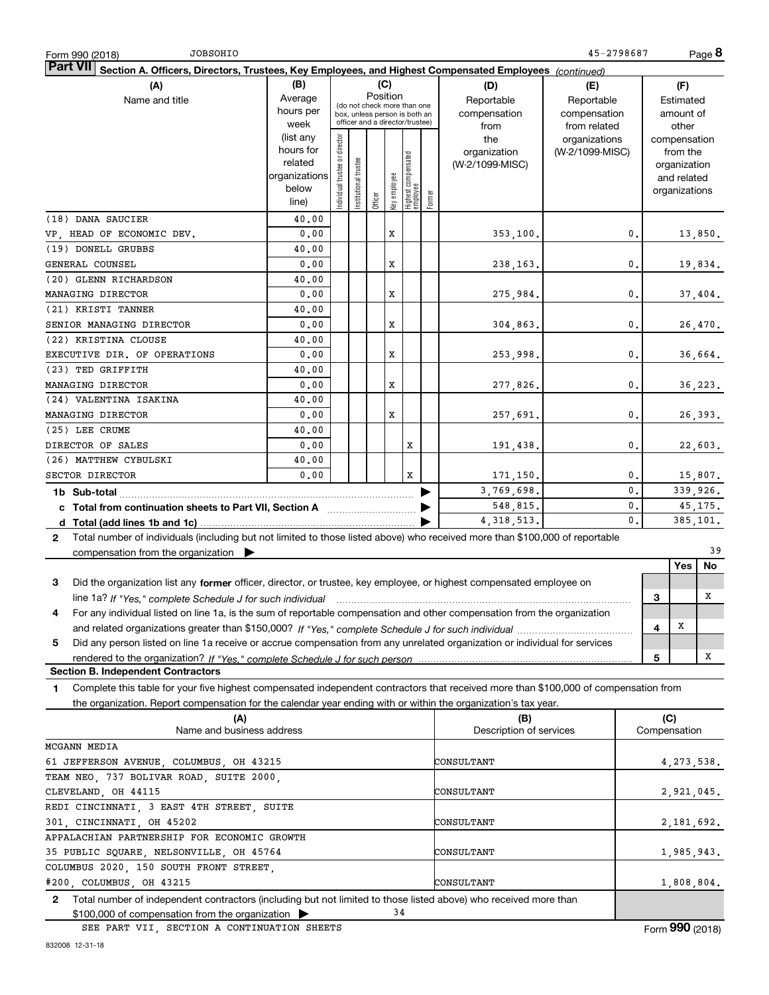| <b>JOBSOHIO</b><br>Form 990 (2018)                                                                                                          |                                           |                                |                       |          |              |                                 |        |                                | 45-2798687      |    |     | Page 8        |    |
|---------------------------------------------------------------------------------------------------------------------------------------------|-------------------------------------------|--------------------------------|-----------------------|----------|--------------|---------------------------------|--------|--------------------------------|-----------------|----|-----|---------------|----|
| Part VII<br>Section A. Officers, Directors, Trustees, Key Employees, and Highest Compensated Employees (continued)                          |                                           |                                |                       |          |              |                                 |        |                                |                 |    |     |               |    |
| (A)                                                                                                                                         | (B)                                       |                                |                       |          | (C)          |                                 |        | (D)                            | (E)             |    |     | (F)           |    |
| Name and title                                                                                                                              | Average                                   |                                |                       | Position |              | (do not check more than one     |        | Reportable<br>Reportable       |                 |    |     | Estimated     |    |
|                                                                                                                                             | hours per                                 |                                |                       |          |              | box, unless person is both an   |        | compensation                   | compensation    |    |     | amount of     |    |
|                                                                                                                                             | week                                      |                                |                       |          |              | officer and a director/trustee) |        | from                           | from related    |    |     | other         |    |
|                                                                                                                                             | (list any                                 |                                |                       |          |              |                                 |        | the                            | organizations   |    |     | compensation  |    |
|                                                                                                                                             | hours for                                 |                                |                       |          |              |                                 |        | organization                   | (W-2/1099-MISC) |    |     | from the      |    |
|                                                                                                                                             | related                                   |                                |                       |          |              |                                 |        | (W-2/1099-MISC)                |                 |    |     | organization  |    |
|                                                                                                                                             | organizations                             |                                |                       |          |              |                                 |        |                                |                 |    |     | and related   |    |
|                                                                                                                                             | below                                     | Individual trustee or director | Institutional trustee | Officer  | Key employee | Highest compensated<br>employee | Former |                                |                 |    |     | organizations |    |
|                                                                                                                                             | line)                                     |                                |                       |          |              |                                 |        |                                |                 |    |     |               |    |
| (18) DANA SAUCIER                                                                                                                           | 40.00                                     |                                |                       |          |              |                                 |        |                                |                 |    |     |               |    |
| VP, HEAD OF ECONOMIC DEV.                                                                                                                   | 0.00                                      |                                |                       |          | x            |                                 |        | 353,100.                       |                 | 0. |     | 13,850.       |    |
| (19) DONELL GRUBBS                                                                                                                          | 40.00                                     |                                |                       |          |              |                                 |        |                                |                 |    |     |               |    |
| GENERAL COUNSEL                                                                                                                             | 0.00                                      |                                |                       |          | X            |                                 |        | 238,163.                       |                 | 0. |     | 19,834.       |    |
| (20) GLENN RICHARDSON                                                                                                                       | 40.00                                     |                                |                       |          |              |                                 |        |                                |                 |    |     |               |    |
| MANAGING DIRECTOR                                                                                                                           | 0.00                                      |                                |                       |          | X            |                                 |        | 275,984.                       |                 | 0. |     | 37,404.       |    |
| (21) KRISTI TANNER                                                                                                                          | 40.00                                     |                                |                       |          |              |                                 |        |                                |                 |    |     |               |    |
| SENIOR MANAGING DIRECTOR                                                                                                                    | 0.00                                      |                                |                       |          | X            |                                 |        | 304,863.                       |                 | 0. |     | 26,470.       |    |
| (22) KRISTINA CLOUSE                                                                                                                        | 40.00                                     |                                |                       |          |              |                                 |        |                                |                 |    |     |               |    |
| EXECUTIVE DIR. OF OPERATIONS                                                                                                                | 0.00                                      |                                |                       |          | X            |                                 |        | 253,998.                       |                 | 0. |     | 36,664.       |    |
| (23) TED GRIFFITH                                                                                                                           | 40.00                                     |                                |                       |          |              |                                 |        |                                |                 |    |     |               |    |
| MANAGING DIRECTOR                                                                                                                           | 0.00                                      |                                |                       |          | X            |                                 |        | 277,826.                       |                 | 0. |     | 36,223.       |    |
| (24) VALENTINA ISAKINA                                                                                                                      | 40.00                                     |                                |                       |          |              |                                 |        |                                |                 |    |     |               |    |
| MANAGING DIRECTOR                                                                                                                           | 0.00                                      |                                |                       |          | X            |                                 |        | 257,691.                       |                 | 0. |     | 26,393.       |    |
| (25) LEE CRUME                                                                                                                              | 40.00                                     |                                |                       |          |              |                                 |        |                                |                 |    |     |               |    |
|                                                                                                                                             |                                           |                                |                       |          |              |                                 |        |                                |                 |    |     |               |    |
| DIRECTOR OF SALES                                                                                                                           | 0.00                                      |                                |                       |          |              | х                               |        | 191,438.                       |                 | 0. |     | 22,603.       |    |
| (26) MATTHEW CYBULSKI                                                                                                                       | 40.00                                     |                                |                       |          |              |                                 |        |                                |                 |    |     |               |    |
| SECTOR DIRECTOR                                                                                                                             | 0.00                                      |                                |                       |          |              | x                               |        | 171,150.                       |                 | 0. |     | 15,807.       |    |
|                                                                                                                                             |                                           |                                |                       |          |              |                                 |        | 3,769,698.                     |                 | 0. |     | 339,926.      |    |
| c Total from continuation sheets to Part VII, Section A [111] [12] Total from continuation sheets to Part VII, Section A                    |                                           |                                |                       |          |              |                                 |        | 548,815.                       |                 | 0. |     | 45,175.       |    |
|                                                                                                                                             |                                           |                                |                       |          |              |                                 |        | 4, 318, 513.                   |                 | 0. |     | 385, 101.     |    |
| Total number of individuals (including but not limited to those listed above) who received more than \$100,000 of reportable<br>$2^{\circ}$ |                                           |                                |                       |          |              |                                 |        |                                |                 |    |     |               |    |
| compensation from the organization $\blacktriangleright$                                                                                    |                                           |                                |                       |          |              |                                 |        |                                |                 |    |     |               | 39 |
|                                                                                                                                             |                                           |                                |                       |          |              |                                 |        |                                |                 |    |     | Yes           | No |
| Did the organization list any former officer, director, or trustee, key employee, or highest compensated employee on<br>3                   |                                           |                                |                       |          |              |                                 |        |                                |                 |    |     |               |    |
| line 1a? If "Yes," complete Schedule J for such individual manufactured contained and the Ves," complete Schedule J for such individual     |                                           |                                |                       |          |              |                                 |        |                                |                 |    | 3   |               | х  |
| For any individual listed on line 1a, is the sum of reportable compensation and other compensation from the organization<br>4               |                                           |                                |                       |          |              |                                 |        |                                |                 |    |     |               |    |
|                                                                                                                                             |                                           |                                |                       |          |              |                                 |        |                                |                 |    | 4   | X             |    |
| 5<br>Did any person listed on line 1a receive or accrue compensation from any unrelated organization or individual for services             |                                           |                                |                       |          |              |                                 |        |                                |                 |    |     |               |    |
|                                                                                                                                             |                                           |                                |                       |          |              |                                 |        |                                |                 |    | 5   |               | х  |
| <b>Section B. Independent Contractors</b>                                                                                                   |                                           |                                |                       |          |              |                                 |        |                                |                 |    |     |               |    |
| Complete this table for your five highest compensated independent contractors that received more than \$100,000 of compensation from<br>1   |                                           |                                |                       |          |              |                                 |        |                                |                 |    |     |               |    |
|                                                                                                                                             |                                           |                                |                       |          |              |                                 |        |                                |                 |    |     |               |    |
| the organization. Report compensation for the calendar year ending with or within the organization's tax year.                              |                                           |                                |                       |          |              |                                 |        |                                |                 |    |     |               |    |
| (A)<br>Name and business address                                                                                                            |                                           |                                |                       |          |              |                                 |        | (B)<br>Description of services |                 |    | (C) | Compensation  |    |
|                                                                                                                                             |                                           |                                |                       |          |              |                                 |        |                                |                 |    |     |               |    |
| MCGANN MEDIA                                                                                                                                |                                           |                                |                       |          |              |                                 |        |                                |                 |    |     |               |    |
| 61 JEFFERSON AVENUE, COLUMBUS, OH 43215                                                                                                     |                                           |                                |                       |          |              |                                 |        | CONSULTANT                     |                 |    |     | 4, 273, 538.  |    |
| TEAM NEO, 737 BOLIVAR ROAD, SUITE 2000,                                                                                                     |                                           |                                |                       |          |              |                                 |        |                                |                 |    |     |               |    |
| CLEVELAND, OH 44115                                                                                                                         |                                           |                                |                       |          |              |                                 |        | CONSULTANT                     |                 |    |     | 2,921,045.    |    |
|                                                                                                                                             | REDI CINCINNATI, 3 EAST 4TH STREET, SUITE |                                |                       |          |              |                                 |        |                                |                 |    |     |               |    |
| 301, CINCINNATI, OH 45202                                                                                                                   |                                           |                                |                       |          |              |                                 |        | CONSULTANT                     |                 |    |     | 2,181,692.    |    |
| APPALACHIAN PARTNERSHIP FOR ECONOMIC GROWTH                                                                                                 |                                           |                                |                       |          |              |                                 |        |                                |                 |    |     |               |    |
| 35 PUBLIC SQUARE, NELSONVILLE, OH 45764                                                                                                     |                                           |                                |                       |          |              |                                 |        | CONSULTANT                     |                 |    |     | 1,985,943.    |    |
| COLUMBUS 2020, 150 SOUTH FRONT STREET,                                                                                                      |                                           |                                |                       |          |              |                                 |        |                                |                 |    |     |               |    |
| #200, COLUMBUS, OH 43215                                                                                                                    |                                           |                                |                       |          |              |                                 |        | CONSULTANT                     |                 |    |     | 1,808,804.    |    |
| Total number of independent contractors (including but not limited to those listed above) who received more than<br>$\mathbf{2}$            |                                           |                                |                       |          |              |                                 |        |                                |                 |    |     |               |    |
| $$100,000$ of compensation from the organization                                                                                            |                                           |                                |                       |          | 34           |                                 |        |                                |                 |    |     |               |    |

SEE PART VII, SECTION A CONTINUATION SHEETS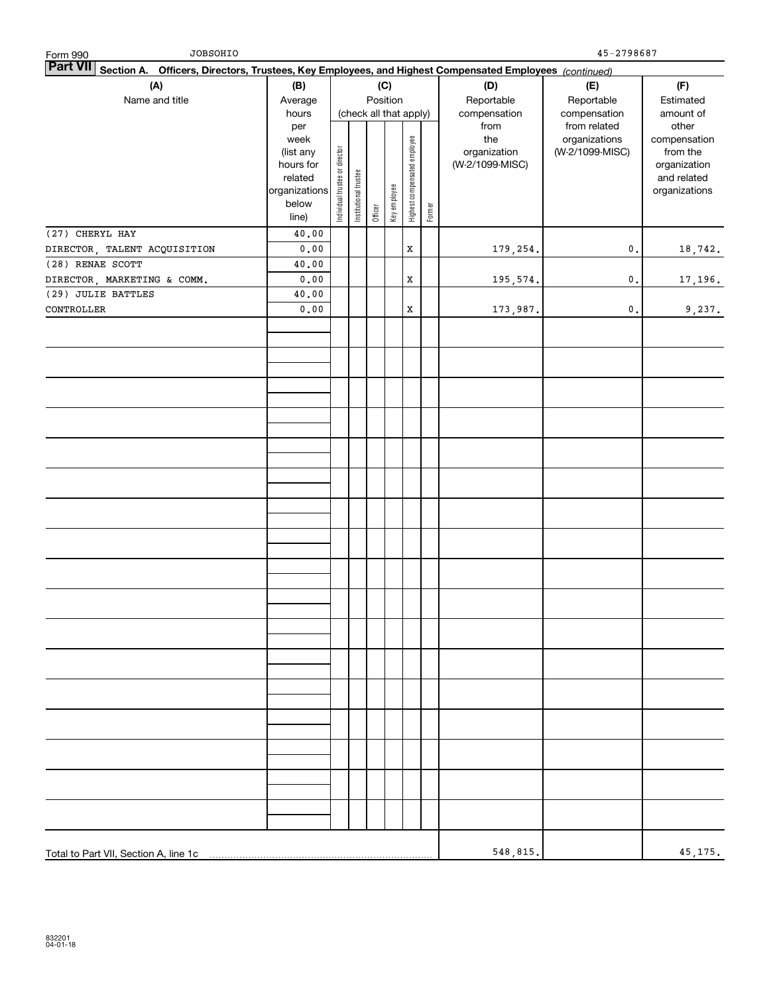| JOBSOHIO<br>Form 990                                                                                                      |                                 |                                |                        |         |              |                              |        |                      | 45-2798687                   |                             |
|---------------------------------------------------------------------------------------------------------------------------|---------------------------------|--------------------------------|------------------------|---------|--------------|------------------------------|--------|----------------------|------------------------------|-----------------------------|
| <b>Part VII</b><br>Section A. Officers, Directors, Trustees, Key Employees, and Highest Compensated Employees (continued) |                                 |                                |                        |         |              |                              |        |                      |                              |                             |
| (A)                                                                                                                       | (B)                             |                                |                        |         | (C)          |                              |        | (D)                  | (E)                          | (F)                         |
| Name and title                                                                                                            | Average                         |                                |                        |         | Position     |                              |        | Reportable           | Reportable                   | Estimated                   |
|                                                                                                                           | hours<br>per                    |                                | (check all that apply) |         |              |                              |        | compensation<br>from | compensation<br>from related | amount of<br>other          |
|                                                                                                                           | week                            |                                |                        |         |              |                              |        | the                  | organizations                | compensation                |
|                                                                                                                           | (list any                       |                                |                        |         |              |                              |        | organization         | (W-2/1099-MISC)              | from the                    |
|                                                                                                                           | hours for                       |                                |                        |         |              |                              |        | (W-2/1099-MISC)      |                              | organization<br>and related |
|                                                                                                                           | related<br>organizations        |                                |                        |         |              |                              |        |                      |                              | organizations               |
|                                                                                                                           | below                           | Individual trustee or director | Institutional trustee  |         | Key employee | Highest compensated employee |        |                      |                              |                             |
|                                                                                                                           | line)                           |                                |                        | Officer |              |                              | Former |                      |                              |                             |
| (27) CHERYL HAY                                                                                                           | 40.00                           |                                |                        |         |              |                              |        |                      |                              |                             |
| DIRECTOR, TALENT ACQUISITION                                                                                              | ${\bf 0}$ , ${\bf 0}$ ${\bf 0}$ |                                |                        |         |              | $\mathbf X$                  |        | 179,254.             | $\mathfrak o$ .              | 18,742.                     |
| (28) RENAE SCOTT                                                                                                          | 40.00                           |                                |                        |         |              |                              |        |                      |                              |                             |
| DIRECTOR, MARKETING & COMM.                                                                                               | ${\bf 0}$ , ${\bf 0}$ ${\bf 0}$ |                                |                        |         |              | $\mathbf X$                  |        | 195,574.             | $\mathfrak o$ .              | 17, 196.                    |
| (29) JULIE BATTLES                                                                                                        | 40.00                           |                                |                        |         |              |                              |        |                      |                              |                             |
| CONTROLLER                                                                                                                | 0.00                            |                                |                        |         |              | X                            |        | 173,987.             | $\mathbf 0$ .                | 9,237.                      |
|                                                                                                                           |                                 |                                |                        |         |              |                              |        |                      |                              |                             |
|                                                                                                                           |                                 |                                |                        |         |              |                              |        |                      |                              |                             |
|                                                                                                                           |                                 |                                |                        |         |              |                              |        |                      |                              |                             |
|                                                                                                                           |                                 |                                |                        |         |              |                              |        |                      |                              |                             |
|                                                                                                                           |                                 |                                |                        |         |              |                              |        |                      |                              |                             |
|                                                                                                                           |                                 |                                |                        |         |              |                              |        |                      |                              |                             |
|                                                                                                                           |                                 |                                |                        |         |              |                              |        |                      |                              |                             |
|                                                                                                                           |                                 |                                |                        |         |              |                              |        |                      |                              |                             |
|                                                                                                                           |                                 |                                |                        |         |              |                              |        |                      |                              |                             |
|                                                                                                                           |                                 |                                |                        |         |              |                              |        |                      |                              |                             |
|                                                                                                                           |                                 |                                |                        |         |              |                              |        |                      |                              |                             |
|                                                                                                                           |                                 |                                |                        |         |              |                              |        |                      |                              |                             |
|                                                                                                                           |                                 |                                |                        |         |              |                              |        |                      |                              |                             |
|                                                                                                                           |                                 |                                |                        |         |              |                              |        |                      |                              |                             |
|                                                                                                                           |                                 |                                |                        |         |              |                              |        |                      |                              |                             |
|                                                                                                                           |                                 |                                |                        |         |              |                              |        |                      |                              |                             |
|                                                                                                                           |                                 |                                |                        |         |              |                              |        |                      |                              |                             |
|                                                                                                                           |                                 |                                |                        |         |              |                              |        |                      |                              |                             |
|                                                                                                                           |                                 |                                |                        |         |              |                              |        |                      |                              |                             |
|                                                                                                                           |                                 |                                |                        |         |              |                              |        |                      |                              |                             |
|                                                                                                                           |                                 |                                |                        |         |              |                              |        |                      |                              |                             |
|                                                                                                                           |                                 |                                |                        |         |              |                              |        |                      |                              |                             |
|                                                                                                                           |                                 |                                |                        |         |              |                              |        |                      |                              |                             |
|                                                                                                                           |                                 |                                |                        |         |              |                              |        |                      |                              |                             |
|                                                                                                                           |                                 |                                |                        |         |              |                              |        |                      |                              |                             |
| Total to Part VII, Section A, line 1c                                                                                     |                                 |                                |                        |         |              |                              |        | 548,815.             |                              | 45, 175.                    |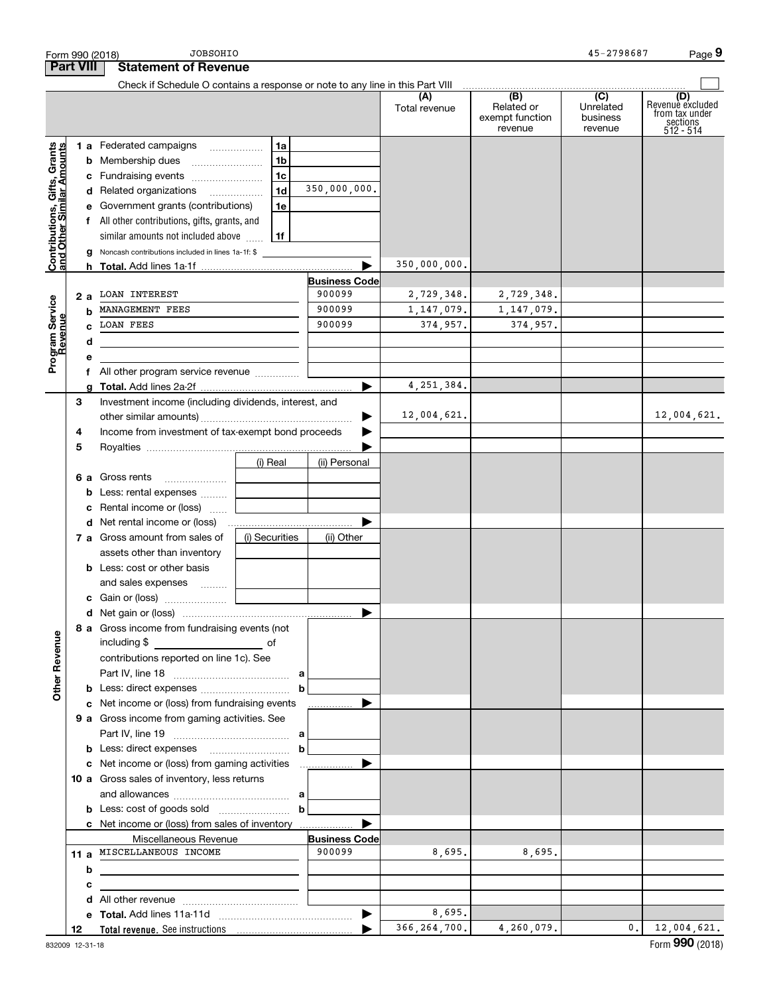|                                                           | Form 990 (2018)  | <b>JOBSOHIO</b>                                                               |                |                       |                      |                                                 | 45-2798687                              | Page 9                                                             |
|-----------------------------------------------------------|------------------|-------------------------------------------------------------------------------|----------------|-----------------------|----------------------|-------------------------------------------------|-----------------------------------------|--------------------------------------------------------------------|
|                                                           | <b>Part VIII</b> | <b>Statement of Revenue</b>                                                   |                |                       |                      |                                                 |                                         |                                                                    |
|                                                           |                  | Check if Schedule O contains a response or note to any line in this Part VIII |                |                       |                      |                                                 |                                         |                                                                    |
|                                                           |                  |                                                                               |                |                       | (A)<br>Total revenue | (B)<br>Related or<br>exempt function<br>revenue | (C)<br>Unrelated<br>business<br>revenue | (D)<br>Revenuè excluded<br>from tax under<br>sections<br>512 - 514 |
|                                                           |                  | 1 a Federated campaigns                                                       | 1a             |                       |                      |                                                 |                                         |                                                                    |
| Contributions, Gifts, Grants<br>and Other Similar Amounts |                  | <b>b</b> Membership dues                                                      | 1 <sub>b</sub> |                       |                      |                                                 |                                         |                                                                    |
|                                                           |                  | c Fundraising events                                                          | 1 <sub>c</sub> |                       |                      |                                                 |                                         |                                                                    |
|                                                           |                  | d Related organizations                                                       | 1 <sub>d</sub> | 350,000,000.          |                      |                                                 |                                         |                                                                    |
|                                                           |                  | e Government grants (contributions)                                           | 1e             |                       |                      |                                                 |                                         |                                                                    |
|                                                           |                  | f All other contributions, gifts, grants, and                                 |                |                       |                      |                                                 |                                         |                                                                    |
|                                                           |                  | similar amounts not included above                                            | l 1f           |                       |                      |                                                 |                                         |                                                                    |
|                                                           |                  | <b>g</b> Noncash contributions included in lines 1a-1f: \$                    |                |                       |                      |                                                 |                                         |                                                                    |
|                                                           |                  |                                                                               |                |                       | 350,000,000.         |                                                 |                                         |                                                                    |
|                                                           |                  |                                                                               |                | <b>Business Code</b>  |                      |                                                 |                                         |                                                                    |
|                                                           | 2 a              | LOAN INTEREST                                                                 |                | 900099                | 2,729,348.           | 2,729,348.                                      |                                         |                                                                    |
|                                                           | b                | MANAGEMENT FEES                                                               |                | 900099                | 1, 147, 079.         | 1, 147, 079.                                    |                                         |                                                                    |
|                                                           |                  | <b>LOAN FEES</b>                                                              |                | 900099                | 374,957.             | 374,957.                                        |                                         |                                                                    |
|                                                           | d                |                                                                               |                |                       |                      |                                                 |                                         |                                                                    |
| Program Service<br>Revenue                                | е                |                                                                               |                |                       |                      |                                                 |                                         |                                                                    |
|                                                           |                  |                                                                               |                |                       |                      |                                                 |                                         |                                                                    |
|                                                           | g                |                                                                               |                | ▶                     | 4, 251, 384.         |                                                 |                                         |                                                                    |
|                                                           | З                | Investment income (including dividends, interest, and                         |                |                       |                      |                                                 |                                         |                                                                    |
|                                                           |                  |                                                                               |                |                       | 12,004,621.          |                                                 |                                         | 12,004,621.                                                        |
|                                                           | 4                | Income from investment of tax-exempt bond proceeds                            |                |                       |                      |                                                 |                                         |                                                                    |
|                                                           | 5                |                                                                               |                |                       |                      |                                                 |                                         |                                                                    |
|                                                           |                  |                                                                               | (i) Real       | (ii) Personal         |                      |                                                 |                                         |                                                                    |
|                                                           |                  |                                                                               |                |                       |                      |                                                 |                                         |                                                                    |
|                                                           |                  | <b>b</b> Less: rental expenses                                                |                |                       |                      |                                                 |                                         |                                                                    |
|                                                           |                  | c Rental income or (loss)                                                     |                |                       |                      |                                                 |                                         |                                                                    |
|                                                           |                  | <b>d</b> Net rental income or (loss)                                          |                |                       |                      |                                                 |                                         |                                                                    |
|                                                           |                  | 7 a Gross amount from sales of                                                | (i) Securities | (ii) Other            |                      |                                                 |                                         |                                                                    |
|                                                           |                  | assets other than inventory                                                   |                |                       |                      |                                                 |                                         |                                                                    |
|                                                           |                  | <b>b</b> Less: cost or other basis                                            |                |                       |                      |                                                 |                                         |                                                                    |
|                                                           |                  | and sales expenses                                                            |                |                       |                      |                                                 |                                         |                                                                    |
|                                                           |                  |                                                                               |                |                       |                      |                                                 |                                         |                                                                    |
|                                                           |                  |                                                                               |                |                       |                      |                                                 |                                         |                                                                    |
|                                                           |                  | 8 a Gross income from fundraising events (not                                 |                |                       |                      |                                                 |                                         |                                                                    |
|                                                           |                  | including \$<br><u>of</u> of                                                  |                |                       |                      |                                                 |                                         |                                                                    |
| <b>Other Revenue</b>                                      |                  | contributions reported on line 1c). See                                       |                |                       |                      |                                                 |                                         |                                                                    |
|                                                           |                  |                                                                               |                |                       |                      |                                                 |                                         |                                                                    |
|                                                           |                  |                                                                               |                |                       |                      |                                                 |                                         |                                                                    |
|                                                           |                  | c Net income or (loss) from fundraising events                                |                |                       |                      |                                                 |                                         |                                                                    |
|                                                           |                  | 9 a Gross income from gaming activities. See                                  |                |                       |                      |                                                 |                                         |                                                                    |
|                                                           |                  |                                                                               |                |                       |                      |                                                 |                                         |                                                                    |
|                                                           |                  |                                                                               |                |                       |                      |                                                 |                                         |                                                                    |
|                                                           |                  |                                                                               |                |                       |                      |                                                 |                                         |                                                                    |
|                                                           |                  | 10 a Gross sales of inventory, less returns                                   |                |                       |                      |                                                 |                                         |                                                                    |
|                                                           |                  |                                                                               |                |                       |                      |                                                 |                                         |                                                                    |
|                                                           |                  |                                                                               |                |                       |                      |                                                 |                                         |                                                                    |
|                                                           |                  | c Net income or (loss) from sales of inventory                                |                |                       |                      |                                                 |                                         |                                                                    |
|                                                           |                  | Miscellaneous Revenue                                                         |                | <b>Business Code</b>  |                      |                                                 |                                         |                                                                    |
|                                                           |                  | 11 a MISCELLANEOUS INCOME                                                     |                | 900099                | 8,695.               | 8,695.                                          |                                         |                                                                    |
|                                                           | b                |                                                                               |                |                       |                      |                                                 |                                         |                                                                    |
|                                                           | c                |                                                                               |                |                       |                      |                                                 |                                         |                                                                    |
|                                                           | d                |                                                                               |                |                       |                      |                                                 |                                         |                                                                    |
|                                                           |                  |                                                                               |                | $\blacktriangleright$ | 8,695.               |                                                 |                                         |                                                                    |
|                                                           | 12               |                                                                               |                |                       | 366, 264, 700.       | 4, 260, 079.                                    | 0.1                                     | 12,004,621.                                                        |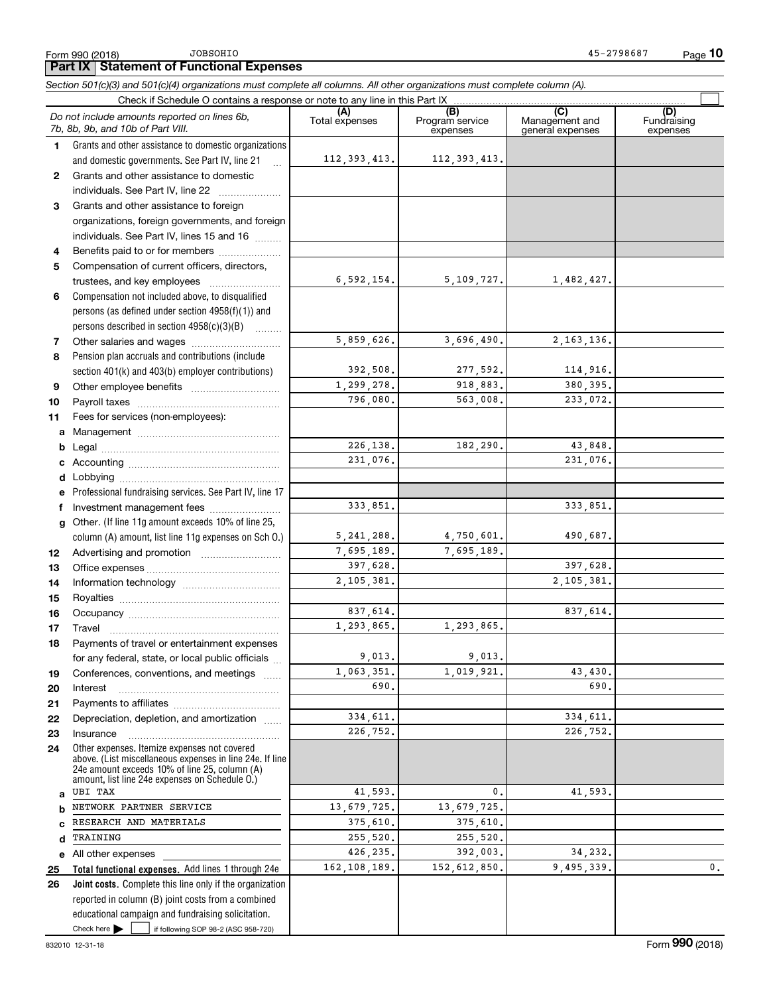$45 - 2798687$ Page 10

### **Part IX Statement of Functional Expenses**

Section 501(c)(3) and 501(c)(4) organizations must complete all columns. All other organizations must complete column (A).

|              | Check if Schedule O contains a response or note to any line in this Part IX                                                                               |                       | .                                  |                                           |                                |
|--------------|-----------------------------------------------------------------------------------------------------------------------------------------------------------|-----------------------|------------------------------------|-------------------------------------------|--------------------------------|
|              | Do not include amounts reported on lines 6b.<br>7b, 8b, 9b, and 10b of Part VIII.                                                                         | (A)<br>Total expenses | (B)<br>Program service<br>expenses | (C)<br>Management and<br>general expenses | (D)<br>Fundraising<br>expenses |
| $\mathbf 1$  | Grants and other assistance to domestic organizations                                                                                                     |                       |                                    |                                           |                                |
|              | and domestic governments. See Part IV, line 21<br>$\ddotsc$                                                                                               | 112, 393, 413.        | 112, 393, 413.                     |                                           |                                |
| 2            | Grants and other assistance to domestic                                                                                                                   |                       |                                    |                                           |                                |
|              | individuals. See Part IV, line 22                                                                                                                         |                       |                                    |                                           |                                |
| 3            | Grants and other assistance to foreign                                                                                                                    |                       |                                    |                                           |                                |
|              | organizations, foreign governments, and foreign                                                                                                           |                       |                                    |                                           |                                |
|              | individuals. See Part IV, lines 15 and 16                                                                                                                 |                       |                                    |                                           |                                |
| 4            | Benefits paid to or for members                                                                                                                           |                       |                                    |                                           |                                |
| 5            | Compensation of current officers, directors,                                                                                                              |                       |                                    |                                           |                                |
|              |                                                                                                                                                           | 6,592,154.            | 5, 109, 727.                       | 1,482,427.                                |                                |
| 6            | Compensation not included above, to disqualified                                                                                                          |                       |                                    |                                           |                                |
|              | persons (as defined under section 4958(f)(1)) and                                                                                                         |                       |                                    |                                           |                                |
|              | persons described in section 4958(c)(3)(B)                                                                                                                |                       |                                    |                                           |                                |
| 7            |                                                                                                                                                           | 5,859,626.            | 3,696,490.                         | 2, 163, 136.                              |                                |
| 8            | Pension plan accruals and contributions (include                                                                                                          |                       |                                    |                                           |                                |
|              | section 401(k) and 403(b) employer contributions)                                                                                                         | 392,508.              | 277,592.                           | 114,916.                                  |                                |
| 9            |                                                                                                                                                           | 1, 299, 278.          | 918,883.                           | 380, 395.                                 |                                |
| 10           |                                                                                                                                                           | 796,080.              | 563,008.                           | 233,072.                                  |                                |
| 11           | Fees for services (non-employees):                                                                                                                        |                       |                                    |                                           |                                |
| a            |                                                                                                                                                           |                       |                                    |                                           |                                |
| b            |                                                                                                                                                           | 226, 138.<br>231,076. | 182,290.                           | 43,848.<br>231,076.                       |                                |
| c            |                                                                                                                                                           |                       |                                    |                                           |                                |
| d            |                                                                                                                                                           |                       |                                    |                                           |                                |
| е            | Professional fundraising services. See Part IV, line 17                                                                                                   | 333,851.              |                                    | 333,851.                                  |                                |
| f            | Investment management fees<br>Other. (If line 11g amount exceeds 10% of line 25,                                                                          |                       |                                    |                                           |                                |
| $\mathbf{q}$ | column (A) amount, list line 11g expenses on Sch O.)                                                                                                      | 5, 241, 288.          | 4,750,601.                         | 490,687.                                  |                                |
| 12           |                                                                                                                                                           | 7,695,189.            | 7,695,189.                         |                                           |                                |
| 13           |                                                                                                                                                           | 397,628.              |                                    | 397,628.                                  |                                |
| 14           |                                                                                                                                                           | 2,105,381.            |                                    | 2,105,381.                                |                                |
| 15           |                                                                                                                                                           |                       |                                    |                                           |                                |
| 16           |                                                                                                                                                           | 837.614.              |                                    | 837,614.                                  |                                |
| 17           | Travel                                                                                                                                                    | 1,293,865.            | 1,293,865.                         |                                           |                                |
| 18           | Payments of travel or entertainment expenses                                                                                                              |                       |                                    |                                           |                                |
|              | for any federal, state, or local public officials.                                                                                                        | 9 0 1 3               | 9.013                              |                                           |                                |
| 19           | Conferences, conventions, and meetings                                                                                                                    | 1,063,351             | 1,019,921                          | 43,430.                                   |                                |
| 20           | Interest                                                                                                                                                  | 690.                  |                                    | 690.                                      |                                |
| 21           |                                                                                                                                                           |                       |                                    |                                           |                                |
| 22           | Depreciation, depletion, and amortization                                                                                                                 | 334,611.              |                                    | 334,611.                                  |                                |
| 23           | Insurance                                                                                                                                                 | 226,752.              |                                    | 226,752.                                  |                                |
| 24           | Other expenses. Itemize expenses not covered<br>above. (List miscellaneous expenses in line 24e. If line<br>24e amount exceeds 10% of line 25, column (A) |                       |                                    |                                           |                                |
| a            | amount, list line 24e expenses on Schedule O.)<br><b>UBI TAX</b>                                                                                          | 41,593.               | 0.                                 | 41,593.                                   |                                |
| b            | NETWORK PARTNER SERVICE                                                                                                                                   | 13,679,725.           | 13,679,725.                        |                                           |                                |
| с            | RESEARCH AND MATERIALS                                                                                                                                    | 375,610.              | 375,610.                           |                                           |                                |
| d            | TRAINING                                                                                                                                                  | 255,520.              | 255,520.                           |                                           |                                |
| е            | All other expenses                                                                                                                                        | 426,235.              | 392,003.                           | 34,232.                                   |                                |
| 25           | Total functional expenses. Add lines 1 through 24e                                                                                                        | 162,108,189.          | 152,612,850.                       | 9,495,339.                                | 0.                             |
| 26           | Joint costs. Complete this line only if the organization                                                                                                  |                       |                                    |                                           |                                |
|              | reported in column (B) joint costs from a combined                                                                                                        |                       |                                    |                                           |                                |
|              | educational campaign and fundraising solicitation.                                                                                                        |                       |                                    |                                           |                                |
|              | Check here<br>if following SOP 98-2 (ASC 958-720)                                                                                                         |                       |                                    |                                           |                                |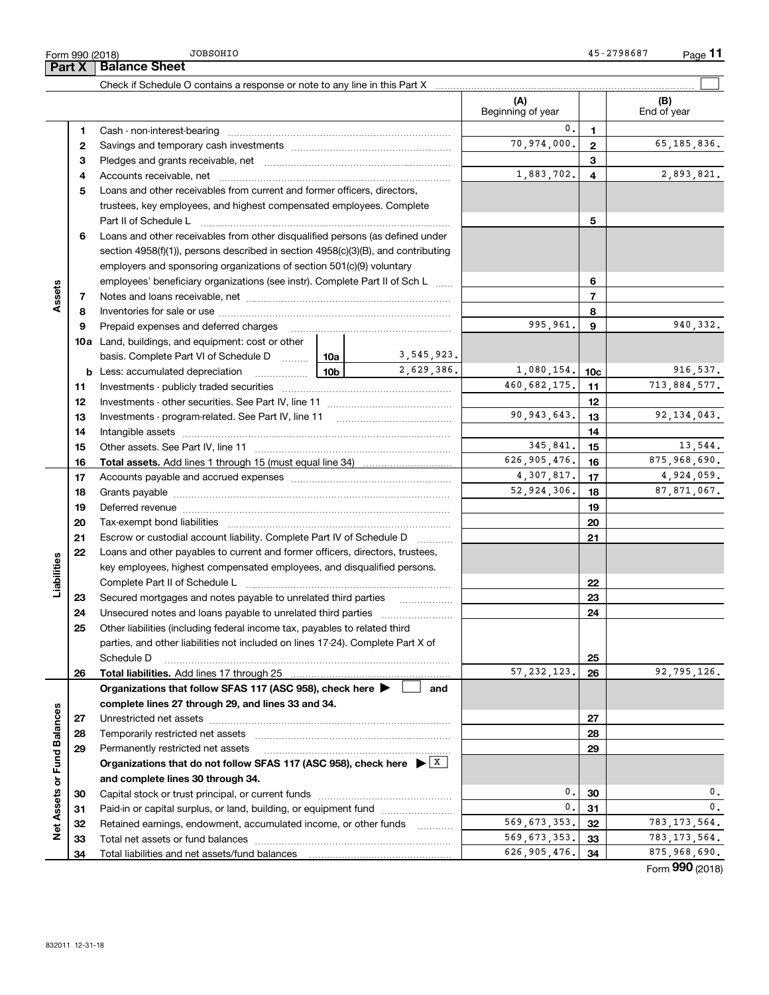Total liabilities and net assets/fund balances

A\_ngr\_jqrmaimprpsqrnpglagn\_j\*mpasppclrdslbq ||||||||||||||| Paid-in or capital surplus, or land, building, or equipment fund *wittermanning* Retained earnings, endowment, accumulated income, or other funds [[[[[[[[[[[[[[[[[[[[[[[[[[[[[[[[[[[ Rmr\_jlcr\_qqcrqmpdslb`\_j\_lacq ||||||||||||||||||||||

|                             | Form 990 (2018)<br>Part X | <b>JOBSOHIO</b><br><b>Balance Sheet</b>                                                                                                                |                   |                 | 45-2798687<br>$Page$ 11 |
|-----------------------------|---------------------------|--------------------------------------------------------------------------------------------------------------------------------------------------------|-------------------|-----------------|-------------------------|
|                             |                           |                                                                                                                                                        |                   |                 |                         |
|                             |                           | Check if Schedule O contains a response or note to any line in this Part X                                                                             | (A)               |                 | (B)                     |
|                             |                           |                                                                                                                                                        | Beginning of year |                 | End of year             |
|                             | 1                         |                                                                                                                                                        | 0.                | 1               |                         |
|                             | 2                         |                                                                                                                                                        | 70,974,000.       | $\mathbf{2}$    | 65,185,836.             |
|                             | з                         |                                                                                                                                                        |                   | 3               |                         |
|                             | 4                         |                                                                                                                                                        | 1,883,702.        | 4               | 2,893,821.              |
|                             | 5                         | Loans and other receivables from current and former officers, directors,                                                                               |                   |                 |                         |
|                             |                           | trustees, key employees, and highest compensated employees. Complete                                                                                   |                   |                 |                         |
|                             |                           | Part II of Schedule L                                                                                                                                  |                   | 5               |                         |
|                             | 6                         | Loans and other receivables from other disqualified persons (as defined under                                                                          |                   |                 |                         |
|                             |                           | section $4958(f)(1)$ , persons described in section $4958(c)(3)(B)$ , and contributing                                                                 |                   |                 |                         |
|                             |                           | employers and sponsoring organizations of section 501(c)(9) voluntary                                                                                  |                   |                 |                         |
|                             |                           | employees' beneficiary organizations (see instr). Complete Part II of Sch L                                                                            |                   | 6               |                         |
| Assets                      | 7                         |                                                                                                                                                        |                   | $\overline{7}$  |                         |
|                             | 8<br>9                    | Prepaid expenses and deferred charges                                                                                                                  | 995,961.          | 8<br>9          | 940, 332.               |
|                             |                           | 10a Land, buildings, and equipment: cost or other                                                                                                      |                   |                 |                         |
|                             |                           | 3,545,923.<br>basis. Complete Part VI of Schedule D<br>10a                                                                                             |                   |                 |                         |
|                             |                           | 2,629,386.<br>10b<br><b>b</b> Less: accumulated depreciation<br>.                                                                                      | 1,080,154.        | 10c             | 916,537.                |
|                             | 11                        | Investments - publicly traded securities                                                                                                               | 460,682,175.      | 11              | 713,884,577.            |
|                             | 12                        |                                                                                                                                                        |                   | 12              |                         |
|                             | 13                        | Investments - program-related. See Part IV, line 11                                                                                                    | 90, 943, 643.     | 13              | 92, 134, 043.           |
|                             | 14                        |                                                                                                                                                        |                   | 14              |                         |
|                             | 15                        |                                                                                                                                                        | 345,841.          | 15              | 13,544.                 |
|                             | 16                        |                                                                                                                                                        | 626,905,476.      | 16              | 875,968,690.            |
|                             | 17                        |                                                                                                                                                        | 4,307,817.        | 17              | 4,924,059.              |
|                             | 18                        |                                                                                                                                                        | 52,924,306.       | 18              | 87,871,067.             |
|                             | 19                        |                                                                                                                                                        |                   | 19              |                         |
|                             | 20                        |                                                                                                                                                        |                   | 20              |                         |
|                             | 21<br>22                  | Escrow or custodial account liability. Complete Part IV of Schedule D<br>Loans and other payables to current and former officers, directors, trustees, |                   | 21              |                         |
| Liabilities                 |                           | key employees, highest compensated employees, and disqualified persons.                                                                                |                   |                 |                         |
|                             |                           | Complete Part II of Schedule L                                                                                                                         |                   | 22              |                         |
|                             | 23                        | Secured mortgages and notes payable to unrelated third parties                                                                                         |                   | 23              |                         |
|                             | 24                        |                                                                                                                                                        |                   | 24              |                         |
|                             | 25                        | Other liabilities (including federal income tax, payables to related third                                                                             |                   |                 |                         |
|                             |                           | parties, and other liabilities not included on lines 17-24). Complete Part X of                                                                        |                   |                 |                         |
|                             |                           | Schedule D                                                                                                                                             |                   | 25              |                         |
|                             | 26                        | Total liabilities. Add lines 17 through 25                                                                                                             | 57, 232, 123.     | 26              | 92,795,126.             |
|                             |                           | Organizations that follow SFAS 117 (ASC 958), check here ▶ │<br>and                                                                                    |                   |                 |                         |
|                             |                           | complete lines 27 through 29, and lines 33 and 34.                                                                                                     |                   |                 |                         |
| Net Assets or Fund Balances | 27                        |                                                                                                                                                        |                   | 27              |                         |
|                             | 28<br>29                  | Permanently restricted net assets                                                                                                                      |                   | 28<br>29        |                         |
|                             |                           | Organizations that do not follow SFAS 117 (ASC 958), check here $\blacktriangleright$ $\lfloor x \rfloor$                                              |                   |                 |                         |
|                             |                           | and complete lines 30 through 34.                                                                                                                      |                   |                 |                         |
|                             | 30                        |                                                                                                                                                        | 0.                | 30              | 0.                      |
|                             | 31                        | Paid-in or capital surplus, or land, building, or equipment fund                                                                                       | 0.                | 31              | 0.                      |
|                             | 32                        | Retained earnings, endowment, accumulated income, or other funds                                                                                       | 569,673,353.      | 32              | 783, 173, 564.          |
|                             | 33.                       |                                                                                                                                                        | 569 673 353.      | 33 <sub>1</sub> | 783 173 564.            |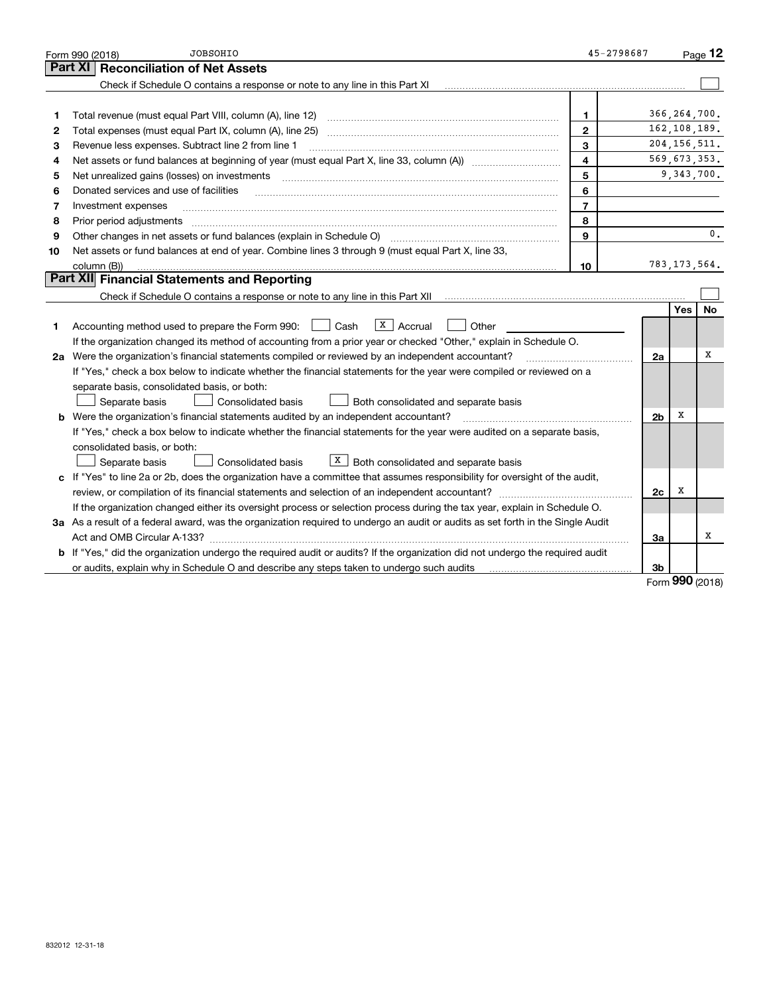|                                                                                                                             | <b>JOBSOHIO</b><br>Form 990 (2018)                                                                                                   | 45-2798687     |                |                | Page $12$ |  |  |
|-----------------------------------------------------------------------------------------------------------------------------|--------------------------------------------------------------------------------------------------------------------------------------|----------------|----------------|----------------|-----------|--|--|
|                                                                                                                             | Part XI<br><b>Reconciliation of Net Assets</b>                                                                                       |                |                |                |           |  |  |
|                                                                                                                             | Check if Schedule O contains a response or note to any line in this Part XI                                                          |                |                |                |           |  |  |
|                                                                                                                             |                                                                                                                                      |                |                |                |           |  |  |
| 1                                                                                                                           | Total revenue (must equal Part VIII, column (A), line 12)                                                                            | 1              |                | 366, 264, 700. |           |  |  |
| 2                                                                                                                           | Total expenses (must equal Part IX, column (A), line 25)                                                                             | $\mathbf{2}$   |                | 162, 108, 189. |           |  |  |
| з                                                                                                                           | Revenue less expenses. Subtract line 2 from line 1                                                                                   | 3              |                | 204, 156, 511. |           |  |  |
| 4                                                                                                                           |                                                                                                                                      | 4              |                | 569,673,353.   |           |  |  |
| 5                                                                                                                           | Net unrealized gains (losses) on investments                                                                                         | 5              |                | 9, 343, 700.   |           |  |  |
| 6                                                                                                                           | Donated services and use of facilities                                                                                               | 6              |                |                |           |  |  |
| 7                                                                                                                           | Investment expenses                                                                                                                  | $\overline{7}$ |                |                |           |  |  |
| 8                                                                                                                           | Prior period adjustments                                                                                                             | 8              |                |                |           |  |  |
| 9                                                                                                                           | Other changes in net assets or fund balances (explain in Schedule O) [11] [12] contain an in schedule O) [12] [13] $\ldots$          | 9              |                |                | 0.        |  |  |
| 10                                                                                                                          | Net assets or fund balances at end of year. Combine lines 3 through 9 (must equal Part X, line 33,                                   |                |                |                |           |  |  |
|                                                                                                                             | column (B))                                                                                                                          | 10             |                | 783, 173, 564. |           |  |  |
|                                                                                                                             | Part XII Financial Statements and Reporting                                                                                          |                |                |                |           |  |  |
|                                                                                                                             |                                                                                                                                      |                |                |                |           |  |  |
|                                                                                                                             |                                                                                                                                      |                |                | <b>Yes</b>     | <b>No</b> |  |  |
| 1.                                                                                                                          | $X$ Accrual<br>Accounting method used to prepare the Form 990: <u>[</u> Cash<br>Other                                                |                |                |                |           |  |  |
|                                                                                                                             | If the organization changed its method of accounting from a prior year or checked "Other," explain in Schedule O.                    |                |                |                |           |  |  |
| 2a Were the organization's financial statements compiled or reviewed by an independent accountant?                          |                                                                                                                                      |                |                |                |           |  |  |
|                                                                                                                             | If "Yes," check a box below to indicate whether the financial statements for the year were compiled or reviewed on a                 |                |                |                |           |  |  |
|                                                                                                                             | separate basis, consolidated basis, or both:                                                                                         |                |                |                |           |  |  |
|                                                                                                                             | Separate basis<br>Consolidated basis<br>Both consolidated and separate basis                                                         |                |                |                |           |  |  |
|                                                                                                                             | <b>b</b> Were the organization's financial statements audited by an independent accountant?                                          |                | 2 <sub>b</sub> | х              |           |  |  |
|                                                                                                                             | If "Yes," check a box below to indicate whether the financial statements for the year were audited on a separate basis,              |                |                |                |           |  |  |
|                                                                                                                             | consolidated basis, or both:                                                                                                         |                |                |                |           |  |  |
|                                                                                                                             | $X$ Both consolidated and separate basis<br>Separate basis<br>Consolidated basis                                                     |                |                |                |           |  |  |
| c If "Yes" to line 2a or 2b, does the organization have a committee that assumes responsibility for oversight of the audit, |                                                                                                                                      |                |                |                |           |  |  |
| review, or compilation of its financial statements and selection of an independent accountant?<br>2c                        |                                                                                                                                      |                |                |                |           |  |  |
|                                                                                                                             | If the organization changed either its oversight process or selection process during the tax year, explain in Schedule O.            |                |                |                |           |  |  |
|                                                                                                                             | 3a As a result of a federal award, was the organization required to undergo an audit or audits as set forth in the Single Audit      |                |                |                |           |  |  |
|                                                                                                                             | За                                                                                                                                   |                |                |                |           |  |  |
|                                                                                                                             | <b>b</b> If "Yes," did the organization undergo the required audit or audits? If the organization did not undergo the required audit |                |                |                |           |  |  |
|                                                                                                                             | or audits, explain why in Schedule O and describe any steps taken to undergo such audits                                             |                | 3b             |                |           |  |  |

Form **990** (2018)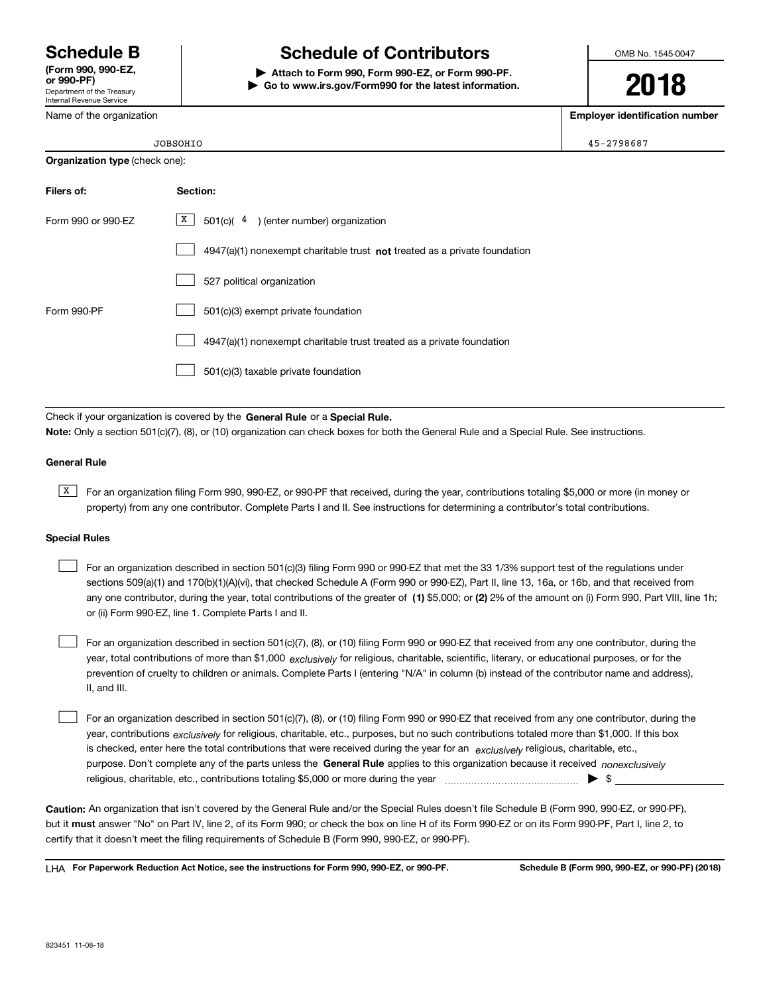Department of the Treasury Internal Revenue Service (Form 990, 990-EZ,<br>or 990-PF)

Name of the organization

# Schedule B and Book Schedule of Contributors

Attach to Form 990. Form 990-EZ, or Form 990-PF.  $\blacktriangleright$  Go to www.irs.gov/Form990 for the latest information. OMB No. 1545-0047

2018

Employer identification number

|                                       | JOBSOHIO                                                                    | 45-2798687 |
|---------------------------------------|-----------------------------------------------------------------------------|------------|
| <b>Organization type (check one):</b> |                                                                             |            |
| Filers of:                            | Section:                                                                    |            |
| Form 990 or 990-EZ                    | X  <br>501(c)( $4$ ) (enter number) organization                            |            |
|                                       | $4947(a)(1)$ nonexempt charitable trust not treated as a private foundation |            |
|                                       | 527 political organization                                                  |            |

Form 990-PF  $501(c)(3)$  exempt private foundation 4947(a)(1) nonexempt charitable trust treated as a private foundation 501(c)(3) taxable private foundation  $\begin{array}{c} \hline \end{array}$  $\begin{array}{c} \hline \end{array}$  $\begin{array}{c} \hline \end{array}$ 

Check if your organization is covered by the General Rule or a Special Rule. Note: Only a section 501(c)(7), (8), or (10) organization can check boxes for both the General Rule and a Special Rule. See instructions.

### **General Rule**

 $\boxed{\text{X}}$  For an organization filing Form 990, 990-EZ, or 990-PF that received, during the year, contributions totaling \$5,000 or more (in money or property) from any one contributor. Complete Parts I and II. See instructions for determining a contributor's total contributions.

### **Special Rules**

| For an organization described in section 501(c)(3) filing Form 990 or 990-EZ that met the 33 1/3% support test of the regulations under               |
|-------------------------------------------------------------------------------------------------------------------------------------------------------|
| sections 509(a)(1) and 170(b)(1)(A)(vi), that checked Schedule A (Form 990 or 990-EZ), Part II, line 13, 16a, or 16b, and that received from          |
| any one contributor, during the year, total contributions of the greater of (1) \$5,000; or (2) 2% of the amount on (i) Form 990, Part VIII, line 1h; |
| or (ii) Form 990-EZ, line 1. Complete Parts I and II.                                                                                                 |

year, total contributions of more than \$1,000 *exclusively* for religious, charitable, scientific, literary, or educational purposes, or for the For an organization described in section 501(c)(7), (8), or (10) filing Form 990 or 990-EZ that received from any one contributor, during the prevention of cruelty to children or animals. Complete Parts I (entering "N/A" in column (b) instead of the contributor name and address), II, and III.  $\begin{array}{c} \hline \end{array}$ 

purpose. Don't complete any of the parts unless the General Rule applies to this organization because it received nonexclusively year, contributions <sub>exclusively</sub> for religious, charitable, etc., purposes, but no such contributions totaled more than \$1,000. If this box is checked, enter here the total contributions that were received during the year for an exclusively religious, charitable, etc., For an organization described in section 501(c)(7), (8), or (10) filing Form 990 or 990-EZ that received from any one contributor, during the pcjgegmsq\*af\_pgr\_`jc\*cra,\*amlrpg`srgmlqrmr\_jgle"3\*...mpkmpcbspglerfcwc\_p ||||||||||||||| z "  $\begin{array}{c} \hline \end{array}$ 

Caution: An organization that isn't covered by the General Rule and/or the Special Rules doesn't file Schedule B (Form 990, 990-EZ, or 990-PF), but it **must** answer "No" on Part IV, line 2, of its Form 990; or check the box on line H of its Form 990-EZ or on its Form 990-PF, Part I, line 2, to certify that it doesn't meet the filing requirements of Schedule B (Form 990, 990-EZ, or 990-PF).

 $L$ H $\Delta$  For Paperwork Reduction Act Notice, see the instructions for Form 990, 990-EZ, or 990-PF. Schedule B (Form 990, 990-EZ, or 990-PF) (2018)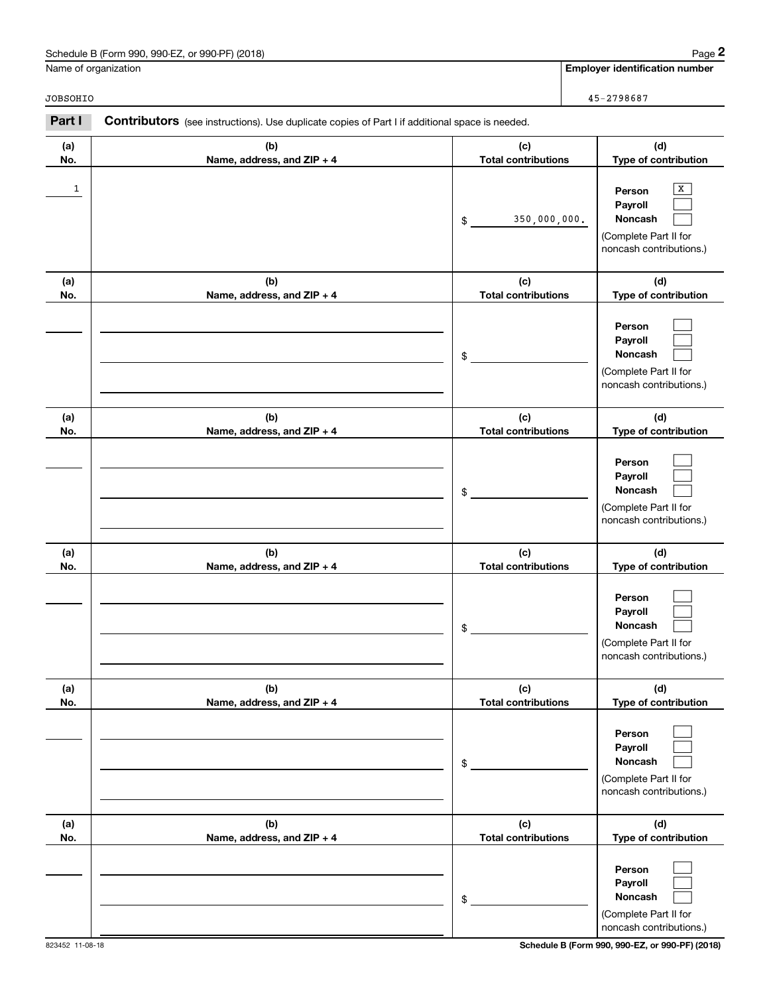### Schedule B (Form 990, 990-EZ, or 990-PF) (2018)

Name of organization

**Employer identification number** 

JOBSOHIO

 $45 - 2798687$ 

| Part I     | <b>Contributors</b> (see instructions). Use duplicate copies of Part I if additional space is needed. |                                   |                                                                                       |
|------------|-------------------------------------------------------------------------------------------------------|-----------------------------------|---------------------------------------------------------------------------------------|
| (a)<br>No. | (b)<br>Name, address, and ZIP + 4                                                                     | (c)<br><b>Total contributions</b> | (d)<br>Type of contribution                                                           |
| 1          |                                                                                                       | 350,000,000.<br>\$                | х<br>Person<br>Payroll<br>Noncash<br>(Complete Part II for<br>noncash contributions.) |
| (a)<br>No. | (b)<br>Name, address, and ZIP + 4                                                                     | (c)<br><b>Total contributions</b> | (d)<br>Type of contribution                                                           |
|            |                                                                                                       | \$                                | Person<br>Payroll<br>Noncash<br>(Complete Part II for<br>noncash contributions.)      |
| (a)<br>No. | (b)<br>Name, address, and ZIP + 4                                                                     | (c)<br><b>Total contributions</b> | (d)<br>Type of contribution                                                           |
|            |                                                                                                       | \$                                | Person<br>Payroll<br>Noncash<br>(Complete Part II for<br>noncash contributions.)      |
| (a)<br>No. | (b)<br>Name, address, and ZIP + 4                                                                     | (c)<br><b>Total contributions</b> | (d)<br>Type of contribution                                                           |
|            |                                                                                                       | \$                                | Person<br>Payroll<br>Noncash<br>(Complete Part II for<br>noncash contributions.)      |
| (a)<br>No. | (b)<br>Name, address, and ZIP + 4                                                                     | (c)<br><b>Total contributions</b> | (d)<br>Type of contribution                                                           |
|            |                                                                                                       | \$                                | Person<br>Payroll<br>Noncash<br>(Complete Part II for<br>noncash contributions.)      |
| (a)<br>No. | (b)<br>Name, address, and ZIP + 4                                                                     | (c)<br><b>Total contributions</b> | (d)<br>Type of contribution                                                           |
|            |                                                                                                       | \$                                | Person<br>Payroll<br>Noncash<br>(Complete Part II for<br>noncash contributions.)      |

Schedule B (Form 990, 990-EZ, or 990-PF) (2018)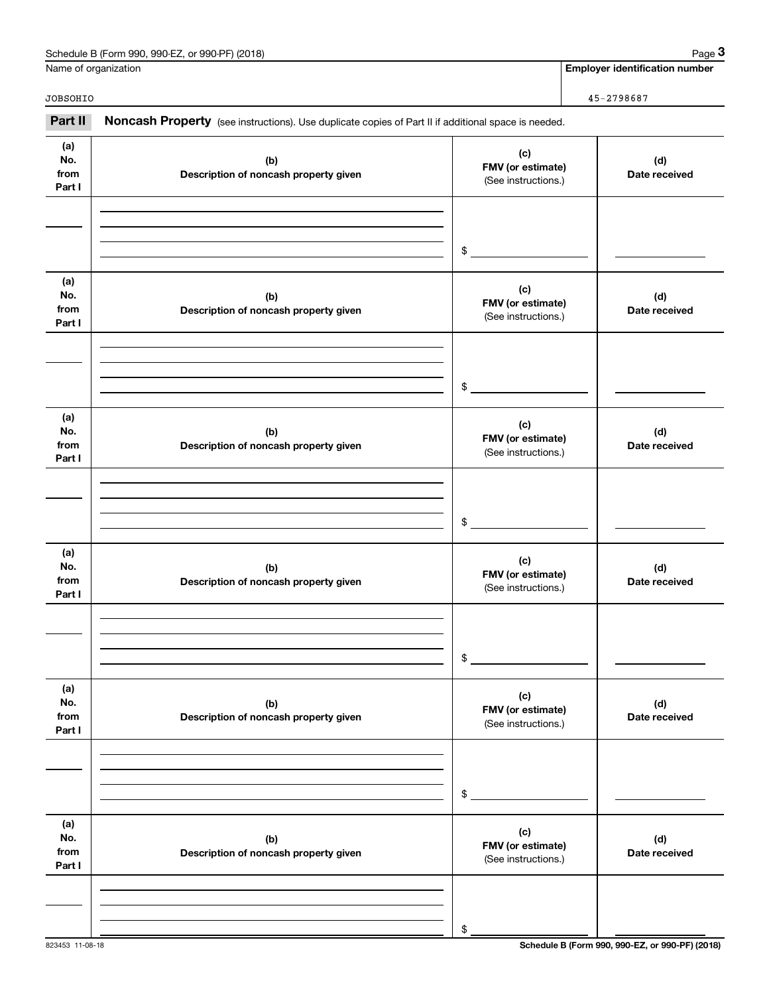| Schedule B (Form 990, 990-EZ, or 990-PF) (2018) | Page |
|-------------------------------------------------|------|
|-------------------------------------------------|------|

Employer identification number

Name of organization

| JOBSOHIO                     |                                                                                                     |                                                 | 45-2798687           |
|------------------------------|-----------------------------------------------------------------------------------------------------|-------------------------------------------------|----------------------|
| Part II                      | Noncash Property (see instructions). Use duplicate copies of Part II if additional space is needed. |                                                 |                      |
| (a)<br>No.<br>from<br>Part I | (b)<br>Description of noncash property given                                                        | (c)<br>FMV (or estimate)<br>(See instructions.) | (d)<br>Date received |
|                              |                                                                                                     | $$\circ$$                                       |                      |
| (a)<br>No.<br>from<br>Part I | (b)<br>Description of noncash property given                                                        | (c)<br>FMV (or estimate)<br>(See instructions.) | (d)<br>Date received |
|                              |                                                                                                     | $\frac{1}{2}$                                   |                      |
| (a)<br>No.<br>from<br>Part I | (b)<br>Description of noncash property given                                                        | (c)<br>FMV (or estimate)<br>(See instructions.) | (d)<br>Date received |
|                              |                                                                                                     | \$                                              |                      |
| (a)<br>No.<br>from<br>Part I | (b)<br>Description of noncash property given                                                        | (c)<br>FMV (or estimate)<br>(See instructions.) | (d)<br>Date received |
|                              |                                                                                                     | 25                                              |                      |
| (a)<br>No.<br>from<br>Part I | (b)<br>Description of noncash property given                                                        | (c)<br>FMV (or estimate)<br>(See instructions.) | (d)<br>Date received |
|                              |                                                                                                     | \$                                              |                      |
| (a)<br>No.<br>from<br>Part I | (b)<br>Description of noncash property given                                                        | (c)<br>FMV (or estimate)<br>(See instructions.) | (d)<br>Date received |
|                              |                                                                                                     | \$                                              |                      |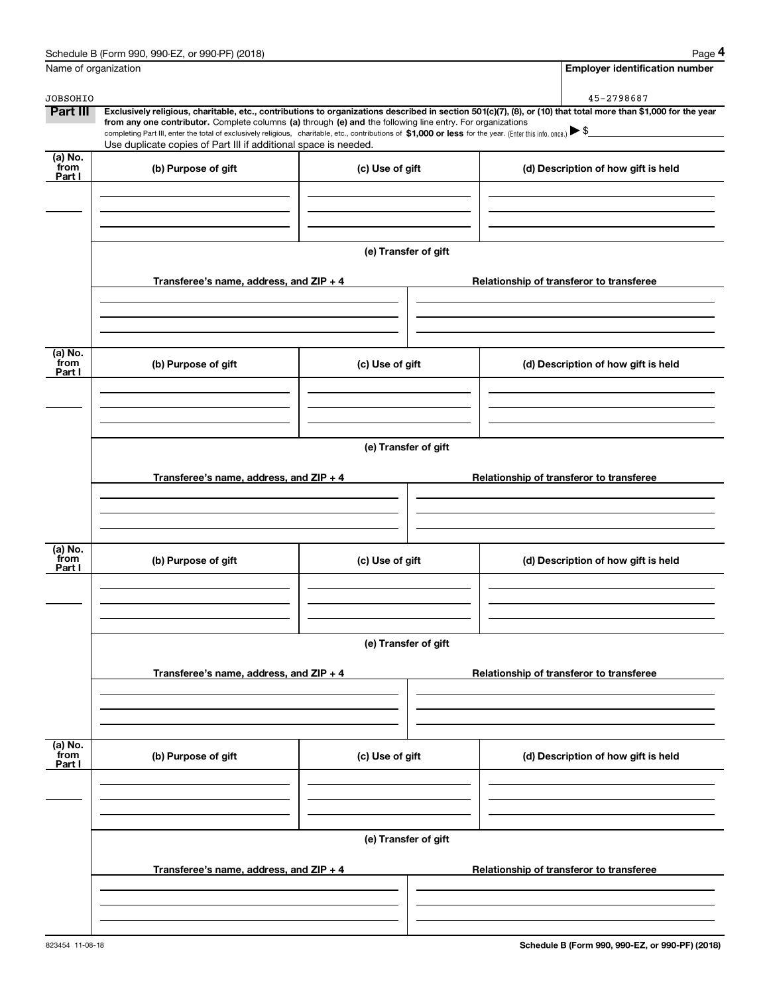| Name of organization      |                                                                                                                                                                               |                      | <b>Employer identification number</b>                                                                                                                                                                                                                                                                                                                    |  |  |  |  |
|---------------------------|-------------------------------------------------------------------------------------------------------------------------------------------------------------------------------|----------------------|----------------------------------------------------------------------------------------------------------------------------------------------------------------------------------------------------------------------------------------------------------------------------------------------------------------------------------------------------------|--|--|--|--|
| <b>JOBSOHIO</b>           |                                                                                                                                                                               |                      | 45-2798687                                                                                                                                                                                                                                                                                                                                               |  |  |  |  |
| Part III                  | from any one contributor. Complete columns (a) through (e) and the following line entry. For organizations<br>Use duplicate copies of Part III if additional space is needed. |                      | Exclusively religious, charitable, etc., contributions to organizations described in section 501(c)(7), (8), or (10) that total more than \$1,000 for the year<br>completing Part III, enter the total of exclusively religious, charitable, etc., contributions of $\sin 0.000$ or less for the year. (Enter this info. once.) $\blacktriangleright$ \$ |  |  |  |  |
| (a) No.                   |                                                                                                                                                                               |                      |                                                                                                                                                                                                                                                                                                                                                          |  |  |  |  |
| from<br>Part I            | (b) Purpose of gift                                                                                                                                                           | (c) Use of gift      | (d) Description of how gift is held                                                                                                                                                                                                                                                                                                                      |  |  |  |  |
|                           |                                                                                                                                                                               |                      |                                                                                                                                                                                                                                                                                                                                                          |  |  |  |  |
|                           |                                                                                                                                                                               | (e) Transfer of gift |                                                                                                                                                                                                                                                                                                                                                          |  |  |  |  |
|                           | Transferee's name, address, and ZIP + 4                                                                                                                                       |                      | Relationship of transferor to transferee                                                                                                                                                                                                                                                                                                                 |  |  |  |  |
|                           |                                                                                                                                                                               |                      |                                                                                                                                                                                                                                                                                                                                                          |  |  |  |  |
| (a) No.<br>from<br>Part I | (b) Purpose of gift                                                                                                                                                           | (c) Use of gift      | (d) Description of how gift is held                                                                                                                                                                                                                                                                                                                      |  |  |  |  |
|                           |                                                                                                                                                                               |                      |                                                                                                                                                                                                                                                                                                                                                          |  |  |  |  |
|                           | (e) Transfer of gift                                                                                                                                                          |                      |                                                                                                                                                                                                                                                                                                                                                          |  |  |  |  |
|                           | Transferee's name, address, and ZIP + 4                                                                                                                                       |                      | Relationship of transferor to transferee                                                                                                                                                                                                                                                                                                                 |  |  |  |  |
|                           |                                                                                                                                                                               |                      |                                                                                                                                                                                                                                                                                                                                                          |  |  |  |  |
| (a) No.<br>from<br>Part I | (b) Purpose of gift                                                                                                                                                           | (c) Use of gift      | (d) Description of how gift is held                                                                                                                                                                                                                                                                                                                      |  |  |  |  |
|                           |                                                                                                                                                                               |                      |                                                                                                                                                                                                                                                                                                                                                          |  |  |  |  |
|                           | (e) Transfer of gift                                                                                                                                                          |                      |                                                                                                                                                                                                                                                                                                                                                          |  |  |  |  |
|                           | Transferee's name, address, and ZIP + 4                                                                                                                                       |                      | Relationship of transferor to transferee                                                                                                                                                                                                                                                                                                                 |  |  |  |  |
|                           |                                                                                                                                                                               |                      |                                                                                                                                                                                                                                                                                                                                                          |  |  |  |  |
| (a) No.<br>from<br>Part I | (b) Purpose of gift                                                                                                                                                           | (c) Use of gift      | (d) Description of how gift is held                                                                                                                                                                                                                                                                                                                      |  |  |  |  |
|                           |                                                                                                                                                                               |                      |                                                                                                                                                                                                                                                                                                                                                          |  |  |  |  |
|                           |                                                                                                                                                                               | (e) Transfer of gift |                                                                                                                                                                                                                                                                                                                                                          |  |  |  |  |
|                           | Transferee's name, address, and ZIP + 4                                                                                                                                       |                      | Relationship of transferor to transferee                                                                                                                                                                                                                                                                                                                 |  |  |  |  |
|                           |                                                                                                                                                                               |                      |                                                                                                                                                                                                                                                                                                                                                          |  |  |  |  |
|                           |                                                                                                                                                                               |                      |                                                                                                                                                                                                                                                                                                                                                          |  |  |  |  |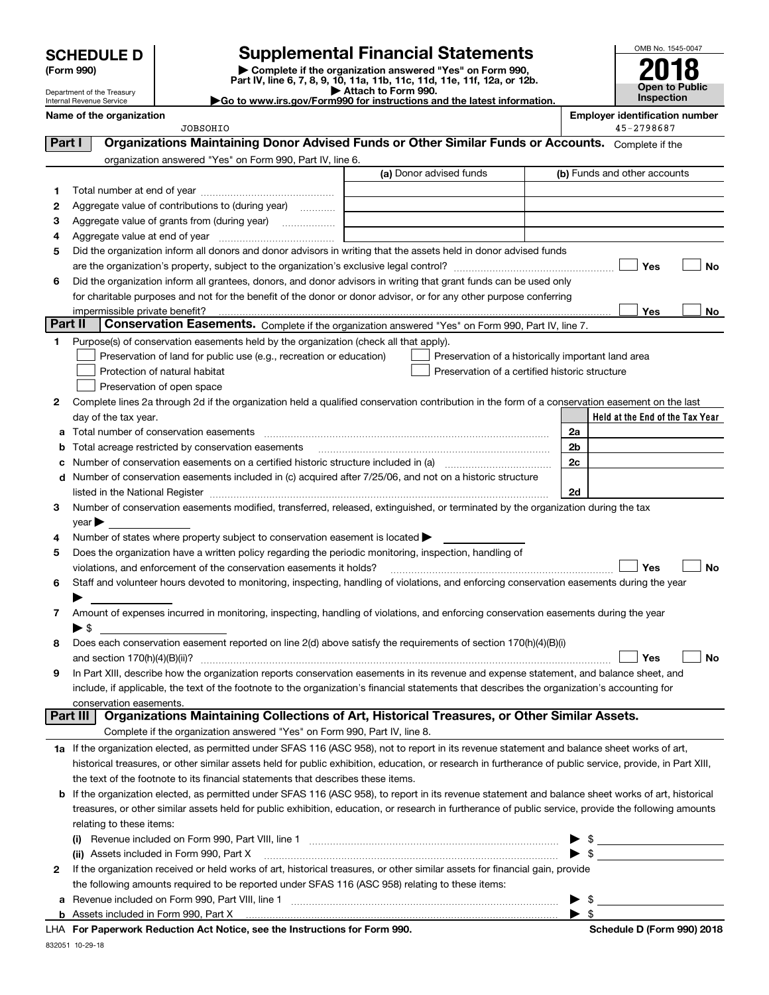**SCHEDULE D** 

Department of the Treasury Internal Revenue Service

(Form 990)

Supplemental Financial Statements<br>
Complete if the organization answered "Yes" on Form 990,<br>
Part IV, line 6, 7, 8, 9, 10, 11a, 11b, 11c, 11d, 11e, 11f, 12a, or 12b.

OMB No. 1545-0047 18 с ZU Open to Public<br>Inspection

| Go to www.irs.gov/Form990 for instructions and the latest information. |
|------------------------------------------------------------------------|
|                                                                        |

| Name of the organization<br><b>JOBSOHIO</b>                                                                                                               |                                                | <b>Employer identification number</b><br>45-2798687 |
|-----------------------------------------------------------------------------------------------------------------------------------------------------------|------------------------------------------------|-----------------------------------------------------|
| Organizations Maintaining Donor Advised Funds or Other Similar Funds or Accounts. Complete if the<br>Part I                                               |                                                |                                                     |
| organization answered "Yes" on Form 990, Part IV, line 6.                                                                                                 |                                                |                                                     |
|                                                                                                                                                           | (a) Donor advised funds                        | (b) Funds and other accounts                        |
| 1                                                                                                                                                         |                                                |                                                     |
| Aggregate value of contributions to (during year)<br>2                                                                                                    |                                                |                                                     |
| 3<br>Aggregate value of grants from (during year)                                                                                                         |                                                |                                                     |
| 4                                                                                                                                                         |                                                |                                                     |
| Did the organization inform all donors and donor advisors in writing that the assets held in donor advised funds<br>5                                     |                                                |                                                     |
|                                                                                                                                                           |                                                | No<br>Yes                                           |
| Did the organization inform all grantees, donors, and donor advisors in writing that grant funds can be used only<br>6                                    |                                                |                                                     |
| for charitable purposes and not for the benefit of the donor or donor advisor, or for any other purpose conferring                                        |                                                |                                                     |
|                                                                                                                                                           |                                                | Yes<br>No                                           |
| <b>Part II</b><br>Conservation Easements. Complete if the organization answered "Yes" on Form 990, Part IV, line 7.                                       |                                                |                                                     |
| Purpose(s) of conservation easements held by the organization (check all that apply).<br>1                                                                |                                                |                                                     |
| Preservation of land for public use (e.g., recreation or education)                                                                                       |                                                | Preservation of a historically important land area  |
| Protection of natural habitat                                                                                                                             | Preservation of a certified historic structure |                                                     |
| Preservation of open space                                                                                                                                |                                                |                                                     |
| Complete lines 2a through 2d if the organization held a qualified conservation contribution in the form of a conservation easement on the last<br>2       |                                                |                                                     |
| day of the tax year.                                                                                                                                      |                                                | Held at the End of the Tax Year                     |
| Total number of conservation easements<br>a                                                                                                               |                                                | 2a                                                  |
| Total acreage restricted by conservation easements<br>b                                                                                                   |                                                | 2 <sub>b</sub>                                      |
|                                                                                                                                                           |                                                | 2c                                                  |
| c<br>Number of conservation easements included in (c) acquired after 7/25/06, and not on a historic structure                                             |                                                |                                                     |
| d                                                                                                                                                         |                                                | 2d                                                  |
|                                                                                                                                                           |                                                |                                                     |
| Number of conservation easements modified, transferred, released, extinguished, or terminated by the organization during the tax<br>3                     |                                                |                                                     |
| $year \blacktriangleright$                                                                                                                                |                                                |                                                     |
| Number of states where property subject to conservation easement is located ><br>4                                                                        |                                                |                                                     |
| Does the organization have a written policy regarding the periodic monitoring, inspection, handling of<br>5                                               |                                                |                                                     |
| violations, and enforcement of the conservation easements it holds?                                                                                       |                                                | <b>No</b><br>Yes                                    |
| Staff and volunteer hours devoted to monitoring, inspecting, handling of violations, and enforcing conservation easements during the year<br>6            |                                                |                                                     |
|                                                                                                                                                           |                                                |                                                     |
| Amount of expenses incurred in monitoring, inspecting, handling of violations, and enforcing conservation easements during the year<br>7                  |                                                |                                                     |
| ▶ \$                                                                                                                                                      |                                                |                                                     |
| Does each conservation easement reported on line 2(d) above satisfy the requirements of section 170(h)(4)(B)(i)<br>8                                      |                                                |                                                     |
|                                                                                                                                                           |                                                | Yes<br>No                                           |
| In Part XIII, describe how the organization reports conservation easements in its revenue and expense statement, and balance sheet, and                   |                                                |                                                     |
| include, if applicable, the text of the footnote to the organization's financial statements that describes the organization's accounting for              |                                                |                                                     |
| conservation easements.<br>Organizations Maintaining Collections of Art, Historical Treasures, or Other Similar Assets.<br>Part III                       |                                                |                                                     |
| Complete if the organization answered "Yes" on Form 990, Part IV, line 8.                                                                                 |                                                |                                                     |
|                                                                                                                                                           |                                                |                                                     |
| 1a If the organization elected, as permitted under SFAS 116 (ASC 958), not to report in its revenue statement and balance sheet works of art,             |                                                |                                                     |
| historical treasures, or other similar assets held for public exhibition, education, or research in furtherance of public service, provide, in Part XIII, |                                                |                                                     |
| the text of the footnote to its financial statements that describes these items.                                                                          |                                                |                                                     |
| If the organization elected, as permitted under SFAS 116 (ASC 958), to report in its revenue statement and balance sheet works of art, historical<br>b    |                                                |                                                     |
| treasures, or other similar assets held for public exhibition, education, or research in furtherance of public service, provide the following amounts     |                                                |                                                     |
| relating to these items:                                                                                                                                  |                                                |                                                     |
|                                                                                                                                                           |                                                |                                                     |
| (ii) Assets included in Form 990, Part X                                                                                                                  |                                                |                                                     |
| If the organization received or held works of art, historical treasures, or other similar assets for financial gain, provide<br>2                         |                                                |                                                     |
| the following amounts required to be reported under SFAS 116 (ASC 958) relating to these items:                                                           |                                                |                                                     |
| a                                                                                                                                                         |                                                | $\triangleright$ \$                                 |
|                                                                                                                                                           |                                                |                                                     |

LHA For Paperwork Reduction Act Notice, see the Instructions for Form 990.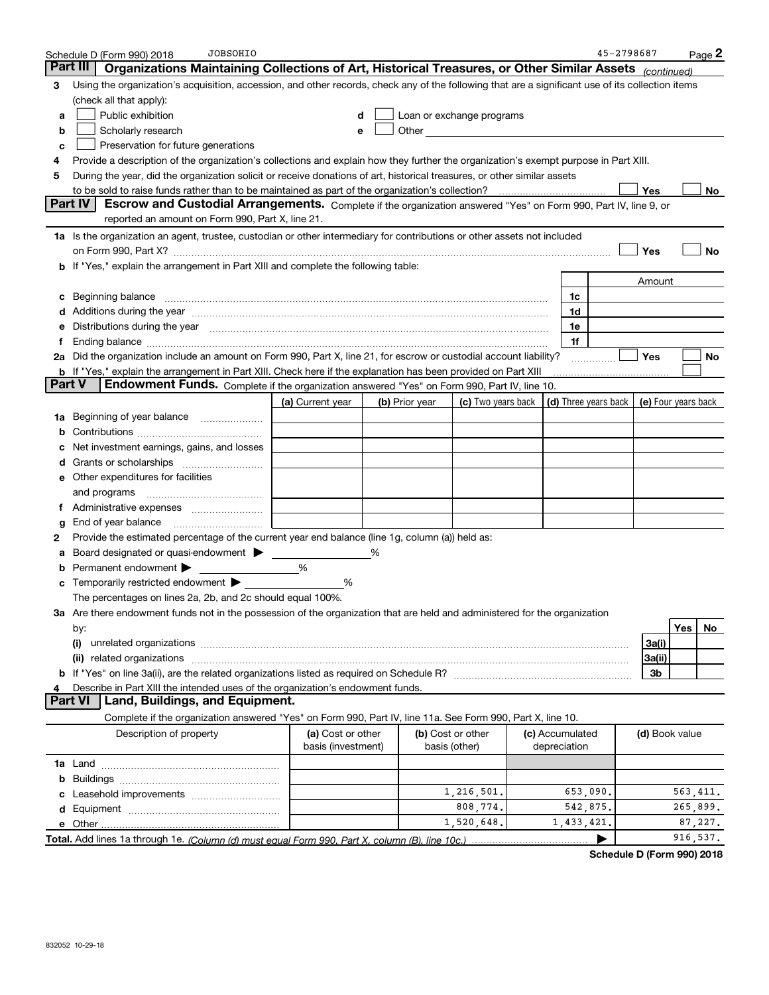|               | <b>JOBSOHIO</b><br>Schedule D (Form 990) 2018                                                                                                                                                                                        |                   |  |                |                                                                                                                                                                                                                                |  |                 | 45-2798687           |                | Page 2              |
|---------------|--------------------------------------------------------------------------------------------------------------------------------------------------------------------------------------------------------------------------------------|-------------------|--|----------------|--------------------------------------------------------------------------------------------------------------------------------------------------------------------------------------------------------------------------------|--|-----------------|----------------------|----------------|---------------------|
| Part III      | Organizations Maintaining Collections of Art, Historical Treasures, or Other Similar Assets <sub>(continued)</sub>                                                                                                                   |                   |  |                |                                                                                                                                                                                                                                |  |                 |                      |                |                     |
| 3             | Using the organization's acquisition, accession, and other records, check any of the following that are a significant use of its collection items                                                                                    |                   |  |                |                                                                                                                                                                                                                                |  |                 |                      |                |                     |
|               | (check all that apply):                                                                                                                                                                                                              |                   |  |                |                                                                                                                                                                                                                                |  |                 |                      |                |                     |
| a             | Public exhibition<br>Loan or exchange programs<br>d                                                                                                                                                                                  |                   |  |                |                                                                                                                                                                                                                                |  |                 |                      |                |                     |
| b             | Scholarly research                                                                                                                                                                                                                   | e                 |  |                | Other the contract of the contract of the contract of the contract of the contract of the contract of the contract of the contract of the contract of the contract of the contract of the contract of the contract of the cont |  |                 |                      |                |                     |
| c             | Preservation for future generations                                                                                                                                                                                                  |                   |  |                |                                                                                                                                                                                                                                |  |                 |                      |                |                     |
| 4             | Provide a description of the organization's collections and explain how they further the organization's exempt purpose in Part XIII.                                                                                                 |                   |  |                |                                                                                                                                                                                                                                |  |                 |                      |                |                     |
| 5             | During the year, did the organization solicit or receive donations of art, historical treasures, or other similar assets                                                                                                             |                   |  |                |                                                                                                                                                                                                                                |  |                 |                      |                |                     |
|               |                                                                                                                                                                                                                                      |                   |  |                |                                                                                                                                                                                                                                |  |                 |                      | Yes            | No.                 |
|               | Part IV<br>Escrow and Custodial Arrangements. Complete if the organization answered "Yes" on Form 990, Part IV, line 9, or                                                                                                           |                   |  |                |                                                                                                                                                                                                                                |  |                 |                      |                |                     |
|               | reported an amount on Form 990, Part X, line 21.                                                                                                                                                                                     |                   |  |                |                                                                                                                                                                                                                                |  |                 |                      |                |                     |
|               | 1a Is the organization an agent, trustee, custodian or other intermediary for contributions or other assets not included                                                                                                             |                   |  |                |                                                                                                                                                                                                                                |  |                 |                      |                |                     |
|               |                                                                                                                                                                                                                                      |                   |  |                |                                                                                                                                                                                                                                |  |                 |                      | Yes            | No                  |
|               | b If "Yes," explain the arrangement in Part XIII and complete the following table:                                                                                                                                                   |                   |  |                |                                                                                                                                                                                                                                |  |                 |                      |                |                     |
|               |                                                                                                                                                                                                                                      |                   |  |                |                                                                                                                                                                                                                                |  |                 |                      | Amount         |                     |
| c             | Beginning balance <b>contract to the contract of the contract of the contract of the contract of the contract of the contract of the contract of the contract of the contract of the contract of the contract of the contract of</b> |                   |  |                |                                                                                                                                                                                                                                |  | 1c              |                      |                |                     |
|               | Additions during the year manufactured and an account of the state of the state of the state of the state of the state of the state of the state of the state of the state of the state of the state of the state of the state       |                   |  |                |                                                                                                                                                                                                                                |  | 1d              |                      |                |                     |
|               | Distributions during the year manufactured and continuum and contact the year manufactured and contact the year                                                                                                                      |                   |  |                |                                                                                                                                                                                                                                |  | 1e              |                      |                |                     |
| Ť.            |                                                                                                                                                                                                                                      |                   |  |                |                                                                                                                                                                                                                                |  | 1f              |                      |                |                     |
|               | 2a Did the organization include an amount on Form 990, Part X, line 21, for escrow or custodial account liability?                                                                                                                   |                   |  |                |                                                                                                                                                                                                                                |  |                 |                      | <b>Yes</b>     | No                  |
| <b>Part V</b> | <b>b</b> If "Yes," explain the arrangement in Part XIII. Check here if the explanation has been provided on Part XIII<br>Endowment Funds. Complete if the organization answered "Yes" on Form 990, Part IV, line 10.                 |                   |  |                |                                                                                                                                                                                                                                |  |                 |                      |                |                     |
|               |                                                                                                                                                                                                                                      | (a) Current year  |  | (b) Prior year | (c) Two years back                                                                                                                                                                                                             |  |                 | (d) Three years back |                | (e) Four years back |
| 1a            | Beginning of year balance                                                                                                                                                                                                            |                   |  |                |                                                                                                                                                                                                                                |  |                 |                      |                |                     |
|               |                                                                                                                                                                                                                                      |                   |  |                |                                                                                                                                                                                                                                |  |                 |                      |                |                     |
|               | Net investment earnings, gains, and losses                                                                                                                                                                                           |                   |  |                |                                                                                                                                                                                                                                |  |                 |                      |                |                     |
| d             |                                                                                                                                                                                                                                      |                   |  |                |                                                                                                                                                                                                                                |  |                 |                      |                |                     |
| е             | Other expenditures for facilities                                                                                                                                                                                                    |                   |  |                |                                                                                                                                                                                                                                |  |                 |                      |                |                     |
|               | and programs                                                                                                                                                                                                                         |                   |  |                |                                                                                                                                                                                                                                |  |                 |                      |                |                     |
|               |                                                                                                                                                                                                                                      |                   |  |                |                                                                                                                                                                                                                                |  |                 |                      |                |                     |
| g             | End of year balance                                                                                                                                                                                                                  |                   |  |                |                                                                                                                                                                                                                                |  |                 |                      |                |                     |
| 2             | Provide the estimated percentage of the current year end balance (line 1g, column (a)) held as:                                                                                                                                      |                   |  |                |                                                                                                                                                                                                                                |  |                 |                      |                |                     |
| а             | Board designated or quasi-endowment > ____                                                                                                                                                                                           |                   |  |                |                                                                                                                                                                                                                                |  |                 |                      |                |                     |
| b             | Permanent endowment                                                                                                                                                                                                                  | %                 |  |                |                                                                                                                                                                                                                                |  |                 |                      |                |                     |
|               | Temporarily restricted endowment                                                                                                                                                                                                     | %                 |  |                |                                                                                                                                                                                                                                |  |                 |                      |                |                     |
|               | The percentages on lines 2a, 2b, and 2c should equal 100%.                                                                                                                                                                           |                   |  |                |                                                                                                                                                                                                                                |  |                 |                      |                |                     |
|               | 3a Are there endowment funds not in the possession of the organization that are held and administered for the organization                                                                                                           |                   |  |                |                                                                                                                                                                                                                                |  |                 |                      |                |                     |
|               | by:                                                                                                                                                                                                                                  |                   |  |                |                                                                                                                                                                                                                                |  |                 |                      |                | Yes<br>No           |
|               | (i)<br>unrelated organizations with an annual contract or contract or contract or contract or contract or contract or                                                                                                                |                   |  |                |                                                                                                                                                                                                                                |  |                 |                      | 3a(i)          |                     |
|               | (ii)                                                                                                                                                                                                                                 |                   |  |                |                                                                                                                                                                                                                                |  |                 |                      | 3a(ii)         |                     |
|               |                                                                                                                                                                                                                                      |                   |  |                |                                                                                                                                                                                                                                |  |                 |                      | 3b             |                     |
|               | Describe in Part XIII the intended uses of the organization's endowment funds.                                                                                                                                                       |                   |  |                |                                                                                                                                                                                                                                |  |                 |                      |                |                     |
|               | <b>Part VI</b><br>Land, Buildings, and Equipment.                                                                                                                                                                                    |                   |  |                |                                                                                                                                                                                                                                |  |                 |                      |                |                     |
|               | Complete if the organization answered "Yes" on Form 990, Part IV, line 11a. See Form 990, Part X, line 10.                                                                                                                           |                   |  |                |                                                                                                                                                                                                                                |  |                 |                      |                |                     |
|               | Description of property                                                                                                                                                                                                              | (a) Cost or other |  |                | (b) Cost or other                                                                                                                                                                                                              |  | (c) Accumulated |                      | (d) Book value |                     |
|               | basis (investment)<br>depreciation<br>basis (other)                                                                                                                                                                                  |                   |  |                |                                                                                                                                                                                                                                |  |                 |                      |                |                     |
|               |                                                                                                                                                                                                                                      |                   |  |                |                                                                                                                                                                                                                                |  |                 |                      |                |                     |
|               |                                                                                                                                                                                                                                      |                   |  |                |                                                                                                                                                                                                                                |  |                 |                      |                |                     |
|               |                                                                                                                                                                                                                                      |                   |  |                | 1,216,501.                                                                                                                                                                                                                     |  | 653,090.        |                      |                | 563,411.            |
|               |                                                                                                                                                                                                                                      |                   |  |                | 808,774.                                                                                                                                                                                                                       |  | 542,875.        |                      |                | 265,899.            |
|               |                                                                                                                                                                                                                                      |                   |  |                | 1,520,648.                                                                                                                                                                                                                     |  | 1,433,421.      |                      |                | 87,227.             |
|               |                                                                                                                                                                                                                                      |                   |  |                |                                                                                                                                                                                                                                |  |                 |                      |                | 916, 537.           |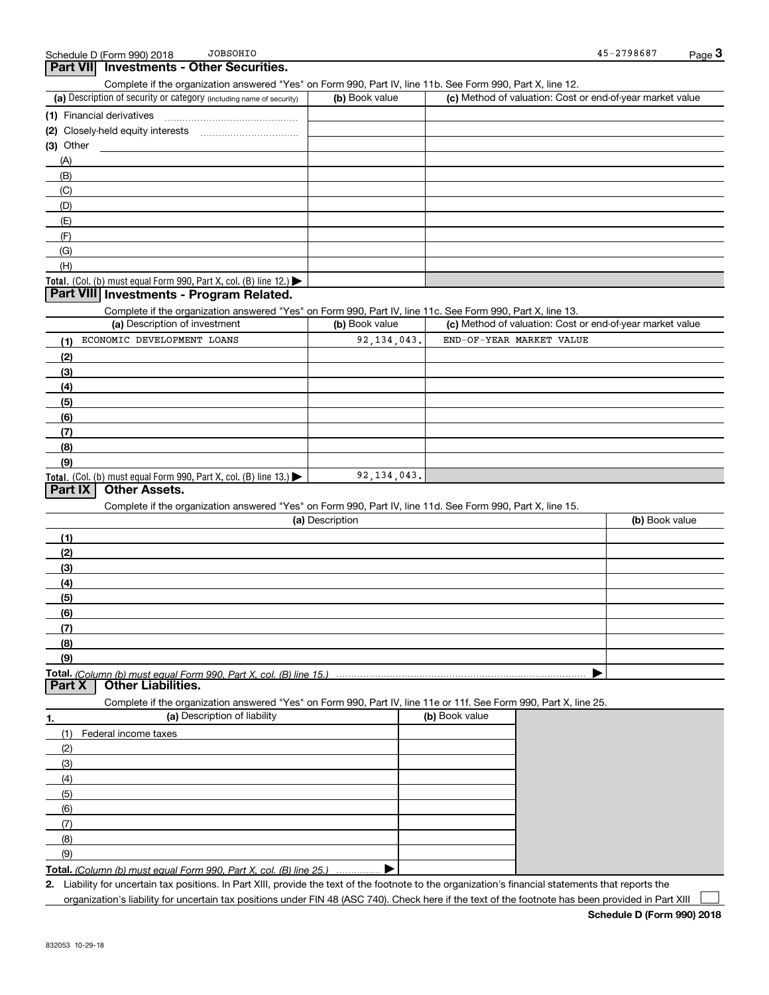### $\sqrt{Part VII}$  Investments - Other Securities.

Complete if the organization answered "Yes" on Form 990, Part IV, line 11b. See Form 990, Part X, line 12.

| (a) Description of security or category (including name of security)                   | (b) Book value | (c) Method of valuation: Cost or end-of-year market value |
|----------------------------------------------------------------------------------------|----------------|-----------------------------------------------------------|
| (1) Financial derivatives                                                              |                |                                                           |
| (2) Closely-held equity interests                                                      |                |                                                           |
| $(3)$ Other                                                                            |                |                                                           |
| (A)                                                                                    |                |                                                           |
| (B)                                                                                    |                |                                                           |
| (C)                                                                                    |                |                                                           |
| (D)                                                                                    |                |                                                           |
| (E)                                                                                    |                |                                                           |
| (F)                                                                                    |                |                                                           |
| (G)                                                                                    |                |                                                           |
| (H)                                                                                    |                |                                                           |
| Total. (Col. (b) must equal Form 990, Part X, col. (B) line 12.) $\blacktriangleright$ |                |                                                           |

### | Part VIII| Investments - Program Related.

Complete if the organization answered "Yes" on Form 990, Part IV, line 11c. See Form 990, Part X, line 13.

| (a) Description of investment                                              | (b) Book value | (c) Method of valuation: Cost or end-of-year market value |
|----------------------------------------------------------------------------|----------------|-----------------------------------------------------------|
| ECONOMIC DEVELOPMENT LOANS<br>(1)                                          | 92, 134, 043.  | END-OF-YEAR MARKET VALUE                                  |
| (2)                                                                        |                |                                                           |
| $\left(3\right)$                                                           |                |                                                           |
| (4)                                                                        |                |                                                           |
| (5)                                                                        |                |                                                           |
| (6)                                                                        |                |                                                           |
| $\sqrt{(7)}$                                                               |                |                                                           |
| (8)                                                                        |                |                                                           |
| (9)                                                                        |                |                                                           |
| <b>Total.</b> (Col. (b) must equal Form 990, Part X, col. (B) line $13.$ ) | 92, 134, 043.  |                                                           |

### **Part IX | Other Assets.**

Complete if the organization answered "Yes" on Form 990, Part IV, line 11d. See Form 990, Part X, line 15.

| (a) Description   | (b) Book value |
|-------------------|----------------|
| (1)               |                |
| (2)               |                |
| $\frac{1}{2}$     |                |
| (4)               |                |
| $\frac{1}{2}$ (5) |                |
| (6)               |                |
| (7)               |                |
| (8)               |                |
| (9)               |                |
|                   |                |

Part  $X$  | Other Liabilities.

Complete if the organization answered "Yes" on Form 990, Part IV, line 11e or 11f. See Form 990, Part X, line 25.

| ٦.  | (a) Description of liability                                                | (b) Book value |
|-----|-----------------------------------------------------------------------------|----------------|
| (1) | Federal income taxes                                                        |                |
| (2) |                                                                             |                |
| (3) |                                                                             |                |
| (4) |                                                                             |                |
| (5) |                                                                             |                |
| (6) |                                                                             |                |
|     |                                                                             |                |
| (8) |                                                                             |                |
| (9) |                                                                             |                |
|     | Total. (Column (b) must equal Form 990. Part X, col. (B) line 25.) $\ldots$ |                |

<u>Total.</u> (Column (b) must equal Form 990, Part X, col. (B) line 25.)

2. Liability for uncertain tax positions. In Part XIII, provide the text of the footnote to the organization's financial statements that reports the organization's liability for uncertain tax positions under FIN 48 (ASC 740). Check here if the text of the footnote has been provided in Part XIII  $\begin{array}{c} \hline \end{array}$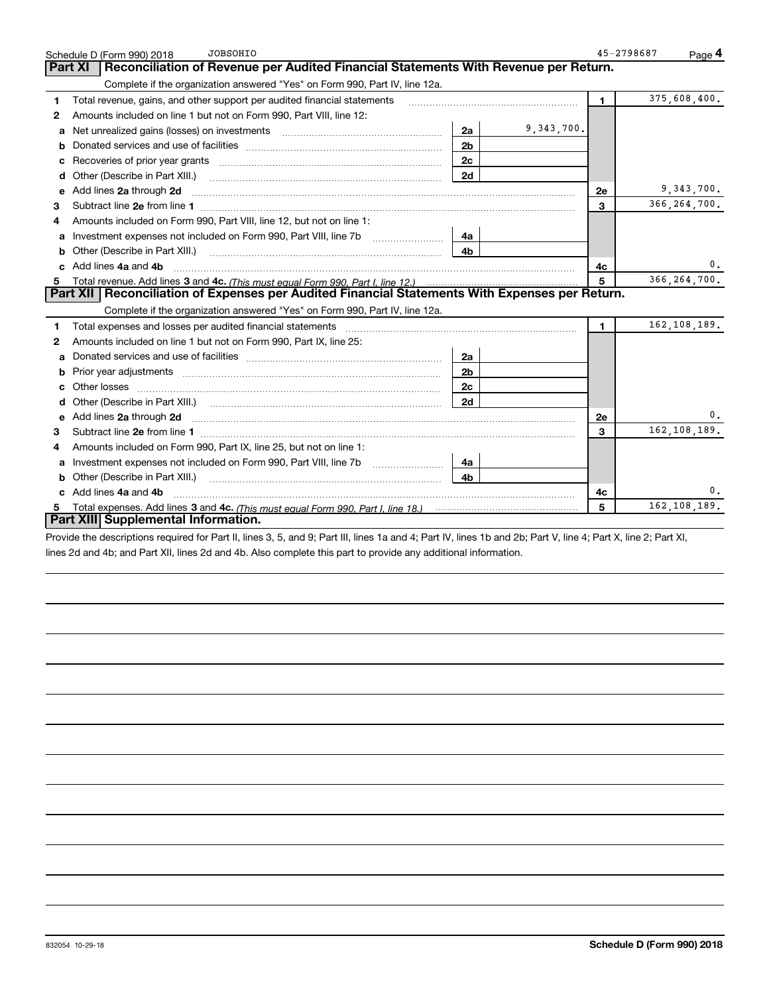|    | <b>JOBSOHIO</b><br>Schedule D (Form 990) 2018                                                                                                                                                                                         | 45-2798687     | Page 4         |
|----|---------------------------------------------------------------------------------------------------------------------------------------------------------------------------------------------------------------------------------------|----------------|----------------|
|    | Reconciliation of Revenue per Audited Financial Statements With Revenue per Return.<br>Part XI                                                                                                                                        |                |                |
|    | Complete if the organization answered "Yes" on Form 990, Part IV, line 12a.                                                                                                                                                           |                |                |
| 1  | Total revenue, gains, and other support per audited financial statements                                                                                                                                                              | $\blacksquare$ | 375,608,400.   |
| 2  | Amounts included on line 1 but not on Form 990, Part VIII, line 12:                                                                                                                                                                   |                |                |
| a  | 9,343,700.<br>2a<br>Net unrealized gains (losses) on investments [11] matter contracts and the unrealized gains (losses) on investments                                                                                               |                |                |
|    | 2 <sub>b</sub>                                                                                                                                                                                                                        |                |                |
| c  | Recoveries of prior year grants [11] matter contracts and prior year grants [11] matter contracts and prior year grants and all the contracts and all the contracts and all the contracts and all the contracts of prior year.<br>2c  |                |                |
| d  | 2d<br>Other (Describe in Part XIII.)                                                                                                                                                                                                  |                |                |
| е  | Add lines 2a through 2d                                                                                                                                                                                                               | 2e             | 9,343,700.     |
| 3  |                                                                                                                                                                                                                                       | 3              | 366, 264, 700. |
| 4  | Amounts included on Form 990, Part VIII, line 12, but not on line 1:                                                                                                                                                                  |                |                |
|    | 4а                                                                                                                                                                                                                                    |                |                |
| b  | 4b<br>Other (Describe in Part XIII.) <b>Construction Contract Construction</b> Chern Construction Construction Construction                                                                                                           |                |                |
|    | Add lines 4a and 4b                                                                                                                                                                                                                   | 4c             | 0.             |
|    |                                                                                                                                                                                                                                       | 5              | 366, 264, 700. |
|    | Part XII   Reconciliation of Expenses per Audited Financial Statements With Expenses per Return.                                                                                                                                      |                |                |
|    | Complete if the organization answered "Yes" on Form 990, Part IV, line 12a.                                                                                                                                                           |                |                |
| 1  | Total expenses and losses per audited financial statements [11] [11] contain the control of the statements [11] [11] and the statements [11] and the statements [11] and the statements and the statements and the statements         | $\blacksquare$ | 162,108,189.   |
| 2  | Amounts included on line 1 but not on Form 990, Part IX, line 25:                                                                                                                                                                     |                |                |
| a  | 2a                                                                                                                                                                                                                                    |                |                |
|    | 2 <sub>b</sub>                                                                                                                                                                                                                        |                |                |
|    | 2c                                                                                                                                                                                                                                    |                |                |
| d  | 2d                                                                                                                                                                                                                                    |                |                |
|    | Add lines 2a through 2d <b>must be a constructed as the constant of the constant of the constant of the construction</b>                                                                                                              | 2e             | 0.             |
| З. |                                                                                                                                                                                                                                       | 3              | 162, 108, 189. |
| 4  | Amounts included on Form 990, Part IX, line 25, but not on line 1:                                                                                                                                                                    |                |                |
| а  | 4a                                                                                                                                                                                                                                    |                |                |
| b  | Other (Describe in Part XIII.) [2000] [2010] [2010] [2010] [2010] [2010] [2010] [2010] [2010] [2010] [2010] [2010] [2010] [2010] [2010] [2010] [2010] [2010] [2010] [2010] [2010] [2010] [2010] [2010] [2010] [2010] [2010] [2<br>4b. |                |                |
|    | Add lines 4a and 4b                                                                                                                                                                                                                   | 4c             | 0.             |
|    |                                                                                                                                                                                                                                       | 5              | 162,108,189.   |
|    | Part XIII Supplemental Information.                                                                                                                                                                                                   |                |                |

Provide the descriptions required for Part II, lines 3, 5, and 9; Part III, lines 1a and 4; Part IV, lines 1b and 2b; Part V, line 4; Part X, line 2; Part XI, lines 2d and 4b; and Part XII, lines 2d and 4b. Also complete this part to provide any additional information.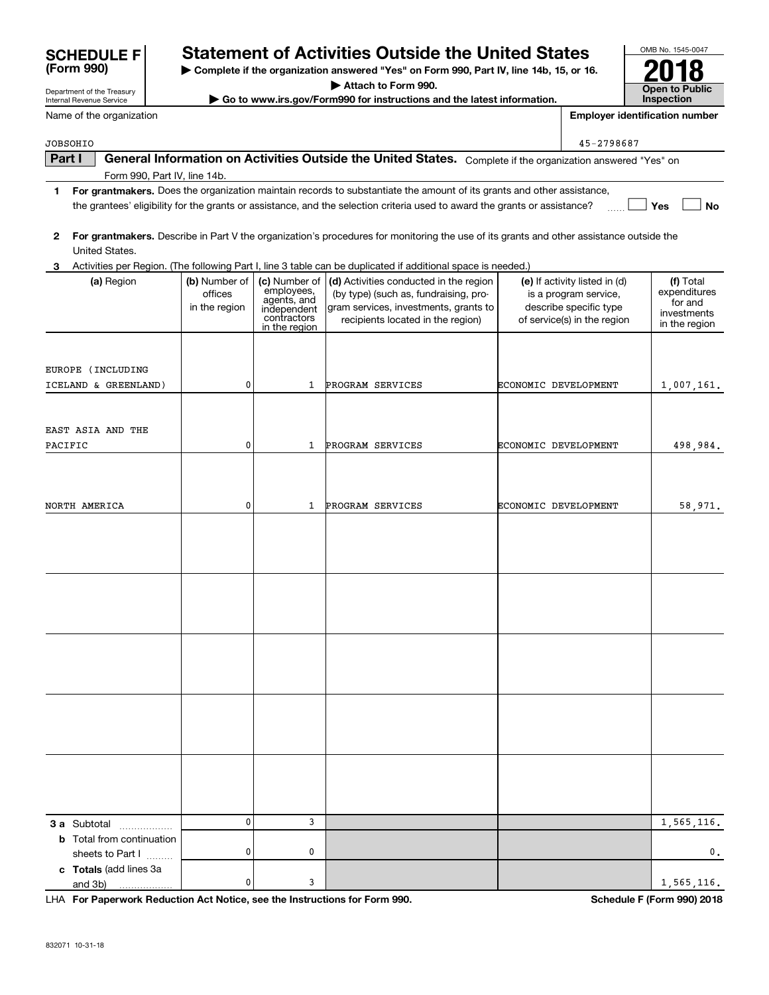| <b>SCHEDULE F</b> |  |
|-------------------|--|
| (Form 990)        |  |

# Statement of Activities Outside the United States<br>  $\triangleright$  Complete if the organization answered "Yes" on Form 990, Part IV, line 14b, 15, or 16.

Complete if the organization answered "Yes" on Form 990, Part IV, line 14b, 15, or 16.

Attach to Form 990.

ightach to Form 990.<br>■ Go to www.irs.gov/Form990 for instructions and the latest information. The latest information in the latest information.

OMB No. 1545-0047 Inspection

Internal Revenue Service Name of the organization

Department of the Treasury

Employer identification number

 $_{\rm JOBSOHIO}$  . The set of the set of the set of the set of the set of the set of the set of the set of the set of the set of the set of the set of the set of the set of the set of the set of the set of the set of the set o

1 For grantmakers. Does the organization maintain records to substantiate the amount of its grants and other assistance, 0 3 Activities per Region. (The following Part I, line 3 table can be duplicated if additional space is needed.)  $\Box$  Yes  $\Box$  No For grantmakers. Describe in Part V the organization's procedures for monitoring the use of its grants and other assistance outside the (a) Region  $\vert$  (b) Number of  $\vert$  (c) Number of  $\vert$  (d) Activities conducted in the region  $\vert$  (e) If activity listed in (d)  $\vert$  (f) **3 a** Subtotal .................. **b** Total from continuation c Totals (add lines 3a Part I  $\parallel$  General Information on Activities Outside the United States. Complete if the organization answered "Yes" on Form 990, Part IV, line 14b. the grantees' eligibility for the grants or assistance, and the selection criteria used to award the grants or assistance? United States. (a) Region  $\vert$  (b) Number of offices in the region (c) Number of employees,<br>agents, and indenendent macponents in the region (by type) (such as, fundraising, program services, investments, grants to recipients located in the region) (e) If activity listed in (d) is a program service, describe specific type of service(s) in the region (f) Total expenditures for  $and$ investments in the region sheets to Part I ........ 1,007,161. 498.984. 58,971. PROGRAM SERVICES ECONOMIC DEVELOPMENT PROGRAM SERVICES PROGRAM SERVICES 1,565,116. ECONOMIC DEVELOPMENT ECONOMIC DEVELOPMENT EUROPE (INCLUDING  $\mathbf{1}$  $\mathbf{1}$  $\mathbf{1}$  $\overline{3}$  $\mathbf 0$  $\mathbf 0$  $\mathbf 0$ EAST ASIA AND THE ICELAND & GREENLAND) PACIFIC NORTH AMERICA  $\pmb{0}$  $\overline{0}$ 

DmpN\_ncpumpiPcbsargml?arLmrgac\*qccrfcGlqrpsargmlqdmpDmpk77., QafcbsjcD&Dmpk77.'0./6 JF?

 $\mathbf 0$ 

 $\frac{3}{1.565,116}$ 

and  $3b)$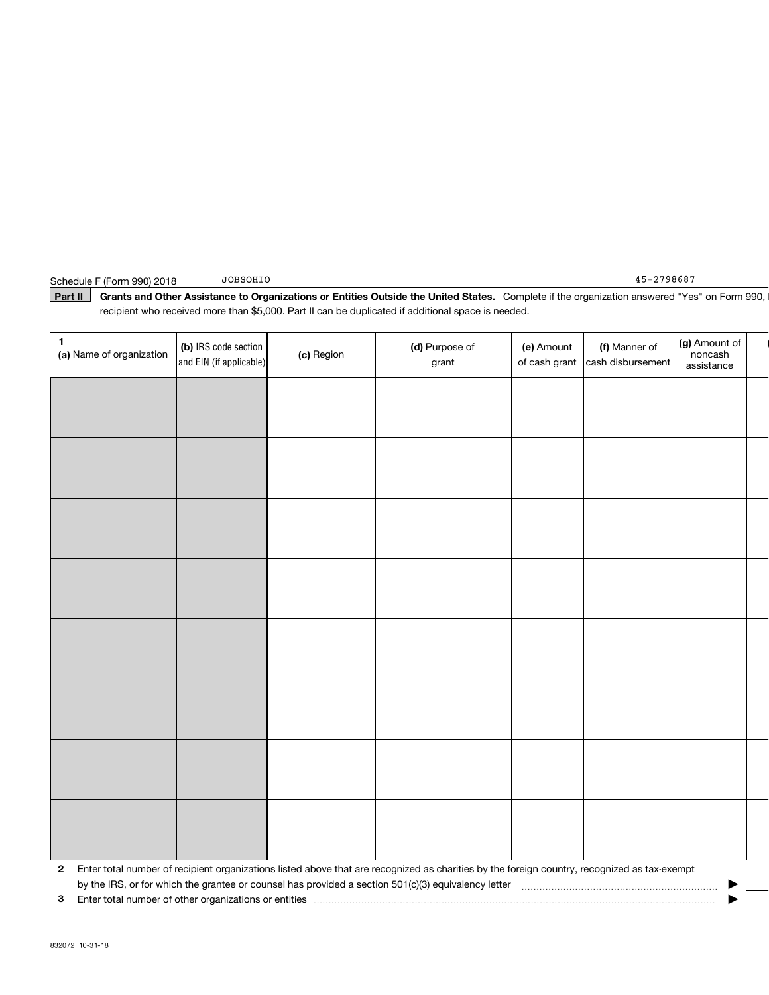Part II Grants and Other Assistance to Organizations or Entities Outside the United States. Complete if the organization answered "Yes" on Form 990, recipient who received more than \$5,000. Part II can be duplicated if additional space is needed.

| 1<br>(a) Name of organization                              | (b) IRS code section<br>and EIN (if applicable) | (c) Region | (d) Purpose of<br>grant                                                                                                                      | (e) Amount<br>of cash grant | (f) Manner of<br>cash disbursement | (g) Amount of<br>noncash<br>assistance |  |
|------------------------------------------------------------|-------------------------------------------------|------------|----------------------------------------------------------------------------------------------------------------------------------------------|-----------------------------|------------------------------------|----------------------------------------|--|
|                                                            |                                                 |            |                                                                                                                                              |                             |                                    |                                        |  |
|                                                            |                                                 |            |                                                                                                                                              |                             |                                    |                                        |  |
|                                                            |                                                 |            |                                                                                                                                              |                             |                                    |                                        |  |
|                                                            |                                                 |            |                                                                                                                                              |                             |                                    |                                        |  |
|                                                            |                                                 |            |                                                                                                                                              |                             |                                    |                                        |  |
|                                                            |                                                 |            |                                                                                                                                              |                             |                                    |                                        |  |
|                                                            |                                                 |            |                                                                                                                                              |                             |                                    |                                        |  |
|                                                            |                                                 |            |                                                                                                                                              |                             |                                    |                                        |  |
|                                                            |                                                 |            |                                                                                                                                              |                             |                                    |                                        |  |
|                                                            |                                                 |            |                                                                                                                                              |                             |                                    |                                        |  |
|                                                            |                                                 |            |                                                                                                                                              |                             |                                    |                                        |  |
|                                                            |                                                 |            |                                                                                                                                              |                             |                                    |                                        |  |
|                                                            |                                                 |            |                                                                                                                                              |                             |                                    |                                        |  |
|                                                            |                                                 |            |                                                                                                                                              |                             |                                    |                                        |  |
|                                                            |                                                 |            |                                                                                                                                              |                             |                                    |                                        |  |
|                                                            |                                                 |            |                                                                                                                                              |                             |                                    |                                        |  |
| $\mathbf{2}$                                               |                                                 |            | Enter total number of recipient organizations listed above that are recognized as charities by the foreign country, recognized as tax-exempt |                             |                                    |                                        |  |
| Enter total number of other organizations or entities<br>З |                                                 |            |                                                                                                                                              |                             |                                    |                                        |  |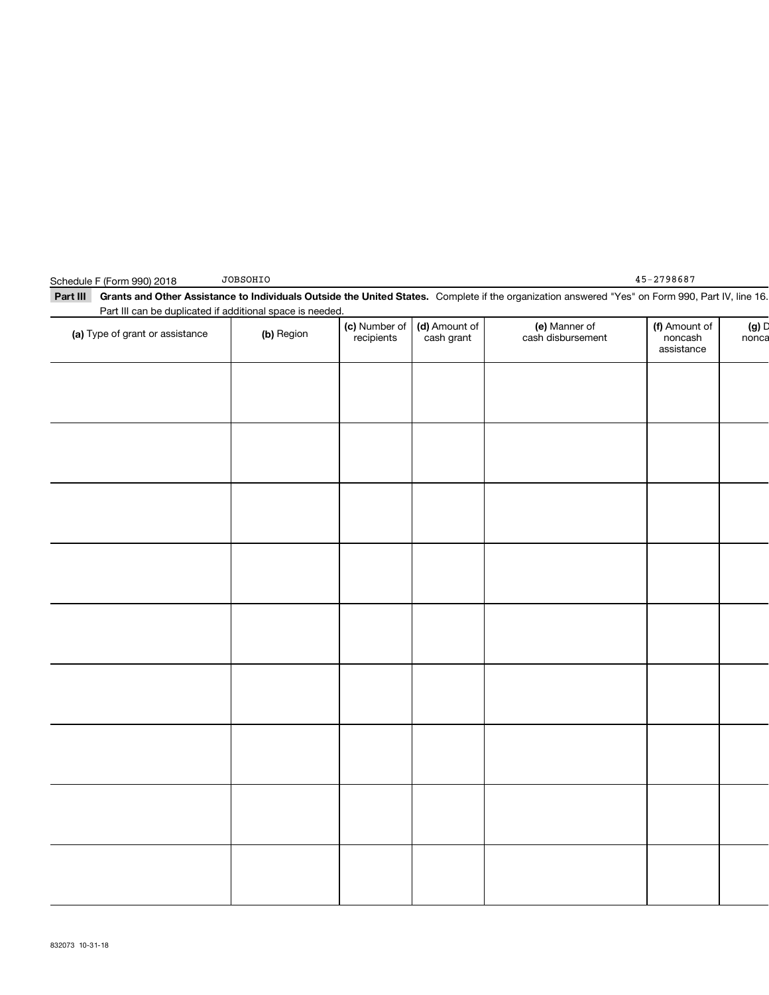| Part III can be duplicated if additional space is needed. |            |                             |                             |                                    |                                        |                |
|-----------------------------------------------------------|------------|-----------------------------|-----------------------------|------------------------------------|----------------------------------------|----------------|
| (a) Type of grant or assistance                           | (b) Region | (c) Number of<br>recipients | (d) Amount of<br>cash grant | (e) Manner of<br>cash disbursement | (f) Amount of<br>noncash<br>assistance | (g) D<br>nonca |
|                                                           |            |                             |                             |                                    |                                        |                |
|                                                           |            |                             |                             |                                    |                                        |                |
|                                                           |            |                             |                             |                                    |                                        |                |
|                                                           |            |                             |                             |                                    |                                        |                |
|                                                           |            |                             |                             |                                    |                                        |                |
|                                                           |            |                             |                             |                                    |                                        |                |
|                                                           |            |                             |                             |                                    |                                        |                |
|                                                           |            |                             |                             |                                    |                                        |                |
|                                                           |            |                             |                             |                                    |                                        |                |
|                                                           |            |                             |                             |                                    |                                        |                |
|                                                           |            |                             |                             |                                    |                                        |                |
|                                                           |            |                             |                             |                                    |                                        |                |
|                                                           |            |                             |                             |                                    |                                        |                |
|                                                           |            |                             |                             |                                    |                                        |                |
|                                                           |            |                             |                             |                                    |                                        |                |
|                                                           |            |                             |                             |                                    |                                        |                |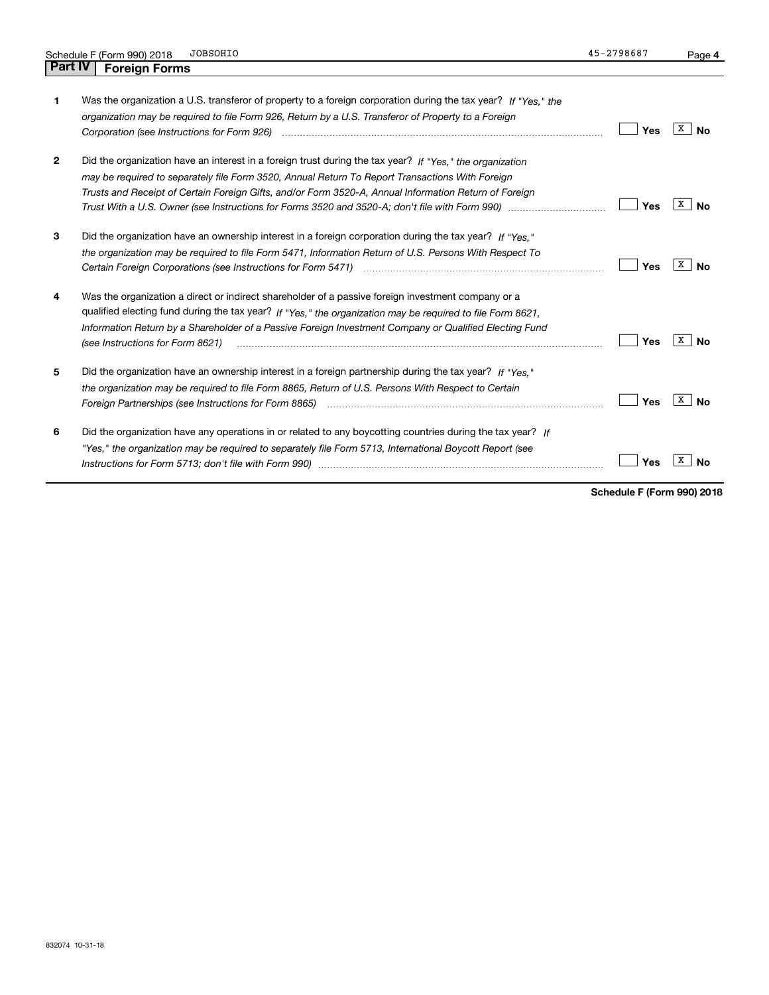|                | <b>JOBSOHIO</b><br>Schedule F (Form 990) 2018                                                                                                                                                                                                                                                                                                                  | 45-2798687 | Page 4         |
|----------------|----------------------------------------------------------------------------------------------------------------------------------------------------------------------------------------------------------------------------------------------------------------------------------------------------------------------------------------------------------------|------------|----------------|
| <b>Part IV</b> | <b>Foreign Forms</b>                                                                                                                                                                                                                                                                                                                                           |            |                |
| 1              | Was the organization a U.S. transferor of property to a foreign corporation during the tax year? If "Yes," the<br>organization may be required to file Form 926, Return by a U.S. Transferor of Property to a Foreign                                                                                                                                          | Yes        | x<br><b>No</b> |
| 2              | Did the organization have an interest in a foreign trust during the tax year? If "Yes." the organization<br>may be required to separately file Form 3520, Annual Return To Report Transactions With Foreign<br>Trusts and Receipt of Certain Foreign Gifts, and/or Form 3520-A, Annual Information Return of Foreign                                           | Yes        | X<br><b>No</b> |
| 3              | Did the organization have an ownership interest in a foreign corporation during the tax year? If "Yes."<br>the organization may be required to file Form 5471, Information Return of U.S. Persons With Respect To<br>Certain Foreign Corporations (see Instructions for Form 5471) <i>manded contained contained corporation</i> contained to                  | Yes        | x<br><b>No</b> |
| 4              | Was the organization a direct or indirect shareholder of a passive foreign investment company or a<br>qualified electing fund during the tax year? If "Yes," the organization may be required to file Form 8621,<br>Information Return by a Shareholder of a Passive Foreign Investment Company or Qualified Electing Fund<br>(see Instructions for Form 8621) | Yes        | x<br><b>No</b> |
| 5              | Did the organization have an ownership interest in a foreign partnership during the tax year? If "Yes."<br>the organization may be required to file Form 8865, Return of U.S. Persons With Respect to Certain                                                                                                                                                  | Yes        | x<br><b>No</b> |
| 6              | Did the organization have any operations in or related to any boycotting countries during the tax year? If<br>"Yes," the organization may be required to separately file Form 5713, International Boycott Report (see                                                                                                                                          | Yes        | х<br>No        |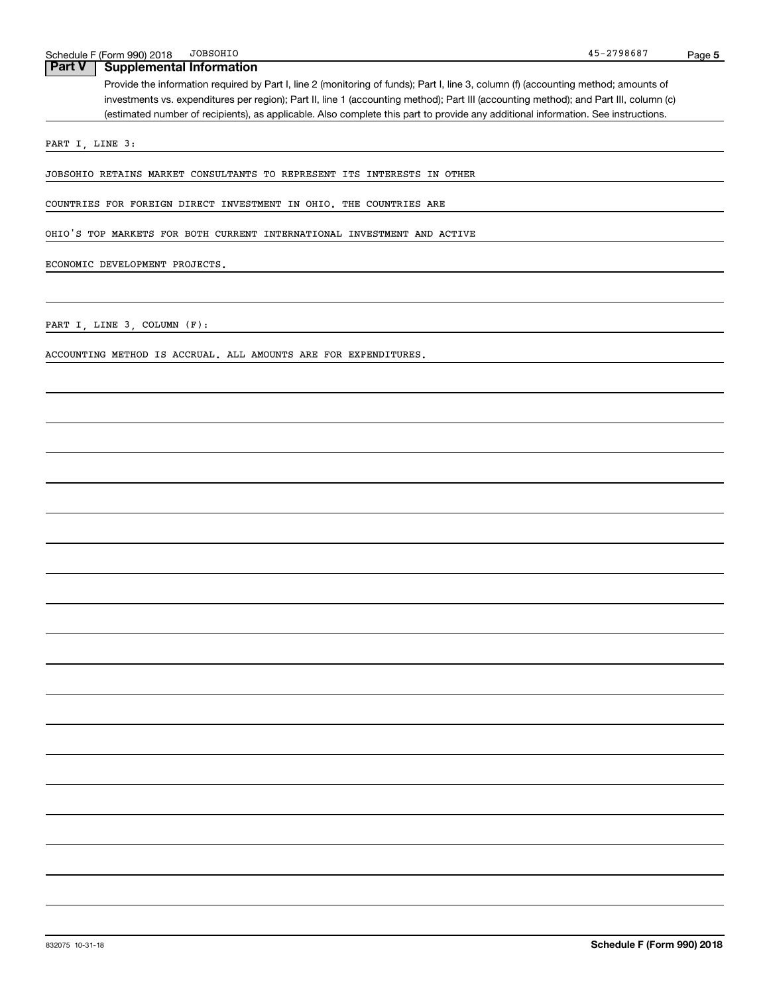### **Part V Supplemental Information**

Provide the information required by Part I, line 2 (monitoring of funds); Part I, line 3, column (f) (accounting method; amounts of investments vs. expenditures per region); Part II, line 1 (accounting method); Part III (accounting method); and Part III, column (c) (estimated number of recipients), as applicable. Also complete this part to provide any additional information. See instructions.

PART I, LINE 3:

JOBSOHIO RETAINS MARKET CONSULTANTS TO REPRESENT ITS INTERESTS IN OTHER

COUNTRIES FOR FOREIGN DIRECT INVESTMENT IN OHIO. THE COUNTRIES ARE

OHIO'S TOP MARKETS FOR BOTH CURRENT INTERNATIONAL INVESTMENT AND ACTIVE

ECONOMIC DEVELOPMENT PROJECTS.

PART I, LINE 3, COLUMN (F):

ACCOUNTING METHOD IS ACCRUAL. ALL AMOUNTS ARE FOR EXPENDITURES.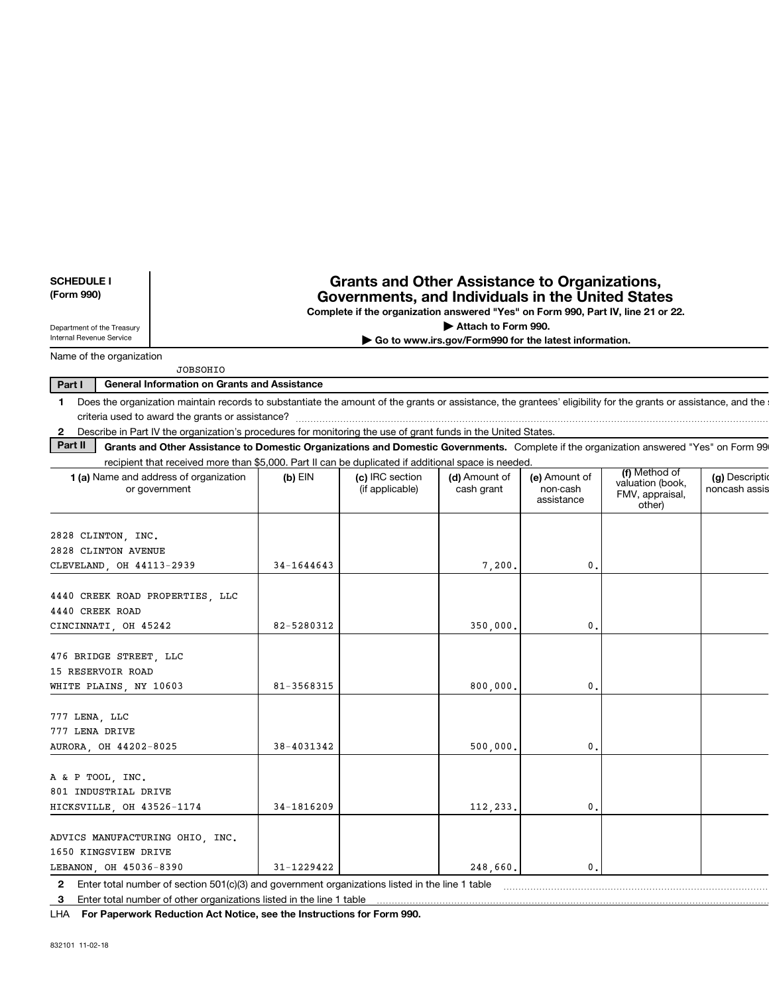| <b>SCHEDULE I</b><br>(Form 990)                                                                                                                                             |                                                                                                                                                                | <b>Grants and Other Assistance to Organizations,</b><br>Governments, and Individuals in the United States<br>Complete if the organization answered "Yes" on Form 990, Part IV, line 21 or 22. |                                                       |                                         |                                               |                                  |
|-----------------------------------------------------------------------------------------------------------------------------------------------------------------------------|----------------------------------------------------------------------------------------------------------------------------------------------------------------|-----------------------------------------------------------------------------------------------------------------------------------------------------------------------------------------------|-------------------------------------------------------|-----------------------------------------|-----------------------------------------------|----------------------------------|
| Department of the Treasury                                                                                                                                                  |                                                                                                                                                                |                                                                                                                                                                                               | Attach to Form 990.                                   |                                         |                                               |                                  |
| Internal Revenue Service                                                                                                                                                    |                                                                                                                                                                |                                                                                                                                                                                               | Go to www.irs.gov/Form990 for the latest information. |                                         |                                               |                                  |
| Name of the organization                                                                                                                                                    |                                                                                                                                                                |                                                                                                                                                                                               |                                                       |                                         |                                               |                                  |
|                                                                                                                                                                             | <b>JOBSOHIO</b>                                                                                                                                                |                                                                                                                                                                                               |                                                       |                                         |                                               |                                  |
| Part I                                                                                                                                                                      | <b>General Information on Grants and Assistance</b>                                                                                                            |                                                                                                                                                                                               |                                                       |                                         |                                               |                                  |
| 1                                                                                                                                                                           | Does the organization maintain records to substantiate the amount of the grants or assistance, the grantees' eligibility for the grants or assistance, and the |                                                                                                                                                                                               |                                                       |                                         |                                               |                                  |
|                                                                                                                                                                             |                                                                                                                                                                |                                                                                                                                                                                               |                                                       |                                         |                                               |                                  |
| $\mathbf{2}$                                                                                                                                                                | Describe in Part IV the organization's procedures for monitoring the use of grant funds in the United States.                                                  |                                                                                                                                                                                               |                                                       |                                         |                                               |                                  |
| Part II                                                                                                                                                                     | Grants and Other Assistance to Domestic Organizations and Domestic Governments. Complete if the organization answered "Yes" on Form 99                         |                                                                                                                                                                                               |                                                       |                                         |                                               |                                  |
|                                                                                                                                                                             | recipient that received more than \$5,000. Part II can be duplicated if additional space is needed.                                                            |                                                                                                                                                                                               |                                                       |                                         | (f) Method of                                 |                                  |
| <b>1 (a)</b> Name and address of organization<br>or government                                                                                                              | $(b)$ EIN                                                                                                                                                      | (c) IRC section<br>(if applicable)                                                                                                                                                            | (d) Amount of<br>cash grant                           | (e) Amount of<br>non-cash<br>assistance | valuation (book,<br>FMV, appraisal,<br>other) | (g) Description<br>noncash assis |
| 2828 CLINTON, INC.<br>2828 CLINTON AVENUE                                                                                                                                   |                                                                                                                                                                |                                                                                                                                                                                               |                                                       |                                         |                                               |                                  |
| CLEVELAND, OH 44113-2939                                                                                                                                                    | $34 - 1644643$                                                                                                                                                 |                                                                                                                                                                                               | 7,200.                                                | 0.                                      |                                               |                                  |
| 4440 CREEK ROAD PROPERTIES, LLC<br>4440 CREEK ROAD<br>CINCINNATI, OH 45242                                                                                                  | 82-5280312                                                                                                                                                     |                                                                                                                                                                                               | 350,000.                                              | $\mathbf{0}$ .                          |                                               |                                  |
| 476 BRIDGE STREET, LLC<br>15 RESERVOIR ROAD<br>WHITE PLAINS, NY 10603                                                                                                       | 81-3568315                                                                                                                                                     |                                                                                                                                                                                               | 800.000.                                              | 0.                                      |                                               |                                  |
| 777 LENA, LLC<br>777 LENA DRIVE<br>AURORA, OH 44202-8025                                                                                                                    | 38-4031342                                                                                                                                                     |                                                                                                                                                                                               | 500,000.                                              | 0.                                      |                                               |                                  |
| A & P TOOL, INC.<br>801 INDUSTRIAL DRIVE<br>HICKSVILLE, OH 43526-1174                                                                                                       | 34-1816209                                                                                                                                                     |                                                                                                                                                                                               | 112,233.                                              | 0.                                      |                                               |                                  |
| ADVICS MANUFACTURING OHIO, INC.<br>1650 KINGSVIEW DRIVE<br>LEBANON, OH 45036-8390                                                                                           | 31-1229422                                                                                                                                                     |                                                                                                                                                                                               | 248,660.                                              | $\mathbf{0}$ .                          |                                               |                                  |
| 2 Enter total number of section 501(c)(3) and government organizations listed in the line 1 table<br>3 Enter total number of other organizations listed in the line 1 table |                                                                                                                                                                |                                                                                                                                                                                               |                                                       |                                         |                                               |                                  |

LHA For Paperwork Reduction Act Notice, see the Instructions for Form 990.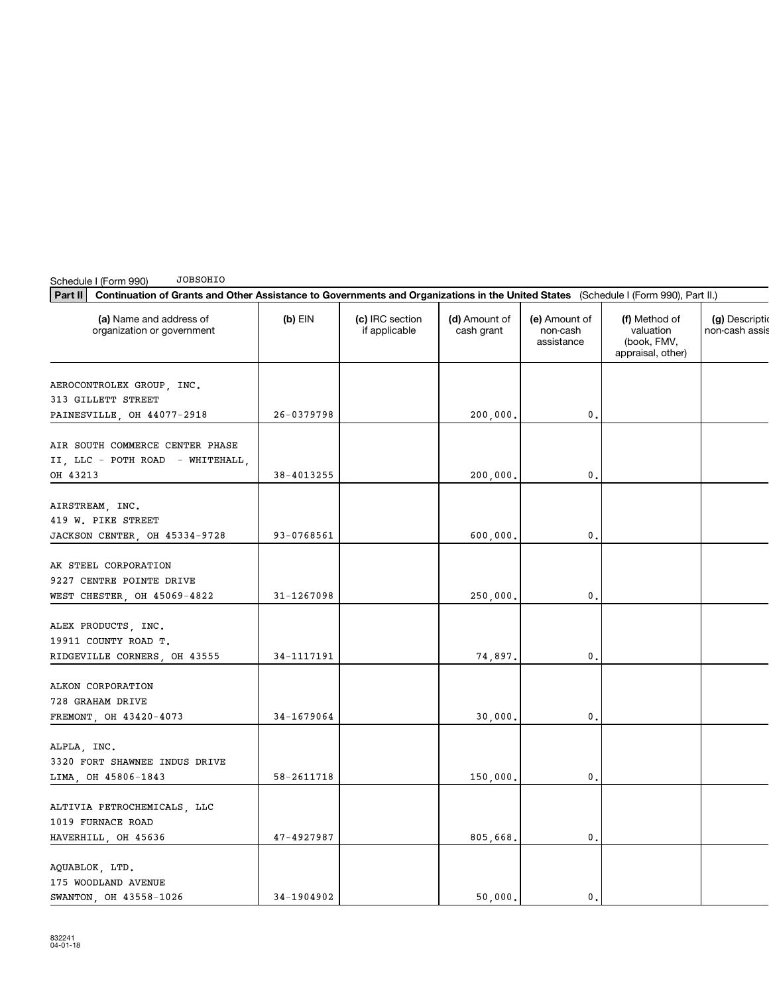| Part II<br>Continuation of Grants and Other Assistance to Governments and Organizations in the United States (Schedule I (Form 990), Part II.) |                |                                  |                             |                                         |                                                                |                               |
|------------------------------------------------------------------------------------------------------------------------------------------------|----------------|----------------------------------|-----------------------------|-----------------------------------------|----------------------------------------------------------------|-------------------------------|
| (a) Name and address of<br>organization or government                                                                                          | $(b)$ EIN      | (c) IRC section<br>if applicable | (d) Amount of<br>cash grant | (e) Amount of<br>non-cash<br>assistance | (f) Method of<br>valuation<br>(book, FMV,<br>appraisal, other) | (g) Descript<br>non-cash assi |
| AEROCONTROLEX GROUP, INC.<br>313 GILLETT STREET<br>PAINESVILLE, OH 44077-2918                                                                  | 26-0379798     |                                  | 200,000.                    | 0.                                      |                                                                |                               |
| AIR SOUTH COMMERCE CENTER PHASE<br>II, LLC - POTH ROAD - WHITEHALL,<br>OH 43213                                                                | 38-4013255     |                                  | 200,000.                    | 0.                                      |                                                                |                               |
| AIRSTREAM, INC.<br>419 W. PIKE STREET<br>JACKSON CENTER, OH 45334-9728                                                                         | 93-0768561     |                                  | 600,000.                    | 0.                                      |                                                                |                               |
| AK STEEL CORPORATION<br>9227 CENTRE POINTE DRIVE<br>WEST CHESTER, OH 45069-4822                                                                | 31-1267098     |                                  | 250,000.                    | 0.                                      |                                                                |                               |
| ALEX PRODUCTS, INC.<br>19911 COUNTY ROAD T.<br>RIDGEVILLE CORNERS, OH 43555                                                                    | 34-1117191     |                                  | 74,897.                     | 0.                                      |                                                                |                               |
| ALKON CORPORATION<br>728 GRAHAM DRIVE<br>FREMONT, OH 43420-4073                                                                                | 34-1679064     |                                  | 30,000.                     | 0.                                      |                                                                |                               |
| ALPLA, INC.<br>3320 FORT SHAWNEE INDUS DRIVE<br>LIMA, OH 45806-1843                                                                            | 58-2611718     |                                  | 150,000.                    | 0.                                      |                                                                |                               |
| ALTIVIA PETROCHEMICALS, LLC<br>1019 FURNACE ROAD<br>HAVERHILL, OH 45636                                                                        | $47 - 4927987$ |                                  | 805,668.                    | 0.                                      |                                                                |                               |
| AQUABLOK, LTD.<br>175 WOODLAND AVENUE<br>SWANTON, OH 43558-1026                                                                                | 34-1904902     |                                  | 50,000.                     | 0.                                      |                                                                |                               |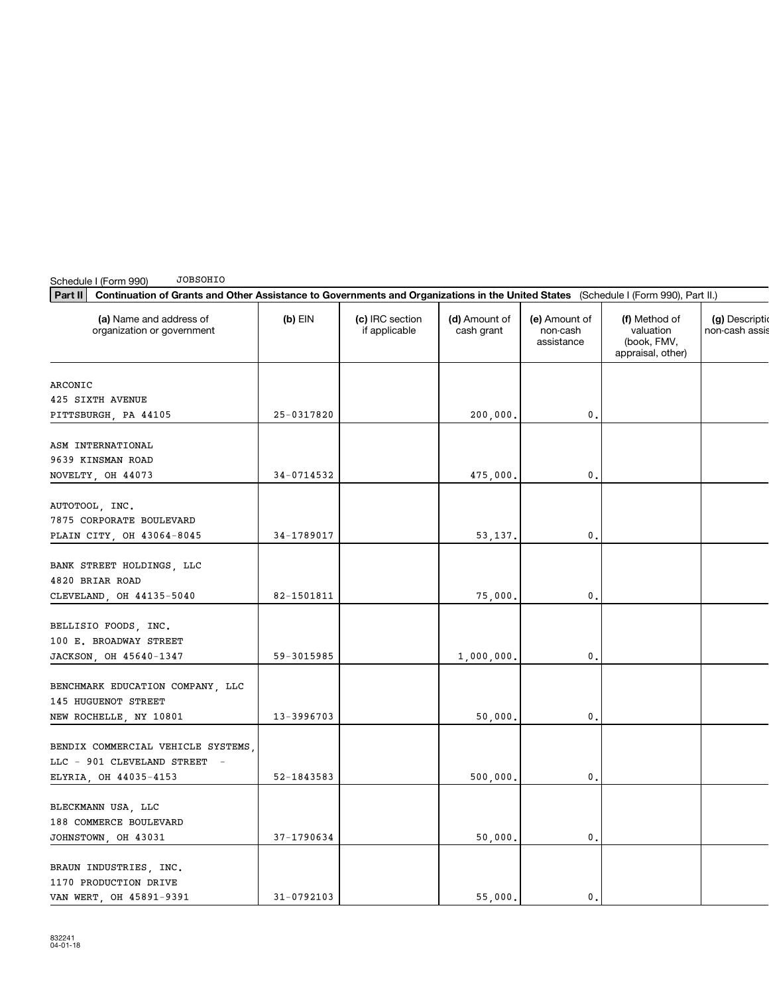Schedule I (Form 990) JOBSOHIO

| Continuation of Grants and Other Assistance to Governments and Organizations in the United States (Schedule I (Form 990), Part II.)<br>Part II |                |                                  |                             |                                         |                                                                |                                 |
|------------------------------------------------------------------------------------------------------------------------------------------------|----------------|----------------------------------|-----------------------------|-----------------------------------------|----------------------------------------------------------------|---------------------------------|
| (a) Name and address of<br>organization or government                                                                                          | $(b)$ EIN      | (c) IRC section<br>if applicable | (d) Amount of<br>cash grant | (e) Amount of<br>non-cash<br>assistance | (f) Method of<br>valuation<br>(book, FMV,<br>appraisal, other) | (g) Descripti<br>non-cash assi: |
| ARCONIC                                                                                                                                        |                |                                  |                             |                                         |                                                                |                                 |
| 425 SIXTH AVENUE                                                                                                                               |                |                                  |                             |                                         |                                                                |                                 |
| PITTSBURGH, PA 44105                                                                                                                           | 25-0317820     |                                  | 200,000.                    | 0.                                      |                                                                |                                 |
|                                                                                                                                                |                |                                  |                             |                                         |                                                                |                                 |
| ASM INTERNATIONAL                                                                                                                              |                |                                  |                             |                                         |                                                                |                                 |
| 9639 KINSMAN ROAD                                                                                                                              |                |                                  |                             |                                         |                                                                |                                 |
| NOVELTY, OH 44073                                                                                                                              | 34-0714532     |                                  | 475,000.                    | 0.                                      |                                                                |                                 |
|                                                                                                                                                |                |                                  |                             |                                         |                                                                |                                 |
| AUTOTOOL, INC.<br>7875 CORPORATE BOULEVARD                                                                                                     |                |                                  |                             |                                         |                                                                |                                 |
| PLAIN CITY, OH 43064-8045                                                                                                                      | 34-1789017     |                                  | 53,137.                     | 0.                                      |                                                                |                                 |
|                                                                                                                                                |                |                                  |                             |                                         |                                                                |                                 |
| BANK STREET HOLDINGS, LLC                                                                                                                      |                |                                  |                             |                                         |                                                                |                                 |
| 4820 BRIAR ROAD                                                                                                                                |                |                                  |                             |                                         |                                                                |                                 |
| CLEVELAND, OH 44135-5040                                                                                                                       | 82-1501811     |                                  | 75,000.                     | 0.                                      |                                                                |                                 |
|                                                                                                                                                |                |                                  |                             |                                         |                                                                |                                 |
| BELLISIO FOODS, INC.                                                                                                                           |                |                                  |                             |                                         |                                                                |                                 |
| 100 E. BROADWAY STREET                                                                                                                         |                |                                  |                             |                                         |                                                                |                                 |
| JACKSON, OH 45640-1347                                                                                                                         | 59-3015985     |                                  | 1,000,000.                  | 0.                                      |                                                                |                                 |
|                                                                                                                                                |                |                                  |                             |                                         |                                                                |                                 |
| BENCHMARK EDUCATION COMPANY, LLC                                                                                                               |                |                                  |                             |                                         |                                                                |                                 |
| 145 HUGUENOT STREET                                                                                                                            |                |                                  |                             |                                         |                                                                |                                 |
| NEW ROCHELLE, NY 10801                                                                                                                         | 13-3996703     |                                  | 50,000.                     | 0.                                      |                                                                |                                 |
|                                                                                                                                                |                |                                  |                             |                                         |                                                                |                                 |
| BENDIX COMMERCIAL VEHICLE SYSTEMS,                                                                                                             |                |                                  |                             |                                         |                                                                |                                 |
| LLC - 901 CLEVELAND STREET -                                                                                                                   |                |                                  |                             |                                         |                                                                |                                 |
| ELYRIA, OH 44035-4153                                                                                                                          | 52-1843583     |                                  | 500,000.                    | 0.                                      |                                                                |                                 |
| BLECKMANN USA, LLC                                                                                                                             |                |                                  |                             |                                         |                                                                |                                 |
| 188 COMMERCE BOULEVARD                                                                                                                         |                |                                  |                             |                                         |                                                                |                                 |
| JOHNSTOWN, OH 43031                                                                                                                            | 37-1790634     |                                  | 50,000.                     | 0.                                      |                                                                |                                 |
|                                                                                                                                                |                |                                  |                             |                                         |                                                                |                                 |
| BRAUN INDUSTRIES, INC.                                                                                                                         |                |                                  |                             |                                         |                                                                |                                 |
| 1170 PRODUCTION DRIVE                                                                                                                          |                |                                  |                             |                                         |                                                                |                                 |
| VAN WERT OH 45891-9391                                                                                                                         | $31 - 0792103$ |                                  | 55 000.                     | $\mathbf{0}$ .                          |                                                                |                                 |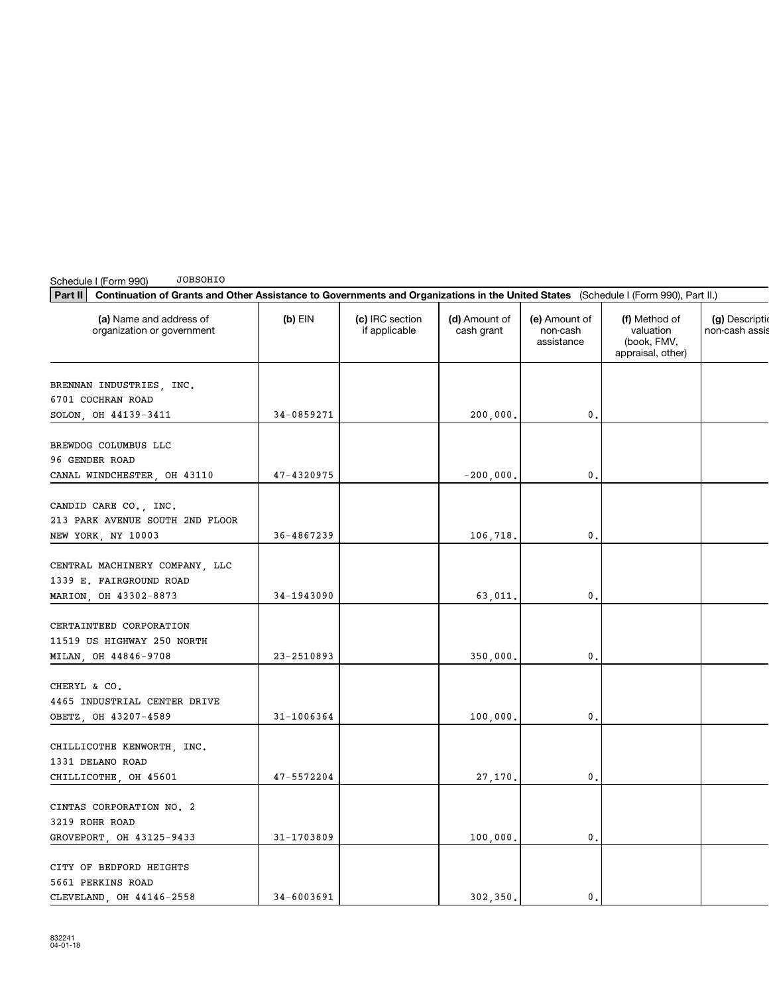| <b>JOBSOHIO</b><br>Schedule I (Form 990)                                                                                                       |            |                                  |                             |                                         |                                                                |                                 |
|------------------------------------------------------------------------------------------------------------------------------------------------|------------|----------------------------------|-----------------------------|-----------------------------------------|----------------------------------------------------------------|---------------------------------|
| Part II<br>Continuation of Grants and Other Assistance to Governments and Organizations in the United States (Schedule I (Form 990), Part II.) |            |                                  |                             |                                         |                                                                |                                 |
| (a) Name and address of<br>organization or government                                                                                          | $(b)$ EIN  | (c) IRC section<br>if applicable | (d) Amount of<br>cash grant | (e) Amount of<br>non-cash<br>assistance | (f) Method of<br>valuation<br>(book, FMV,<br>appraisal, other) | (g) Descripti<br>non-cash assis |
| BRENNAN INDUSTRIES, INC.                                                                                                                       |            |                                  |                             |                                         |                                                                |                                 |
| 6701 COCHRAN ROAD                                                                                                                              |            |                                  |                             |                                         |                                                                |                                 |
| SOLON, OH 44139-3411                                                                                                                           | 34-0859271 |                                  | 200,000.                    | 0.                                      |                                                                |                                 |
| BREWDOG COLUMBUS LLC<br>96 GENDER ROAD                                                                                                         |            |                                  |                             |                                         |                                                                |                                 |
| CANAL WINDCHESTER, OH 43110                                                                                                                    | 47-4320975 |                                  | $-200,000.$                 | 0.                                      |                                                                |                                 |
| CANDID CARE CO., INC.<br>213 PARK AVENUE SOUTH 2ND FLOOR                                                                                       |            |                                  |                             |                                         |                                                                |                                 |
| NEW YORK, NY 10003                                                                                                                             | 36-4867239 |                                  | 106,718.                    | 0.                                      |                                                                |                                 |
| CENTRAL MACHINERY COMPANY, LLC<br>1339 E. FAIRGROUND ROAD                                                                                      |            |                                  |                             |                                         |                                                                |                                 |
| MARION, OH 43302-8873                                                                                                                          | 34-1943090 |                                  | 63,011.                     | 0.                                      |                                                                |                                 |
| CERTAINTEED CORPORATION<br>11519 US HIGHWAY 250 NORTH<br>MILAN, OH 44846-9708                                                                  | 23-2510893 |                                  | 350,000.                    | $\mathbf{0}$ .                          |                                                                |                                 |
| CHERYL & CO.<br>4465 INDUSTRIAL CENTER DRIVE                                                                                                   |            |                                  |                             |                                         |                                                                |                                 |
| OBETZ, OH 43207-4589                                                                                                                           | 31-1006364 |                                  | 100,000.                    | 0.                                      |                                                                |                                 |
| CHILLICOTHE KENWORTH, INC.<br>1331 DELANO ROAD<br>CHILLICOTHE, OH 45601                                                                        | 47-5572204 |                                  | 27,170.                     | 0.                                      |                                                                |                                 |
|                                                                                                                                                |            |                                  |                             |                                         |                                                                |                                 |
| CINTAS CORPORATION NO. 2<br>3219 ROHR ROAD                                                                                                     |            |                                  |                             |                                         |                                                                |                                 |
| GROVEPORT, OH 43125-9433                                                                                                                       | 31-1703809 |                                  | 100,000.                    | 0.                                      |                                                                |                                 |
| CITY OF BEDFORD HEIGHTS<br>5661 PERKINS ROAD                                                                                                   |            |                                  |                             |                                         |                                                                |                                 |
| CLEVELAND OH 44146-2558                                                                                                                        | 34-6003691 |                                  | 302 350.                    | 0.                                      |                                                                |                                 |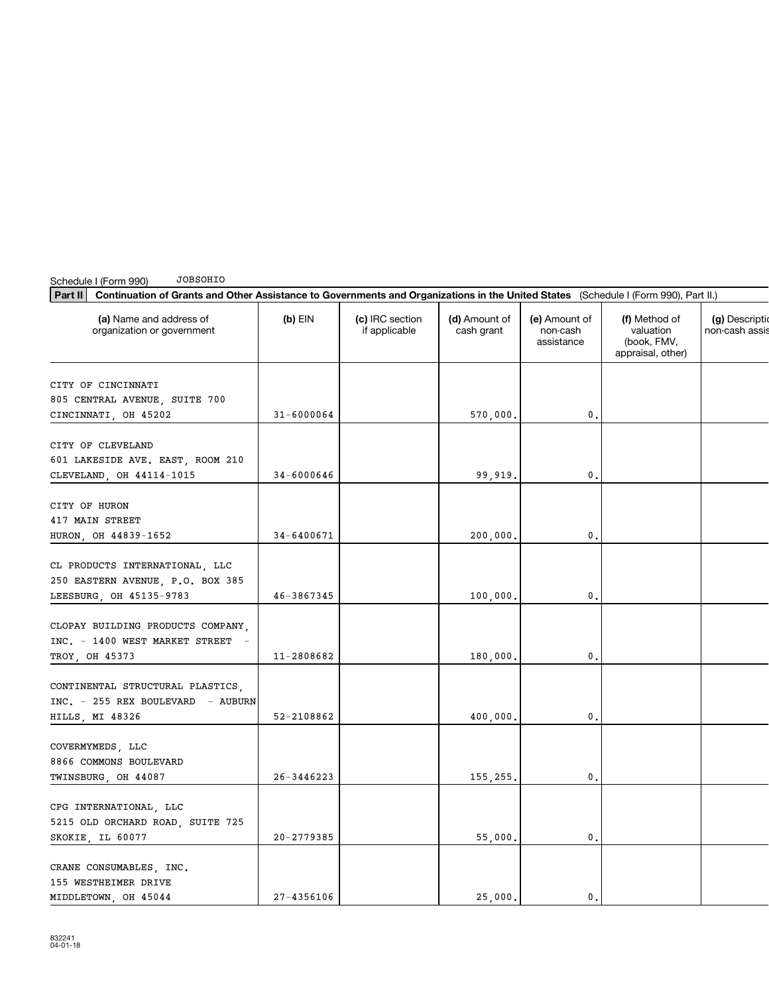| Part II<br>Continuation of Grants and Other Assistance to Governments and Organizations in the United States (Schedule I (Form 990), Part II.) |                |                                  |                             |                                         |                                                                |                              |
|------------------------------------------------------------------------------------------------------------------------------------------------|----------------|----------------------------------|-----------------------------|-----------------------------------------|----------------------------------------------------------------|------------------------------|
| (a) Name and address of<br>organization or government                                                                                          | $(b)$ EIN      | (c) IRC section<br>if applicable | (d) Amount of<br>cash grant | (e) Amount of<br>non-cash<br>assistance | (f) Method of<br>valuation<br>(book, FMV,<br>appraisal, other) | (g) Descript<br>non-cash ass |
| CITY OF CINCINNATI<br>805 CENTRAL AVENUE, SUITE 700<br>CINCINNATI, OH 45202                                                                    | $31 - 6000064$ |                                  | 570,000.                    | 0.                                      |                                                                |                              |
| CITY OF CLEVELAND<br>601 LAKESIDE AVE. EAST, ROOM 210<br>CLEVELAND, OH 44114-1015                                                              | $34 - 6000646$ |                                  | 99,919.                     | $\mathbf{0}$ .                          |                                                                |                              |
| CITY OF HURON<br>417 MAIN STREET<br>HURON, OH 44839-1652                                                                                       | 34-6400671     |                                  | 200,000.                    | 0.                                      |                                                                |                              |
| CL PRODUCTS INTERNATIONAL, LLC<br>250 EASTERN AVENUE, P.O. BOX 385<br>LEESBURG, OH 45135-9783                                                  | 46-3867345     |                                  | 100,000.                    | 0.                                      |                                                                |                              |
| CLOPAY BUILDING PRODUCTS COMPANY,<br>INC. - 1400 WEST MARKET STREET -<br>TROY, OH 45373                                                        | 11-2808682     |                                  | 180,000.                    | 0.                                      |                                                                |                              |
| CONTINENTAL STRUCTURAL PLASTICS,<br>INC. - 255 REX BOULEVARD - AUBURN<br>HILLS, MI 48326                                                       | 52-2108862     |                                  | 400,000.                    | 0.                                      |                                                                |                              |
| COVERMYMEDS, LLC<br>8866 COMMONS BOULEVARD<br>TWINSBURG, OH 44087                                                                              | 26-3446223     |                                  | 155,255.                    | 0.                                      |                                                                |                              |
| CPG INTERNATIONAL, LLC<br>5215 OLD ORCHARD ROAD, SUITE 725<br>SKOKIE, IL 60077                                                                 | $20 - 2779385$ |                                  | 55,000.                     | $\mathbf{0}$ .                          |                                                                |                              |
| CRANE CONSUMABLES, INC.<br>155 WESTHEIMER DRIVE<br>MIDDLETOWN, OH 45044                                                                        | 27-4356106     |                                  | 25,000.                     | 0.                                      |                                                                |                              |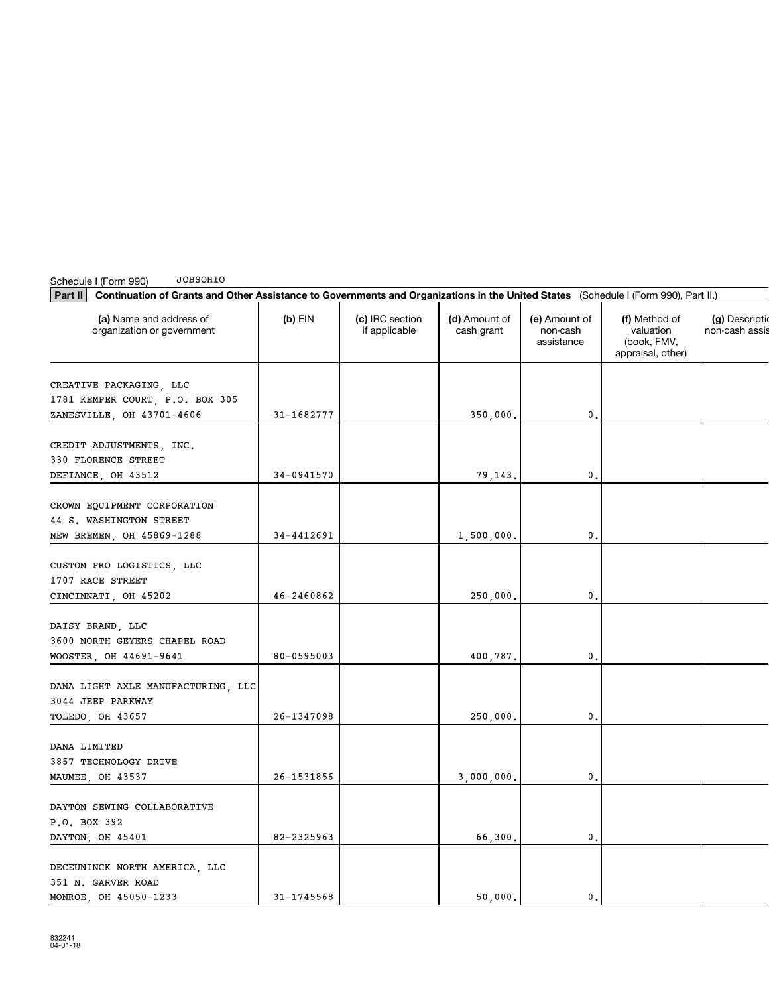| Part II<br>Continuation of Grants and Other Assistance to Governments and Organizations in the United States (Schedule I (Form 990), Part II.) |                |                                  |                             |                                         |                                                                |                                |
|------------------------------------------------------------------------------------------------------------------------------------------------|----------------|----------------------------------|-----------------------------|-----------------------------------------|----------------------------------------------------------------|--------------------------------|
| (a) Name and address of<br>organization or government                                                                                          | $(b)$ EIN      | (c) IRC section<br>if applicable | (d) Amount of<br>cash grant | (e) Amount of<br>non-cash<br>assistance | (f) Method of<br>valuation<br>(book, FMV,<br>appraisal, other) | (g) Descripti<br>non-cash assi |
| CREATIVE PACKAGING, LLC<br>1781 KEMPER COURT, P.O. BOX 305<br>ZANESVILLE, OH 43701-4606                                                        | 31-1682777     |                                  | 350,000.                    | 0.                                      |                                                                |                                |
| CREDIT ADJUSTMENTS, INC.<br>330 FLORENCE STREET<br>DEFIANCE, OH 43512                                                                          | 34-0941570     |                                  | 79,143.                     | 0.                                      |                                                                |                                |
| CROWN EQUIPMENT CORPORATION<br>44 S. WASHINGTON STREET<br>NEW BREMEN, OH 45869-1288                                                            | 34-4412691     |                                  | 1,500,000.                  | 0.                                      |                                                                |                                |
| CUSTOM PRO LOGISTICS, LLC<br>1707 RACE STREET<br>CINCINNATI, OH 45202                                                                          | 46-2460862     |                                  | 250,000.                    | 0.                                      |                                                                |                                |
| DAISY BRAND, LLC<br>3600 NORTH GEYERS CHAPEL ROAD<br>WOOSTER, OH 44691-9641                                                                    | 80-0595003     |                                  | 400,787.                    | 0.                                      |                                                                |                                |
| DANA LIGHT AXLE MANUFACTURING, LLC<br>3044 JEEP PARKWAY<br>TOLEDO, OH 43657                                                                    | $26 - 1347098$ |                                  | 250,000.                    | 0.                                      |                                                                |                                |
| DANA LIMITED<br>3857 TECHNOLOGY DRIVE<br>MAUMEE, OH 43537                                                                                      | 26-1531856     |                                  | 3,000,000.                  | 0.                                      |                                                                |                                |
| DAYTON SEWING COLLABORATIVE<br>P.O. BOX 392<br>DAYTON, OH 45401                                                                                | 82-2325963     |                                  | 66,300.                     | 0.                                      |                                                                |                                |
| DECEUNINCK NORTH AMERICA, LLC<br>351 N. GARVER ROAD<br>MONROE, OH 45050-1233                                                                   | 31-1745568     |                                  | 50,000.                     | 0.                                      |                                                                |                                |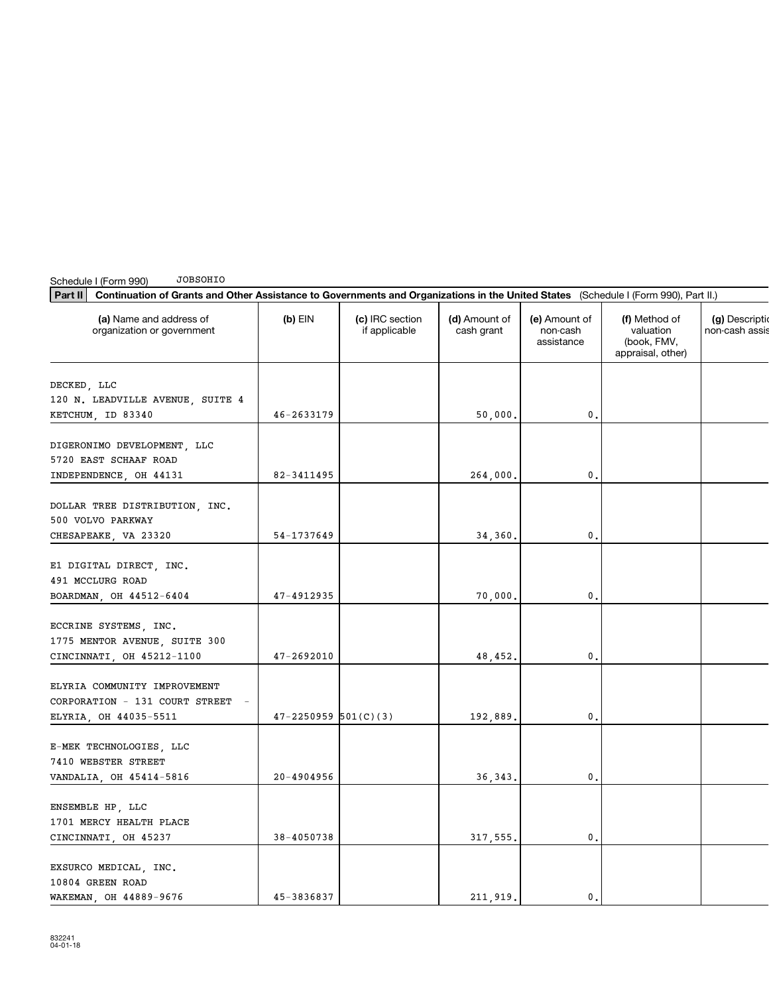| Part II<br>Continuation of Grants and Other Assistance to Governments and Organizations in the United States (Schedule I (Form 990), Part II.) |                          |                                  |                             |                                         |                                                                |                              |
|------------------------------------------------------------------------------------------------------------------------------------------------|--------------------------|----------------------------------|-----------------------------|-----------------------------------------|----------------------------------------------------------------|------------------------------|
| (a) Name and address of<br>organization or government                                                                                          | $(b)$ EIN                | (c) IRC section<br>if applicable | (d) Amount of<br>cash grant | (e) Amount of<br>non-cash<br>assistance | (f) Method of<br>valuation<br>(book, FMV,<br>appraisal, other) | (g) Descript<br>non-cash ass |
| DECKED, LLC<br>120 N. LEADVILLE AVENUE, SUITE 4<br>KETCHUM, ID 83340                                                                           | $46 - 2633179$           |                                  | 50,000.                     | 0.                                      |                                                                |                              |
| DIGERONIMO DEVELOPMENT, LLC<br>5720 EAST SCHAAF ROAD<br>INDEPENDENCE, OH 44131                                                                 | 82-3411495               |                                  | 264,000.                    | $\mathbf{0}$ .                          |                                                                |                              |
| DOLLAR TREE DISTRIBUTION, INC.<br>500 VOLVO PARKWAY<br>CHESAPEAKE, VA 23320                                                                    | 54-1737649               |                                  | 34,360.                     | 0.                                      |                                                                |                              |
| E1 DIGITAL DIRECT, INC.<br>491 MCCLURG ROAD<br>BOARDMAN, OH 44512-6404                                                                         | 47-4912935               |                                  | 70,000.                     | $\mathbf{0}$ .                          |                                                                |                              |
| ECCRINE SYSTEMS, INC.<br>1775 MENTOR AVENUE, SUITE 300<br>CINCINNATI, OH 45212-1100                                                            | 47-2692010               |                                  | 48,452.                     | $\mathbf{0}$ .                          |                                                                |                              |
| ELYRIA COMMUNITY IMPROVEMENT<br>CORPORATION - 131 COURT STREET -<br>ELYRIA, OH 44035-5511                                                      | $47 - 2250959$ 501(C)(3) |                                  | 192,889.                    | 0.                                      |                                                                |                              |
| E-MEK TECHNOLOGIES, LLC<br>7410 WEBSTER STREET<br>VANDALIA, OH 45414-5816                                                                      | 20-4904956               |                                  | 36,343.                     | 0.                                      |                                                                |                              |
| ENSEMBLE HP, LLC<br>1701 MERCY HEALTH PLACE<br>CINCINNATI, OH 45237                                                                            | 38-4050738               |                                  | 317,555.                    | 0.                                      |                                                                |                              |
| EXSURCO MEDICAL, INC.<br>10804 GREEN ROAD<br>WAKEMAN, OH 44889-9676                                                                            | 45-3836837               |                                  | 211.919.                    | 0.                                      |                                                                |                              |

Schedule I (Form 990)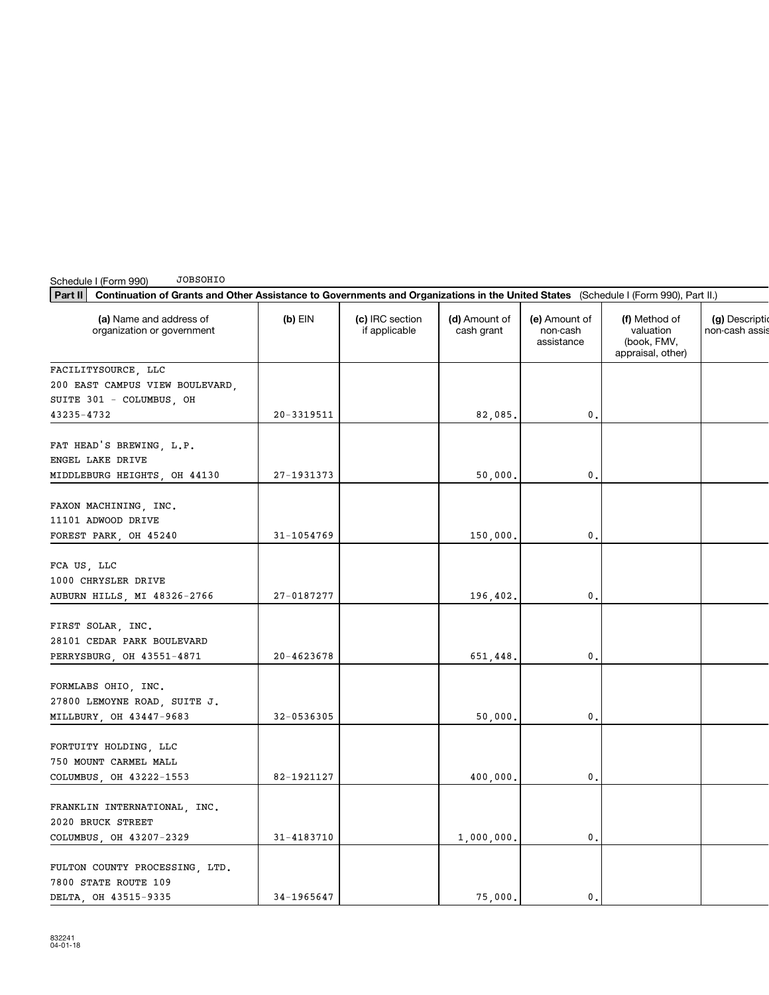| JOBSOHIO<br>Schedule I (Form 990)                                                                                                              |            |                                  |                             |                                         |                                                                |                              |
|------------------------------------------------------------------------------------------------------------------------------------------------|------------|----------------------------------|-----------------------------|-----------------------------------------|----------------------------------------------------------------|------------------------------|
| Part II<br>Continuation of Grants and Other Assistance to Governments and Organizations in the United States (Schedule I (Form 990), Part II.) |            |                                  |                             |                                         |                                                                |                              |
| (a) Name and address of<br>organization or government                                                                                          | $(b)$ EIN  | (c) IRC section<br>if applicable | (d) Amount of<br>cash grant | (e) Amount of<br>non-cash<br>assistance | (f) Method of<br>valuation<br>(book, FMV,<br>appraisal, other) | (g) Descript<br>non-cash ass |
| FACILITYSOURCE, LLC                                                                                                                            |            |                                  |                             |                                         |                                                                |                              |
| 200 EAST CAMPUS VIEW BOULEVARD,                                                                                                                |            |                                  |                             |                                         |                                                                |                              |
| SUITE 301 - COLUMBUS, OH                                                                                                                       |            |                                  |                             |                                         |                                                                |                              |
| 43235-4732                                                                                                                                     | 20-3319511 |                                  | 82,085.                     | 0.                                      |                                                                |                              |
| FAT HEAD'S BREWING, L.P.                                                                                                                       |            |                                  |                             |                                         |                                                                |                              |
| ENGEL LAKE DRIVE                                                                                                                               |            |                                  |                             |                                         |                                                                |                              |
| MIDDLEBURG HEIGHTS, OH 44130                                                                                                                   | 27-1931373 |                                  | 50,000.                     | 0.                                      |                                                                |                              |
| FAXON MACHINING, INC.                                                                                                                          |            |                                  |                             |                                         |                                                                |                              |
| 11101 ADWOOD DRIVE                                                                                                                             |            |                                  |                             |                                         |                                                                |                              |
| FOREST PARK, OH 45240                                                                                                                          | 31-1054769 |                                  | 150,000.                    | 0.                                      |                                                                |                              |
|                                                                                                                                                |            |                                  |                             |                                         |                                                                |                              |
| FCA US, LLC                                                                                                                                    |            |                                  |                             |                                         |                                                                |                              |
| 1000 CHRYSLER DRIVE                                                                                                                            |            |                                  |                             |                                         |                                                                |                              |
| AUBURN HILLS, MI 48326-2766                                                                                                                    | 27-0187277 |                                  | 196,402.                    | 0.                                      |                                                                |                              |
| FIRST SOLAR, INC.                                                                                                                              |            |                                  |                             |                                         |                                                                |                              |
| 28101 CEDAR PARK BOULEVARD                                                                                                                     |            |                                  |                             |                                         |                                                                |                              |
| PERRYSBURG, OH 43551-4871                                                                                                                      | 20-4623678 |                                  | 651,448.                    | $\mathbf{0}$ .                          |                                                                |                              |
|                                                                                                                                                |            |                                  |                             |                                         |                                                                |                              |
| FORMLABS OHIO, INC.                                                                                                                            |            |                                  |                             |                                         |                                                                |                              |
| 27800 LEMOYNE ROAD, SUITE J.                                                                                                                   |            |                                  |                             |                                         |                                                                |                              |
| MILLBURY, OH 43447-9683                                                                                                                        | 32-0536305 |                                  | 50,000.                     | $\mathbf{0}$ .                          |                                                                |                              |
|                                                                                                                                                |            |                                  |                             |                                         |                                                                |                              |
| FORTUITY HOLDING, LLC                                                                                                                          |            |                                  |                             |                                         |                                                                |                              |
| 750 MOUNT CARMEL MALL                                                                                                                          |            |                                  |                             |                                         |                                                                |                              |
| COLUMBUS, OH 43222-1553                                                                                                                        | 82-1921127 |                                  | 400,000.                    | 0.                                      |                                                                |                              |
| FRANKLIN INTERNATIONAL, INC.                                                                                                                   |            |                                  |                             |                                         |                                                                |                              |
| 2020 BRUCK STREET                                                                                                                              |            |                                  |                             |                                         |                                                                |                              |
| COLUMBUS, OH 43207-2329                                                                                                                        | 31-4183710 |                                  | 1,000,000.                  | 0.                                      |                                                                |                              |
|                                                                                                                                                |            |                                  |                             |                                         |                                                                |                              |
| FULTON COUNTY PROCESSING, LTD.<br>7800 STATE ROUTE 109                                                                                         |            |                                  |                             |                                         |                                                                |                              |
| DELTA, OH 43515-9335                                                                                                                           | 34-1965647 |                                  | 75.000.                     | 0.                                      |                                                                |                              |
|                                                                                                                                                |            |                                  |                             |                                         |                                                                |                              |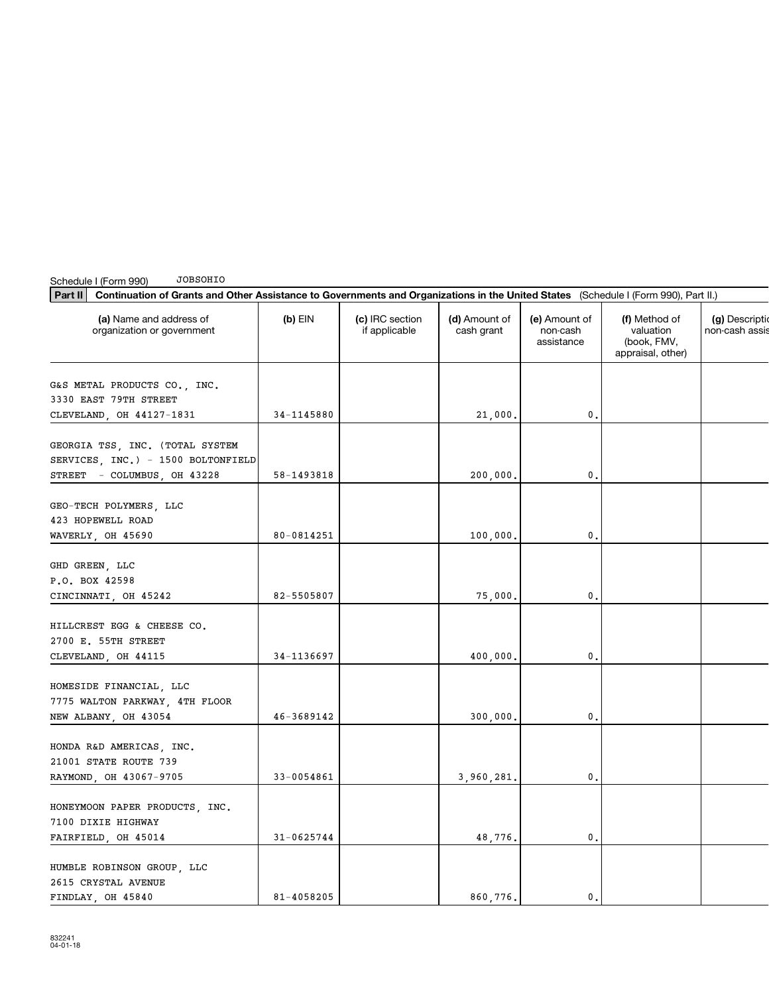| <b>JOBSOHIO</b><br>Schedule I (Form 990)                                                                                                       |                |                                  |                             |                                         |                                                                |                               |
|------------------------------------------------------------------------------------------------------------------------------------------------|----------------|----------------------------------|-----------------------------|-----------------------------------------|----------------------------------------------------------------|-------------------------------|
| Continuation of Grants and Other Assistance to Governments and Organizations in the United States (Schedule I (Form 990), Part II.)<br>Part II |                |                                  |                             |                                         |                                                                |                               |
| (a) Name and address of<br>organization or government                                                                                          | $(b)$ EIN      | (c) IRC section<br>if applicable | (d) Amount of<br>cash grant | (e) Amount of<br>non-cash<br>assistance | (f) Method of<br>valuation<br>(book, FMV,<br>appraisal, other) | (g) Descript<br>non-cash assi |
| G&S METAL PRODUCTS CO., INC.                                                                                                                   |                |                                  |                             |                                         |                                                                |                               |
| 3330 EAST 79TH STREET                                                                                                                          |                |                                  |                             |                                         |                                                                |                               |
| CLEVELAND, OH 44127-1831                                                                                                                       | 34-1145880     |                                  | 21,000.                     | 0.                                      |                                                                |                               |
| GEORGIA TSS, INC. (TOTAL SYSTEM                                                                                                                |                |                                  |                             |                                         |                                                                |                               |
| SERVICES, INC.) - 1500 BOLTONFIELD                                                                                                             |                |                                  |                             |                                         |                                                                |                               |
| STREET - COLUMBUS, OH 43228                                                                                                                    | 58-1493818     |                                  | 200,000.                    | 0.                                      |                                                                |                               |
|                                                                                                                                                |                |                                  |                             |                                         |                                                                |                               |
| GEO-TECH POLYMERS, LLC                                                                                                                         |                |                                  |                             |                                         |                                                                |                               |
| 423 HOPEWELL ROAD                                                                                                                              | 80-0814251     |                                  |                             | 0,                                      |                                                                |                               |
| WAVERLY, OH 45690                                                                                                                              |                |                                  | 100,000.                    |                                         |                                                                |                               |
| GHD GREEN, LLC                                                                                                                                 |                |                                  |                             |                                         |                                                                |                               |
| P.O. BOX 42598                                                                                                                                 |                |                                  |                             |                                         |                                                                |                               |
| CINCINNATI, OH 45242                                                                                                                           | 82-5505807     |                                  | 75,000.                     | 0.                                      |                                                                |                               |
|                                                                                                                                                |                |                                  |                             |                                         |                                                                |                               |
| HILLCREST EGG & CHEESE CO.<br>2700 E. 55TH STREET                                                                                              |                |                                  |                             |                                         |                                                                |                               |
| CLEVELAND, OH 44115                                                                                                                            | 34-1136697     |                                  | 400,000.                    | 0.                                      |                                                                |                               |
|                                                                                                                                                |                |                                  |                             |                                         |                                                                |                               |
| HOMESIDE FINANCIAL, LLC                                                                                                                        |                |                                  |                             |                                         |                                                                |                               |
| 7775 WALTON PARKWAY, 4TH FLOOR                                                                                                                 |                |                                  |                             |                                         |                                                                |                               |
| NEW ALBANY, OH 43054                                                                                                                           | 46-3689142     |                                  | 300,000.                    | 0.                                      |                                                                |                               |
|                                                                                                                                                |                |                                  |                             |                                         |                                                                |                               |
| HONDA R&D AMERICAS, INC.                                                                                                                       |                |                                  |                             |                                         |                                                                |                               |
| 21001 STATE ROUTE 739                                                                                                                          |                |                                  |                             |                                         |                                                                |                               |
| RAYMOND, OH 43067-9705                                                                                                                         | 33-0054861     |                                  | 3,960,281.                  | 0.                                      |                                                                |                               |
| HONEYMOON PAPER PRODUCTS, INC.                                                                                                                 |                |                                  |                             |                                         |                                                                |                               |
| 7100 DIXIE HIGHWAY                                                                                                                             |                |                                  |                             |                                         |                                                                |                               |
| FAIRFIELD, OH 45014                                                                                                                            | $31 - 0625744$ |                                  | 48,776.                     | 0.                                      |                                                                |                               |
|                                                                                                                                                |                |                                  |                             |                                         |                                                                |                               |
| HUMBLE ROBINSON GROUP, LLC                                                                                                                     |                |                                  |                             |                                         |                                                                |                               |
| 2615 CRYSTAL AVENUE                                                                                                                            |                |                                  |                             |                                         |                                                                |                               |
| FINDLAY OH 45840                                                                                                                               | 81-4058205     |                                  | 860 776.                    | 0.                                      |                                                                |                               |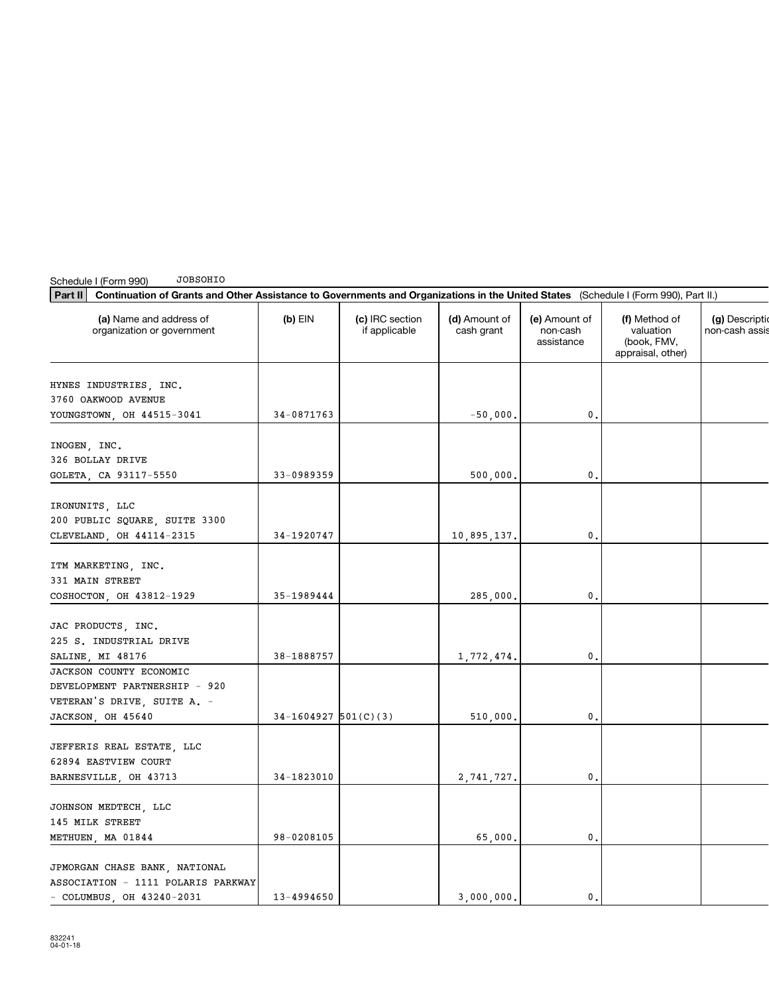| Part II<br>Continuation of Grants and Other Assistance to Governments and Organizations in the United States (Schedule I (Form 990), Part II.) |                        |                                  |                             |                                         |                                                                |                              |
|------------------------------------------------------------------------------------------------------------------------------------------------|------------------------|----------------------------------|-----------------------------|-----------------------------------------|----------------------------------------------------------------|------------------------------|
| (a) Name and address of<br>organization or government                                                                                          | $(b)$ EIN              | (c) IRC section<br>if applicable | (d) Amount of<br>cash grant | (e) Amount of<br>non-cash<br>assistance | (f) Method of<br>valuation<br>(book, FMV,<br>appraisal, other) | (g) Descript<br>non-cash ass |
|                                                                                                                                                |                        |                                  |                             |                                         |                                                                |                              |
| HYNES INDUSTRIES, INC.<br>3760 OAKWOOD AVENUE                                                                                                  |                        |                                  |                             |                                         |                                                                |                              |
| YOUNGSTOWN, OH 44515-3041                                                                                                                      | 34-0871763             |                                  | $-50,000.$                  | 0.                                      |                                                                |                              |
|                                                                                                                                                |                        |                                  |                             |                                         |                                                                |                              |
| INOGEN, INC.                                                                                                                                   |                        |                                  |                             |                                         |                                                                |                              |
| 326 BOLLAY DRIVE                                                                                                                               |                        |                                  |                             |                                         |                                                                |                              |
| GOLETA, CA 93117-5550                                                                                                                          | 33-0989359             |                                  | 500,000.                    | 0.                                      |                                                                |                              |
|                                                                                                                                                |                        |                                  |                             |                                         |                                                                |                              |
| IRONUNITS, LLC                                                                                                                                 |                        |                                  |                             |                                         |                                                                |                              |
| 200 PUBLIC SQUARE, SUITE 3300                                                                                                                  |                        |                                  |                             |                                         |                                                                |                              |
| CLEVELAND, OH 44114-2315                                                                                                                       | 34-1920747             |                                  | 10,895,137.                 | 0.                                      |                                                                |                              |
|                                                                                                                                                |                        |                                  |                             |                                         |                                                                |                              |
| ITM MARKETING, INC.                                                                                                                            |                        |                                  |                             |                                         |                                                                |                              |
| 331 MAIN STREET                                                                                                                                |                        |                                  |                             |                                         |                                                                |                              |
| COSHOCTON, OH 43812-1929                                                                                                                       | 35-1989444             |                                  | 285,000.                    | $\mathbf{0}$ .                          |                                                                |                              |
|                                                                                                                                                |                        |                                  |                             |                                         |                                                                |                              |
| JAC PRODUCTS, INC.                                                                                                                             |                        |                                  |                             |                                         |                                                                |                              |
| 225 S. INDUSTRIAL DRIVE                                                                                                                        |                        |                                  |                             |                                         |                                                                |                              |
| SALINE, MI 48176                                                                                                                               | 38-1888757             |                                  | 1,772,474.                  | 0.                                      |                                                                |                              |
| JACKSON COUNTY ECONOMIC                                                                                                                        |                        |                                  |                             |                                         |                                                                |                              |
| DEVELOPMENT PARTNERSHIP - 920                                                                                                                  |                        |                                  |                             |                                         |                                                                |                              |
| VETERAN'S DRIVE, SUITE A. -                                                                                                                    |                        |                                  |                             |                                         |                                                                |                              |
| JACKSON, OH 45640                                                                                                                              | $34-1604927$ 501(C)(3) |                                  | 510,000.                    | 0.                                      |                                                                |                              |
|                                                                                                                                                |                        |                                  |                             |                                         |                                                                |                              |
| JEFFERIS REAL ESTATE, LLC                                                                                                                      |                        |                                  |                             |                                         |                                                                |                              |
| 62894 EASTVIEW COURT                                                                                                                           |                        |                                  |                             |                                         |                                                                |                              |
| BARNESVILLE, OH 43713                                                                                                                          | 34-1823010             |                                  | 2,741,727.                  | 0.                                      |                                                                |                              |
|                                                                                                                                                |                        |                                  |                             |                                         |                                                                |                              |
| JOHNSON MEDTECH, LLC                                                                                                                           |                        |                                  |                             |                                         |                                                                |                              |
| 145 MILK STREET                                                                                                                                |                        |                                  |                             |                                         |                                                                |                              |
| METHUEN, MA 01844                                                                                                                              | 98-0208105             |                                  | 65,000.                     | 0.                                      |                                                                |                              |
|                                                                                                                                                |                        |                                  |                             |                                         |                                                                |                              |
| JPMORGAN CHASE BANK, NATIONAL                                                                                                                  |                        |                                  |                             |                                         |                                                                |                              |
| ASSOCIATION - 1111 POLARIS PARKWAY                                                                                                             |                        |                                  |                             |                                         |                                                                |                              |
| $-$ COLUMBUS, OH 43240-2031                                                                                                                    | 13-4994650             |                                  | 3,000,000.                  | 0.                                      |                                                                |                              |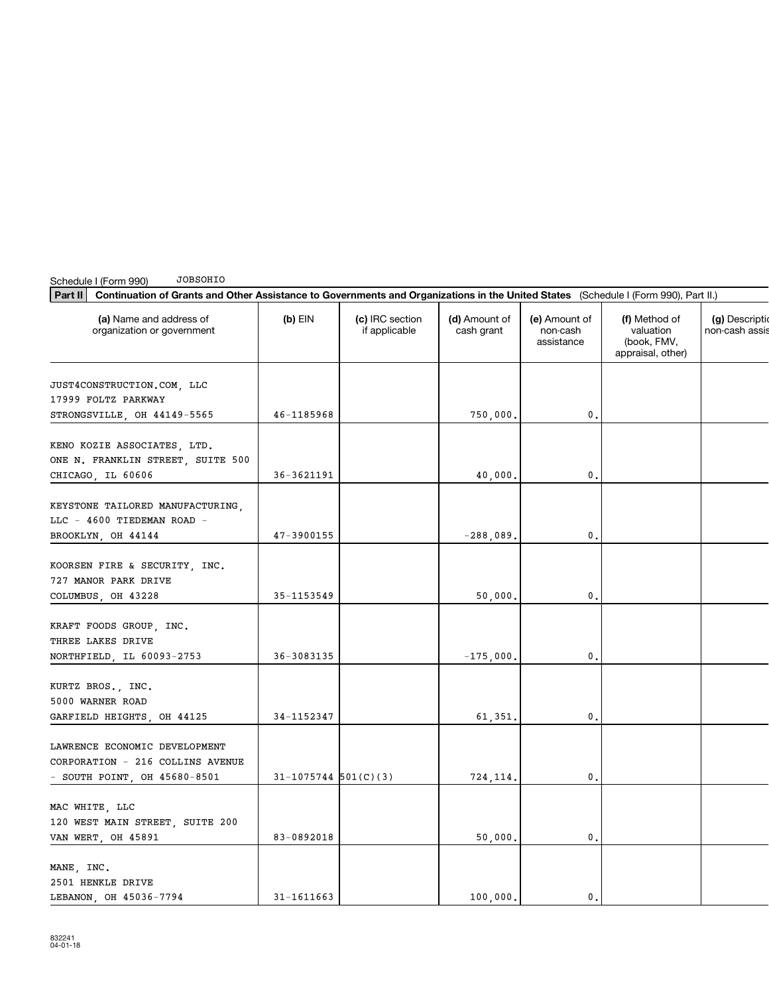| JOBSOHIO<br>Schedule I (Form 990)                                                                                                              |                          |                                  |                             |                                         |                                                                |                                   |
|------------------------------------------------------------------------------------------------------------------------------------------------|--------------------------|----------------------------------|-----------------------------|-----------------------------------------|----------------------------------------------------------------|-----------------------------------|
| Part II<br>Continuation of Grants and Other Assistance to Governments and Organizations in the United States (Schedule I (Form 990), Part II.) |                          |                                  |                             |                                         |                                                                |                                   |
| (a) Name and address of<br>organization or government                                                                                          | $(b)$ EIN                | (c) IRC section<br>if applicable | (d) Amount of<br>cash grant | (e) Amount of<br>non-cash<br>assistance | (f) Method of<br>valuation<br>(book, FMV,<br>appraisal, other) | (g) Description<br>non-cash assis |
| JUST4CONSTRUCTION.COM, LLC<br>17999 FOLTZ PARKWAY<br>STRONGSVILLE, OH 44149-5565                                                               | 46-1185968               |                                  | 750,000.                    | 0.                                      |                                                                |                                   |
| KENO KOZIE ASSOCIATES, LTD.<br>ONE N. FRANKLIN STREET, SUITE 500                                                                               |                          |                                  |                             | $\mathbf 0$ .                           |                                                                |                                   |
| CHICAGO, IL 60606<br>KEYSTONE TAILORED MANUFACTURING,<br>LLC - 4600 TIEDEMAN ROAD -                                                            | 36-3621191               |                                  | 40,000.                     |                                         |                                                                |                                   |
| BROOKLYN, OH 44144                                                                                                                             | 47-3900155               |                                  | $-288,089$ ,                | 0.                                      |                                                                |                                   |
| KOORSEN FIRE & SECURITY, INC.<br>727 MANOR PARK DRIVE                                                                                          |                          |                                  |                             |                                         |                                                                |                                   |
| COLUMBUS, OH 43228                                                                                                                             | 35-1153549               |                                  | 50,000.                     | 0.                                      |                                                                |                                   |
| KRAFT FOODS GROUP, INC.<br>THREE LAKES DRIVE<br>NORTHFIELD, IL 60093-2753                                                                      | 36-3083135               |                                  | $-175,000.$                 | $\mathbf{0}$ .                          |                                                                |                                   |
| KURTZ BROS., INC.<br>5000 WARNER ROAD<br>GARFIELD HEIGHTS, OH 44125                                                                            | 34-1152347               |                                  | 61,351.                     | 0.                                      |                                                                |                                   |
| LAWRENCE ECONOMIC DEVELOPMENT<br>CORPORATION - 216 COLLINS AVENUE<br>- SOUTH POINT, OH $45680-8501$                                            | $31 - 1075744$ 501(C)(3) |                                  | 724,114.                    | $^{\rm 0}$ .                            |                                                                |                                   |
| MAC WHITE, LLC<br>120 WEST MAIN STREET, SUITE 200<br>VAN WERT, OH 45891                                                                        | 83-0892018               |                                  | 50,000.                     | $\mathbf{0}$ .                          |                                                                |                                   |
| MANE, INC.<br>2501 HENKLE DRIVE<br>LEBANON OH 45036-7794                                                                                       | 31-1611663               |                                  | 100,000.                    | $\mathbf{0}$ .                          |                                                                |                                   |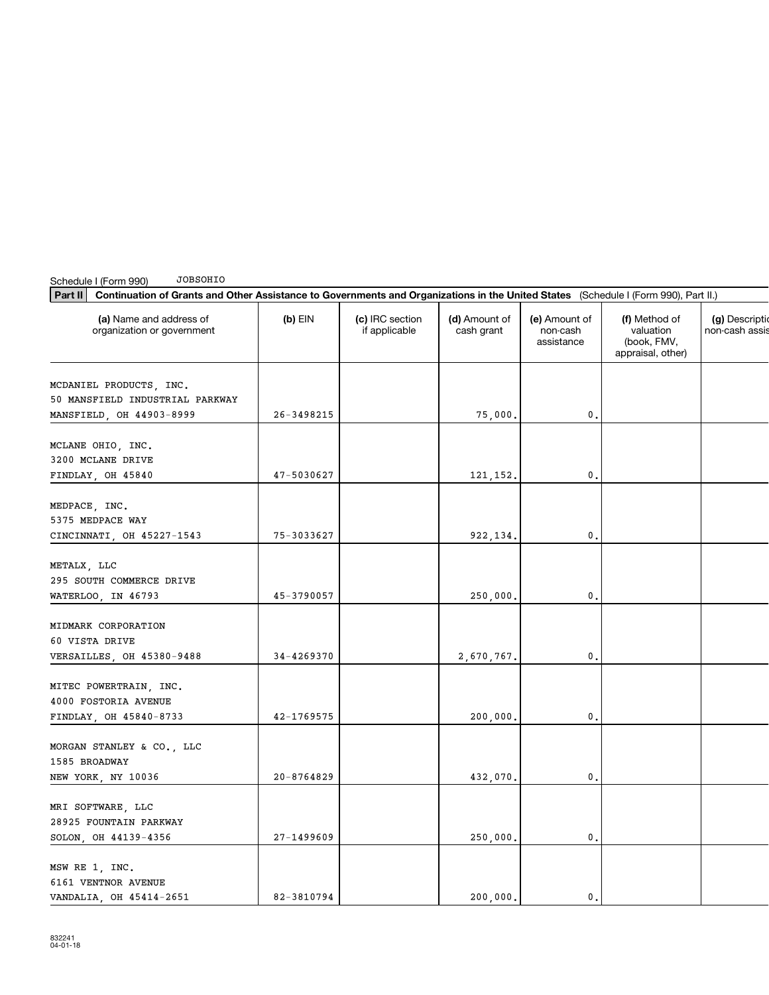| Part II<br>Continuation of Grants and Other Assistance to Governments and Organizations in the United States (Schedule I (Form 990), Part II.) |                |                                  |                             |                                         |                                                                |                                |
|------------------------------------------------------------------------------------------------------------------------------------------------|----------------|----------------------------------|-----------------------------|-----------------------------------------|----------------------------------------------------------------|--------------------------------|
| (a) Name and address of<br>organization or government                                                                                          | $(b)$ EIN      | (c) IRC section<br>if applicable | (d) Amount of<br>cash grant | (e) Amount of<br>non-cash<br>assistance | (f) Method of<br>valuation<br>(book, FMV,<br>appraisal, other) | (g) Descripti<br>non-cash assi |
| MCDANIEL PRODUCTS, INC.<br>50 MANSFIELD INDUSTRIAL PARKWAY                                                                                     |                |                                  |                             |                                         |                                                                |                                |
| MANSFIELD, OH 44903-8999                                                                                                                       | $26 - 3498215$ |                                  | 75,000.                     | 0.                                      |                                                                |                                |
| MCLANE OHIO, INC.<br>3200 MCLANE DRIVE                                                                                                         |                |                                  |                             |                                         |                                                                |                                |
| FINDLAY, OH 45840                                                                                                                              | 47-5030627     |                                  | 121, 152.                   | 0.                                      |                                                                |                                |
| MEDPACE, INC.<br>5375 MEDPACE WAY                                                                                                              |                |                                  |                             |                                         |                                                                |                                |
| CINCINNATI, OH 45227-1543                                                                                                                      | 75-3033627     |                                  | 922, 134.                   | 0.                                      |                                                                |                                |
| METALX, LLC<br>295 SOUTH COMMERCE DRIVE<br>WATERLOO, IN 46793                                                                                  | 45-3790057     |                                  | 250,000.                    | 0.                                      |                                                                |                                |
| MIDMARK CORPORATION<br>60 VISTA DRIVE<br>VERSAILLES, OH 45380-9488                                                                             | 34-4269370     |                                  | 2,670,767.                  | 0.                                      |                                                                |                                |
| MITEC POWERTRAIN, INC.<br>4000 FOSTORIA AVENUE<br>FINDLAY, OH 45840-8733                                                                       | 42-1769575     |                                  | 200,000,                    | 0.                                      |                                                                |                                |
| MORGAN STANLEY & CO., LLC<br>1585 BROADWAY<br>NEW YORK, NY 10036                                                                               | $20 - 8764829$ |                                  | 432,070.                    | 0.                                      |                                                                |                                |
| MRI SOFTWARE, LLC<br>28925 FOUNTAIN PARKWAY<br>SOLON, OH 44139-4356                                                                            | $27 - 1499609$ |                                  | 250,000.                    | 0.                                      |                                                                |                                |
| MSW RE 1, INC.<br>6161 VENTNOR AVENUE<br>VANDALIA, OH 45414-2651                                                                               | 82-3810794     |                                  | 200,000.                    | 0.                                      |                                                                |                                |

Schedule I (Form 990)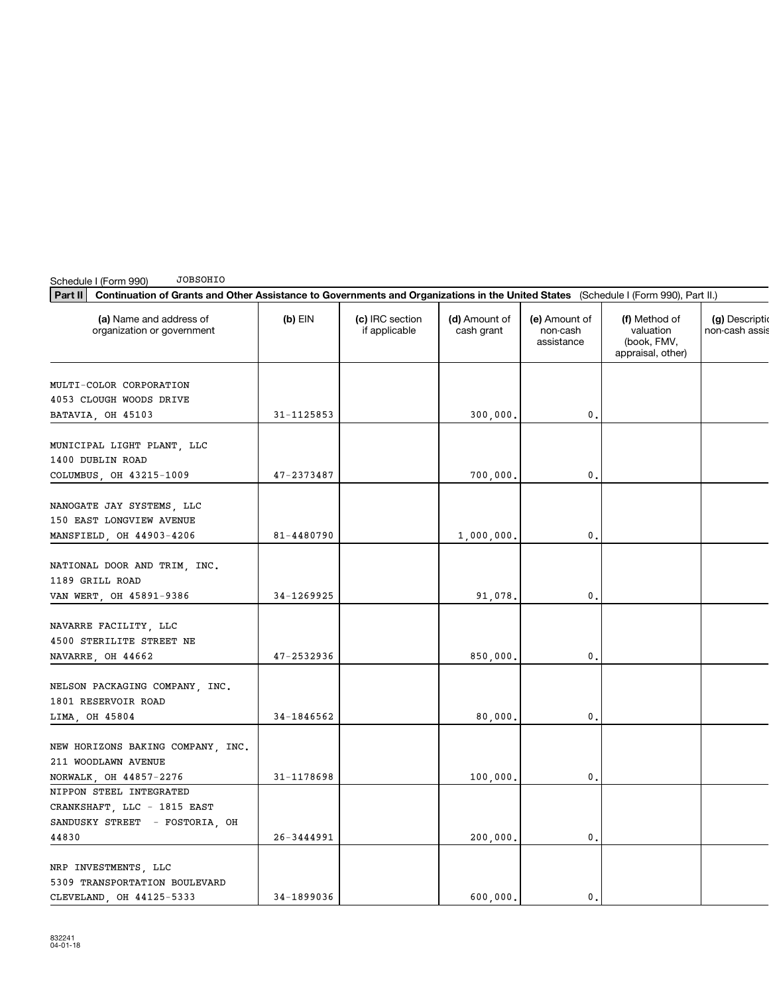| Part II<br>Continuation of Grants and Other Assistance to Governments and Organizations in the United States (Schedule I (Form 990), Part II.) |                |                                  |                             |                                         |                                                                |                               |
|------------------------------------------------------------------------------------------------------------------------------------------------|----------------|----------------------------------|-----------------------------|-----------------------------------------|----------------------------------------------------------------|-------------------------------|
| (a) Name and address of<br>organization or government                                                                                          | $(b)$ EIN      | (c) IRC section<br>if applicable | (d) Amount of<br>cash grant | (e) Amount of<br>non-cash<br>assistance | (f) Method of<br>valuation<br>(book, FMV,<br>appraisal, other) | (g) Descript<br>non-cash assi |
| MULTI-COLOR CORPORATION<br>4053 CLOUGH WOODS DRIVE<br>BATAVIA, OH 45103                                                                        | 31-1125853     |                                  | 300,000.                    | 0.                                      |                                                                |                               |
| MUNICIPAL LIGHT PLANT, LLC<br>1400 DUBLIN ROAD<br>COLUMBUS, OH 43215-1009                                                                      | 47-2373487     |                                  | 700,000.                    | 0.                                      |                                                                |                               |
| NANOGATE JAY SYSTEMS, LLC<br>150 EAST LONGVIEW AVENUE<br>MANSFIELD, OH 44903-4206                                                              | 81-4480790     |                                  | 1,000,000.                  | 0.                                      |                                                                |                               |
| NATIONAL DOOR AND TRIM, INC.<br>1189 GRILL ROAD<br>VAN WERT, OH 45891-9386                                                                     | 34-1269925     |                                  | 91,078.                     | 0.                                      |                                                                |                               |
| NAVARRE FACILITY, LLC<br>4500 STERILITE STREET NE<br>NAVARRE, OH 44662                                                                         | 47-2532936     |                                  | 850,000.                    | 0.                                      |                                                                |                               |
| NELSON PACKAGING COMPANY, INC.<br>1801 RESERVOIR ROAD<br>LIMA, OH 45804                                                                        | 34-1846562     |                                  | 80,000.                     | 0.                                      |                                                                |                               |
| NEW HORIZONS BAKING COMPANY, INC.<br>211 WOODLAWN AVENUE<br>NORWALK, OH 44857-2276                                                             | 31-1178698     |                                  | 100,000.                    | 0.                                      |                                                                |                               |
| NIPPON STEEL INTEGRATED<br>CRANKSHAFT, LLC - 1815 EAST<br>SANDUSKY STREET - FOSTORIA, OH<br>44830                                              | $26 - 3444991$ |                                  | 200,000.                    | 0.                                      |                                                                |                               |
| NRP INVESTMENTS, LLC<br>5309 TRANSPORTATION BOULEVARD<br>CLEVELAND, OH 44125-5333                                                              | 34-1899036     |                                  | 600,000.                    | 0.                                      |                                                                |                               |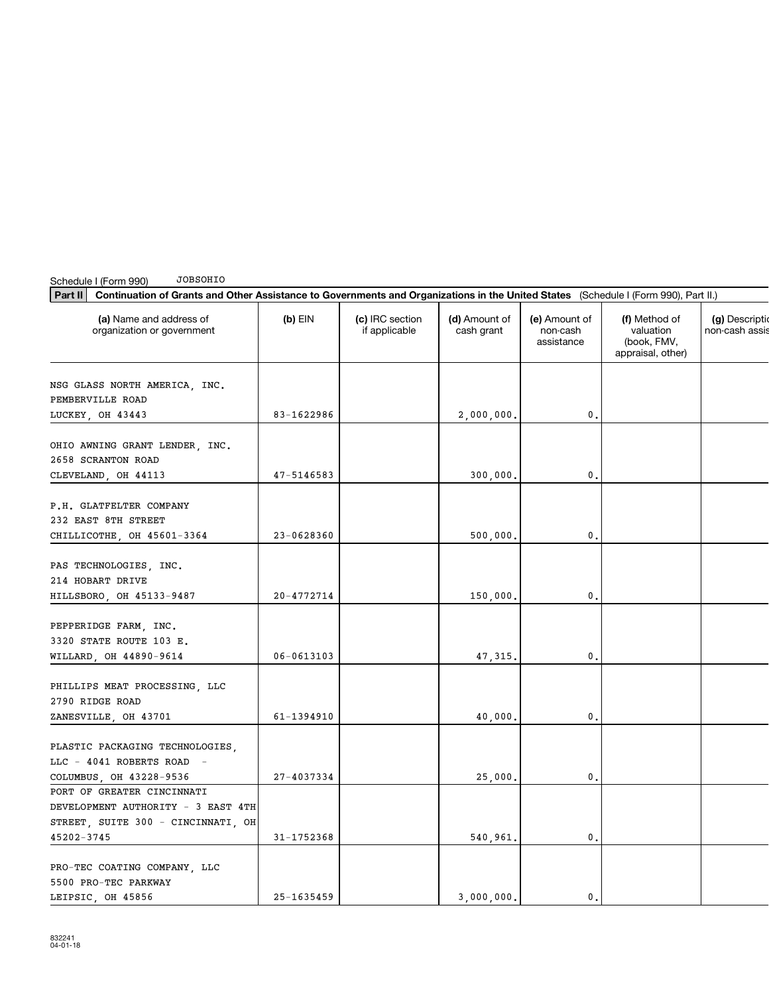| Part II<br>Continuation of Grants and Other Assistance to Governments and Organizations in the United States (Schedule I (Form 990), Part II.) |                |                                  |                             |                                         |                                                                |                               |
|------------------------------------------------------------------------------------------------------------------------------------------------|----------------|----------------------------------|-----------------------------|-----------------------------------------|----------------------------------------------------------------|-------------------------------|
| (a) Name and address of<br>organization or government                                                                                          | $(b)$ EIN      | (c) IRC section<br>if applicable | (d) Amount of<br>cash grant | (e) Amount of<br>non-cash<br>assistance | (f) Method of<br>valuation<br>(book, FMV,<br>appraisal, other) | (g) Descript<br>non-cash assi |
| NSG GLASS NORTH AMERICA, INC.<br>PEMBERVILLE ROAD                                                                                              |                |                                  |                             |                                         |                                                                |                               |
| LUCKEY, OH 43443                                                                                                                               | 83-1622986     |                                  | 2,000,000.                  | $\mathbf{0}$ .                          |                                                                |                               |
| OHIO AWNING GRANT LENDER, INC.<br>2658 SCRANTON ROAD                                                                                           |                |                                  |                             |                                         |                                                                |                               |
| CLEVELAND, OH 44113                                                                                                                            | 47-5146583     |                                  | 300,000.                    | 0.                                      |                                                                |                               |
| P.H. GLATFELTER COMPANY<br>232 EAST 8TH STREET                                                                                                 |                |                                  |                             |                                         |                                                                |                               |
| CHILLICOTHE, OH 45601-3364                                                                                                                     | 23-0628360     |                                  | 500,000.                    | 0.                                      |                                                                |                               |
| PAS TECHNOLOGIES, INC.<br>214 HOBART DRIVE<br>HILLSBORO, OH 45133-9487                                                                         | 20-4772714     |                                  | 150,000.                    | 0.                                      |                                                                |                               |
|                                                                                                                                                |                |                                  |                             |                                         |                                                                |                               |
| PEPPERIDGE FARM, INC.<br>3320 STATE ROUTE 103 E.<br>WILLARD, OH 44890-9614                                                                     | $06 - 0613103$ |                                  | 47, 315.                    | 0.                                      |                                                                |                               |
|                                                                                                                                                |                |                                  |                             |                                         |                                                                |                               |
| PHILLIPS MEAT PROCESSING, LLC<br>2790 RIDGE ROAD                                                                                               |                |                                  |                             |                                         |                                                                |                               |
| ZANESVILLE, OH 43701                                                                                                                           | 61-1394910     |                                  | 40,000.                     | 0.                                      |                                                                |                               |
| PLASTIC PACKAGING TECHNOLOGIES,<br>LLC - 4041 ROBERTS ROAD -                                                                                   |                |                                  |                             |                                         |                                                                |                               |
| COLUMBUS, OH 43228-9536                                                                                                                        | 27-4037334     |                                  | 25,000.                     | 0.                                      |                                                                |                               |
| PORT OF GREATER CINCINNATI<br>DEVELOPMENT AUTHORITY - 3 EAST 4TH                                                                               |                |                                  |                             |                                         |                                                                |                               |
| STREET, SUITE 300 - CINCINNATI, OH<br>45202-3745                                                                                               | 31-1752368     |                                  |                             | $\mathbf{0}$ .                          |                                                                |                               |
|                                                                                                                                                |                |                                  | 540,961.                    |                                         |                                                                |                               |
| PRO-TEC COATING COMPANY, LLC<br>5500 PRO-TEC PARKWAY                                                                                           |                |                                  |                             |                                         |                                                                |                               |
| LEIPSIC, OH 45856                                                                                                                              | $25 - 1635459$ |                                  | 3,000,000.                  | 0.                                      |                                                                |                               |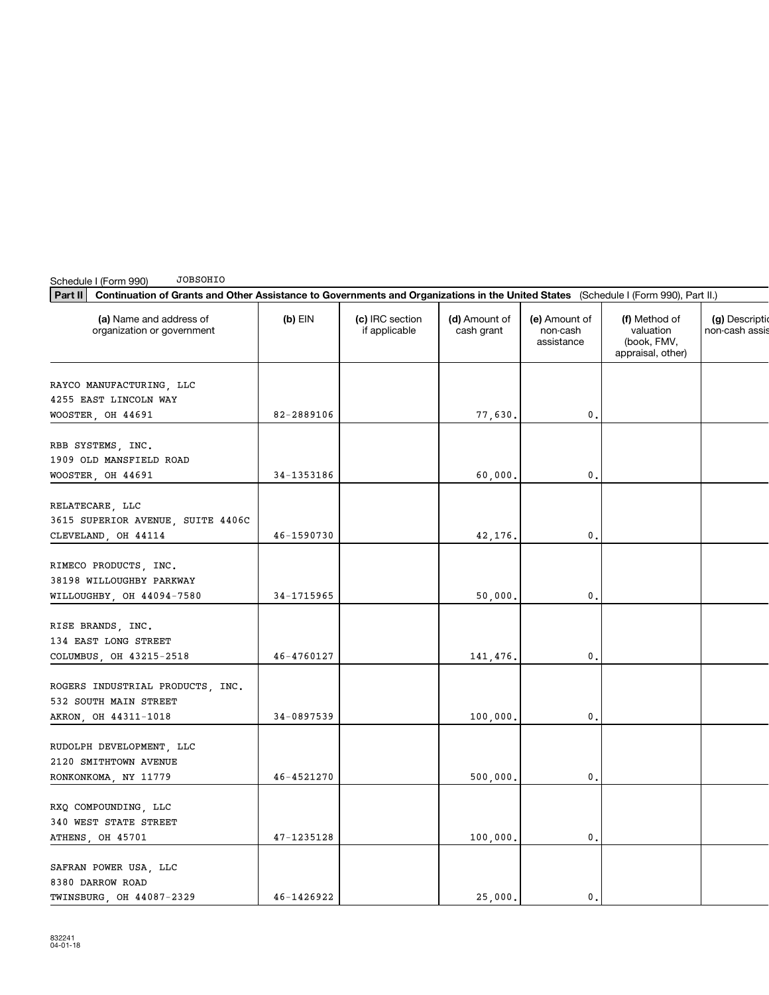| Part II<br>Continuation of Grants and Other Assistance to Governments and Organizations in the United States (Schedule I (Form 990), Part II.) |            |                                  |                             |                                         |                                                                |                                |
|------------------------------------------------------------------------------------------------------------------------------------------------|------------|----------------------------------|-----------------------------|-----------------------------------------|----------------------------------------------------------------|--------------------------------|
| (a) Name and address of<br>organization or government                                                                                          | $(b)$ EIN  | (c) IRC section<br>if applicable | (d) Amount of<br>cash grant | (e) Amount of<br>non-cash<br>assistance | (f) Method of<br>valuation<br>(book, FMV,<br>appraisal, other) | (g) Descripti<br>non-cash assi |
| RAYCO MANUFACTURING, LLC<br>4255 EAST LINCOLN WAY                                                                                              |            |                                  |                             |                                         |                                                                |                                |
| WOOSTER, OH 44691                                                                                                                              | 82-2889106 |                                  | 77,630.                     | 0.                                      |                                                                |                                |
| RBB SYSTEMS, INC.<br>1909 OLD MANSFIELD ROAD<br>WOOSTER, OH 44691                                                                              | 34-1353186 |                                  | 60,000.                     | 0.                                      |                                                                |                                |
| RELATECARE, LLC<br>3615 SUPERIOR AVENUE, SUITE 4406C<br>CLEVELAND, OH 44114                                                                    | 46-1590730 |                                  | 42,176.                     | 0.                                      |                                                                |                                |
| RIMECO PRODUCTS, INC.<br>38198 WILLOUGHBY PARKWAY<br>WILLOUGHBY, OH 44094-7580                                                                 | 34-1715965 |                                  | 50,000.                     | 0.                                      |                                                                |                                |
| RISE BRANDS, INC.<br>134 EAST LONG STREET<br>COLUMBUS, OH 43215-2518                                                                           | 46-4760127 |                                  | 141,476.                    | 0.                                      |                                                                |                                |
| ROGERS INDUSTRIAL PRODUCTS, INC.<br>532 SOUTH MAIN STREET<br>AKRON, OH 44311-1018                                                              | 34-0897539 |                                  | 100,000.                    | 0.                                      |                                                                |                                |
| RUDOLPH DEVELOPMENT, LLC<br>2120 SMITHTOWN AVENUE<br>RONKONKOMA, NY 11779                                                                      | 46-4521270 |                                  | 500,000.                    | 0.                                      |                                                                |                                |
| RXQ COMPOUNDING, LLC<br>340 WEST STATE STREET<br>ATHENS, OH 45701                                                                              | 47-1235128 |                                  | 100,000.                    | 0.                                      |                                                                |                                |
| SAFRAN POWER USA, LLC<br>8380 DARROW ROAD<br>TWINSBURG OH 44087-2329                                                                           | 46-1426922 |                                  | 25,000.                     | 0.                                      |                                                                |                                |

Schedule I (Form 990)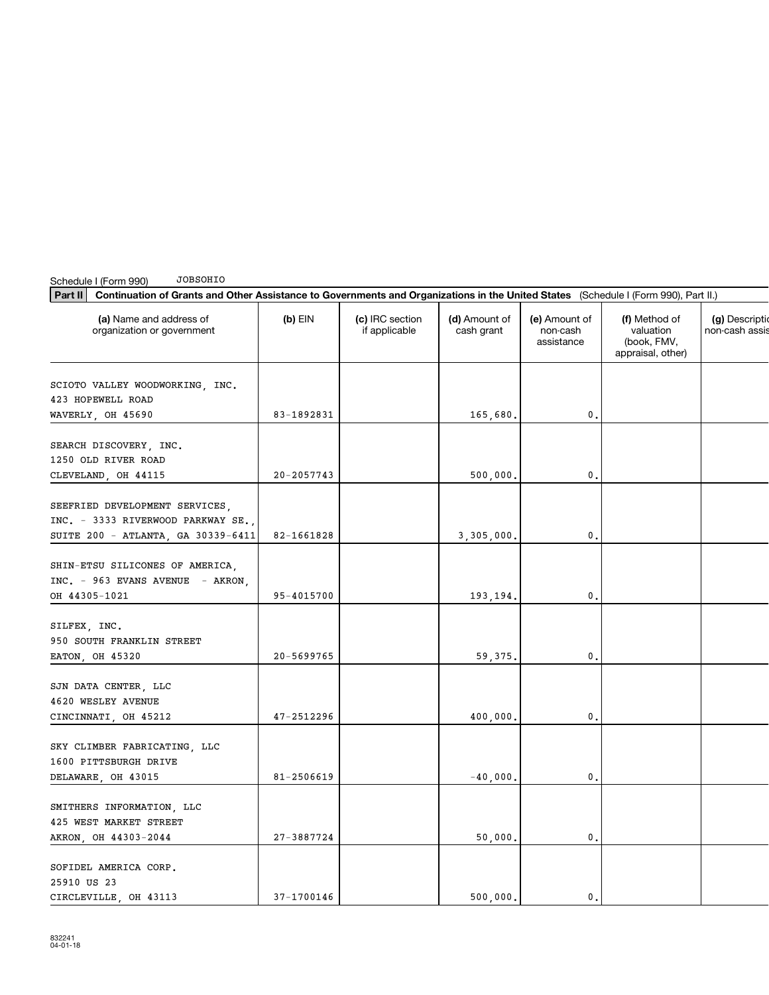| Part II<br>Continuation of Grants and Other Assistance to Governments and Organizations in the United States (Schedule I (Form 990), Part II.) |                |                                  |                             |                                         |                                                                |                               |
|------------------------------------------------------------------------------------------------------------------------------------------------|----------------|----------------------------------|-----------------------------|-----------------------------------------|----------------------------------------------------------------|-------------------------------|
| (a) Name and address of<br>organization or government                                                                                          | $(b)$ EIN      | (c) IRC section<br>if applicable | (d) Amount of<br>cash grant | (e) Amount of<br>non-cash<br>assistance | (f) Method of<br>valuation<br>(book, FMV,<br>appraisal, other) | (g) Descript<br>non-cash assi |
| SCIOTO VALLEY WOODWORKING, INC.<br>423 HOPEWELL ROAD<br>WAVERLY, OH 45690                                                                      | 83-1892831     |                                  | 165,680.                    | 0.                                      |                                                                |                               |
| SEARCH DISCOVERY, INC.<br>1250 OLD RIVER ROAD<br>CLEVELAND, OH 44115                                                                           | $20 - 2057743$ |                                  | 500,000.                    | 0.                                      |                                                                |                               |
| SEEFRIED DEVELOPMENT SERVICES,<br>INC. - 3333 RIVERWOOD PARKWAY SE.,<br>SUITE 200 - ATLANTA, GA 30339-6411                                     | 82-1661828     |                                  | 3,305,000.                  | 0.                                      |                                                                |                               |
| SHIN-ETSU SILICONES OF AMERICA,<br>INC. - 963 EVANS AVENUE - AKRON,<br>OH 44305-1021                                                           | 95-4015700     |                                  | 193,194.                    | 0.                                      |                                                                |                               |
| SILFEX, INC.<br>950 SOUTH FRANKLIN STREET<br>EATON, OH 45320                                                                                   | 20-5699765     |                                  | 59,375.                     | 0.                                      |                                                                |                               |
| SJN DATA CENTER, LLC<br>4620 WESLEY AVENUE<br>CINCINNATI, OH 45212                                                                             | 47-2512296     |                                  | 400,000.                    | 0.                                      |                                                                |                               |
| SKY CLIMBER FABRICATING, LLC<br>1600 PITTSBURGH DRIVE<br>DELAWARE, OH 43015                                                                    | 81-2506619     |                                  | $-40,000.$                  | 0.                                      |                                                                |                               |
| SMITHERS INFORMATION, LLC<br>425 WEST MARKET STREET<br>AKRON, OH 44303-2044                                                                    | 27-3887724     |                                  | 50,000.                     | 0.                                      |                                                                |                               |
| SOFIDEL AMERICA CORP.<br>25910 US 23<br>CIRCLEVILLE OH 43113                                                                                   | 37-1700146     |                                  | 500,000.                    | 0.                                      |                                                                |                               |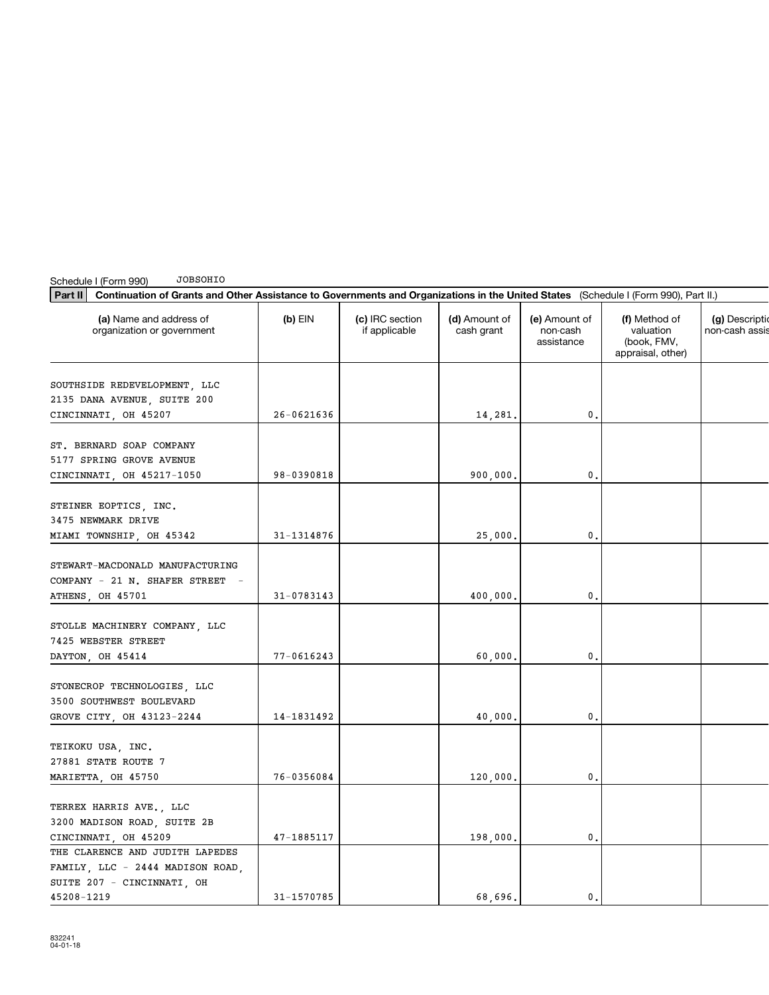| Continuation of Grants and Other Assistance to Governments and Organizations in the United States (Schedule I (Form 990), Part II.)<br>Part II |                |                                  |                             |                                         |                                                                |                               |
|------------------------------------------------------------------------------------------------------------------------------------------------|----------------|----------------------------------|-----------------------------|-----------------------------------------|----------------------------------------------------------------|-------------------------------|
| (a) Name and address of<br>organization or government                                                                                          | $(b)$ EIN      | (c) IRC section<br>if applicable | (d) Amount of<br>cash grant | (e) Amount of<br>non-cash<br>assistance | (f) Method of<br>valuation<br>(book, FMV,<br>appraisal, other) | (g) Descript<br>non-cash assi |
| SOUTHSIDE REDEVELOPMENT, LLC<br>2135 DANA AVENUE, SUITE 200<br>CINCINNATI, OH 45207                                                            | $26 - 0621636$ |                                  | 14,281.                     | 0.                                      |                                                                |                               |
| ST. BERNARD SOAP COMPANY<br>5177 SPRING GROVE AVENUE<br>CINCINNATI, OH 45217-1050                                                              | 98-0390818     |                                  | 900,000.                    | 0.                                      |                                                                |                               |
| STEINER EOPTICS, INC.<br>3475 NEWMARK DRIVE<br>MIAMI TOWNSHIP, OH 45342                                                                        | 31-1314876     |                                  | 25,000.                     | 0.                                      |                                                                |                               |
| STEWART-MACDONALD MANUFACTURING<br>COMPANY - 21 N. SHAFER STREET<br>ATHENS, OH 45701                                                           | 31-0783143     |                                  | 400,000.                    | 0.                                      |                                                                |                               |
| STOLLE MACHINERY COMPANY, LLC<br>7425 WEBSTER STREET<br>DAYTON, OH 45414                                                                       | 77-0616243     |                                  | 60,000.                     | 0.                                      |                                                                |                               |
| STONECROP TECHNOLOGIES, LLC<br>3500 SOUTHWEST BOULEVARD<br>GROVE CITY, OH 43123-2244                                                           | 14-1831492     |                                  | 40,000,                     | 0.                                      |                                                                |                               |
| TEIKOKU USA, INC.<br>27881 STATE ROUTE 7<br>MARIETTA, OH 45750                                                                                 | 76-0356084     |                                  | 120,000.                    | 0.                                      |                                                                |                               |
| TERREX HARRIS AVE., LLC<br>3200 MADISON ROAD, SUITE 2B<br>CINCINNATI, OH 45209                                                                 | 47-1885117     |                                  | 198,000.                    | 0.                                      |                                                                |                               |
| THE CLARENCE AND JUDITH LAPEDES<br>FAMILY, LLC - 2444 MADISON ROAD,<br>SUITE 207 - CINCINNATI, OH<br>45208-1219                                | 31-1570785     |                                  | 68,696.                     | 0.                                      |                                                                |                               |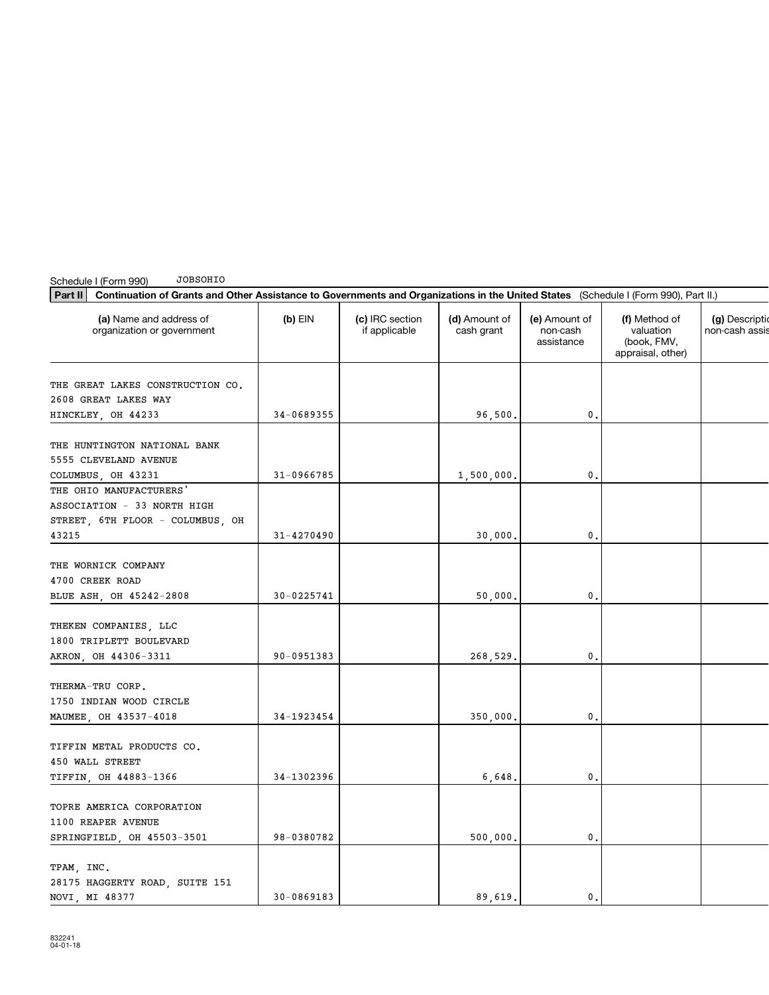| Part II<br>Continuation of Grants and Other Assistance to Governments and Organizations in the United States (Schedule I (Form 990), Part II.) |                |                                  |                             |                                         |                                                                |                               |
|------------------------------------------------------------------------------------------------------------------------------------------------|----------------|----------------------------------|-----------------------------|-----------------------------------------|----------------------------------------------------------------|-------------------------------|
| (a) Name and address of<br>organization or government                                                                                          | $(b)$ EIN      | (c) IRC section<br>if applicable | (d) Amount of<br>cash grant | (e) Amount of<br>non-cash<br>assistance | (f) Method of<br>valuation<br>(book, FMV,<br>appraisal, other) | (g) Descript<br>non-cash assi |
| THE GREAT LAKES CONSTRUCTION CO.<br>2608 GREAT LAKES WAY                                                                                       |                |                                  |                             |                                         |                                                                |                               |
| HINCKLEY, OH 44233                                                                                                                             | 34-0689355     |                                  | 96,500.                     | 0.                                      |                                                                |                               |
| THE HUNTINGTON NATIONAL BANK<br>5555 CLEVELAND AVENUE                                                                                          |                |                                  |                             |                                         |                                                                |                               |
| COLUMBUS, OH 43231<br>THE OHIO MANUFACTURERS'                                                                                                  | $31 - 0966785$ |                                  | 1,500,000.                  | 0.                                      |                                                                |                               |
| ASSOCIATION - 33 NORTH HIGH<br>STREET, 6TH FLOOR - COLUMBUS, OH                                                                                |                |                                  |                             |                                         |                                                                |                               |
| 43215                                                                                                                                          | 31-4270490     |                                  | 30,000.                     | 0.                                      |                                                                |                               |
| THE WORNICK COMPANY<br>4700 CREEK ROAD<br>BLUE ASH, OH 45242-2808                                                                              | 30-0225741     |                                  | 50,000.                     | 0.                                      |                                                                |                               |
| THEKEN COMPANIES, LLC<br>1800 TRIPLETT BOULEVARD<br>AKRON, OH 44306-3311                                                                       | 90-0951383     |                                  | 268,529.                    | 0.                                      |                                                                |                               |
| THERMA-TRU CORP.<br>1750 INDIAN WOOD CIRCLE<br>MAUMEE, OH 43537-4018                                                                           | 34-1923454     |                                  | 350,000.                    | 0.                                      |                                                                |                               |
| TIFFIN METAL PRODUCTS CO.<br>450 WALL STREET<br>TIFFIN, OH 44883-1366                                                                          | 34-1302396     |                                  | 6,648.                      | 0.                                      |                                                                |                               |
| TOPRE AMERICA CORPORATION<br>1100 REAPER AVENUE<br>SPRINGFIELD, OH 45503-3501                                                                  | 98-0380782     |                                  | 500,000.                    | 0.                                      |                                                                |                               |
| TPAM, INC.<br>28175 HAGGERTY ROAD, SUITE 151<br>NOVI MI 48377                                                                                  | $30 - 0869183$ |                                  | 89 619.                     | 0                                       |                                                                |                               |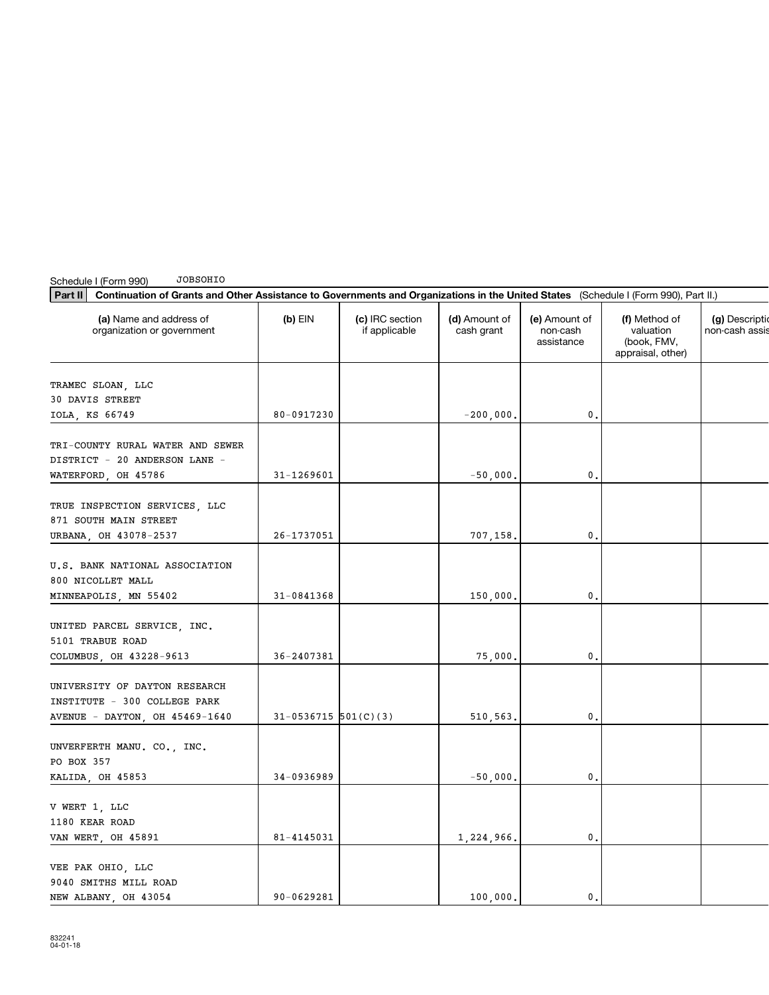| Schedule I (Form 990)<br><b>JOBSOHIO</b><br>Part II<br>Continuation of Grants and Other Assistance to Governments and Organizations in the United States (Schedule I (Form 990), Part II.) |                          |                                  |                             |                                         |                                                                |                                   |  |
|--------------------------------------------------------------------------------------------------------------------------------------------------------------------------------------------|--------------------------|----------------------------------|-----------------------------|-----------------------------------------|----------------------------------------------------------------|-----------------------------------|--|
| (a) Name and address of<br>organization or government                                                                                                                                      | $(b)$ EIN                | (c) IRC section<br>if applicable | (d) Amount of<br>cash grant | (e) Amount of<br>non-cash<br>assistance | (f) Method of<br>valuation<br>(book, FMV,<br>appraisal, other) | (g) Description<br>non-cash assis |  |
| TRAMEC SLOAN, LLC                                                                                                                                                                          |                          |                                  |                             |                                         |                                                                |                                   |  |
| 30 DAVIS STREET                                                                                                                                                                            |                          |                                  |                             |                                         |                                                                |                                   |  |
| IOLA, KS 66749                                                                                                                                                                             | 80-0917230               |                                  | $-200,000.$                 | $\mathbf 0$                             |                                                                |                                   |  |
| TRI-COUNTY RURAL WATER AND SEWER                                                                                                                                                           |                          |                                  |                             |                                         |                                                                |                                   |  |
| DISTRICT - 20 ANDERSON LANE -                                                                                                                                                              |                          |                                  |                             |                                         |                                                                |                                   |  |
| WATERFORD, OH 45786                                                                                                                                                                        | 31-1269601               |                                  | $-50,000.$                  | 0.                                      |                                                                |                                   |  |
| TRUE INSPECTION SERVICES, LLC                                                                                                                                                              |                          |                                  |                             |                                         |                                                                |                                   |  |
| 871 SOUTH MAIN STREET                                                                                                                                                                      |                          |                                  |                             |                                         |                                                                |                                   |  |
| URBANA, OH 43078-2537                                                                                                                                                                      | 26-1737051               |                                  | 707,158.                    | $\mathbf{0}$ .                          |                                                                |                                   |  |
|                                                                                                                                                                                            |                          |                                  |                             |                                         |                                                                |                                   |  |
| U.S. BANK NATIONAL ASSOCIATION                                                                                                                                                             |                          |                                  |                             |                                         |                                                                |                                   |  |
| 800 NICOLLET MALL                                                                                                                                                                          |                          |                                  |                             |                                         |                                                                |                                   |  |
| MINNEAPOLIS, MN 55402                                                                                                                                                                      | 31-0841368               |                                  | 150,000.                    | $\mathbf 0$ .                           |                                                                |                                   |  |
|                                                                                                                                                                                            |                          |                                  |                             |                                         |                                                                |                                   |  |
| UNITED PARCEL SERVICE, INC.<br>5101 TRABUE ROAD                                                                                                                                            |                          |                                  |                             |                                         |                                                                |                                   |  |
| COLUMBUS, OH 43228-9613                                                                                                                                                                    | 36-2407381               |                                  | 75,000.                     | 0.                                      |                                                                |                                   |  |
|                                                                                                                                                                                            |                          |                                  |                             |                                         |                                                                |                                   |  |
| UNIVERSITY OF DAYTON RESEARCH                                                                                                                                                              |                          |                                  |                             |                                         |                                                                |                                   |  |
| INSTITUTE - 300 COLLEGE PARK                                                                                                                                                               |                          |                                  |                             |                                         |                                                                |                                   |  |
| AVENUE - DAYTON, OH 45469-1640                                                                                                                                                             | $31-0536715$ $501(C)(3)$ |                                  | 510,563.                    | 0.                                      |                                                                |                                   |  |
|                                                                                                                                                                                            |                          |                                  |                             |                                         |                                                                |                                   |  |
| UNVERFERTH MANU. CO., INC.<br>PO BOX 357                                                                                                                                                   |                          |                                  |                             |                                         |                                                                |                                   |  |
| KALIDA, OH 45853                                                                                                                                                                           | 34-0936989               |                                  | $-50,000,$                  | $\mathbf 0$ .                           |                                                                |                                   |  |
|                                                                                                                                                                                            |                          |                                  |                             |                                         |                                                                |                                   |  |
| V WERT 1, LLC                                                                                                                                                                              |                          |                                  |                             |                                         |                                                                |                                   |  |
| 1180 KEAR ROAD                                                                                                                                                                             |                          |                                  |                             |                                         |                                                                |                                   |  |
| VAN WERT, OH 45891                                                                                                                                                                         | 81-4145031               |                                  | 1,224,966.                  | $\mathbf 0$ .                           |                                                                |                                   |  |
| VEE PAK OHIO, LLC                                                                                                                                                                          |                          |                                  |                             |                                         |                                                                |                                   |  |
| 9040 SMITHS MILL ROAD                                                                                                                                                                      |                          |                                  |                             |                                         |                                                                |                                   |  |
| NEW ALBANY, OH 43054                                                                                                                                                                       | 90-0629281               |                                  | 100,000.                    | 0.                                      |                                                                |                                   |  |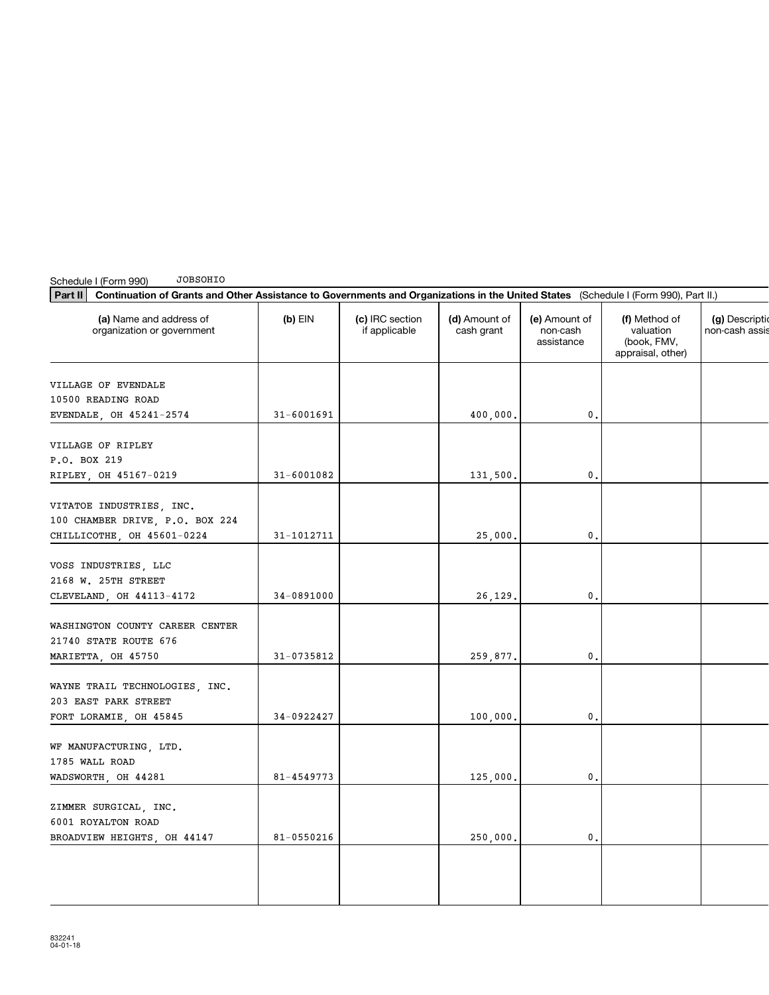| <b>JOBSOHIO</b><br>Schedule I (Form 990)<br>Continuation of Grants and Other Assistance to Governments and Organizations in the United States (Schedule I (Form 990), Part II.)<br>Part II |                |                                  |                             |                                         |                                                                |                              |
|--------------------------------------------------------------------------------------------------------------------------------------------------------------------------------------------|----------------|----------------------------------|-----------------------------|-----------------------------------------|----------------------------------------------------------------|------------------------------|
| (a) Name and address of<br>organization or government                                                                                                                                      | $(b)$ EIN      | (c) IRC section<br>if applicable | (d) Amount of<br>cash grant | (e) Amount of<br>non-cash<br>assistance | (f) Method of<br>valuation<br>(book, FMV,<br>appraisal, other) | (g) Descript<br>non-cash ass |
| VILLAGE OF EVENDALE                                                                                                                                                                        |                |                                  |                             |                                         |                                                                |                              |
| 10500 READING ROAD                                                                                                                                                                         |                |                                  |                             |                                         |                                                                |                              |
| EVENDALE, OH 45241-2574                                                                                                                                                                    | $31 - 6001691$ |                                  | 400,000.                    | 0.                                      |                                                                |                              |
| VILLAGE OF RIPLEY<br>P.O. BOX 219                                                                                                                                                          |                |                                  |                             |                                         |                                                                |                              |
| RIPLEY, OH 45167-0219                                                                                                                                                                      | $31 - 6001082$ |                                  | 131,500.                    | 0.                                      |                                                                |                              |
| VITATOE INDUSTRIES, INC.<br>100 CHAMBER DRIVE, P.O. BOX 224                                                                                                                                |                |                                  |                             |                                         |                                                                |                              |
| CHILLICOTHE, OH 45601-0224                                                                                                                                                                 | 31-1012711     |                                  | 25,000.                     | 0.                                      |                                                                |                              |
| VOSS INDUSTRIES, LLC<br>2168 W. 25TH STREET<br>CLEVELAND, OH 44113-4172                                                                                                                    | 34-0891000     |                                  | 26,129.                     | $\mathbf{0}$                            |                                                                |                              |
|                                                                                                                                                                                            |                |                                  |                             |                                         |                                                                |                              |
| WASHINGTON COUNTY CAREER CENTER<br>21740 STATE ROUTE 676                                                                                                                                   |                |                                  |                             |                                         |                                                                |                              |
| MARIETTA, OH 45750                                                                                                                                                                         | 31-0735812     |                                  | 259,877.                    | 0.                                      |                                                                |                              |
| WAYNE TRAIL TECHNOLOGIES, INC.<br>203 EAST PARK STREET                                                                                                                                     | 34-0922427     |                                  |                             | 0.                                      |                                                                |                              |
| FORT LORAMIE, OH 45845                                                                                                                                                                     |                |                                  | 100,000.                    |                                         |                                                                |                              |
| WF MANUFACTURING, LTD.<br>1785 WALL ROAD<br>WADSWORTH, OH 44281                                                                                                                            | 81-4549773     |                                  | 125,000.                    | 0.                                      |                                                                |                              |
| ZIMMER SURGICAL, INC.<br>6001 ROYALTON ROAD                                                                                                                                                |                |                                  |                             |                                         |                                                                |                              |
| BROADVIEW HEIGHTS, OH 44147                                                                                                                                                                | 81-0550216     |                                  | 250,000.                    | 0.                                      |                                                                |                              |
|                                                                                                                                                                                            |                |                                  |                             |                                         |                                                                |                              |
|                                                                                                                                                                                            |                |                                  |                             |                                         |                                                                |                              |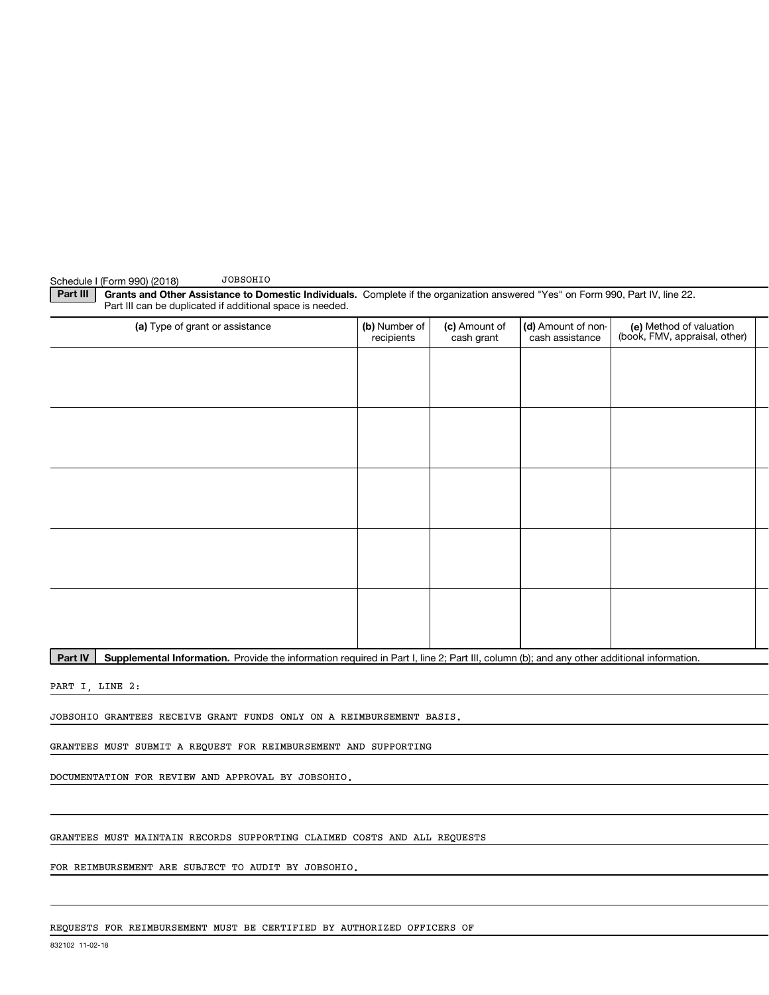### **JOBSOHIO** Schedule I (Form 990) (2018)

Part III

| (a) Type of grant or assistance | (b) Number of<br>recipients | (c) Amount of<br>cash grant | (d) Amount of non-<br>cash assistance | (e) Method of valuation<br>(book, FMV, appraisal, other) |
|---------------------------------|-----------------------------|-----------------------------|---------------------------------------|----------------------------------------------------------|
|                                 |                             |                             |                                       |                                                          |
|                                 |                             |                             |                                       |                                                          |
|                                 |                             |                             |                                       |                                                          |
|                                 |                             |                             |                                       |                                                          |
|                                 |                             |                             |                                       |                                                          |
|                                 |                             |                             |                                       |                                                          |
|                                 |                             |                             |                                       |                                                          |
|                                 |                             |                             |                                       |                                                          |
|                                 |                             |                             |                                       |                                                          |
|                                 |                             |                             |                                       |                                                          |
|                                 |                             |                             |                                       |                                                          |
|                                 |                             |                             |                                       |                                                          |
|                                 |                             |                             |                                       |                                                          |
|                                 |                             |                             |                                       |                                                          |

Grants and Other Assistance to Domestic Individuals. Complete if the organization answered "Yes" on Form 990, Part IV, line 22.

| Part IV | Supplemental Information. Provide the information required in Part I, line 2; Part III, column (b); and any other additional information.

PART I, LINE 2:

JOBSOHIO GRANTEES RECEIVE GRANT FUNDS ONLY ON A REIMBURSEMENT BASIS.

GRANTEES MUST SUBMIT A REQUEST FOR REIMBURSEMENT AND SUPPORTING

DOCUMENTATION FOR REVIEW AND APPROVAL BY JOBSOHIO.

GRANTEES MUST MAINTAIN RECORDS SUPPORTING CLAIMED COSTS AND ALL REQUESTS

FOR REIMBURSEMENT ARE SUBJECT TO AUDIT BY JOBSOHIO.

REQUESTS FOR REIMBURSEMENT MUST BE CERTIFIED BY AUTHORIZED OFFICERS OF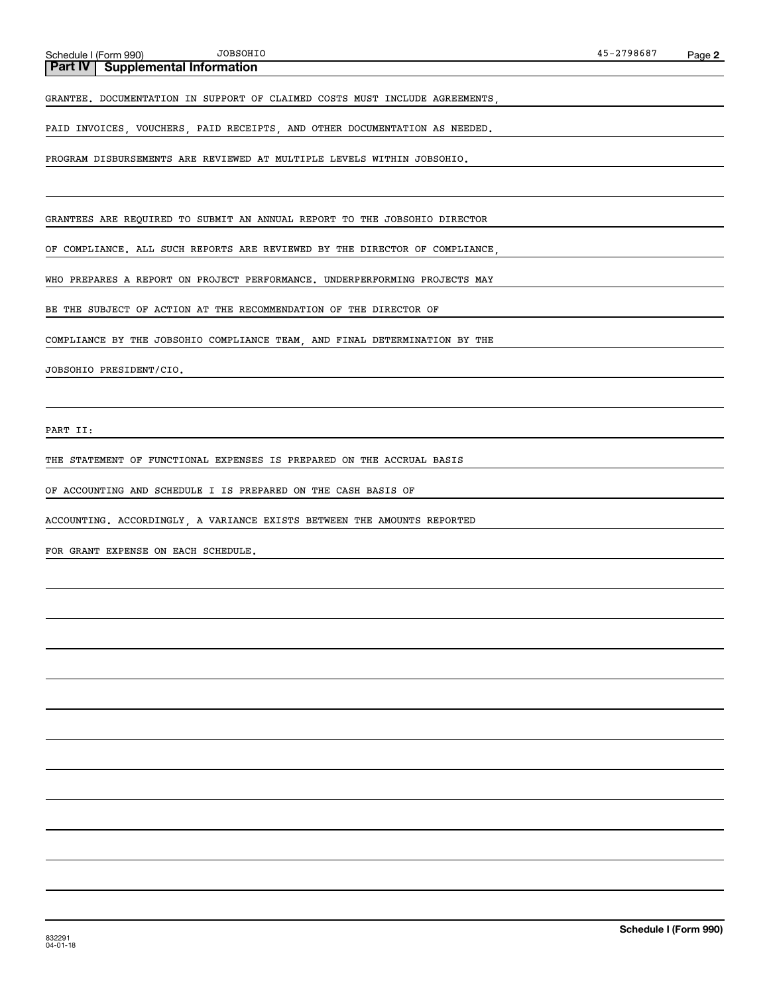### **Part IV | Supplemental Information**

GRANTEE. DOCUMENTATION IN SUPPORT OF CLAIMED COSTS MUST INCLUDE AGREEMENTS,

PAID INVOICES, VOUCHERS, PAID RECEIPTS, AND OTHER DOCUMENTATION AS NEEDED.

PROGRAM DISBURSEMENTS ARE REVIEWED AT MULTIPLE LEVELS WITHIN JOBSOHIO.

GRANTEES ARE REQUIRED TO SUBMIT AN ANNUAL REPORT TO THE JOBSOHIO DIRECTOR

OF COMPLIANCE. ALL SUCH REPORTS ARE REVIEWED BY THE DIRECTOR OF COMPLIANCE.

WHO PREPARES A REPORT ON PROJECT PERFORMANCE. UNDERPERFORMING PROJECTS MAY

BE THE SUBJECT OF ACTION AT THE RECOMMENDATION OF THE DIRECTOR OF

COMPLIANCE BY THE JOBSOHIO COMPLIANCE TEAM, AND FINAL DETERMINATION BY THE

JOBSOHIO PRESIDENT/CIO.

PART II:

THE STATEMENT OF FUNCTIONAL EXPENSES IS PREPARED ON THE ACCRUAL BASIS

OF ACCOUNTING AND SCHEDULE I IS PREPARED ON THE CASH BASIS OF

ACCOUNTING. ACCORDINGLY A VARIANCE EXISTS BETWEEN THE AMOUNTS REPORTED

FOR GRANT EXPENSE ON EACH SCHEDULE.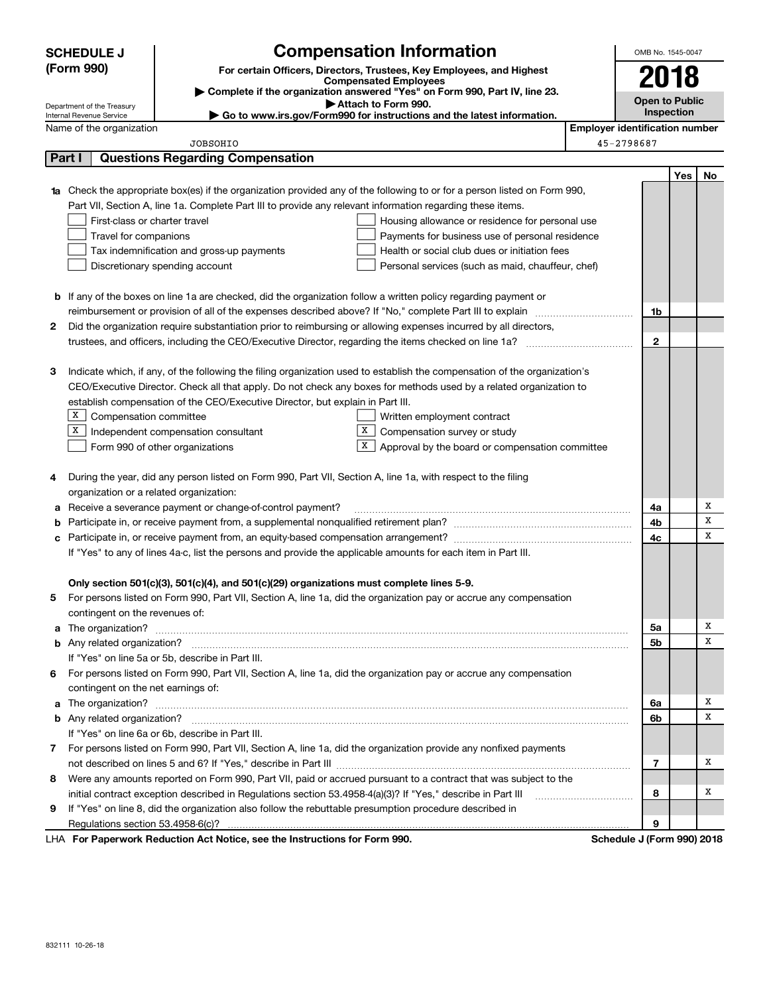|                                                                                                               | <b>SCHEDULE J</b>                                                                                          |                                                                                                              | <b>Compensation Information</b>                                                                                           |                                       | OMB No. 1545-0047          |     |        |  |
|---------------------------------------------------------------------------------------------------------------|------------------------------------------------------------------------------------------------------------|--------------------------------------------------------------------------------------------------------------|---------------------------------------------------------------------------------------------------------------------------|---------------------------------------|----------------------------|-----|--------|--|
|                                                                                                               | (Form 990)                                                                                                 |                                                                                                              | For certain Officers, Directors, Trustees, Key Employees, and Highest                                                     |                                       | 2018                       |     |        |  |
|                                                                                                               | <b>Compensated Employees</b><br>Complete if the organization answered "Yes" on Form 990, Part IV, line 23. |                                                                                                              |                                                                                                                           |                                       |                            |     |        |  |
|                                                                                                               | Attach to Form 990.<br>Department of the Treasury                                                          |                                                                                                              |                                                                                                                           |                                       |                            |     |        |  |
|                                                                                                               | Internal Revenue Service                                                                                   |                                                                                                              | ► Go to www.irs.gov/Form990 for instructions and the latest information.                                                  |                                       | Inspection                 |     |        |  |
|                                                                                                               | Name of the organization                                                                                   |                                                                                                              |                                                                                                                           | <b>Employer identification number</b> |                            |     |        |  |
|                                                                                                               |                                                                                                            | <b>JOBSOHIO</b>                                                                                              |                                                                                                                           |                                       | 45-2798687                 |     |        |  |
|                                                                                                               | Part I                                                                                                     | <b>Questions Regarding Compensation</b>                                                                      |                                                                                                                           |                                       |                            |     |        |  |
|                                                                                                               |                                                                                                            |                                                                                                              |                                                                                                                           |                                       |                            | Yes | No     |  |
|                                                                                                               |                                                                                                            |                                                                                                              | Check the appropriate box(es) if the organization provided any of the following to or for a person listed on Form 990,    |                                       |                            |     |        |  |
|                                                                                                               |                                                                                                            | Part VII, Section A, line 1a. Complete Part III to provide any relevant information regarding these items.   |                                                                                                                           |                                       |                            |     |        |  |
|                                                                                                               | First-class or charter travel<br>Travel for companions                                                     |                                                                                                              | Housing allowance or residence for personal use<br>Payments for business use of personal residence                        |                                       |                            |     |        |  |
|                                                                                                               |                                                                                                            | Tax indemnification and gross-up payments                                                                    | Health or social club dues or initiation fees                                                                             |                                       |                            |     |        |  |
|                                                                                                               |                                                                                                            | Discretionary spending account                                                                               | Personal services (such as maid, chauffeur, chef)                                                                         |                                       |                            |     |        |  |
|                                                                                                               |                                                                                                            |                                                                                                              |                                                                                                                           |                                       |                            |     |        |  |
| b                                                                                                             |                                                                                                            |                                                                                                              | If any of the boxes on line 1a are checked, did the organization follow a written policy regarding payment or             |                                       |                            |     |        |  |
|                                                                                                               |                                                                                                            | reimbursement or provision of all of the expenses described above? If "No," complete Part III to explain     |                                                                                                                           |                                       | 1b                         |     |        |  |
| 2                                                                                                             |                                                                                                            |                                                                                                              | Did the organization require substantiation prior to reimbursing or allowing expenses incurred by all directors,          |                                       |                            |     |        |  |
|                                                                                                               |                                                                                                            |                                                                                                              |                                                                                                                           |                                       | $\mathbf{2}$               |     |        |  |
|                                                                                                               |                                                                                                            |                                                                                                              |                                                                                                                           |                                       |                            |     |        |  |
| З                                                                                                             |                                                                                                            |                                                                                                              | Indicate which, if any, of the following the filing organization used to establish the compensation of the organization's |                                       |                            |     |        |  |
|                                                                                                               |                                                                                                            |                                                                                                              | CEO/Executive Director. Check all that apply. Do not check any boxes for methods used by a related organization to        |                                       |                            |     |        |  |
|                                                                                                               |                                                                                                            | establish compensation of the CEO/Executive Director, but explain in Part III.                               |                                                                                                                           |                                       |                            |     |        |  |
|                                                                                                               | x<br>Compensation committee                                                                                |                                                                                                              | Written employment contract                                                                                               |                                       |                            |     |        |  |
|                                                                                                               | х<br>X  <br>Compensation survey or study<br>Independent compensation consultant                            |                                                                                                              |                                                                                                                           |                                       |                            |     |        |  |
|                                                                                                               |                                                                                                            | Form 990 of other organizations                                                                              | X  <br>Approval by the board or compensation committee                                                                    |                                       |                            |     |        |  |
|                                                                                                               |                                                                                                            |                                                                                                              |                                                                                                                           |                                       |                            |     |        |  |
| 4                                                                                                             |                                                                                                            | During the year, did any person listed on Form 990, Part VII, Section A, line 1a, with respect to the filing |                                                                                                                           |                                       |                            |     |        |  |
|                                                                                                               | organization or a related organization:                                                                    |                                                                                                              |                                                                                                                           |                                       |                            |     |        |  |
| а                                                                                                             |                                                                                                            | Receive a severance payment or change-of-control payment?                                                    |                                                                                                                           |                                       | 4a                         |     | Х<br>х |  |
| b                                                                                                             |                                                                                                            |                                                                                                              |                                                                                                                           |                                       | 4b<br>4c                   |     | X      |  |
|                                                                                                               |                                                                                                            |                                                                                                              |                                                                                                                           |                                       |                            |     |        |  |
| If "Yes" to any of lines 4a-c, list the persons and provide the applicable amounts for each item in Part III. |                                                                                                            |                                                                                                              |                                                                                                                           |                                       |                            |     |        |  |
|                                                                                                               |                                                                                                            | Only section 501(c)(3), 501(c)(4), and 501(c)(29) organizations must complete lines 5-9.                     |                                                                                                                           |                                       |                            |     |        |  |
| 5                                                                                                             |                                                                                                            |                                                                                                              | For persons listed on Form 990, Part VII, Section A, line 1a, did the organization pay or accrue any compensation         |                                       |                            |     |        |  |
|                                                                                                               | contingent on the revenues of:                                                                             |                                                                                                              |                                                                                                                           |                                       |                            |     |        |  |
| a                                                                                                             |                                                                                                            |                                                                                                              |                                                                                                                           |                                       | 5a                         |     | х      |  |
|                                                                                                               |                                                                                                            |                                                                                                              |                                                                                                                           |                                       | 5b                         |     | x      |  |
|                                                                                                               |                                                                                                            | If "Yes" on line 5a or 5b, describe in Part III.                                                             |                                                                                                                           |                                       |                            |     |        |  |
|                                                                                                               |                                                                                                            |                                                                                                              | 6 For persons listed on Form 990, Part VII, Section A, line 1a, did the organization pay or accrue any compensation       |                                       |                            |     |        |  |
|                                                                                                               | contingent on the net earnings of:                                                                         |                                                                                                              |                                                                                                                           |                                       |                            |     |        |  |
| a                                                                                                             |                                                                                                            |                                                                                                              |                                                                                                                           |                                       | 6a                         |     | х      |  |
|                                                                                                               |                                                                                                            |                                                                                                              |                                                                                                                           |                                       | 6b                         |     | X      |  |
|                                                                                                               |                                                                                                            | If "Yes" on line 6a or 6b, describe in Part III.                                                             |                                                                                                                           |                                       |                            |     |        |  |
|                                                                                                               |                                                                                                            |                                                                                                              | 7 For persons listed on Form 990, Part VII, Section A, line 1a, did the organization provide any nonfixed payments        |                                       |                            |     |        |  |
|                                                                                                               |                                                                                                            |                                                                                                              |                                                                                                                           |                                       | 7                          |     | х      |  |
| 8                                                                                                             |                                                                                                            |                                                                                                              | Were any amounts reported on Form 990, Part VII, paid or accrued pursuant to a contract that was subject to the           |                                       |                            |     |        |  |
|                                                                                                               |                                                                                                            | initial contract exception described in Regulations section 53.4958-4(a)(3)? If "Yes," describe in Part III  |                                                                                                                           |                                       | 8                          |     | х      |  |
| 9                                                                                                             |                                                                                                            | If "Yes" on line 8, did the organization also follow the rebuttable presumption procedure described in       |                                                                                                                           |                                       |                            |     |        |  |
|                                                                                                               |                                                                                                            |                                                                                                              |                                                                                                                           |                                       | 9                          |     |        |  |
|                                                                                                               |                                                                                                            | LHA For Paperwork Reduction Act Notice, see the Instructions for Form 990.                                   |                                                                                                                           |                                       | Schedule J (Form 990) 2018 |     |        |  |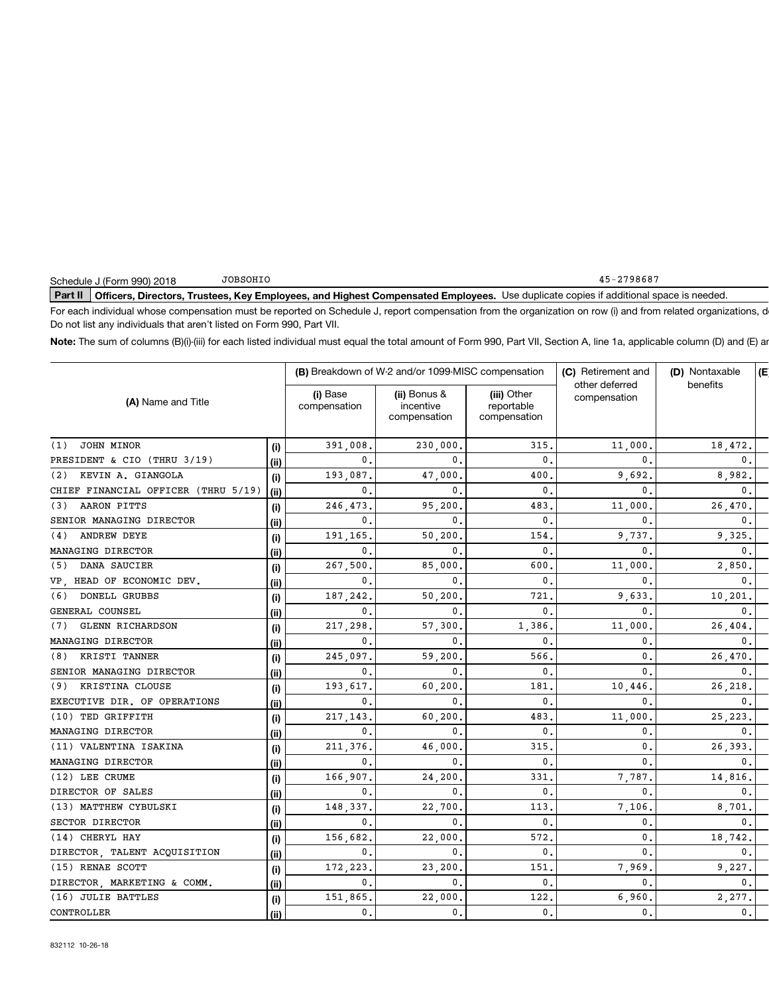### Part II | Officers, Directors, Trustees, Key Employees, and Highest Compensated Employees. Use duplicate copies if additional space is needed.

For each individual whose compensation must be reported on Schedule J, report compensation from the organization on row (i) and from related organizations, d Do not list any individuals that aren't listed on Form 990, Part VII.

Note: The sum of columns (B)(i)-(iii) for each listed individual must equal the total amount of Form 990, Part VII, Section A, line 1a, applicable column (D) and (E) ar

| (i) Base<br>(ii) Bonus &<br>(iii) Other<br>compensation<br>(A) Name and Title<br>reportable<br>compensation<br>incentive<br>compensation<br>compensation<br>JOHN MINOR<br>315<br>11,000<br>18,472.<br>(1)<br>391,008<br>230,000<br>(i)<br>$\mathbf{0}$<br>PRESIDENT & CIO (THRU 3/19)<br>0.<br>0<br>0.<br>$\mathbf{0}$<br>(ii)<br>KEVIN A. GIANGOLA<br>400<br>8,982.<br>193,087<br>47,000<br>9,692<br>(2)<br>(i)<br>$\mathbf{0}$<br>CHIEF FINANCIAL OFFICER (THRU 5/19)<br>0.<br>0<br>0<br>0.<br>(iii)<br>AARON PITTS<br>246,473<br>95,200<br>483<br>11,000<br>26,470<br>(3)<br>(i)<br>SENIOR MANAGING DIRECTOR<br>$\mathbf{0}$<br>0.<br>$\mathbf{0}$<br>0<br>$\mathbf{0}$<br>(ii)<br>ANDREW DEYE<br>191,165<br>50,200<br>154<br>9,325<br>(4)<br>9.737<br>(i)<br>MANAGING DIRECTOR<br>0.<br>0<br>0<br>$\mathbf 0$ .<br>$\mathbf{0}$<br>(ii)<br>DANA SAUCIER<br>600<br>267,500<br>85,000<br>11,000<br>2,850<br>(5)<br>(i)<br>VP. HEAD OF ECONOMIC DEV.<br>$\mathbf{0}$ .<br>$\mathbf 0$<br>$\mathbf{0}$ .<br>0<br>0<br>(ii)<br><b>DONELL GRUBBS</b><br>721<br>9,633<br>10,201<br>187,242<br>50,200<br>(6)<br>(i)<br>GENERAL COUNSEL<br>0.<br>0<br>$\mathbf{0}$<br>0<br>$\mathbf{0}$ .<br>(ii)<br><b>GLENN RICHARDSON</b><br>(7)<br>217,298<br>57,300<br>1,386<br>11,000<br>26,404<br>(i)<br>MANAGING DIRECTOR<br>$\mathbf{0}$ .<br>0<br>$\mathbf{0}$ .<br>$\Omega$<br>0<br>(ii)<br>KRISTI TANNER<br>245,097<br>566<br>26,470<br>(8)<br>59,200<br>0<br>(i)<br>SENIOR MANAGING DIRECTOR<br>$\mathbf{0}$ .<br>0<br>0<br>0<br>$\mathbf{0}$ .<br>(ii)<br>(9) KRISTINA CLOUSE<br>193,617<br>60,200<br>181<br>10,446<br>26,218<br>(i)<br>EXECUTIVE DIR. OF OPERATIONS<br>$\mathbf{0}$<br>$\mathbf{0}$<br>$\mathbf{0}$<br>0<br>$\mathbf 0$ .<br>(ii)<br>(10) TED GRIFFITH<br>217,143<br>60,200<br>483<br>11,000<br>25,223<br>(i)<br>MANAGING DIRECTOR<br>$\mathbf{0}$ .<br>0.<br>$\mathbf{0}$<br>$\mathbf{0}$<br>0.<br>(ii)<br>(11) VALENTINA ISAKINA<br>26,393<br>211,376<br>46,000<br>315<br>0<br>(i)<br>MANAGING DIRECTOR<br>0.<br>0<br>$\mathbf{0}$<br>0<br>0.<br>(ii)<br>(12) LEE CRUME<br>166,907.<br>24,200<br>331<br>7,787<br>14,816<br>(i)<br>DIRECTOR OF SALES<br>$\mathbf{0}$ .<br>$\mathbf{0}$<br>0.<br>0<br>0<br>(ii)<br>(13) MATTHEW CYBULSKI<br>22,700<br>7,106<br>8,701<br>148,337<br>113<br>(i)<br>SECTOR DIRECTOR<br>0.<br>0<br>$\mathbf{0}$<br>0.<br>0<br>(ii)<br>(14) CHERYL HAY<br>156,682<br>22,000<br>572<br>18,742<br>0<br>(i)<br>DIRECTOR, TALENT ACQUISITION<br>0.<br>0<br>0<br>0<br>0.<br>(ii)<br>7.969<br>9.227.<br>(15) RENAE SCOTT<br>23,200<br>151 |     | (B) Breakdown of W-2 and/or 1099-MISC compensation |  |  | (C) Retirement and | (D) Nontaxable | E |
|--------------------------------------------------------------------------------------------------------------------------------------------------------------------------------------------------------------------------------------------------------------------------------------------------------------------------------------------------------------------------------------------------------------------------------------------------------------------------------------------------------------------------------------------------------------------------------------------------------------------------------------------------------------------------------------------------------------------------------------------------------------------------------------------------------------------------------------------------------------------------------------------------------------------------------------------------------------------------------------------------------------------------------------------------------------------------------------------------------------------------------------------------------------------------------------------------------------------------------------------------------------------------------------------------------------------------------------------------------------------------------------------------------------------------------------------------------------------------------------------------------------------------------------------------------------------------------------------------------------------------------------------------------------------------------------------------------------------------------------------------------------------------------------------------------------------------------------------------------------------------------------------------------------------------------------------------------------------------------------------------------------------------------------------------------------------------------------------------------------------------------------------------------------------------------------------------------------------------------------------------------------------------------------------------------------------------------------------------------------------------------------------------------------------------------------------------------------------------------------------------------------------------------------------------------------------------|-----|----------------------------------------------------|--|--|--------------------|----------------|---|
|                                                                                                                                                                                                                                                                                                                                                                                                                                                                                                                                                                                                                                                                                                                                                                                                                                                                                                                                                                                                                                                                                                                                                                                                                                                                                                                                                                                                                                                                                                                                                                                                                                                                                                                                                                                                                                                                                                                                                                                                                                                                                                                                                                                                                                                                                                                                                                                                                                                                                                                                                                          |     |                                                    |  |  | other deferred     | benefits       |   |
|                                                                                                                                                                                                                                                                                                                                                                                                                                                                                                                                                                                                                                                                                                                                                                                                                                                                                                                                                                                                                                                                                                                                                                                                                                                                                                                                                                                                                                                                                                                                                                                                                                                                                                                                                                                                                                                                                                                                                                                                                                                                                                                                                                                                                                                                                                                                                                                                                                                                                                                                                                          |     |                                                    |  |  |                    |                |   |
|                                                                                                                                                                                                                                                                                                                                                                                                                                                                                                                                                                                                                                                                                                                                                                                                                                                                                                                                                                                                                                                                                                                                                                                                                                                                                                                                                                                                                                                                                                                                                                                                                                                                                                                                                                                                                                                                                                                                                                                                                                                                                                                                                                                                                                                                                                                                                                                                                                                                                                                                                                          |     |                                                    |  |  |                    |                |   |
|                                                                                                                                                                                                                                                                                                                                                                                                                                                                                                                                                                                                                                                                                                                                                                                                                                                                                                                                                                                                                                                                                                                                                                                                                                                                                                                                                                                                                                                                                                                                                                                                                                                                                                                                                                                                                                                                                                                                                                                                                                                                                                                                                                                                                                                                                                                                                                                                                                                                                                                                                                          |     |                                                    |  |  |                    |                |   |
|                                                                                                                                                                                                                                                                                                                                                                                                                                                                                                                                                                                                                                                                                                                                                                                                                                                                                                                                                                                                                                                                                                                                                                                                                                                                                                                                                                                                                                                                                                                                                                                                                                                                                                                                                                                                                                                                                                                                                                                                                                                                                                                                                                                                                                                                                                                                                                                                                                                                                                                                                                          |     |                                                    |  |  |                    |                |   |
|                                                                                                                                                                                                                                                                                                                                                                                                                                                                                                                                                                                                                                                                                                                                                                                                                                                                                                                                                                                                                                                                                                                                                                                                                                                                                                                                                                                                                                                                                                                                                                                                                                                                                                                                                                                                                                                                                                                                                                                                                                                                                                                                                                                                                                                                                                                                                                                                                                                                                                                                                                          |     |                                                    |  |  |                    |                |   |
|                                                                                                                                                                                                                                                                                                                                                                                                                                                                                                                                                                                                                                                                                                                                                                                                                                                                                                                                                                                                                                                                                                                                                                                                                                                                                                                                                                                                                                                                                                                                                                                                                                                                                                                                                                                                                                                                                                                                                                                                                                                                                                                                                                                                                                                                                                                                                                                                                                                                                                                                                                          |     |                                                    |  |  |                    |                |   |
|                                                                                                                                                                                                                                                                                                                                                                                                                                                                                                                                                                                                                                                                                                                                                                                                                                                                                                                                                                                                                                                                                                                                                                                                                                                                                                                                                                                                                                                                                                                                                                                                                                                                                                                                                                                                                                                                                                                                                                                                                                                                                                                                                                                                                                                                                                                                                                                                                                                                                                                                                                          |     |                                                    |  |  |                    |                |   |
|                                                                                                                                                                                                                                                                                                                                                                                                                                                                                                                                                                                                                                                                                                                                                                                                                                                                                                                                                                                                                                                                                                                                                                                                                                                                                                                                                                                                                                                                                                                                                                                                                                                                                                                                                                                                                                                                                                                                                                                                                                                                                                                                                                                                                                                                                                                                                                                                                                                                                                                                                                          |     |                                                    |  |  |                    |                |   |
|                                                                                                                                                                                                                                                                                                                                                                                                                                                                                                                                                                                                                                                                                                                                                                                                                                                                                                                                                                                                                                                                                                                                                                                                                                                                                                                                                                                                                                                                                                                                                                                                                                                                                                                                                                                                                                                                                                                                                                                                                                                                                                                                                                                                                                                                                                                                                                                                                                                                                                                                                                          |     |                                                    |  |  |                    |                |   |
|                                                                                                                                                                                                                                                                                                                                                                                                                                                                                                                                                                                                                                                                                                                                                                                                                                                                                                                                                                                                                                                                                                                                                                                                                                                                                                                                                                                                                                                                                                                                                                                                                                                                                                                                                                                                                                                                                                                                                                                                                                                                                                                                                                                                                                                                                                                                                                                                                                                                                                                                                                          |     |                                                    |  |  |                    |                |   |
|                                                                                                                                                                                                                                                                                                                                                                                                                                                                                                                                                                                                                                                                                                                                                                                                                                                                                                                                                                                                                                                                                                                                                                                                                                                                                                                                                                                                                                                                                                                                                                                                                                                                                                                                                                                                                                                                                                                                                                                                                                                                                                                                                                                                                                                                                                                                                                                                                                                                                                                                                                          |     |                                                    |  |  |                    |                |   |
|                                                                                                                                                                                                                                                                                                                                                                                                                                                                                                                                                                                                                                                                                                                                                                                                                                                                                                                                                                                                                                                                                                                                                                                                                                                                                                                                                                                                                                                                                                                                                                                                                                                                                                                                                                                                                                                                                                                                                                                                                                                                                                                                                                                                                                                                                                                                                                                                                                                                                                                                                                          |     |                                                    |  |  |                    |                |   |
|                                                                                                                                                                                                                                                                                                                                                                                                                                                                                                                                                                                                                                                                                                                                                                                                                                                                                                                                                                                                                                                                                                                                                                                                                                                                                                                                                                                                                                                                                                                                                                                                                                                                                                                                                                                                                                                                                                                                                                                                                                                                                                                                                                                                                                                                                                                                                                                                                                                                                                                                                                          |     |                                                    |  |  |                    |                |   |
|                                                                                                                                                                                                                                                                                                                                                                                                                                                                                                                                                                                                                                                                                                                                                                                                                                                                                                                                                                                                                                                                                                                                                                                                                                                                                                                                                                                                                                                                                                                                                                                                                                                                                                                                                                                                                                                                                                                                                                                                                                                                                                                                                                                                                                                                                                                                                                                                                                                                                                                                                                          |     |                                                    |  |  |                    |                |   |
|                                                                                                                                                                                                                                                                                                                                                                                                                                                                                                                                                                                                                                                                                                                                                                                                                                                                                                                                                                                                                                                                                                                                                                                                                                                                                                                                                                                                                                                                                                                                                                                                                                                                                                                                                                                                                                                                                                                                                                                                                                                                                                                                                                                                                                                                                                                                                                                                                                                                                                                                                                          |     |                                                    |  |  |                    |                |   |
|                                                                                                                                                                                                                                                                                                                                                                                                                                                                                                                                                                                                                                                                                                                                                                                                                                                                                                                                                                                                                                                                                                                                                                                                                                                                                                                                                                                                                                                                                                                                                                                                                                                                                                                                                                                                                                                                                                                                                                                                                                                                                                                                                                                                                                                                                                                                                                                                                                                                                                                                                                          |     |                                                    |  |  |                    |                |   |
|                                                                                                                                                                                                                                                                                                                                                                                                                                                                                                                                                                                                                                                                                                                                                                                                                                                                                                                                                                                                                                                                                                                                                                                                                                                                                                                                                                                                                                                                                                                                                                                                                                                                                                                                                                                                                                                                                                                                                                                                                                                                                                                                                                                                                                                                                                                                                                                                                                                                                                                                                                          |     |                                                    |  |  |                    |                |   |
|                                                                                                                                                                                                                                                                                                                                                                                                                                                                                                                                                                                                                                                                                                                                                                                                                                                                                                                                                                                                                                                                                                                                                                                                                                                                                                                                                                                                                                                                                                                                                                                                                                                                                                                                                                                                                                                                                                                                                                                                                                                                                                                                                                                                                                                                                                                                                                                                                                                                                                                                                                          |     |                                                    |  |  |                    |                |   |
|                                                                                                                                                                                                                                                                                                                                                                                                                                                                                                                                                                                                                                                                                                                                                                                                                                                                                                                                                                                                                                                                                                                                                                                                                                                                                                                                                                                                                                                                                                                                                                                                                                                                                                                                                                                                                                                                                                                                                                                                                                                                                                                                                                                                                                                                                                                                                                                                                                                                                                                                                                          |     |                                                    |  |  |                    |                |   |
|                                                                                                                                                                                                                                                                                                                                                                                                                                                                                                                                                                                                                                                                                                                                                                                                                                                                                                                                                                                                                                                                                                                                                                                                                                                                                                                                                                                                                                                                                                                                                                                                                                                                                                                                                                                                                                                                                                                                                                                                                                                                                                                                                                                                                                                                                                                                                                                                                                                                                                                                                                          |     |                                                    |  |  |                    |                |   |
|                                                                                                                                                                                                                                                                                                                                                                                                                                                                                                                                                                                                                                                                                                                                                                                                                                                                                                                                                                                                                                                                                                                                                                                                                                                                                                                                                                                                                                                                                                                                                                                                                                                                                                                                                                                                                                                                                                                                                                                                                                                                                                                                                                                                                                                                                                                                                                                                                                                                                                                                                                          |     |                                                    |  |  |                    |                |   |
|                                                                                                                                                                                                                                                                                                                                                                                                                                                                                                                                                                                                                                                                                                                                                                                                                                                                                                                                                                                                                                                                                                                                                                                                                                                                                                                                                                                                                                                                                                                                                                                                                                                                                                                                                                                                                                                                                                                                                                                                                                                                                                                                                                                                                                                                                                                                                                                                                                                                                                                                                                          |     |                                                    |  |  |                    |                |   |
|                                                                                                                                                                                                                                                                                                                                                                                                                                                                                                                                                                                                                                                                                                                                                                                                                                                                                                                                                                                                                                                                                                                                                                                                                                                                                                                                                                                                                                                                                                                                                                                                                                                                                                                                                                                                                                                                                                                                                                                                                                                                                                                                                                                                                                                                                                                                                                                                                                                                                                                                                                          |     |                                                    |  |  |                    |                |   |
|                                                                                                                                                                                                                                                                                                                                                                                                                                                                                                                                                                                                                                                                                                                                                                                                                                                                                                                                                                                                                                                                                                                                                                                                                                                                                                                                                                                                                                                                                                                                                                                                                                                                                                                                                                                                                                                                                                                                                                                                                                                                                                                                                                                                                                                                                                                                                                                                                                                                                                                                                                          |     |                                                    |  |  |                    |                |   |
|                                                                                                                                                                                                                                                                                                                                                                                                                                                                                                                                                                                                                                                                                                                                                                                                                                                                                                                                                                                                                                                                                                                                                                                                                                                                                                                                                                                                                                                                                                                                                                                                                                                                                                                                                                                                                                                                                                                                                                                                                                                                                                                                                                                                                                                                                                                                                                                                                                                                                                                                                                          |     |                                                    |  |  |                    |                |   |
|                                                                                                                                                                                                                                                                                                                                                                                                                                                                                                                                                                                                                                                                                                                                                                                                                                                                                                                                                                                                                                                                                                                                                                                                                                                                                                                                                                                                                                                                                                                                                                                                                                                                                                                                                                                                                                                                                                                                                                                                                                                                                                                                                                                                                                                                                                                                                                                                                                                                                                                                                                          |     |                                                    |  |  |                    |                |   |
|                                                                                                                                                                                                                                                                                                                                                                                                                                                                                                                                                                                                                                                                                                                                                                                                                                                                                                                                                                                                                                                                                                                                                                                                                                                                                                                                                                                                                                                                                                                                                                                                                                                                                                                                                                                                                                                                                                                                                                                                                                                                                                                                                                                                                                                                                                                                                                                                                                                                                                                                                                          |     |                                                    |  |  |                    |                |   |
|                                                                                                                                                                                                                                                                                                                                                                                                                                                                                                                                                                                                                                                                                                                                                                                                                                                                                                                                                                                                                                                                                                                                                                                                                                                                                                                                                                                                                                                                                                                                                                                                                                                                                                                                                                                                                                                                                                                                                                                                                                                                                                                                                                                                                                                                                                                                                                                                                                                                                                                                                                          |     |                                                    |  |  |                    |                |   |
|                                                                                                                                                                                                                                                                                                                                                                                                                                                                                                                                                                                                                                                                                                                                                                                                                                                                                                                                                                                                                                                                                                                                                                                                                                                                                                                                                                                                                                                                                                                                                                                                                                                                                                                                                                                                                                                                                                                                                                                                                                                                                                                                                                                                                                                                                                                                                                                                                                                                                                                                                                          | (i) | 172,223                                            |  |  |                    |                |   |
| DIRECTOR, MARKETING & COMM.<br>0.<br>0<br>$\mathbf{0}$<br>0<br>$\mathbf 0$ .<br>(ii)                                                                                                                                                                                                                                                                                                                                                                                                                                                                                                                                                                                                                                                                                                                                                                                                                                                                                                                                                                                                                                                                                                                                                                                                                                                                                                                                                                                                                                                                                                                                                                                                                                                                                                                                                                                                                                                                                                                                                                                                                                                                                                                                                                                                                                                                                                                                                                                                                                                                                     |     |                                                    |  |  |                    |                |   |
| (16) JULIE BATTLES<br>151,865<br>22,000<br>6,960<br>2,277<br>122<br>(i)                                                                                                                                                                                                                                                                                                                                                                                                                                                                                                                                                                                                                                                                                                                                                                                                                                                                                                                                                                                                                                                                                                                                                                                                                                                                                                                                                                                                                                                                                                                                                                                                                                                                                                                                                                                                                                                                                                                                                                                                                                                                                                                                                                                                                                                                                                                                                                                                                                                                                                  |     |                                                    |  |  |                    |                |   |
| CONTROLLER<br>0.<br>0.<br>$\mathbf 0$ .<br>$\mathbf{0}$<br>0.<br>(ii)                                                                                                                                                                                                                                                                                                                                                                                                                                                                                                                                                                                                                                                                                                                                                                                                                                                                                                                                                                                                                                                                                                                                                                                                                                                                                                                                                                                                                                                                                                                                                                                                                                                                                                                                                                                                                                                                                                                                                                                                                                                                                                                                                                                                                                                                                                                                                                                                                                                                                                    |     |                                                    |  |  |                    |                |   |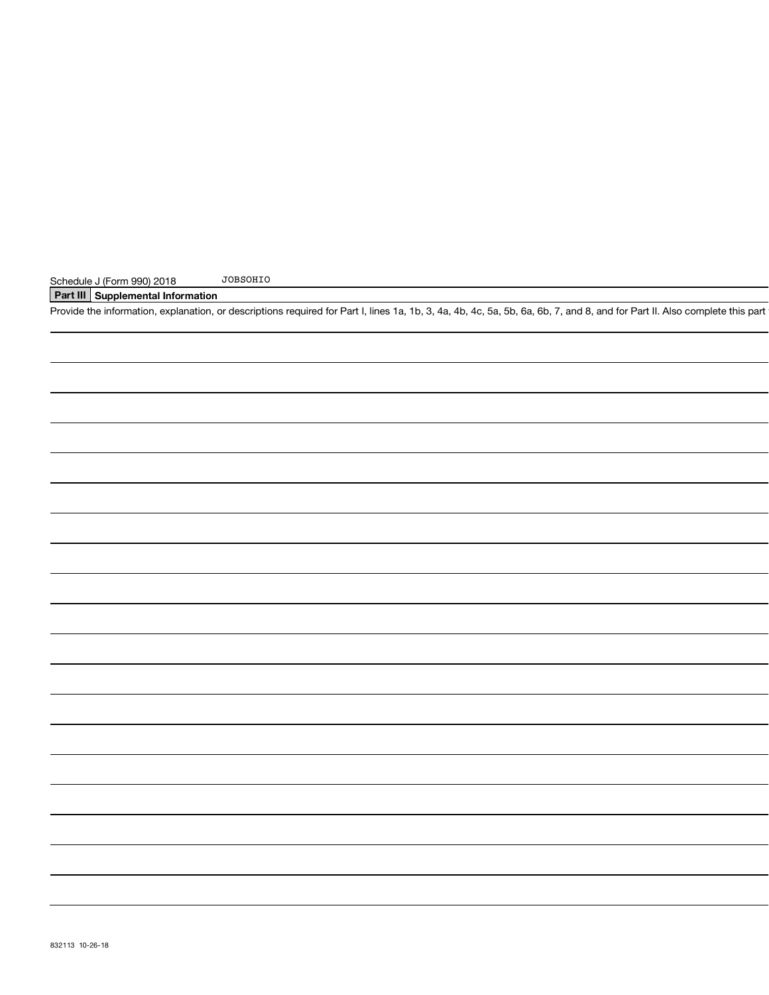### Part III Supplemental Information

Provide the information, explanation, or descriptions required for Part I, lines 1a, 1b, 3, 4a, 4b, 4c, 5a, 5b, 6a, 6b, 7, and 8, and for Part II. Also complete this part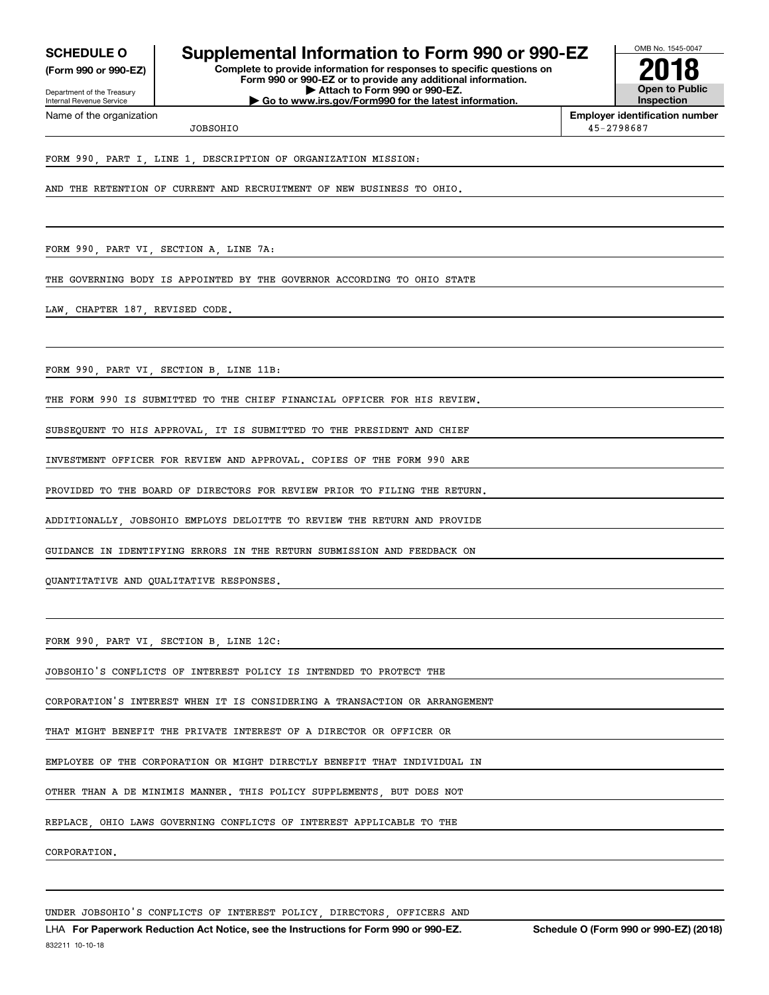**SCHEDULE O** 

(Form 990 or 990-EZ)

Department of the Treasury Internal Revenue Service Name of the organization

### Supplemental Information to Form 990 or 990-EZ

Complete to provide information for responses to specific questions on Form 990 or 990-EZ or to provide any additional information. Attach to Form 990 or 990-EZ. Go to www.irs.gov/Form990 for the latest information



**Employer identification number** 45-2798687

JOBSOHTO

FORM 990 PART I LINE 1 DESCRIPTION OF ORGANIZATION MISSION:

AND THE RETENTION OF CURRENT AND RECRUITMENT OF NEW BUSINESS TO OHIO.

FORM 990, PART VI, SECTION A, LINE 7A:

THE GOVERNING BODY IS APPOINTED BY THE GOVERNOR ACCORDING TO OHIO STATE

LAW CHAPTER 187 REVISED CODE.

FORM 990, PART VI, SECTION B, LINE 11B:

THE FORM 990 IS SUBMITTED TO THE CHIEF FINANCIAL OFFICER FOR HIS REVIEW

SUBSEQUENT TO HIS APPROVAL, IT IS SUBMITTED TO THE PRESIDENT AND CHIEF

INVESTMENT OFFICER FOR REVIEW AND APPROVAL. COPIES OF THE FORM 990 ARE

PROVIDED TO THE BOARD OF DIRECTORS FOR REVIEW PRIOR TO FILING THE RETURN.

ADDITIONALLY UOBSOHIO EMPLOYS DELOITTE TO REVIEW THE RETURN AND PROVIDE

GUIDANCE IN IDENTIFYING ERRORS IN THE RETURN SUBMISSION AND FEEDBACK ON

QUANTITATIVE AND QUALITATIVE RESPONSES.

FORM 990, PART VI, SECTION B, LINE 12C:

JOBSOHIO'S CONFLICTS OF INTEREST POLICY IS INTENDED TO PROTECT THE

CORPORATION'S INTEREST WHEN IT IS CONSIDERING A TRANSACTION OR ARRANGEMENT

THAT MIGHT BENEFIT THE PRIVATE INTEREST OF A DIRECTOR OR OFFICER OR

EMPLOYEE OF THE CORPORATION OR MIGHT DIRECTLY BENEFIT THAT INDIVIDUAL IN

OTHER THAN A DE MINIMIS MANNER. THIS POLICY SUPPLEMENTS BUT DOES NOT

OHIO LAWS GOVERNING CONFLICTS OF INTEREST APPLICABLE TO THE REPLACE

CORPORATION.

UNDER JOBSOHIO'S CONFLICTS OF INTEREST POLICY DIRECTORS OFFICERS AND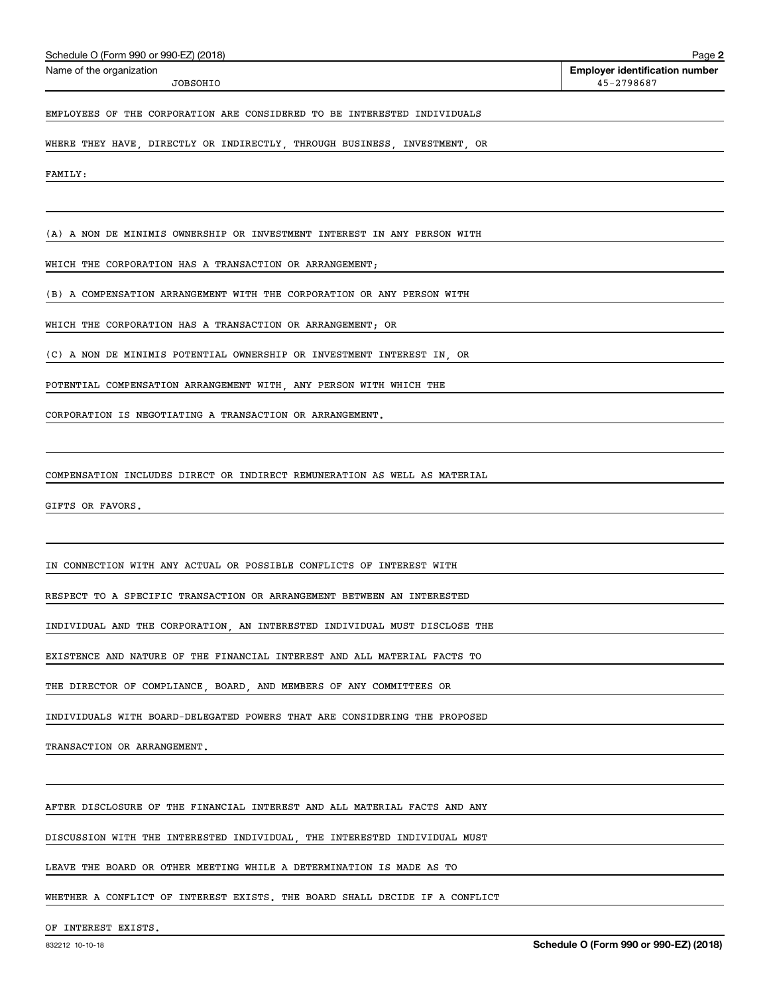| Schedule O (Form 990 or 990-EZ) (2018) |
|----------------------------------------|
|----------------------------------------|

JOBSOHIO

45-2798687

### EMPLOYEES OF THE CORPORATION ARE CONSIDERED TO BE INTERESTED INDIVIDUALS

WHERE THEY HAVE, DIRECTLY OR INDIRECTLY, THROUGH BUSINESS, INVESTMENT, OR

FAMILY:

(A) A NON DE MINIMIS OWNERSHIP OR INVESTMENT INTEREST IN ANY PERSON WITH

WHICH THE CORPORATION HAS A TRANSACTION OR ARRANGEMENT;

(B) A COMPENSATION ARRANGEMENT WITH THE CORPORATION OR ANY PERSON WITH

WHICH THE CORPORATION HAS A TRANSACTION OR ARRANGEMENT; OR

(C) A NON DE MINIMIS POTENTIAL OWNERSHIP OR INVESTMENT INTEREST IN OR

POTENTIAL COMPENSATION ARRANGEMENT WITH, ANY PERSON WITH WHICH THE

CORPORATION IS NEGOTIATING A TRANSACTION OR ARRANGEMENT.

COMPENSATION INCLUDES DIRECT OR INDIRECT REMUNERATION AS WELL AS MATERIAL

GIFTS OR FAVORS.

IN CONNECTION WITH ANY ACTUAL OR POSSIBLE CONFLICTS OF INTEREST WITH

RESPECT TO A SPECIFIC TRANSACTION OR ARRANGEMENT BETWEEN AN INTERESTED

INDIVIDUAL AND THE CORPORATION, AN INTERESTED INDIVIDUAL MUST DISCLOSE THE

EXISTENCE AND NATURE OF THE FINANCIAL INTEREST AND ALL MATERIAL FACTS TO

THE DIRECTOR OF COMPLIANCE, BOARD, AND MEMBERS OF ANY COMMITTEES OR

INDIVIDUALS WITH BOARD-DELEGATED POWERS THAT ARE CONSIDERING THE PROPOSED

TRANSACTION OR ARRANGEMENT.

AFTER DISCLOSURE OF THE FINANCIAL INTEREST AND ALL MATERIAL FACTS AND ANY

DISCUSSION WITH THE INTERESTED INDIVIDUAL, THE INTERESTED INDIVIDUAL MUST

LEAVE THE BOARD OR OTHER MEETING WHILE A DETERMINATION IS MADE AS TO

WHETHER A CONFLICT OF INTEREST EXISTS. THE BOARD SHALL DECIDE IF A CONFLICT

OF INTEREST EXISTS.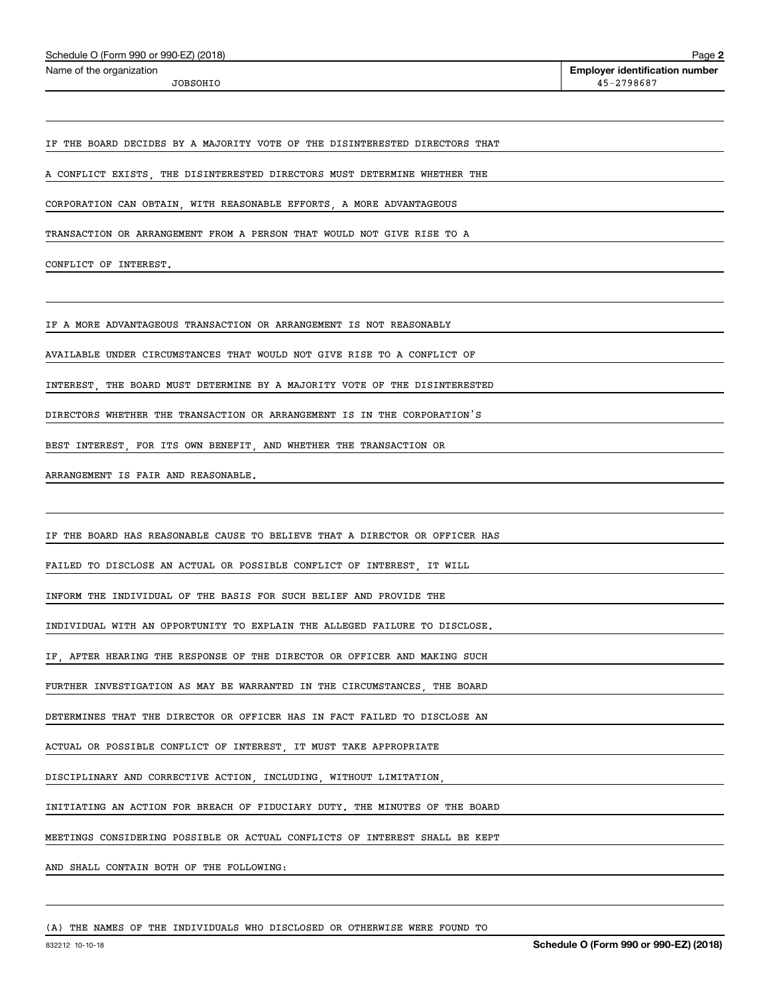| Schedule O (Form 990 or 990-EZ) (2018) |  |
|----------------------------------------|--|
|                                        |  |

JOBSOHIO

Page 2 **Employer identification number** 45-2798687

IF THE BOARD DECIDES BY A MAJORITY VOTE OF THE DISINTERESTED DIRECTORS THAT

A CONFLICT EXISTS, THE DISINTERESTED DIRECTORS MUST DETERMINE WHETHER THE

CORPORATION CAN OBTAIN, WITH REASONABLE EFFORTS, A MORE ADVANTAGEOUS

TRANSACTION OR ARRANGEMENT FROM A PERSON THAT WOULD NOT GIVE RISE TO A

CONFLICT OF INTEREST.

IF A MORE ADVANTAGEOUS TRANSACTION OR ARRANGEMENT IS NOT REASONABLY

AVAILABLE UNDER CIRCUMSTANCES THAT WOULD NOT GIVE RISE TO A CONFLICT OF

INTEREST THE BOARD MUST DETERMINE BY A MAJORITY VOTE OF THE DISINTERESTED

DIRECTORS WHETHER THE TRANSACTION OR ARRANGEMENT IS IN THE CORPORATION'S

BEST INTEREST, FOR ITS OWN BENEFIT, AND WHETHER THE TRANSACTION OR

ARRANGEMENT IS FAIR AND REASONABLE.

IF THE BOARD HAS REASONABLE CAUSE TO BELIEVE THAT A DIRECTOR OR OFFICER HAS

FAILED TO DISCLOSE AN ACTUAL OR POSSIBLE CONFLICT OF INTEREST, IT WILL

INFORM THE INDIVIDUAL OF THE BASIS FOR SUCH BELIEF AND PROVIDE THE

INDIVIDUAL WITH AN OPPORTUNITY TO EXPLAIN THE ALLEGED FAILURE TO DISCLOSE.

IF, AFTER HEARING THE RESPONSE OF THE DIRECTOR OR OFFICER AND MAKING SUCH

FURTHER INVESTIGATION AS MAY BE WARRANTED IN THE CIRCUMSTANCES, THE BOARD

DETERMINES THAT THE DIRECTOR OR OFFICER HAS IN FACT FAILED TO DISCLOSE AN

ACTUAL OR POSSIBLE CONFLICT OF INTEREST, IT MUST TAKE APPROPRIATE

DISCIPLINARY AND CORRECTIVE ACTION, INCLUDING, WITHOUT LIMITATION

INITIATING AN ACTION FOR BREACH OF FIDUCIARY DUTY. THE MINUTES OF THE BOARD

MEETINGS CONSIDERING POSSIBLE OR ACTUAL CONFLICTS OF INTEREST SHALL BE KEPT

AND SHALL CONTAIN BOTH OF THE FOLLOWING:

(A) THE NAMES OF THE INDIVIDUALS WHO DISCLOSED OR OTHERWISE WERE FOUND TO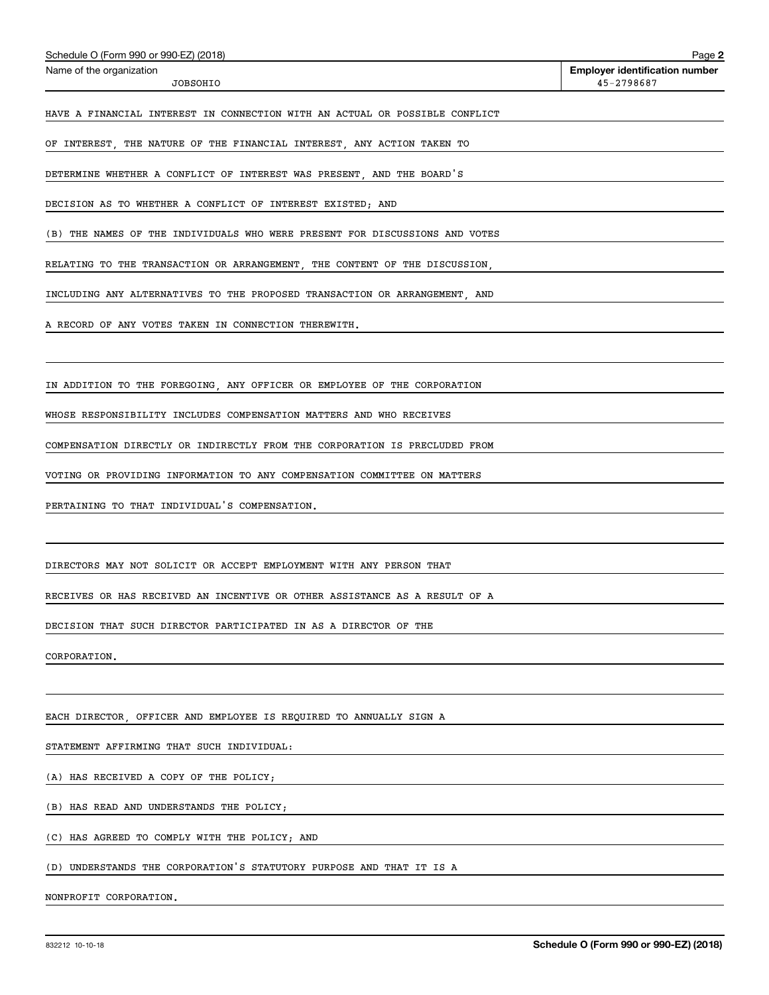| <b>JOBSOHIO</b>                                                             | 45-2798687                             |
|-----------------------------------------------------------------------------|----------------------------------------|
| HAVE A FINANCIAL INTEREST IN CONNECTION WITH AN ACTUAL OR POSSIBLE CONFLICT |                                        |
| OF INTEREST, THE NATURE OF THE FINANCIAL INTEREST, ANY ACTION TAKEN TO      |                                        |
| DETERMINE WHETHER A CONFLICT OF INTEREST WAS PRESENT, AND THE BOARD'S       |                                        |
| DECISION AS TO WHETHER A CONFLICT OF INTEREST EXISTED; AND                  |                                        |
| (B) THE NAMES OF THE INDIVIDUALS WHO WERE PRESENT FOR DISCUSSIONS AND VOTES |                                        |
| RELATING TO THE TRANSACTION OR ARRANGEMENT, THE CONTENT OF THE DISCUSSION,  |                                        |
| INCLUDING ANY ALTERNATIVES TO THE PROPOSED TRANSACTION OR ARRANGEMENT, AND  |                                        |
| A RECORD OF ANY VOTES TAKEN IN CONNECTION THEREWITH.                        |                                        |
|                                                                             |                                        |
| IN ADDITION TO THE FOREGOING, ANY OFFICER OR EMPLOYEE OF THE CORPORATION    |                                        |
| WHOSE RESPONSIBILITY INCLUDES COMPENSATION MATTERS AND WHO RECEIVES         |                                        |
| COMPENSATION DIRECTLY OR INDIRECTLY FROM THE CORPORATION IS PRECLUDED FROM  |                                        |
| VOTING OR PROVIDING INFORMATION TO ANY COMPENSATION COMMITTEE ON MATTERS    |                                        |
| PERTAINING TO THAT INDIVIDUAL'S COMPENSATION.                               |                                        |
|                                                                             |                                        |
| DIRECTORS MAY NOT SOLICIT OR ACCEPT EMPLOYMENT WITH ANY PERSON THAT         |                                        |
| RECEIVES OR HAS RECEIVED AN INCENTIVE OR OTHER ASSISTANCE AS A RESULT OF A  |                                        |
| DECISION THAT SUCH DIRECTOR PARTICIPATED IN AS A DIRECTOR OF THE            |                                        |
| CORPORATION.                                                                |                                        |
|                                                                             |                                        |
| EACH DIRECTOR, OFFICER AND EMPLOYEE IS REQUIRED TO ANNUALLY SIGN A          |                                        |
| STATEMENT AFFIRMING THAT SUCH INDIVIDUAL:                                   |                                        |
| (A) HAS RECEIVED A COPY OF THE POLICY;                                      |                                        |
| (B) HAS READ AND UNDERSTANDS THE POLICY;                                    |                                        |
| (C) HAS AGREED TO COMPLY WITH THE POLICY; AND                               |                                        |
| (D) UNDERSTANDS THE CORPORATION'S STATUTORY PURPOSE AND THAT IT IS A        |                                        |
| NONPROFIT CORPORATION.                                                      |                                        |
| 832212 10-10-18                                                             | Schedule O (Form 990 or 990-EZ) (2018) |
|                                                                             |                                        |

Schedule O (Form 990 or 990-EZ) (2018)

Name of the organization

**Employer identification number**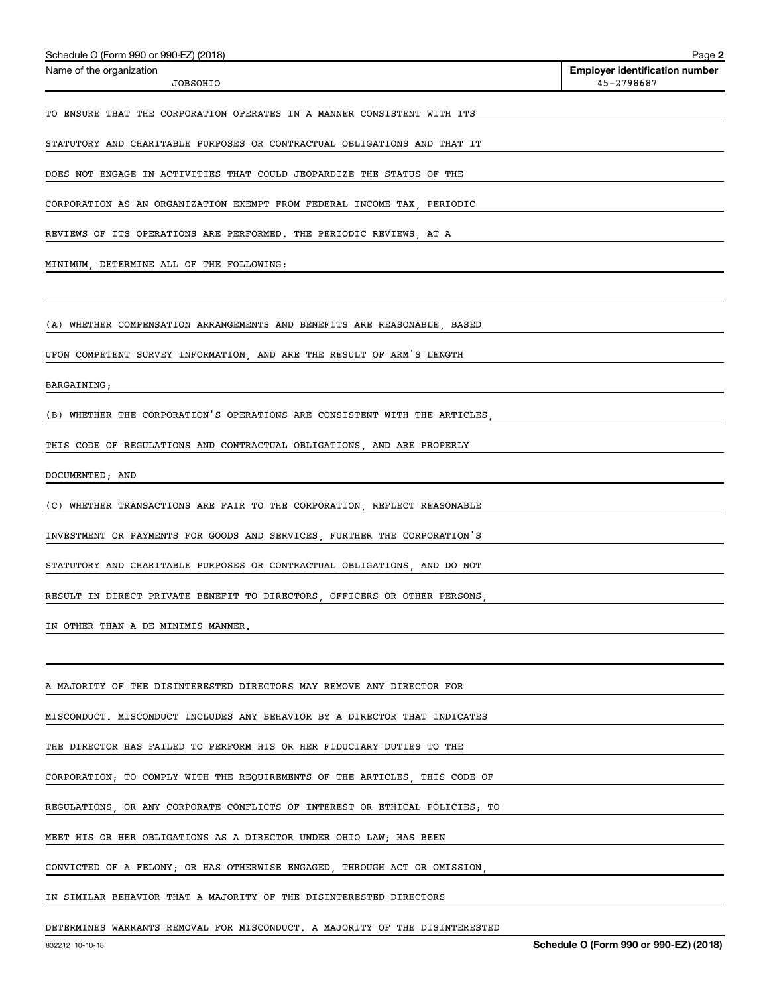| Schedule O (Form 990 or 990-EZ) (2018)                                      | Page 2                                              |
|-----------------------------------------------------------------------------|-----------------------------------------------------|
| Name of the organization<br>JOBSOHIO                                        | <b>Employer identification number</b><br>45-2798687 |
| TO ENSURE THAT THE CORPORATION OPERATES IN A MANNER CONSISTENT WITH ITS     |                                                     |
| STATUTORY AND CHARITABLE PURPOSES OR CONTRACTUAL OBLIGATIONS AND THAT IT    |                                                     |
| DOES NOT ENGAGE IN ACTIVITIES THAT COULD JEOPARDIZE THE STATUS OF THE       |                                                     |
| CORPORATION AS AN ORGANIZATION EXEMPT FROM FEDERAL INCOME TAX, PERIODIC     |                                                     |
| REVIEWS OF ITS OPERATIONS ARE PERFORMED. THE PERIODIC REVIEWS, AT A         |                                                     |
| MINIMUM, DETERMINE ALL OF THE FOLLOWING:                                    |                                                     |
|                                                                             |                                                     |
| (A) WHETHER COMPENSATION ARRANGEMENTS AND BENEFITS ARE REASONABLE, BASED    |                                                     |
| UPON COMPETENT SURVEY INFORMATION, AND ARE THE RESULT OF ARM'S LENGTH       |                                                     |
| BARGAINING;                                                                 |                                                     |
| (B) WHETHER THE CORPORATION'S OPERATIONS ARE CONSISTENT WITH THE ARTICLES,  |                                                     |
| THIS CODE OF REGULATIONS AND CONTRACTUAL OBLIGATIONS, AND ARE PROPERLY      |                                                     |
| DOCUMENTED; AND                                                             |                                                     |
| (C) WHETHER TRANSACTIONS ARE FAIR TO THE CORPORATION, REFLECT REASONABLE    |                                                     |
| INVESTMENT OR PAYMENTS FOR GOODS AND SERVICES, FURTHER THE CORPORATION'S    |                                                     |
| STATUTORY AND CHARITABLE PURPOSES OR CONTRACTUAL OBLIGATIONS, AND DO NOT    |                                                     |
| RESULT IN DIRECT PRIVATE BENEFIT TO DIRECTORS, OFFICERS OR OTHER PERSONS,   |                                                     |
| IN OTHER THAN A DE MINIMIS MANNER.                                          |                                                     |
|                                                                             |                                                     |
| A MAJORITY OF THE DISINTERESTED DIRECTORS MAY REMOVE ANY DIRECTOR FOR       |                                                     |
| MISCONDUCT. MISCONDUCT INCLUDES ANY BEHAVIOR BY A DIRECTOR THAT INDICATES   |                                                     |
| THE DIRECTOR HAS FAILED TO PERFORM HIS OR HER FIDUCIARY DUTIES TO THE       |                                                     |
| CORPORATION; TO COMPLY WITH THE REQUIREMENTS OF THE ARTICLES, THIS CODE OF  |                                                     |
| REGULATIONS, OR ANY CORPORATE CONFLICTS OF INTEREST OR ETHICAL POLICIES; TO |                                                     |
| MEET HIS OR HER OBLIGATIONS AS A DIRECTOR UNDER OHIO LAW; HAS BEEN          |                                                     |
| CONVICTED OF A FELONY; OR HAS OTHERWISE ENGAGED, THROUGH ACT OR OMISSION,   |                                                     |
| IN SIMILAR BEHAVIOR THAT A MAJORITY OF THE DISINTERESTED DIRECTORS          |                                                     |
| DETERMINES WARRANTS REMOVAL FOR MISCONDUCT. A MAJORITY OF THE DISINTERESTED |                                                     |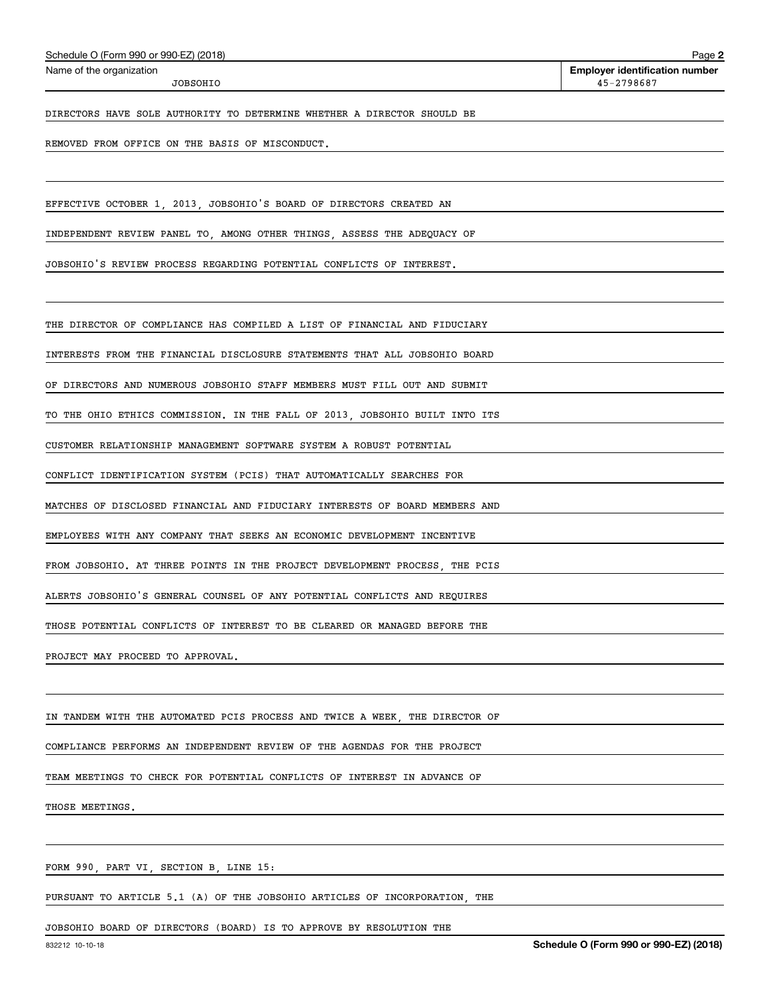| Schedule O (Form 990 or 990-EZ) (2018) |  |  |  |  |  |
|----------------------------------------|--|--|--|--|--|
|----------------------------------------|--|--|--|--|--|

JOBSOHIO

**Employer identification number** 45-2798687

DIRECTORS HAVE SOLE AUTHORITY TO DETERMINE WHETHER A DIRECTOR SHOULD BE

REMOVED FROM OFFICE ON THE BASIS OF MISCONDUCT.

EFFECTIVE OCTOBER 1, 2013, JOBSOHIO'S BOARD OF DIRECTORS CREATED AN

INDEPENDENT REVIEW PANEL TO, AMONG OTHER THINGS, ASSESS THE ADEQUACY OF

JOBSOHIO'S REVIEW PROCESS REGARDING POTENTIAL CONFLICTS OF INTEREST.

THE DIRECTOR OF COMPLIANCE HAS COMPILED A LIST OF FINANCIAL AND FIDUCIARY

INTERESTS FROM THE FINANCIAL DISCLOSURE STATEMENTS THAT ALL JOBSOHIO BOARD

OF DIRECTORS AND NUMEROUS JOBSOHIO STAFF MEMBERS MUST FILL OUT AND SUBMIT

TO THE OHIO ETHICS COMMISSION. IN THE FALL OF 2013 JOBSOHIO BUILT INTO ITS

CUSTOMER RELATIONSHIP MANAGEMENT SOFTWARE SYSTEM A ROBUST POTENTIAL

CONFLICT IDENTIFICATION SYSTEM (PCIS) THAT AUTOMATICALLY SEARCHES FOR

MATCHES OF DISCLOSED FINANCIAL AND FIDUCIARY INTERESTS OF BOARD MEMBERS AND

EMPLOYEES WITH ANY COMPANY THAT SEEKS AN ECONOMIC DEVELOPMENT INCENTIVE

FROM JOBSOHIO. AT THREE POINTS IN THE PROJECT DEVELOPMENT PROCESS, THE PCIS

ALERTS JOBSOHIO'S GENERAL COUNSEL OF ANY POTENTIAL CONFLICTS AND REQUIRES

THOSE POTENTIAL CONFLICTS OF INTEREST TO BE CLEARED OR MANAGED BEFORE THE

PROJECT MAY PROCEED TO APPROVAL.

IN TANDEM WITH THE AUTOMATED PCIS PROCESS AND TWICE A WEEK, THE DIRECTOR OF

COMPLIANCE PERFORMS AN INDEPENDENT REVIEW OF THE AGENDAS FOR THE PROJECT

TEAM MEETINGS TO CHECK FOR POTENTIAL CONFLICTS OF INTEREST IN ADVANCE OF

THOSE MEETINGS.

FORM 990, PART VI, SECTION B, LINE 15:

PURSUANT TO ARTICLE 5.1 (A) OF THE JOBSOHIO ARTICLES OF INCORPORATION, THE

JOBSOHIO BOARD OF DIRECTORS (BOARD) IS TO APPROVE BY RESOLUTION THE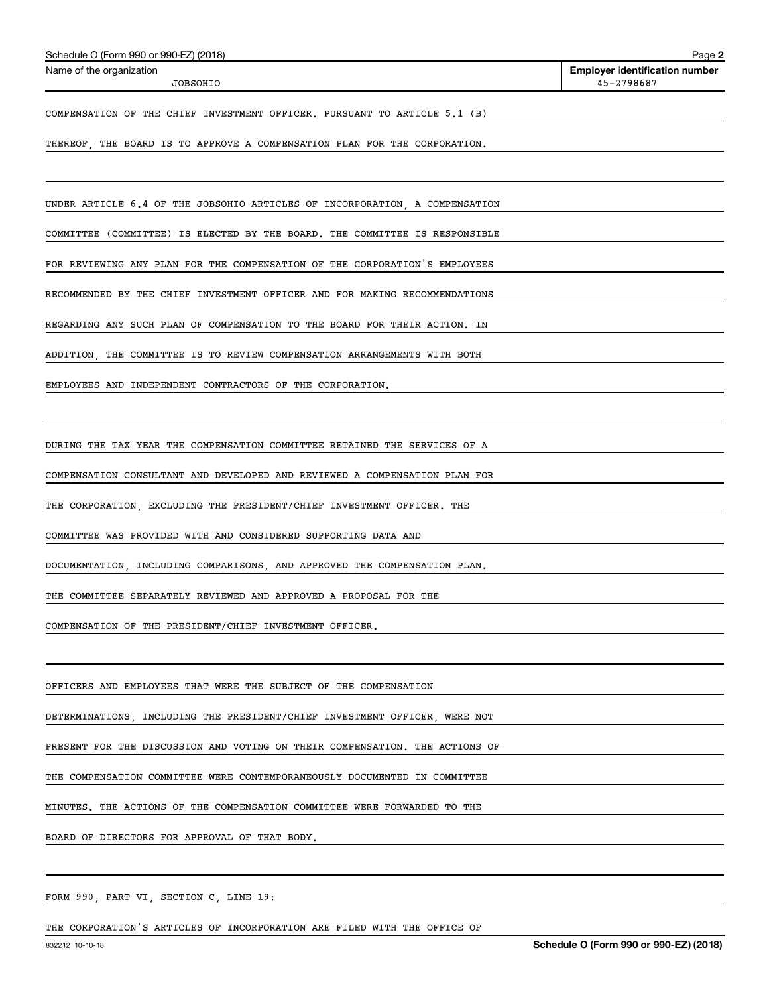| Schedule O (Form 990 or 990-EZ) (2018) |  |  |  |
|----------------------------------------|--|--|--|
|----------------------------------------|--|--|--|

JOBSOHIO

COMPENSATION OF THE CHIEF INVESTMENT OFFICER. PURSUANT TO ARTICLE 5.1 (B)

THEREOF THE BOARD IS TO APPROVE A COMPENSATION PLAN FOR THE CORPORATION.

UNDER ARTICLE 6.4 OF THE JOBSOHIO ARTICLES OF INCORPORATION A COMPENSATION

COMMITTEE (COMMITTEE) IS ELECTED BY THE BOARD. THE COMMITTEE IS RESPONSIBLE

FOR REVIEWING ANY PLAN FOR THE COMPENSATION OF THE CORPORATION'S EMPLOYEES

RECOMMENDED BY THE CHIEF INVESTMENT OFFICER AND FOR MAKING RECOMMENDATIONS

REGARDING ANY SUCH PLAN OF COMPENSATION TO THE BOARD FOR THEIR ACTION. IN

ADDITION THE COMMITTEE IS TO REVIEW COMPENSATION ARRANGEMENTS WITH BOTH

EMPLOYEES AND INDEPENDENT CONTRACTORS OF THE CORPORATION.

DURING THE TAX YEAR THE COMPENSATION COMMITTEE RETAINED THE SERVICES OF A

COMPENSATION CONSULTANT AND DEVELOPED AND REVIEWED A COMPENSATION PLAN FOR

THE CORPORATION, EXCLUDING THE PRESIDENT/CHIEF INVESTMENT OFFICER. THE

COMMITTEE WAS PROVIDED WITH AND CONSIDERED SUPPORTING DATA AND

DOCUMENTATION, INCLUDING COMPARISONS, AND APPROVED THE COMPENSATION PLAN.

THE COMMITTEE SEPARATELY REVIEWED AND APPROVED A PROPOSAL FOR THE

COMPENSATION OF THE PRESIDENT/CHIEF INVESTMENT OFFICER,

OFFICERS AND EMPLOYEES THAT WERE THE SUBJECT OF THE COMPENSATION

DETERMINATIONS INCLUDING THE PRESIDENT/CHIEF INVESTMENT OFFICER WERE NOT

PRESENT FOR THE DISCUSSION AND VOTING ON THEIR COMPENSATION. THE ACTIONS OF

THE COMPENSATION COMMITTEE WERE CONTEMPORANEOUSLY DOCUMENTED IN COMMITTEE

MINUTES. THE ACTIONS OF THE COMPENSATION COMMITTEE WERE FORWARDED TO THE

BOARD OF DIRECTORS FOR APPROVAL OF THAT BODY.

FORM 990, PART VI, SECTION C, LINE 19:

THE CORPORATION'S ARTICLES OF INCORPORATION ARE FILED WITH THE OFFICE OF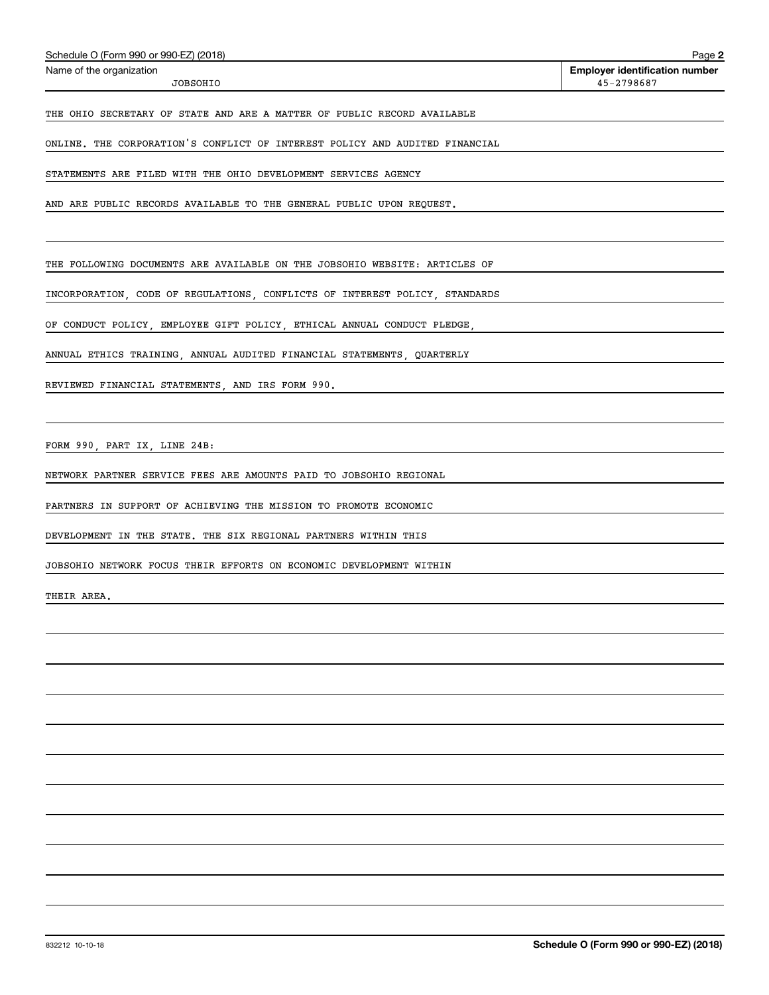|  | Schedule O (Form 990 or 990-EZ) (2018) |  |
|--|----------------------------------------|--|
|--|----------------------------------------|--|

JOBSOHIO

THE OHIO SECRETARY OF STATE AND ARE A MATTER OF PUBLIC RECORD AVAILABLE

ONLINE. THE CORPORATION'S CONFLICT OF INTEREST POLICY AND AUDITED FINANCIAL

STATEMENTS ARE FILED WITH THE OHIO DEVELOPMENT SERVICES AGENCY

AND ARE PUBLIC RECORDS AVAILABLE TO THE GENERAL PUBLIC UPON REQUEST.

THE FOLLOWING DOCUMENTS ARE AVAILABLE ON THE JOBSOHIO WEBSITE: ARTICLES OF

INCORPORATION, CODE OF REGULATIONS, CONFLICTS OF INTEREST POLICY, STANDARDS

OF CONDUCT POLICY, EMPLOYEE GIFT POLICY, ETHICAL ANNUAL CONDUCT PLEDGE,

ANNUAL ETHICS TRAINING, ANNUAL AUDITED FINANCIAL STATEMENTS, QUARTERLY

REVIEWED FINANCIAL STATEMENTS, AND IRS FORM 990.

FORM 990, PART IX, LINE 24B:

NETWORK PARTNER SERVICE FEES ARE AMOUNTS PAID TO JOBSOHIO REGIONAL

PARTNERS IN SUPPORT OF ACHIEVING THE MISSION TO PROMOTE ECONOMIC

DEVELOPMENT IN THE STATE. THE SIX REGIONAL PARTNERS WITHIN THIS

JOBSOHIO NETWORK FOCUS THEIR EFFORTS ON ECONOMIC DEVELOPMENT WITHIN

THEIR AREA.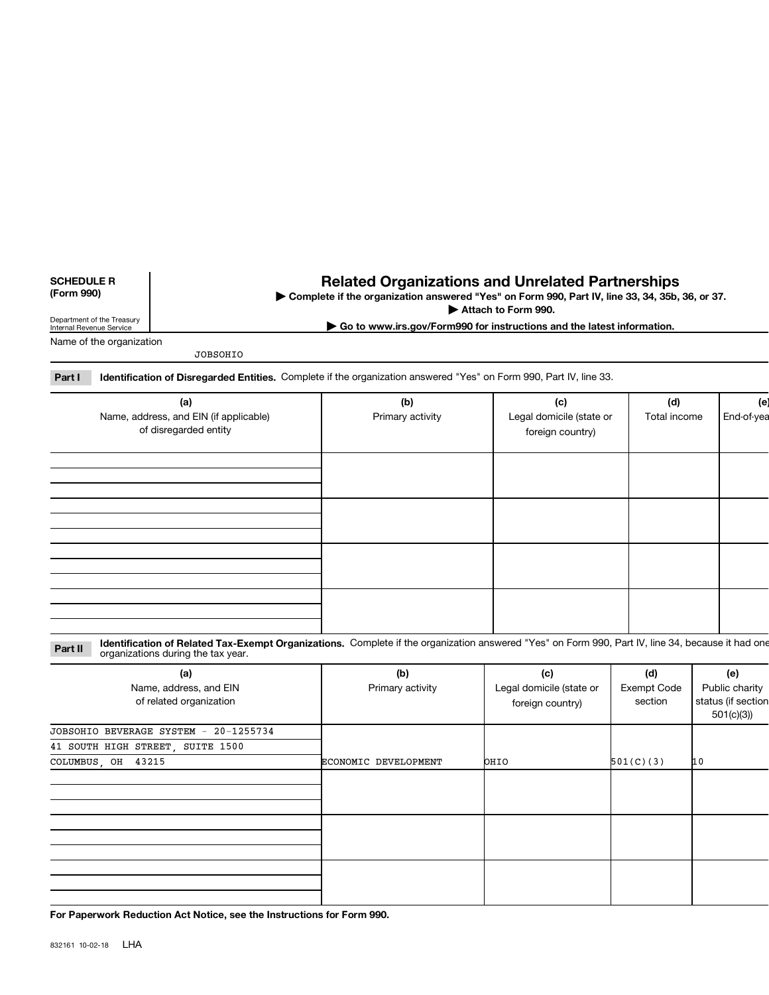### **SCHEDULE R** (Form 990)

# **Related Organizations and Unrelated Partnerships**

Complete if the organization answered "Yes" on Form 990, Part IV, line 33, 34, 35b, 36, or 37.

Attach to Form 990. Go to www.irs.gov/Form990 for instructions and the latest information.

Department of the Treasury<br>Internal Revenue Service

Name of the organization

**JOBSOHIO** 

| <b>Part I</b> Identification of Disregarded Entities. Complete if the organization answered "Yes" on Form 990, Part IV, line 33. |  |
|----------------------------------------------------------------------------------------------------------------------------------|--|
|                                                                                                                                  |  |

| (a)<br>Name, address, and EIN (if applicable)<br>of disregarded entity | (b)<br>Primary activity | (c)<br>Legal domicile (state or<br>foreign country) | (d)<br>Total income | (e<br>End-of-yea |
|------------------------------------------------------------------------|-------------------------|-----------------------------------------------------|---------------------|------------------|
|                                                                        |                         |                                                     |                     |                  |
|                                                                        |                         |                                                     |                     |                  |
|                                                                        |                         |                                                     |                     |                  |
|                                                                        |                         |                                                     |                     |                  |

Identification of Related Tax-Exempt Organizations. Complete if the organization answered "Yes" on Form 990, Part IV, line 34, because it had one Part II organizations during the tax year.

| (a)                                               | (b)                  | (c)                                          | (d)                    | (e)                                               |
|---------------------------------------------------|----------------------|----------------------------------------------|------------------------|---------------------------------------------------|
| Name, address, and EIN<br>of related organization | Primary activity     | Legal domicile (state or<br>foreign country) | Exempt Code<br>section | Public charity<br>status (if section<br>501(c)(3) |
| JOBSOHIO BEVERAGE SYSTEM - 20-1255734             |                      |                                              |                        |                                                   |
| 41 SOUTH HIGH STREET, SUITE 1500                  |                      |                                              |                        |                                                   |
| COLUMBUS, OH 43215                                | ECONOMIC DEVELOPMENT | OHIO                                         | 501(C)(3)              | 10                                                |
|                                                   |                      |                                              |                        |                                                   |
|                                                   |                      |                                              |                        |                                                   |
|                                                   |                      |                                              |                        |                                                   |

For Paperwork Reduction Act Notice, see the Instructions for Form 990.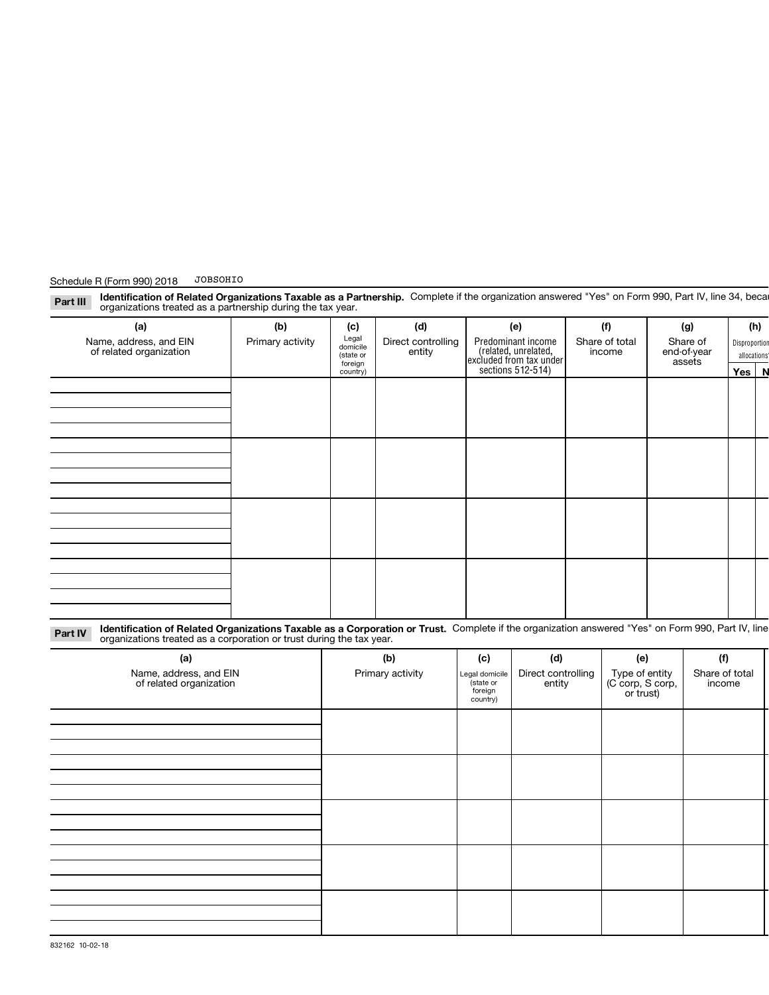| (a)                                                                                                                                                                                                                                  | (b)              | (c)                            | (d)                          |                                                   | (e)                                                                                               |  | (f)                                             | (g)                      | (h)     |  |
|--------------------------------------------------------------------------------------------------------------------------------------------------------------------------------------------------------------------------------------|------------------|--------------------------------|------------------------------|---------------------------------------------------|---------------------------------------------------------------------------------------------------|--|-------------------------------------------------|--------------------------|---------|--|
| Name, address, and EIN<br>of related organization                                                                                                                                                                                    | Primary activity | Legal<br>domicile<br>(state or | Direct controlling<br>entity |                                                   | Predominant income<br>Share of total<br>Share of<br>(related, unrelated,<br>end-of-year<br>income |  | Disproportion<br>allocations                    |                          |         |  |
|                                                                                                                                                                                                                                      |                  | foreign<br>country)            |                              |                                                   | excluded from tax under<br>sections 512-514)                                                      |  |                                                 | assets                   | Yes   N |  |
|                                                                                                                                                                                                                                      |                  |                                |                              |                                                   |                                                                                                   |  |                                                 |                          |         |  |
|                                                                                                                                                                                                                                      |                  |                                |                              |                                                   |                                                                                                   |  |                                                 |                          |         |  |
|                                                                                                                                                                                                                                      |                  |                                |                              |                                                   |                                                                                                   |  |                                                 |                          |         |  |
|                                                                                                                                                                                                                                      |                  |                                |                              |                                                   |                                                                                                   |  |                                                 |                          |         |  |
|                                                                                                                                                                                                                                      |                  |                                |                              |                                                   |                                                                                                   |  |                                                 |                          |         |  |
|                                                                                                                                                                                                                                      |                  |                                |                              |                                                   |                                                                                                   |  |                                                 |                          |         |  |
|                                                                                                                                                                                                                                      |                  |                                |                              |                                                   |                                                                                                   |  |                                                 |                          |         |  |
|                                                                                                                                                                                                                                      |                  |                                |                              |                                                   |                                                                                                   |  |                                                 |                          |         |  |
|                                                                                                                                                                                                                                      |                  |                                |                              |                                                   |                                                                                                   |  |                                                 |                          |         |  |
|                                                                                                                                                                                                                                      |                  |                                |                              |                                                   |                                                                                                   |  |                                                 |                          |         |  |
|                                                                                                                                                                                                                                      |                  |                                |                              |                                                   |                                                                                                   |  |                                                 |                          |         |  |
|                                                                                                                                                                                                                                      |                  |                                |                              |                                                   |                                                                                                   |  |                                                 |                          |         |  |
|                                                                                                                                                                                                                                      |                  |                                |                              |                                                   |                                                                                                   |  |                                                 |                          |         |  |
|                                                                                                                                                                                                                                      |                  |                                |                              |                                                   |                                                                                                   |  |                                                 |                          |         |  |
| Identification of Related Organizations Taxable as a Corporation or Trust. Complete if the organization answered "Yes" on Form 990, Part IV, line<br>Part IV<br>organizations treated as a corporation or trust during the tax year. |                  |                                |                              |                                                   |                                                                                                   |  |                                                 |                          |         |  |
| (a)                                                                                                                                                                                                                                  |                  |                                | (b)                          | (c)                                               | (d)                                                                                               |  | (e)                                             | (f)                      |         |  |
| Name, address, and EIN<br>of related organization                                                                                                                                                                                    |                  |                                | Primary activity             | Legal domicile<br>state or<br>foreign<br>country) | Direct controlling<br>entity                                                                      |  | Type of entity<br>(C corp, S corp,<br>or trust) | Share of total<br>income |         |  |
|                                                                                                                                                                                                                                      |                  |                                |                              |                                                   |                                                                                                   |  |                                                 |                          |         |  |
|                                                                                                                                                                                                                                      |                  |                                |                              |                                                   |                                                                                                   |  |                                                 |                          |         |  |
|                                                                                                                                                                                                                                      |                  |                                |                              |                                                   |                                                                                                   |  |                                                 |                          |         |  |
|                                                                                                                                                                                                                                      |                  |                                |                              |                                                   |                                                                                                   |  |                                                 |                          |         |  |
|                                                                                                                                                                                                                                      |                  |                                |                              |                                                   |                                                                                                   |  |                                                 |                          |         |  |
|                                                                                                                                                                                                                                      |                  |                                |                              |                                                   |                                                                                                   |  |                                                 |                          |         |  |
|                                                                                                                                                                                                                                      |                  |                                |                              |                                                   |                                                                                                   |  |                                                 |                          |         |  |
|                                                                                                                                                                                                                                      |                  |                                |                              |                                                   |                                                                                                   |  |                                                 |                          |         |  |
|                                                                                                                                                                                                                                      |                  |                                |                              |                                                   |                                                                                                   |  |                                                 |                          |         |  |
|                                                                                                                                                                                                                                      |                  |                                |                              |                                                   |                                                                                                   |  |                                                 |                          |         |  |
|                                                                                                                                                                                                                                      |                  |                                |                              |                                                   |                                                                                                   |  |                                                 |                          |         |  |
|                                                                                                                                                                                                                                      |                  |                                |                              |                                                   |                                                                                                   |  |                                                 |                          |         |  |
|                                                                                                                                                                                                                                      |                  |                                |                              |                                                   |                                                                                                   |  |                                                 |                          |         |  |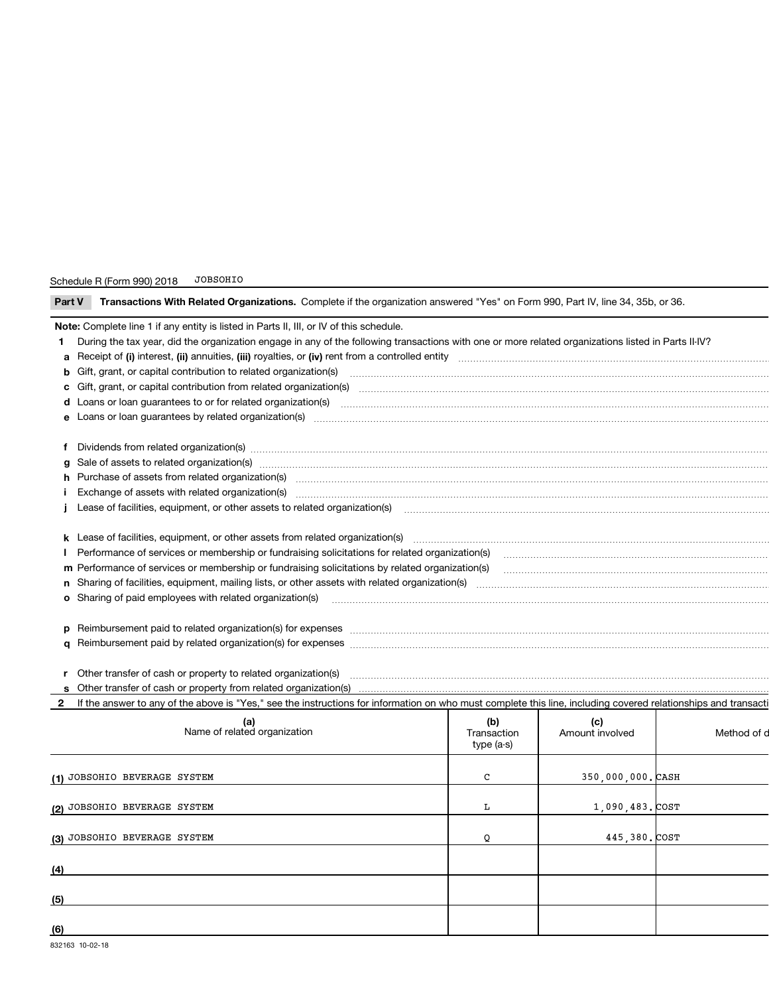| Transactions With Related Organizations. Complete if the organization answered "Yes" on Form 990, Part IV, line 34, 35b, or 36.<br>Part V                                                                                      |                                                                                                                                                                                                                                |                                  |                        |             |  |  |  |  |
|--------------------------------------------------------------------------------------------------------------------------------------------------------------------------------------------------------------------------------|--------------------------------------------------------------------------------------------------------------------------------------------------------------------------------------------------------------------------------|----------------------------------|------------------------|-------------|--|--|--|--|
|                                                                                                                                                                                                                                | Note: Complete line 1 if any entity is listed in Parts II, III, or IV of this schedule.                                                                                                                                        |                                  |                        |             |  |  |  |  |
| During the tax year, did the organization engage in any of the following transactions with one or more related organizations listed in Parts II-IV?<br>1.                                                                      |                                                                                                                                                                                                                                |                                  |                        |             |  |  |  |  |
|                                                                                                                                                                                                                                |                                                                                                                                                                                                                                |                                  |                        |             |  |  |  |  |
| b Gift, grant, or capital contribution to related organization(s) encontraction contribution of the contribution to related organization(s) encontribution and contribution to related organization(s) encontraction encontrac |                                                                                                                                                                                                                                |                                  |                        |             |  |  |  |  |
|                                                                                                                                                                                                                                |                                                                                                                                                                                                                                |                                  |                        |             |  |  |  |  |
|                                                                                                                                                                                                                                |                                                                                                                                                                                                                                |                                  |                        |             |  |  |  |  |
|                                                                                                                                                                                                                                |                                                                                                                                                                                                                                |                                  |                        |             |  |  |  |  |
|                                                                                                                                                                                                                                | f Dividends from related organization(s) manufacture content to the content of the content of the content of the content of the content of the content of the content of the content of the content of the content of the cont |                                  |                        |             |  |  |  |  |
|                                                                                                                                                                                                                                | g Sale of assets to related organization(s) www.assettion.com/www.assettion.com/www.assettion.com/www.assettion.com/www.assettion.com/www.assettion.com/www.assettion.com/www.assettion.com/www.assettion.com/www.assettion.co |                                  |                        |             |  |  |  |  |
|                                                                                                                                                                                                                                |                                                                                                                                                                                                                                |                                  |                        |             |  |  |  |  |
|                                                                                                                                                                                                                                | Exchange of assets with related organization(s) manufactured and content and content and content and content and content and content and content and content and content and content and content and content and content and c |                                  |                        |             |  |  |  |  |
|                                                                                                                                                                                                                                |                                                                                                                                                                                                                                |                                  |                        |             |  |  |  |  |
|                                                                                                                                                                                                                                |                                                                                                                                                                                                                                |                                  |                        |             |  |  |  |  |
| Performance of services or membership or fundraising solicitations for related organization(s)                                                                                                                                 |                                                                                                                                                                                                                                |                                  |                        |             |  |  |  |  |
|                                                                                                                                                                                                                                |                                                                                                                                                                                                                                |                                  |                        |             |  |  |  |  |
|                                                                                                                                                                                                                                |                                                                                                                                                                                                                                |                                  |                        |             |  |  |  |  |
|                                                                                                                                                                                                                                |                                                                                                                                                                                                                                |                                  |                        |             |  |  |  |  |
|                                                                                                                                                                                                                                |                                                                                                                                                                                                                                |                                  |                        |             |  |  |  |  |
|                                                                                                                                                                                                                                |                                                                                                                                                                                                                                |                                  |                        |             |  |  |  |  |
|                                                                                                                                                                                                                                |                                                                                                                                                                                                                                |                                  |                        |             |  |  |  |  |
|                                                                                                                                                                                                                                | r Other transfer of cash or property to related organization(s)                                                                                                                                                                |                                  |                        |             |  |  |  |  |
|                                                                                                                                                                                                                                | Other transfer of cash or property from related organization(s)                                                                                                                                                                |                                  |                        |             |  |  |  |  |
| $\mathbf{2}$                                                                                                                                                                                                                   | If the answer to any of the above is "Yes," see the instructions for information on who must complete this line, including covered relationships and transacti                                                                 |                                  |                        |             |  |  |  |  |
|                                                                                                                                                                                                                                | (a)<br>Name of related organization                                                                                                                                                                                            | (b)<br>Transaction<br>type (a-s) | (c)<br>Amount involved | Method of d |  |  |  |  |
|                                                                                                                                                                                                                                | (1) JOBSOHIO BEVERAGE SYSTEM                                                                                                                                                                                                   | C                                | 350,000,000. CASH      |             |  |  |  |  |
|                                                                                                                                                                                                                                | (2) JOBSOHIO BEVERAGE SYSTEM                                                                                                                                                                                                   | L                                | 1,090,483. COST        |             |  |  |  |  |
|                                                                                                                                                                                                                                | (3) JOBSOHIO BEVERAGE SYSTEM                                                                                                                                                                                                   | Q                                | 445,380.COST           |             |  |  |  |  |
|                                                                                                                                                                                                                                |                                                                                                                                                                                                                                |                                  |                        |             |  |  |  |  |
|                                                                                                                                                                                                                                |                                                                                                                                                                                                                                |                                  |                        |             |  |  |  |  |
| (5)                                                                                                                                                                                                                            |                                                                                                                                                                                                                                |                                  |                        |             |  |  |  |  |
|                                                                                                                                                                                                                                |                                                                                                                                                                                                                                |                                  |                        |             |  |  |  |  |
| (6)                                                                                                                                                                                                                            |                                                                                                                                                                                                                                |                                  |                        |             |  |  |  |  |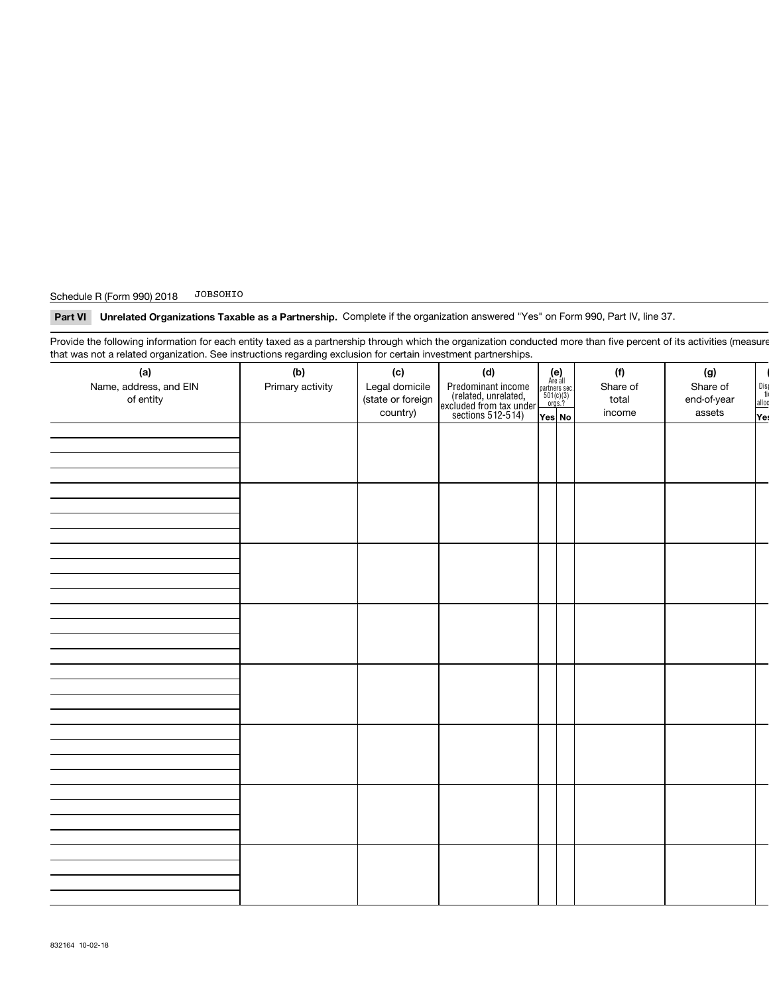### JOBSOHIO Schedule R (Form 990) 2018

Part VI Unrelated Organizations Taxable as a Partnership. Complete if the organization answered "Yes" on Form 990, Part IV, line 37.

Provide the following information for each entity taxed as a partnership through which the organization conducted more than five percent of its activities (measure that was not a related organization. See instructions regarding exclusion for certain investment partnerships.

| (a)<br>Name, address, and EIN<br>of entity | (b)<br>Primary activity | (c)<br>Legal domicile<br>(state or foreign<br>country) | (d)<br>Predominant income<br>(related, unrelated,<br>excluded from tax under<br>sections 512-514) | $\begin{array}{c} \textbf{(e)}\\ \text{Are all} \\ \text{partners sec.}\\ 501(c)(3)\\ \text{orgs.?} \end{array}$<br>Yes No | (f)<br>Share of<br>total<br>income | (g)<br>Share of<br>end-of-year<br>assets | $\frac{Dis}{ti}$<br>alloc<br>$\sqrt{e}$ |
|--------------------------------------------|-------------------------|--------------------------------------------------------|---------------------------------------------------------------------------------------------------|----------------------------------------------------------------------------------------------------------------------------|------------------------------------|------------------------------------------|-----------------------------------------|
|                                            |                         |                                                        |                                                                                                   |                                                                                                                            |                                    |                                          |                                         |
|                                            |                         |                                                        |                                                                                                   |                                                                                                                            |                                    |                                          |                                         |
|                                            |                         |                                                        |                                                                                                   |                                                                                                                            |                                    |                                          |                                         |
|                                            |                         |                                                        |                                                                                                   |                                                                                                                            |                                    |                                          |                                         |
|                                            |                         |                                                        |                                                                                                   |                                                                                                                            |                                    |                                          |                                         |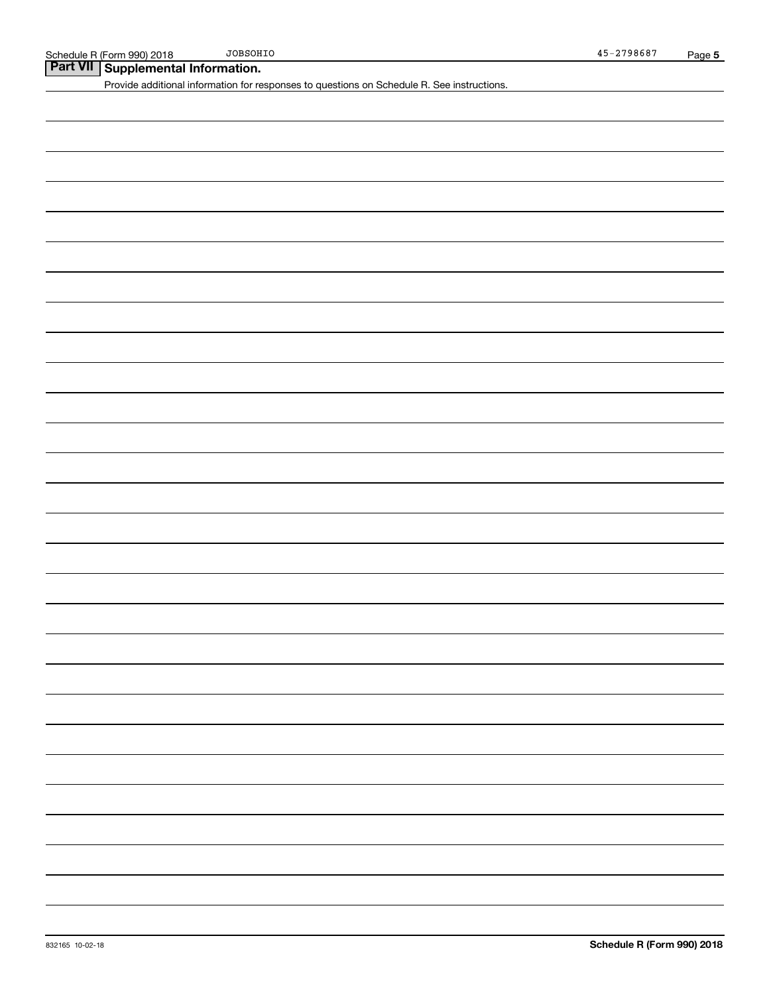Part VII Supplemental Information.

Provide additional information for responses to questions on Schedule R. See instructions.